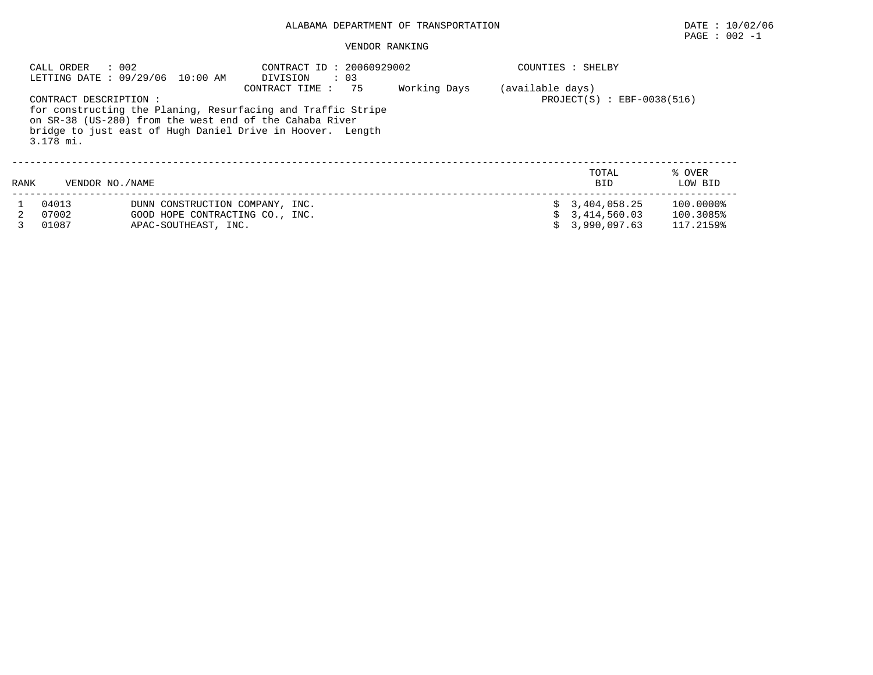# ALABAMA DEPARTMENT OF TRANSPORTATION DATE : 10/02/06

# $\texttt{PAGE}$  : 002 -1

#### VENDOR RANKING

|      | : 002<br>CALL ORDER                | LETTING DATE: 09/29/06 10:00 AM                                                            | CONTRACT ID: 20060929002<br>$\therefore$ 03<br>DIVISION                                                                                                                                                        |              |                  | COUNTIES : SHELBY                            |                                     |
|------|------------------------------------|--------------------------------------------------------------------------------------------|----------------------------------------------------------------------------------------------------------------------------------------------------------------------------------------------------------------|--------------|------------------|----------------------------------------------|-------------------------------------|
|      | CONTRACT DESCRIPTION:<br>3.178 mi. |                                                                                            | 75<br>CONTRACT TIME :<br>for constructing the Planing, Resurfacing and Traffic Stripe<br>on SR-38 (US-280) from the west end of the Cahaba River<br>bridge to just east of Hugh Daniel Drive in Hoover. Length | Working Days | (available days) | $PROJECT(S)$ : EBF-0038(516)                 |                                     |
| RANK | VENDOR NO./NAME                    |                                                                                            |                                                                                                                                                                                                                |              |                  | TOTAL<br><b>BID</b>                          | % OVER<br>LOW BID                   |
|      | 04013<br>07002<br>01087            | DUNN CONSTRUCTION COMPANY, INC.<br>GOOD HOPE CONTRACTING CO., INC.<br>APAC-SOUTHEAST, INC. |                                                                                                                                                                                                                |              |                  | 3,404,058.25<br>3,414,560.03<br>3,990,097.63 | 100.0000%<br>100.3085%<br>117.2159% |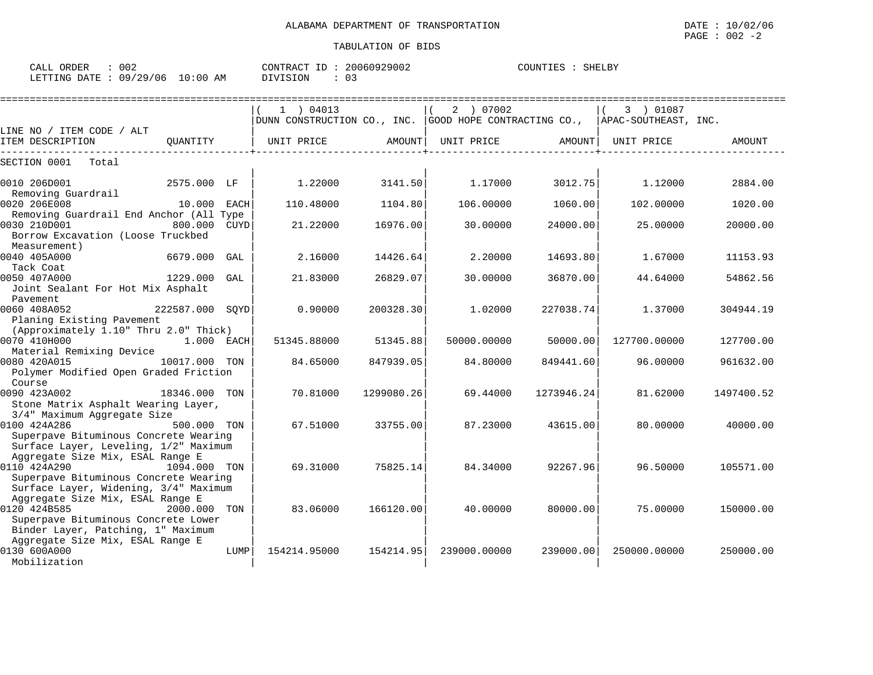| CALL ORDER                      | 002 |          | CONTRACT ID: 20060929002 | COUNTIES : SHELBY |  |
|---------------------------------|-----|----------|--------------------------|-------------------|--|
| LETTING DATE: 09/29/06 10:00 AM |     | DIVISION | 03                       |                   |  |

|                                                                                                                                  |                 |      | $1$ ) 04013<br>DUNN CONSTRUCTION CO., INC. GOOD HOPE CONTRACTING CO., |            | 2 ) 07002    |            | 3 ) 01087<br>APAC-SOUTHEAST, INC. |            |
|----------------------------------------------------------------------------------------------------------------------------------|-----------------|------|-----------------------------------------------------------------------|------------|--------------|------------|-----------------------------------|------------|
| LINE NO / ITEM CODE / ALT                                                                                                        |                 |      |                                                                       |            |              |            |                                   |            |
| ITEM DESCRIPTION                                                                                                                 | OUANTITY        |      | UNIT PRICE                                                            | AMOUNT     | UNIT PRICE   | AMOUNT     | UNIT PRICE                        | AMOUNT     |
| SECTION 0001<br>Total                                                                                                            |                 |      |                                                                       |            |              |            |                                   |            |
| 0010 206D001<br>Removing Guardrail                                                                                               | 2575.000 LF     |      | 1.22000                                                               | 3141.50    | 1.17000      | 3012.75    | 1.12000                           | 2884.00    |
| 0020 206E008                                                                                                                     | 10.000 EACH     |      | 110.48000                                                             | 1104.80    | 106.00000    | 1060.00    | 102.00000                         | 1020.00    |
| Removing Guardrail End Anchor (All Type<br>0030 210D001<br>Borrow Excavation (Loose Truckbed<br>Measurement)                     | 800.000 CUYD    |      | 21.22000                                                              | 16976.00   | 30,00000     | 24000.00   | 25.00000                          | 20000.00   |
| 0040 405A000                                                                                                                     | 6679.000        | GAL  | 2.16000                                                               | 14426.64   | 2.20000      | 14693.80   | 1.67000                           | 11153.93   |
| Tack Coat<br>0050 407A000<br>Joint Sealant For Hot Mix Asphalt<br>Pavement                                                       | 1229.000        | GAL  | 21.83000                                                              | 26829.07   | 30,00000     | 36870.00   | 44.64000                          | 54862.56   |
| 0060 408A052<br>Planing Existing Pavement                                                                                        | 222587.000 SOYD |      | 0.90000                                                               | 200328.30  | 1.02000      | 227038.74  | 1.37000                           | 304944.19  |
| (Approximately 1.10" Thru 2.0" Thick)<br>0070 410H000<br>Material Remixing Device                                                | 1.000 EACH      |      | 51345.88000                                                           | 51345.88   | 50000.00000  | 50000.00   | 127700.00000                      | 127700.00  |
| 0080 420A015<br>Polymer Modified Open Graded Friction                                                                            | 10017.000 TON   |      | 84.65000                                                              | 847939.05  | 84.80000     | 849441.60  | 96.00000                          | 961632.00  |
| Course<br>0090 423A002<br>Stone Matrix Asphalt Wearing Layer,<br>3/4" Maximum Aggregate Size                                     | 18346.000 TON   |      | 70.81000                                                              | 1299080.26 | 69.44000     | 1273946.24 | 81.62000                          | 1497400.52 |
| 0100 424A286<br>Superpave Bituminous Concrete Wearing<br>Surface Layer, Leveling, 1/2" Maximum                                   | 500.000 TON     |      | 67.51000                                                              | 33755.00   | 87.23000     | 43615.00   | 80.00000                          | 40000.00   |
| Aggregate Size Mix, ESAL Range E<br>0110 424A290<br>Superpave Bituminous Concrete Wearing                                        | 1094.000 TON    |      | 69.31000                                                              | 75825.14   | 84.34000     | 92267.96   | 96.50000                          | 105571.00  |
| Surface Layer, Widening, 3/4" Maximum<br>Aggregate Size Mix, ESAL Range E<br>0120 424B585<br>Superpave Bituminous Concrete Lower | 2000.000        | TON  | 83.06000                                                              | 166120.00  | 40.00000     | 80000.00   | 75.00000                          | 150000.00  |
| Binder Layer, Patching, 1" Maximum<br>Aggregate Size Mix, ESAL Range E<br>0130 600A000<br>Mobilization                           |                 | LUMP | 154214.95000                                                          | 154214.95  | 239000.00000 | 239000.00  | 250000.00000                      | 250000.00  |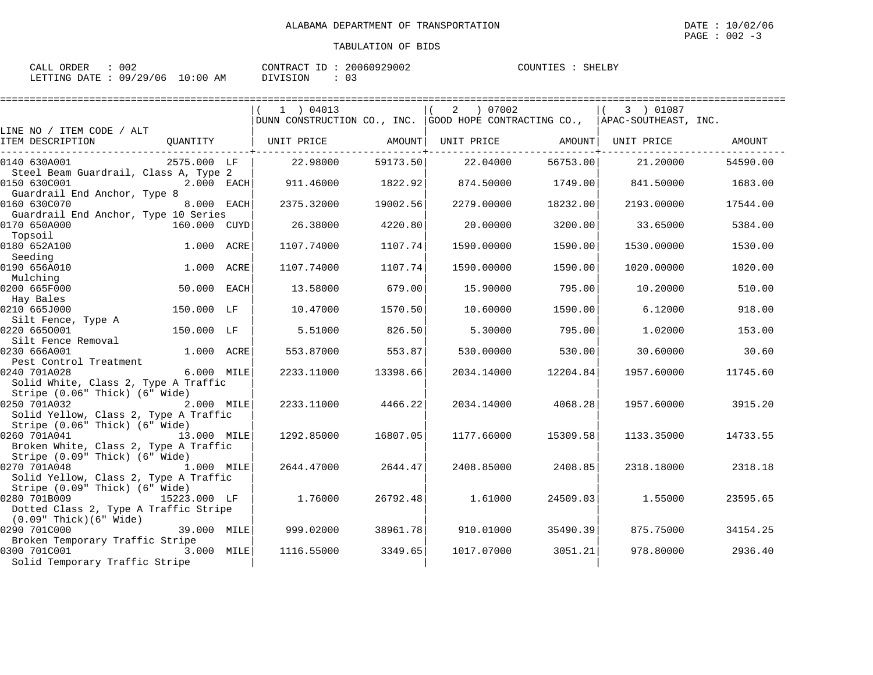| CALL ORDER                      | 002 |          | CONTRACT ID: 20060929002 | COUNTIES : SHELBY |  |
|---------------------------------|-----|----------|--------------------------|-------------------|--|
| LETTING DATE: 09/29/06 10:00 AM |     | DIVISION |                          |                   |  |

|                                                      |              |      | 1 ) 04013                                                                               |          | 2 07002    |                   | 3 ) 01087  |          |
|------------------------------------------------------|--------------|------|-----------------------------------------------------------------------------------------|----------|------------|-------------------|------------|----------|
|                                                      |              |      | $ $ DUNN CONSTRUCTION CO., INC. $ $ GOOD HOPE CONTRACTING CO., $ $ APAC-SOUTHEAST, INC. |          |            |                   |            |          |
| LINE NO / ITEM CODE / ALT<br>ITEM DESCRIPTION        | QUANTITY     |      | UNIT PRICE                                                                              | AMOUNT   |            | UNIT PRICE AMOUNT | UNIT PRICE | AMOUNT   |
|                                                      |              |      |                                                                                         |          |            |                   |            |          |
| 0140 630A001                                         | 2575.000 LF  |      | 22.98000                                                                                | 59173.50 | 22.04000   | 56753.00          | 21,20000   | 54590.00 |
| Steel Beam Guardrail, Class A, Type 2                |              |      |                                                                                         |          |            |                   |            |          |
| 0150 630C001                                         | 2.000 EACH   |      | 911.46000                                                                               | 1822.92  | 874.50000  | 1749.00           | 841.50000  | 1683.00  |
| Guardrail End Anchor, Type 8                         |              |      |                                                                                         |          |            |                   |            |          |
| 0160 630C070                                         | 8.000 EACH   |      | 2375.32000                                                                              | 19002.56 | 2279.00000 | 18232.00          | 2193.00000 | 17544.00 |
| Guardrail End Anchor, Type 10 Series<br>0170 650A000 | 160.000 CUYD |      | 26.38000                                                                                | 4220.80  | 20.00000   | 3200.00           | 33.65000   | 5384.00  |
| Topsoil                                              |              |      |                                                                                         |          |            |                   |            |          |
| 0180 652A100                                         | 1.000 ACRE   |      | 1107.74000                                                                              | 1107.74  | 1590.00000 | 1590.00           | 1530.00000 | 1530.00  |
| Seeding                                              |              |      |                                                                                         |          |            |                   |            |          |
| 0190 656A010                                         | 1.000 ACRE   |      | 1107.74000                                                                              | 1107.74  | 1590.00000 | 1590.00           | 1020.00000 | 1020.00  |
| Mulching                                             |              |      |                                                                                         |          |            |                   |            |          |
| 0200 665F000                                         | 50.000       | EACH | 13.58000                                                                                | 679.00   | 15,90000   | 795.00            | 10.20000   | 510.00   |
| Hay Bales                                            |              |      |                                                                                         |          |            |                   |            |          |
| 0210 665J000                                         | 150.000 LF   |      | 10.47000                                                                                | 1570.50  | 10.60000   | 1590.00           | 6.12000    | 918.00   |
| Silt Fence, Type A                                   |              |      |                                                                                         |          |            |                   |            |          |
| 0220 6650001                                         | 150.000 LF   |      | 5.51000                                                                                 | 826.50   | 5.30000    | 795.00            | 1,02000    | 153.00   |
| Silt Fence Removal<br>0230 666A001                   | 1.000 ACRE   |      | 553.87000                                                                               | 553.87   | 530.00000  | 530.00            | 30.60000   | 30.60    |
| Pest Control Treatment                               |              |      |                                                                                         |          |            |                   |            |          |
| 0240 701A028                                         | 6.000 MILE   |      | 2233.11000                                                                              | 13398.66 | 2034.14000 | 12204.84          | 1957.60000 | 11745.60 |
| Solid White, Class 2, Type A Traffic                 |              |      |                                                                                         |          |            |                   |            |          |
| Stripe (0.06" Thick) (6" Wide)                       |              |      |                                                                                         |          |            |                   |            |          |
| 0250 701A032                                         | 2.000 MILE   |      | 2233.11000                                                                              | 4466.22  | 2034.14000 | 4068.28           | 1957.60000 | 3915.20  |
| Solid Yellow, Class 2, Type A Traffic                |              |      |                                                                                         |          |            |                   |            |          |
| Stripe (0.06" Thick) (6" Wide)                       |              |      |                                                                                         |          |            |                   |            |          |
| 0260 701A041                                         | 13.000 MILE  |      | 1292.85000                                                                              | 16807.05 | 1177.66000 | 15309.58          | 1133.35000 | 14733.55 |
| Broken White, Class 2, Type A Traffic                |              |      |                                                                                         |          |            |                   |            |          |
| Stripe (0.09" Thick) (6" Wide)                       |              |      |                                                                                         |          |            |                   |            |          |
| 0270 701A048                                         | 1.000 MILE   |      | 2644.47000                                                                              | 2644.47  | 2408.85000 | 2408.85           | 2318.18000 | 2318.18  |
| Solid Yellow, Class 2, Type A Traffic                |              |      |                                                                                         |          |            |                   |            |          |
| Stripe (0.09" Thick) (6" Wide)<br>0280 701B009       | 15223.000 LF |      | 1.76000                                                                                 | 26792.48 | 1.61000    | 24509.03          | 1.55000    | 23595.65 |
| Dotted Class 2, Type A Traffic Stripe                |              |      |                                                                                         |          |            |                   |            |          |
| (0.09" Thick)(6" Wide)                               |              |      |                                                                                         |          |            |                   |            |          |
| 0290 701C000                                         | 39.000 MILE  |      | 999.02000                                                                               | 38961.78 | 910.01000  | 35490.39          | 875.75000  | 34154.25 |
| Broken Temporary Traffic Stripe                      |              |      |                                                                                         |          |            |                   |            |          |
| 0300 701C001                                         | 3.000 MILE   |      | 1116.55000                                                                              | 3349.65  | 1017.07000 | 3051.21           | 978.80000  | 2936.40  |
| Solid Temporary Traffic Stripe                       |              |      |                                                                                         |          |            |                   |            |          |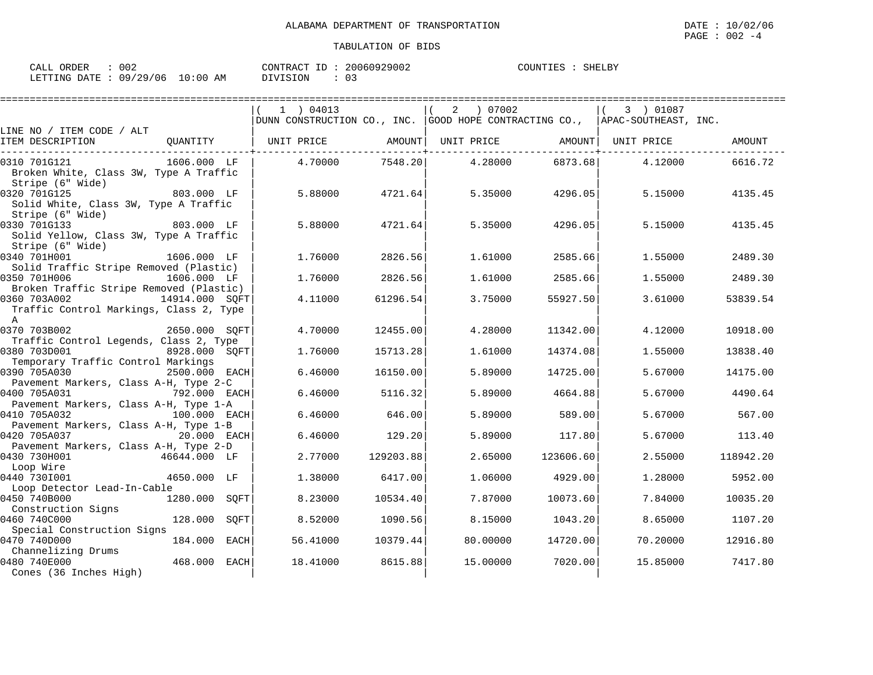| CALL ORDER                      | -002 |          | CONTRACT ID: 20060929002 | COUNTIES : SHELBY |  |
|---------------------------------|------|----------|--------------------------|-------------------|--|
| LETTING DATE: 09/29/06 10:00 AM |      | DIVISION | : 03                     |                   |  |

|                                                                                             |                  | 1 ) 04013<br>DUNN CONSTRUCTION CO., INC. GOOD HOPE CONTRACTING CO., APAC-SOUTHEAST, INC. |           | 07002<br>2 |           | 3 ) 01087          |           |
|---------------------------------------------------------------------------------------------|------------------|------------------------------------------------------------------------------------------|-----------|------------|-----------|--------------------|-----------|
| LINE NO / ITEM CODE / ALT                                                                   |                  |                                                                                          |           |            |           |                    |           |
| ITEM DESCRIPTION                                                                            | QUANTITY         | UNIT PRICE                                                                               | AMOUNT    | UNIT PRICE |           | AMOUNT  UNIT PRICE | AMOUNT    |
| 0310 701G121<br>Broken White, Class 3W, Type A Traffic<br>Stripe (6" Wide)                  | 1606.000 LF      | 4.70000                                                                                  | 7548.20   | 4.28000    | 6873.68   | 4.12000            | 6616.72   |
| 0320 701G125<br>Solid White, Class 3W, Type A Traffic<br>Stripe (6" Wide)                   | 803.000 LF       | 5.88000                                                                                  | 4721.64   | 5.35000    | 4296.05   | 5.15000            | 4135.45   |
| 0330 701G133<br>Solid Yellow, Class 3W, Type A Traffic<br>Stripe (6" Wide)                  | 803.000 LF       | 5.88000                                                                                  | 4721.64   | 5.35000    | 4296.05   | 5.15000            | 4135.45   |
| 0340 701H001<br>Solid Traffic Stripe Removed (Plastic)                                      | 1606.000 LF      | 1.76000                                                                                  | 2826.56   | 1.61000    | 2585.66   | 1.55000            | 2489.30   |
| 0350 701H006<br>Broken Traffic Stripe Removed (Plastic)                                     | 1606.000 LF      | 1.76000                                                                                  | 2826.56   | 1.61000    | 2585.66   | 1.55000            | 2489.30   |
| 0360 703A002<br>Traffic Control Markings, Class 2, Type<br>$\overline{A}$                   | 14914.000 SQFT   | 4.11000                                                                                  | 61296.54  | 3.75000    | 55927.50  | 3.61000            | 53839.54  |
| 0370 703B002                                                                                | 2650.000 SOFT    | 4.70000                                                                                  | 12455.00  | 4.28000    | 11342.00  | 4.12000            | 10918.00  |
| Traffic Control Legends, Class 2, Type<br>0380 703D001                                      | 8928.000 SOFT    | 1.76000                                                                                  | 15713.28  | 1.61000    | 14374.08  | 1.55000            | 13838.40  |
| Temporary Traffic Control Markings<br>0390 705A030<br>Pavement Markers, Class A-H, Type 2-C | 2500.000 EACH    | 6.46000                                                                                  | 16150.00  | 5.89000    | 14725.00  | 5.67000            | 14175.00  |
| 0400 705A031<br>Pavement Markers, Class A-H, Type 1-A                                       | 792.000 EACH     | 6.46000                                                                                  | 5116.32   | 5.89000    | 4664.88   | 5.67000            | 4490.64   |
| 0410 705A032<br>Pavement Markers, Class A-H, Type 1-B                                       | 100.000 EACH     | 6.46000                                                                                  | 646.00    | 5.89000    | 589.00    | 5.67000            | 567.00    |
| 0420 705A037<br>Pavement Markers, Class A-H, Type 2-D                                       | $20.000$ EACH    | 6.46000                                                                                  | 129.20    | 5.89000    | 117.80    | 5.67000            | 113.40    |
| 0430 730H001<br>Loop Wire                                                                   | 46644.000 LF     | 2.77000                                                                                  | 129203.88 | 2.65000    | 123606.60 | 2.55000            | 118942.20 |
| 0440 7301001                                                                                | 4650.000 LF      | 1.38000                                                                                  | 6417.00   | 1,06000    | 4929.00   | 1,28000            | 5952.00   |
| Loop Detector Lead-In-Cable<br>0450 740B000                                                 | 1280.000<br>SQFT | 8.23000                                                                                  | 10534.40  | 7.87000    | 10073.60  | 7.84000            | 10035.20  |
| Construction Signs<br>0460 740C000                                                          | 128.000<br>SOFT  | 8.52000                                                                                  | 1090.56   | 8.15000    | 1043.20   | 8.65000            | 1107.20   |
| Special Construction Signs<br>0470 740D000                                                  | 184.000<br>EACH  | 56.41000                                                                                 | 10379.44  | 80.00000   | 14720.00  | 70.20000           | 12916.80  |
| Channelizing Drums<br>0480 740E000<br>Cones (36 Inches High)                                | 468.000<br>EACH  | 18,41000                                                                                 | 8615.88   | 15,00000   | 7020.00   | 15.85000           | 7417.80   |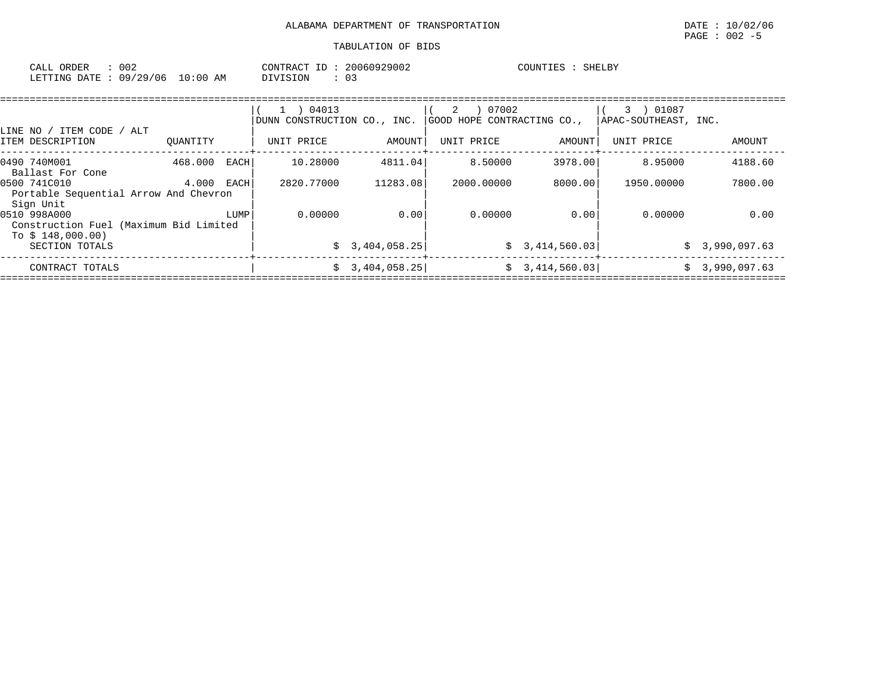| CALL<br>ORDER   | $\sim$ $\sim$ $\sim$ |             | CONTRACT<br>TD. | 20060929002 | COUNTIES | SHELBY |
|-----------------|----------------------|-------------|-----------------|-------------|----------|--------|
| LETTING<br>DATE | 09/29/06             | 10:00<br>AM | DIVISION        |             |          |        |

|                                                        |          |      | 04013<br>$\mathbf{1}$       |                 | 07002<br>2                 |                 | 01087<br>3           |              |  |  |  |
|--------------------------------------------------------|----------|------|-----------------------------|-----------------|----------------------------|-----------------|----------------------|--------------|--|--|--|
| LINE NO / ITEM CODE / ALT                              |          |      | DUNN CONSTRUCTION CO., INC. |                 | GOOD HOPE CONTRACTING CO., |                 | APAC-SOUTHEAST, INC. |              |  |  |  |
| ITEM DESCRIPTION                                       | OUANTITY |      | UNIT PRICE                  | AMOUNT          | UNIT PRICE                 | AMOUNT          | UNIT PRICE           | AMOUNT       |  |  |  |
| 0490 740M001<br>Ballast For Cone                       | 468.000  | EACH | 10.28000                    | 4811.04         | 8.50000                    | 3978.00         | 8.95000              | 4188.60      |  |  |  |
| 0500 741C010<br>Portable Sequential Arrow And Chevron  | 4.000    | EACH | 2820.77000                  | 11283.08        | 2000.00000                 | 8000.00         | 1950.00000           | 7800.00      |  |  |  |
| Sign Unit                                              |          |      |                             |                 |                            |                 |                      |              |  |  |  |
| 0510 998A000<br>Construction Fuel (Maximum Bid Limited |          | LUMP | 0.00000                     | 0.00            | 0.00000                    | 0.00            | 0.00000              | 0.00         |  |  |  |
| To $$148,000.00)$<br>SECTION TOTALS                    |          |      |                             | \$3,404,058.25  |                            | \$3,414,560.03] | $\mathcal{S}$        | 3,990,097.63 |  |  |  |
| CONTRACT TOTALS                                        |          |      |                             | \$3,404,058.25] |                            | \$3,414,560.03] | S.                   | 3,990,097.63 |  |  |  |
|                                                        |          |      |                             |                 |                            |                 |                      |              |  |  |  |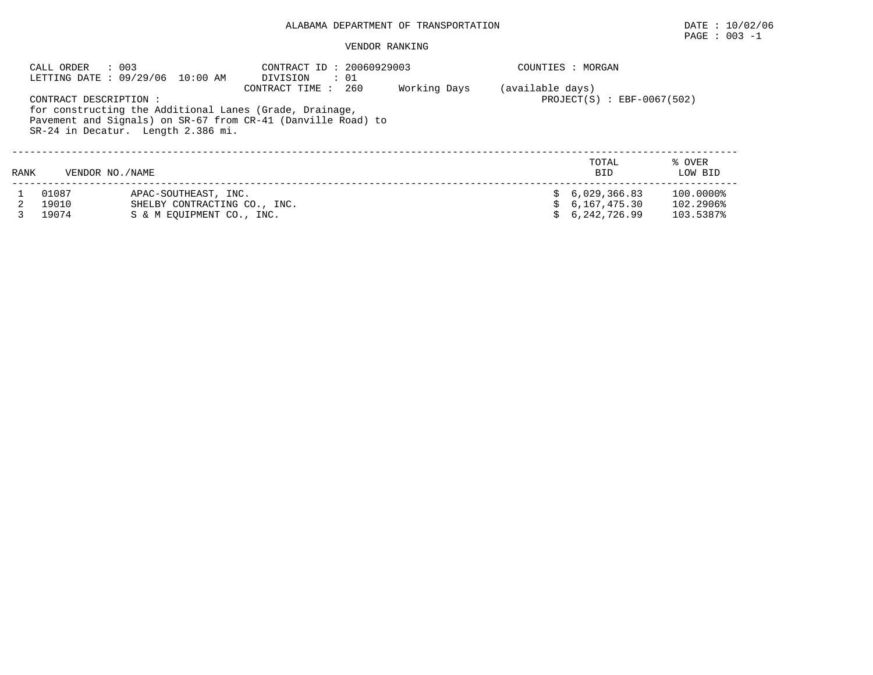# ALABAMA DEPARTMENT OF TRANSPORTATION DATE : 10/02/06

# $\texttt{PAGE}$  : 003 -1

#### VENDOR RANKING

|      | CALL ORDER<br>: 003                                   | LETTING DATE: 09/29/06 10:00 AM                                                   | CONTRACT ID: 20060929003<br>DIVISION<br>$\cdot$ 01                                                                                             |              |                  | COUNTIES : MORGAN                                |                                     |  |  |  |  |
|------|-------------------------------------------------------|-----------------------------------------------------------------------------------|------------------------------------------------------------------------------------------------------------------------------------------------|--------------|------------------|--------------------------------------------------|-------------------------------------|--|--|--|--|
|      | CONTRACT DESCRIPTION:                                 |                                                                                   | CONTRACT TIME : 260<br>for constructing the Additional Lanes (Grade, Drainage,<br>Pavement and Signals) on SR-67 from CR-41 (Danville Road) to | Working Days | (available days) | $PROJECT(S)$ : EBF-0067(502)                     |                                     |  |  |  |  |
|      | SR-24 in Decatur. Length 2.386 mi.<br>TOTAL<br>% OVER |                                                                                   |                                                                                                                                                |              |                  |                                                  |                                     |  |  |  |  |
| RANK | VENDOR NO./NAME                                       |                                                                                   |                                                                                                                                                |              |                  | <b>BID</b>                                       | LOW BID                             |  |  |  |  |
|      | 01087<br>19010<br>19074                               | APAC-SOUTHEAST, INC.<br>SHELBY CONTRACTING CO., INC.<br>S & M EOUIPMENT CO., INC. |                                                                                                                                                |              | S.               | \$6,029,366.83<br>\$6.167.475.30<br>6,242,726.99 | 100.0000%<br>102.2906%<br>103.5387% |  |  |  |  |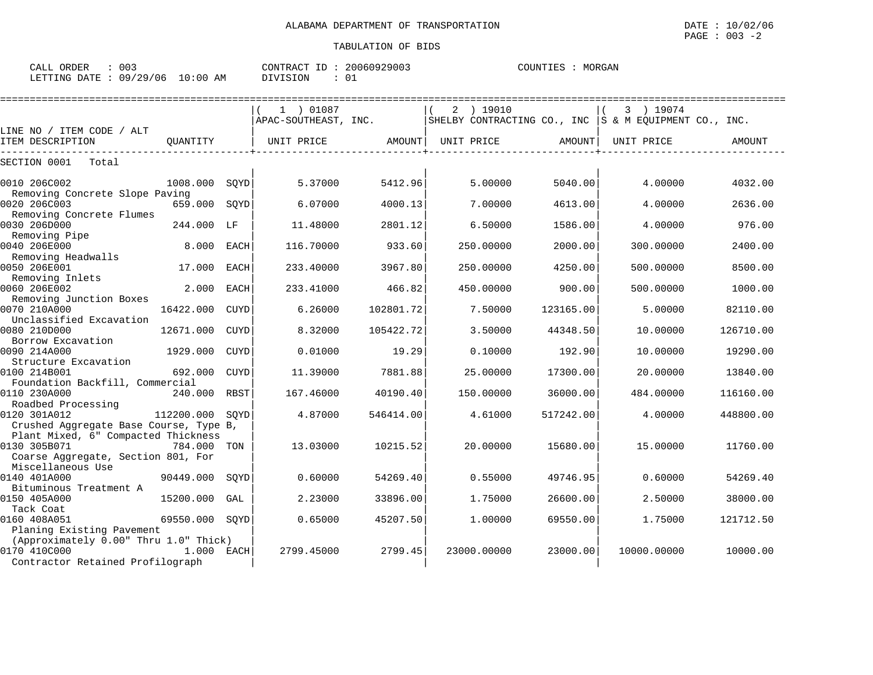| 003<br>CALL ORDER                |  |  |          | CONTRACT ID: 20060929003 | COUNTIES : | MORGAN |
|----------------------------------|--|--|----------|--------------------------|------------|--------|
| LETTING DATE : 09/29/06 10:00 AM |  |  | DIVISION | 01                       |            |        |

|                                                |                |             | 1 ) 01087            |               | $2$ ) 19010                                           |           | 3 ) 19074   |           |
|------------------------------------------------|----------------|-------------|----------------------|---------------|-------------------------------------------------------|-----------|-------------|-----------|
|                                                |                |             | APAC-SOUTHEAST, INC. |               | SHELBY CONTRACTING CO., INC S & M EOUIPMENT CO., INC. |           |             |           |
| LINE NO / ITEM CODE / ALT<br>ITEM DESCRIPTION  | OUANTITY       |             | UNIT PRICE           | <b>AMOUNT</b> | UNIT PRICE                                            | AMOUNT    | UNIT PRICE  | AMOUNT    |
| SECTION 0001<br>Total                          |                |             |                      |               |                                                       |           |             |           |
|                                                |                |             |                      |               |                                                       |           |             |           |
| 0010 206C002                                   | 1008.000       | SOYD        | 5.37000              | 5412.96       | 5.00000                                               | 5040.00   | 4.00000     | 4032.00   |
| Removing Concrete Slope Paving<br>0020 206C003 | 659.000 SQYD   |             | 6.07000              | 4000.13       | 7.00000                                               | 4613.00   | 4.00000     | 2636.00   |
| Removing Concrete Flumes                       |                |             |                      |               |                                                       |           |             |           |
| 0030 206D000                                   | 244.000 LF     |             | 11,48000             | 2801.12       | 6.50000                                               | 1586.00   | 4.00000     | 976.00    |
| Removing Pipe                                  |                |             |                      |               |                                                       |           |             |           |
| 0040 206E000                                   | 8.000          | <b>EACH</b> | 116.70000            | 933.60        | 250.00000                                             | 2000.00   | 300.00000   | 2400.00   |
| Removing Headwalls                             |                |             |                      |               |                                                       |           |             |           |
| 0050 206E001                                   | 17.000         | <b>EACH</b> | 233.40000            | 3967.80       | 250.00000                                             | 4250.00   | 500.00000   | 8500.00   |
| Removing Inlets                                |                |             |                      |               |                                                       |           |             |           |
| 0060 206E002                                   | 2.000          | <b>EACH</b> | 233.41000            | 466.82        | 450.00000                                             | 900.00    | 500.00000   | 1000.00   |
| Removing Junction Boxes                        |                |             |                      |               |                                                       |           |             |           |
| 0070 210A000                                   | 16422.000      | <b>CUYD</b> | 6.26000              | 102801.72     | 7.50000                                               | 123165.00 | 5.00000     | 82110.00  |
| Unclassified Excavation                        |                |             |                      |               |                                                       |           |             |           |
| 0080 210D000                                   | 12671.000      | <b>CUYD</b> | 8.32000              | 105422.72     | 3.50000                                               | 44348.50  | 10.00000    | 126710.00 |
| Borrow Excavation                              |                |             |                      |               |                                                       |           |             |           |
| 0090 214A000                                   | 1929.000       | <b>CUYD</b> | 0.01000              | 19.29         | 0.10000                                               | 192.90    | 10.00000    | 19290.00  |
| Structure Excavation                           |                |             |                      |               |                                                       |           |             |           |
| 0100 214B001                                   | 692.000        | <b>CUYD</b> | 11.39000             | 7881.88       | 25.00000                                              | 17300.00  | 20.00000    | 13840.00  |
| Foundation Backfill, Commercial                |                |             |                      |               |                                                       |           |             |           |
| 0110 230A000                                   | 240.000 RBST   |             | 167.46000            | 40190.40      | 150.00000                                             | 36000.00  | 484.00000   | 116160.00 |
| Roadbed Processing                             |                |             |                      |               |                                                       |           |             |           |
| 0120 301A012                                   | 112200.000     | SOYD        | 4.87000              | 546414.00     | 4.61000                                               | 517242.00 | 4.00000     | 448800.00 |
| Crushed Aggregate Base Course, Type B,         |                |             |                      |               |                                                       |           |             |           |
| Plant Mixed, 6" Compacted Thickness            |                |             |                      |               |                                                       |           |             |           |
| 0130 305B071                                   | 784.000 TON    |             | 13.03000             | 10215.52      | 20.00000                                              | 15680.00  | 15.00000    | 11760.00  |
| Coarse Aggregate, Section 801, For             |                |             |                      |               |                                                       |           |             |           |
| Miscellaneous Use                              |                |             |                      |               |                                                       |           |             |           |
| 0140 401A000                                   | 90449.000      | SOYD        | 0.60000              | 54269.40      | 0.55000                                               | 49746.95  | 0.60000     | 54269.40  |
| Bituminous Treatment A                         |                |             |                      |               |                                                       |           |             |           |
| 0150 405A000                                   | 15200.000      | GAL         | 2.23000              | 33896.00      | 1.75000                                               | 26600.00  | 2.50000     | 38000.00  |
| Tack Coat                                      |                |             |                      |               |                                                       |           |             |           |
| 0160 408A051                                   | 69550.000 SQYD |             | 0.65000              | 45207.50      | 1,00000                                               | 69550.00  | 1.75000     | 121712.50 |
| Planing Existing Pavement                      |                |             |                      |               |                                                       |           |             |           |
| (Approximately 0.00" Thru 1.0" Thick)          |                |             |                      |               |                                                       |           |             |           |
| 0170 410C000                                   | 1.000 EACH     |             | 2799.45000           | 2799.45       | 23000.00000                                           | 23000.00  | 10000.00000 | 10000.00  |
| Contractor Retained Profilograph               |                |             |                      |               |                                                       |           |             |           |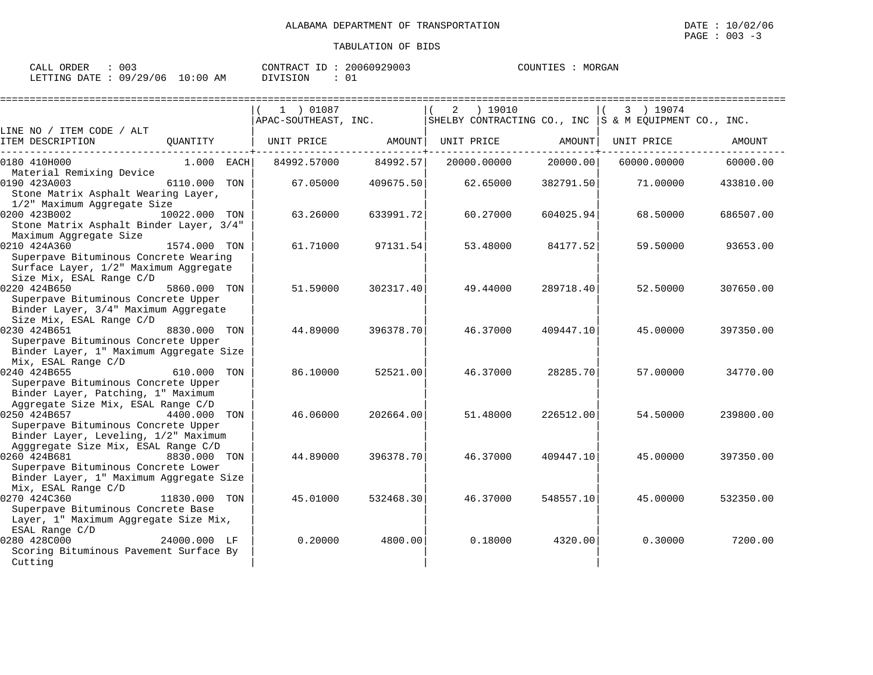| ORDER<br>CALL | ∩∩ว<br>UUS              | 20060929003<br>ΙD<br>CONTRACT | MORGAN<br>COUNTIES |
|---------------|-------------------------|-------------------------------|--------------------|
| LETTING DATE  | 10:00<br>09/29/06<br>AM | DIVISION                      |                    |

|                                         |               |     | 1 ) 01087            |           | 2 | ) 19010     |           | 3 ) 19074                                                 |           |
|-----------------------------------------|---------------|-----|----------------------|-----------|---|-------------|-----------|-----------------------------------------------------------|-----------|
|                                         |               |     | APAC-SOUTHEAST, INC. |           |   |             |           | SHELBY CONTRACTING CO., INC $ S \& M$ EQUIPMENT CO., INC. |           |
| LINE NO / ITEM CODE / ALT               |               |     |                      |           |   |             |           |                                                           |           |
| ITEM DESCRIPTION                        | QUANTITY      |     | UNIT PRICE           | AMOUNT    |   | UNIT PRICE  | AMOUNT    | UNIT PRICE                                                | AMOUNT    |
| 0180 410H000                            | $1.000$ EACH  |     | 84992.57000          | 84992.57  |   | 20000.00000 | 20000.00  | 60000.00000                                               | 60000.00  |
| Material Remixing Device                |               |     |                      |           |   |             |           |                                                           |           |
| 0190 423A003                            | 6110.000      | TON | 67.05000             | 409675.50 |   | 62.65000    | 382791.50 | 71.00000                                                  | 433810.00 |
| Stone Matrix Asphalt Wearing Layer,     |               |     |                      |           |   |             |           |                                                           |           |
| 1/2" Maximum Aggregate Size             |               |     |                      |           |   |             |           |                                                           |           |
| 0200 423B002                            | 10022.000 TON |     | 63.26000             | 633991.72 |   | 60.27000    | 604025.94 | 68.50000                                                  | 686507.00 |
| Stone Matrix Asphalt Binder Layer, 3/4" |               |     |                      |           |   |             |           |                                                           |           |
| Maximum Aggregate Size                  |               |     |                      |           |   |             |           |                                                           |           |
| 0210 424A360                            | 1574.000 TON  |     | 61.71000             | 97131.54  |   | 53.48000    | 84177.52  | 59.50000                                                  | 93653.00  |
| Superpave Bituminous Concrete Wearing   |               |     |                      |           |   |             |           |                                                           |           |
| Surface Layer, 1/2" Maximum Aggregate   |               |     |                      |           |   |             |           |                                                           |           |
| Size Mix, ESAL Range C/D                |               |     |                      |           |   |             |           |                                                           |           |
| 0220 424B650                            | 5860.000 TON  |     | 51.59000             | 302317.40 |   | 49.44000    | 289718.40 | 52.50000                                                  | 307650.00 |
| Superpave Bituminous Concrete Upper     |               |     |                      |           |   |             |           |                                                           |           |
| Binder Layer, 3/4" Maximum Aggregate    |               |     |                      |           |   |             |           |                                                           |           |
| Size Mix, ESAL Range C/D                |               |     |                      |           |   |             |           |                                                           |           |
| 0230 424B651                            | 8830.000 TON  |     | 44.89000             | 396378.70 |   | 46.37000    | 409447.10 | 45.00000                                                  | 397350.00 |
| Superpave Bituminous Concrete Upper     |               |     |                      |           |   |             |           |                                                           |           |
| Binder Layer, 1" Maximum Aggregate Size |               |     |                      |           |   |             |           |                                                           |           |
| Mix, ESAL Range C/D<br>0240 424B655     | 610.000 TON   |     | 86.10000             | 52521.00  |   | 46.37000    | 28285.70  | 57.00000                                                  | 34770.00  |
| Superpave Bituminous Concrete Upper     |               |     |                      |           |   |             |           |                                                           |           |
| Binder Layer, Patching, 1" Maximum      |               |     |                      |           |   |             |           |                                                           |           |
| Aggregate Size Mix, ESAL Range C/D      |               |     |                      |           |   |             |           |                                                           |           |
| 0250 424B657                            | 4400.000      | TON | 46.06000             | 202664.00 |   | 51.48000    | 226512.00 | 54.50000                                                  | 239800.00 |
| Superpave Bituminous Concrete Upper     |               |     |                      |           |   |             |           |                                                           |           |
| Binder Layer, Leveling, 1/2" Maximum    |               |     |                      |           |   |             |           |                                                           |           |
| Agggregate Size Mix, ESAL Range C/D     |               |     |                      |           |   |             |           |                                                           |           |
| 0260 424B681                            | 8830.000 TON  |     | 44.89000             | 396378.70 |   | 46.37000    | 409447.10 | 45.00000                                                  | 397350.00 |
| Superpave Bituminous Concrete Lower     |               |     |                      |           |   |             |           |                                                           |           |
| Binder Layer, 1" Maximum Aggregate Size |               |     |                      |           |   |             |           |                                                           |           |
| Mix, ESAL Range C/D                     |               |     |                      |           |   |             |           |                                                           |           |
| 0270 424C360                            | 11830.000 TON |     | 45.01000             | 532468.30 |   | 46.37000    | 548557.10 | 45.00000                                                  | 532350.00 |
| Superpave Bituminous Concrete Base      |               |     |                      |           |   |             |           |                                                           |           |
| Layer, 1" Maximum Aggregate Size Mix,   |               |     |                      |           |   |             |           |                                                           |           |
| ESAL Range C/D                          |               |     |                      |           |   |             |           |                                                           |           |
| 0280 428C000                            | 24000.000 LF  |     | 0.20000              | 4800.00   |   | 0.18000     | 4320.00   | 0.30000                                                   | 7200.00   |
| Scoring Bituminous Pavement Surface By  |               |     |                      |           |   |             |           |                                                           |           |
| Cutting                                 |               |     |                      |           |   |             |           |                                                           |           |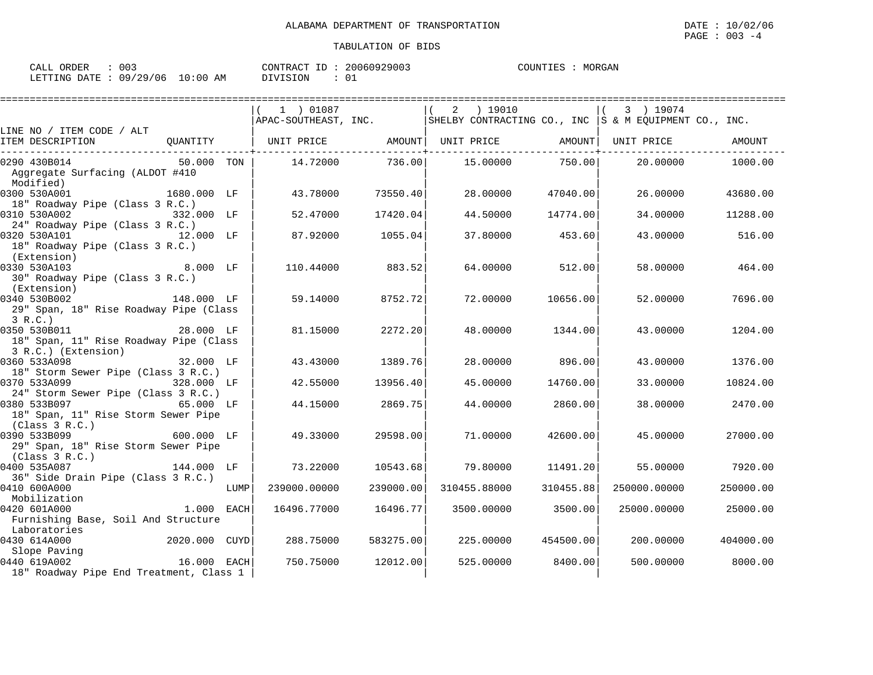| ORDER<br>CALL | 003      |             | ID<br>CONTRACT | 20060929003 | COUNTIES | MORGAN |
|---------------|----------|-------------|----------------|-------------|----------|--------|
| LETTING DATE  | 09/29/06 | 10:00<br>ΆM | DIVISION       |             |          |        |

|                                                                                                                                                                                                                                                                                                                                                                                            |            |      | $(1)$ 01087  |                 | $(2)$ 19010                                                                    |                   | 3 ) 19074    |                  |
|--------------------------------------------------------------------------------------------------------------------------------------------------------------------------------------------------------------------------------------------------------------------------------------------------------------------------------------------------------------------------------------------|------------|------|--------------|-----------------|--------------------------------------------------------------------------------|-------------------|--------------|------------------|
|                                                                                                                                                                                                                                                                                                                                                                                            |            |      |              |                 |                                                                                |                   |              |                  |
| LINE NO / ITEM CODE / ALT                                                                                                                                                                                                                                                                                                                                                                  |            |      |              |                 |                                                                                |                   |              |                  |
| ITEM DESCRIPTION                                                                                                                                                                                                                                                                                                                                                                           |            |      |              |                 | QUANTITY $\vert$ UNIT PRICE AMOUNT UNIT PRICE AMOUNT $\vert$ UNIT PRICE AMOUNT |                   |              |                  |
| 50.000 TON<br>0290 430B014                                                                                                                                                                                                                                                                                                                                                                 |            |      |              | 14.72000 736.00 |                                                                                | 15.00000 750.00   |              | 20.00000 1000.00 |
| Aggregate Surfacing (ALDOT #410<br>Modified)                                                                                                                                                                                                                                                                                                                                               |            |      |              |                 |                                                                                |                   |              |                  |
| 1680.000 LF<br>0300 530A001<br>18" Roadway Pipe (Class 3 R.C.)                                                                                                                                                                                                                                                                                                                             |            |      | 43.78000     | 73550.40        | 28.00000                                                                       | 47040.00          | 26.00000     | 43680.00         |
| 0310 530A002<br>332.000 LF<br>24" Roadway Pipe (Class 3 R.C.)                                                                                                                                                                                                                                                                                                                              |            |      | 52.47000     | 17420.04        | 44.50000                                                                       | 14774.00          | 34.00000     | 11288.00         |
| 0320 530A101<br>12.000 LF<br>18" Roadway Pipe (Class 3 R.C.)<br>(Extension)                                                                                                                                                                                                                                                                                                                |            |      | 87.92000     | 1055.04         | 37.80000                                                                       | 453.60            | 43.00000     | 516.00           |
| 8.000 LF<br>0330 530A103<br>30" Roadway Pipe (Class 3 R.C.)                                                                                                                                                                                                                                                                                                                                |            |      | 110.44000    | 883.52          |                                                                                | 64.00000 512.00   | 58.00000     | 464.00           |
| (Extension)<br>0340 530B002<br>29" Span, 18" Rise Roadway Pipe (Class<br>3 R.C.)                                                                                                                                                                                                                                                                                                           | 148.000 LF |      | 59.14000     | 8752.72         | 72.00000                                                                       | 10656.00          | 52.00000     | 7696.00          |
| 0350 530B011<br>28.000 LF<br>18" Span, 11" Rise Roadway Pipe (Class<br>3 R.C.) (Extension)                                                                                                                                                                                                                                                                                                 |            |      | 81.15000     | 2272.20         | 48.00000                                                                       | 1344.00           | 43.00000     | 1204.00          |
| $32.000$ LF<br>0360 533A098<br>18" Storm Sewer Pipe (Class 3 R.C.)                                                                                                                                                                                                                                                                                                                         |            |      | 43.43000     | 1389.76         | 28.00000                                                                       | 896.00            | 43.00000     | 1376.00          |
| 328.000 LF<br>0370 533A099<br>24" Storm Sewer Pipe (Class 3 R.C.)                                                                                                                                                                                                                                                                                                                          |            |      | 42.55000     | 13956.40        | 45.00000                                                                       | 14760.00          | 33.00000     | 10824.00         |
| 0380 533B097 65.000 LF<br>18" Span, 11" Rise Storm Sewer Pipe                                                                                                                                                                                                                                                                                                                              |            |      | 44.15000     | 2869.751        | 44.00000                                                                       | 2860.00           | 38.00000     | 2470.00          |
| (Class 3 R.C.)<br>$600.000$ LF<br>0390 533B099<br>29" Span, 18" Rise Storm Sewer Pipe                                                                                                                                                                                                                                                                                                      |            |      | 49.33000     | 29598.00        | 71,00000                                                                       | 42600.00          | 45.00000     | 27000.00         |
| (Class 3 R.C.)<br>0400 535A087                                                                                                                                                                                                                                                                                                                                                             | 144.000 LF |      | 73.22000     | 10543.68        | 79.80000                                                                       | 11491.201         |              | 55.00000 7920.00 |
| 36" Side Drain Pipe (Class 3 R.C.)<br>0410 600A000<br>Mobilization                                                                                                                                                                                                                                                                                                                         |            | LUMP | 239000.00000 | 239000.00       | 310455.88000                                                                   | 310455.88         | 250000.00000 | 250000.00        |
| 0420 601A000<br>Furnishing Base, Soil And Structure                                                                                                                                                                                                                                                                                                                                        | 1.000 EACH |      | 16496.77000  | 16496.77        | 3500.00000                                                                     | 3500.00           | 25000.00000  | 25000.00         |
| Educatories<br>Caracanones 2020.000 CUYD<br>0430 614A000                                                                                                                                                                                                                                                                                                                                   |            |      | 288.75000    | 583275.00       | 225.00000                                                                      | 454500.00         | 200.00000    | 404000.00        |
| $\begin{bmatrix} 0 & 0 & 0 & 0 \\ 0 & 0 & 0 & 0 \\ 0 & 0 & 0 & 0 \\ 0 & 0 & 0 & 0 \\ 0 & 0 & 0 & 0 \\ 0 & 0 & 0 & 0 \\ 0 & 0 & 0 & 0 \\ 0 & 0 & 0 & 0 \\ 0 & 0 & 0 & 0 \\ 0 & 0 & 0 & 0 \\ 0 & 0 & 0 & 0 \\ 0 & 0 & 0 & 0 \\ 0 & 0 & 0 & 0 \\ 0 & 0 & 0 & 0 \\ 0 & 0 & 0 & 0 \\ 0 & 0 & 0 & 0 \\ 0 & 0 & 0 & 0 \\ 0 & 0 & 0 & $<br>0440 619A002<br>18" Roadway Pipe End Treatment, Class 1 |            |      | 750.75000    | 12012.00        |                                                                                | 525.00000 8400.00 | 500.00000    | 8000.00          |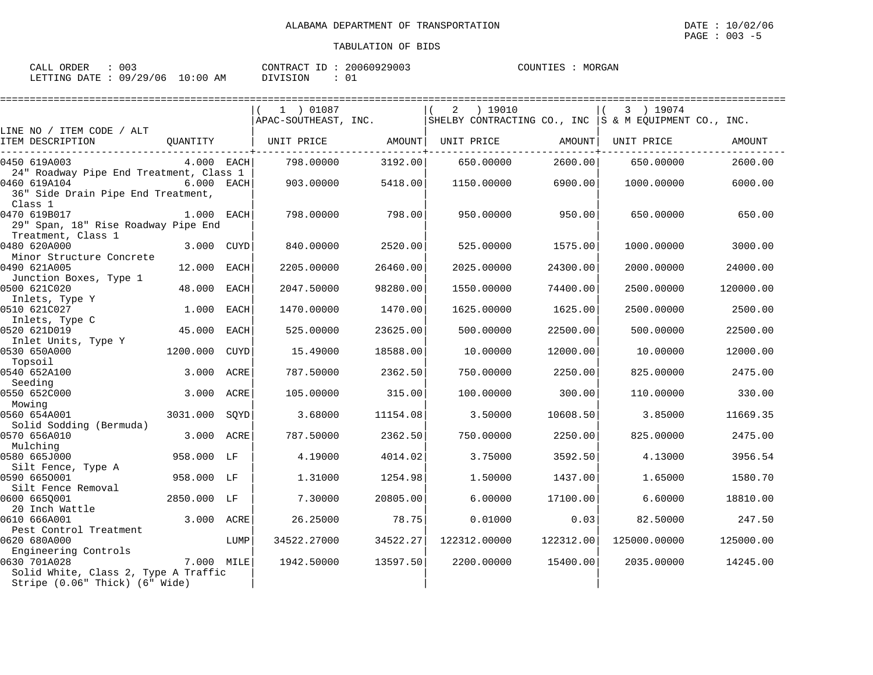| CALL ORDER                      | 003 |          | CONTRACT ID: 20060929003 | COUNTIES : MORGAN |  |
|---------------------------------|-----|----------|--------------------------|-------------------|--|
| LETTING DATE: 09/29/06 10:00 AM |     | DIVISION |                          |                   |  |

|                                                                                        |              |      | 1 ) 01087<br>APAC-SOUTHEAST, INC. |          | ) 19010<br>2<br>SHELBY CONTRACTING CO., INC $ S \& M$ EQUIPMENT CO., INC. |           | 3 ) 19074    |           |
|----------------------------------------------------------------------------------------|--------------|------|-----------------------------------|----------|---------------------------------------------------------------------------|-----------|--------------|-----------|
| LINE NO / ITEM CODE / ALT                                                              |              |      |                                   |          |                                                                           |           |              |           |
| ITEM DESCRIPTION                                                                       | QUANTITY     |      | UNIT PRICE                        | AMOUNT   | UNIT PRICE                                                                | AMOUNT    | UNIT PRICE   | AMOUNT    |
| 0450 619A003                                                                           | $4.000$ EACH |      | 798.00000                         | 3192.00  | 650.00000                                                                 | 2600.00   | 650.00000    | 2600.00   |
| 24" Roadway Pipe End Treatment, Class 1<br>0460 619A104                                | 6.000 EACH   |      | 903.00000                         | 5418.00  | 1150.00000                                                                | 6900.00   | 1000.00000   | 6000.00   |
| 36" Side Drain Pipe End Treatment,<br>Class 1                                          |              |      |                                   |          |                                                                           |           |              |           |
| 0470 619B017<br>29" Span, 18" Rise Roadway Pipe End<br>Treatment, Class 1              | 1.000 EACH   |      | 798.00000                         | 798.00   | 950.00000                                                                 | 950.00    | 650.00000    | 650.00    |
| 0480 620A000<br>Minor Structure Concrete                                               | 3.000 CUYD   |      | 840.00000                         | 2520.00  | 525.00000                                                                 | 1575.00   | 1000.00000   | 3000.00   |
| 0490 621A005<br>Junction Boxes, Type 1                                                 | 12.000       | EACH | 2205.00000                        | 26460.00 | 2025.00000                                                                | 24300.00  | 2000.00000   | 24000.00  |
| 0500 621C020<br>Inlets, Type Y                                                         | 48.000       | EACH | 2047.50000                        | 98280.00 | 1550.00000                                                                | 74400.00  | 2500.00000   | 120000.00 |
| 0510 621C027<br>Inlets, Type C                                                         | 1.000        | EACH | 1470.00000                        | 1470.00  | 1625.00000                                                                | 1625.00   | 2500.00000   | 2500.00   |
| 0520 621D019<br>Inlet Units, Type Y                                                    | 45.000       | EACH | 525.00000                         | 23625.00 | 500.00000                                                                 | 22500.00  | 500.00000    | 22500.00  |
| 0530 650A000<br>Topsoil                                                                | 1200.000     | CUYD | 15.49000                          | 18588.00 | 10,00000                                                                  | 12000.00  | 10.00000     | 12000.00  |
| 0540 652A100<br>Seeding                                                                | 3.000        | ACRE | 787.50000                         | 2362.50  | 750.00000                                                                 | 2250.00   | 825.00000    | 2475.00   |
| 0550 652C000<br>Mowing                                                                 | 3.000 ACRE   |      | 105.00000                         | 315.00   | 100.00000                                                                 | 300.00    | 110.00000    | 330.00    |
| 0560 654A001<br>Solid Sodding (Bermuda)                                                | 3031.000     | SOYD | 3.68000                           | 11154.08 | 3.50000                                                                   | 10608.50  | 3.85000      | 11669.35  |
| 0570 656A010<br>Mulching                                                               | 3.000 ACRE   |      | 787.50000                         | 2362.50  | 750.00000                                                                 | 2250.00   | 825.00000    | 2475.00   |
| 0580 665J000<br>Silt Fence, Type A                                                     | 958.000 LF   |      | 4.19000                           | 4014.02  | 3.75000                                                                   | 3592.50   | 4.13000      | 3956.54   |
| 0590 6650001<br>Silt Fence Removal                                                     | 958.000 LF   |      | 1.31000                           | 1254.98  | 1.50000                                                                   | 1437.00   | 1.65000      | 1580.70   |
| 0600 6650001<br>20 Inch Wattle                                                         | 2850.000 LF  |      | 7.30000                           | 20805.00 | 6.00000                                                                   | 17100.00  | 6.60000      | 18810.00  |
| 0610 666A001<br>Pest Control Treatment                                                 | 3.000 ACRE   |      | 26.25000                          | 78.75    | 0.01000                                                                   | 0.03      | 82.50000     | 247.50    |
| 0620 680A000<br>Engineering Controls                                                   |              | LUMP | 34522.27000                       | 34522.27 | 122312.00000                                                              | 122312.00 | 125000.00000 | 125000.00 |
| 0630 701A028<br>Solid White, Class 2, Type A Traffic<br>Stripe (0.06" Thick) (6" Wide) | 7.000 MILE   |      | 1942.50000                        | 13597.50 | 2200.00000                                                                | 15400.00  | 2035.00000   | 14245.00  |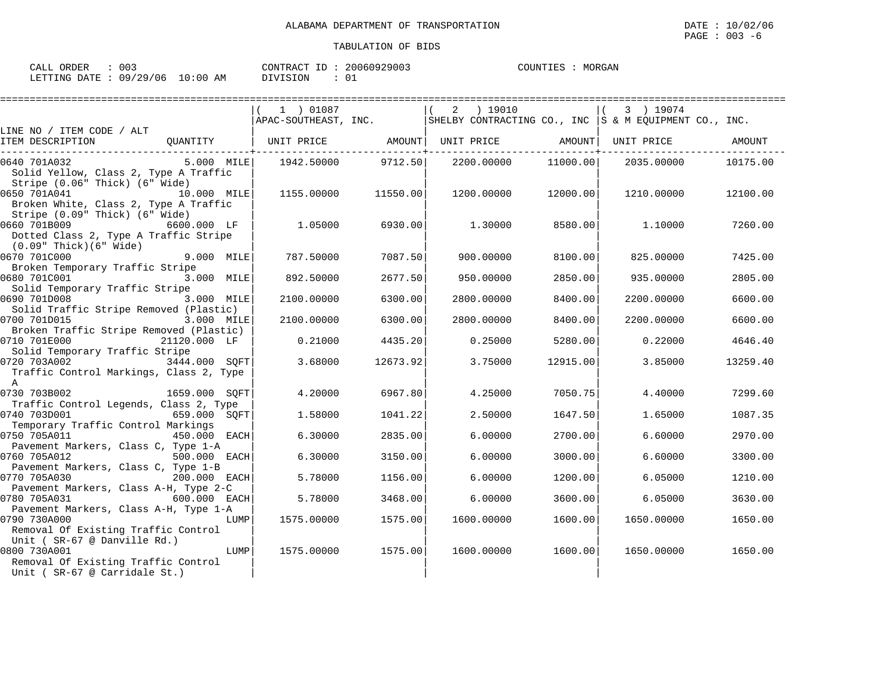MORGAN

| CALL ORDER                      | $\therefore$ 003 |          | CONTRACT ID: 20060929003 | COUNTIES : MORGAN |
|---------------------------------|------------------|----------|--------------------------|-------------------|
| LETTING DATE: 09/29/06 10:00 AM |                  | DIVISION |                          |                   |

|                                                                                                                              |            | 1 ) 01087  | ================== | 2 ) 19010                                                                  |           | 3 ) 19074         |          |
|------------------------------------------------------------------------------------------------------------------------------|------------|------------|--------------------|----------------------------------------------------------------------------|-----------|-------------------|----------|
| LINE NO / ITEM CODE / ALT                                                                                                    |            |            |                    | APAC-SOUTHEAST, INC. SHELBY CONTRACTING CO., INC S & M EQUIPMENT CO., INC. |           |                   |          |
| ITEM DESCRIPTION                                                                                                             |            |            |                    |                                                                            |           | UNIT PRICE AMOUNT |          |
| 5.000 MILE<br>0640 701A032<br>Solid Yellow, Class 2, Type A Traffic<br>Stripe (0.06" Thick) (6" Wide)                        |            |            |                    | 1942.50000 9712.50 2200.00000                                              | 11000.00  | 2035.00000        | 10175.00 |
| 0650 701A041<br>10.000 MILE<br>Broken White, Class 2, Type A Traffic<br>Stripe (0.09" Thick) (6" Wide)                       |            | 1155.00000 | 11550.00           | 1200.00000                                                                 | 12000.001 | 1210.00000        | 12100.00 |
| 0660 701B009<br>6600.000 LF<br>Dotted Class 2, Type A Traffic Stripe<br>(0.09" Thick)(6" Wide)                               |            | 1.05000    | 6930.00            | 1,30000                                                                    | 8580.00   | 1.10000           | 7260.00  |
| 0670 701C000                                                                                                                 | 9.000 MILE | 787.50000  | 7087.50            | 900.00000                                                                  | 8100.00   | 825,00000         | 7425.00  |
| Broken Temporary Traffic Stripe<br>0680 701C001<br>Solid Temporary Traffic Stripe                                            | 3.000 MILE | 892.50000  | 2677.50            | 950.00000                                                                  | 2850.00   | 935.00000         | 2805.00  |
| 0690 701D008<br>Solid Traffic Stripe Removed (Plastic)                                                                       | 3.000 MILE | 2100.00000 | 6300.00            | 2800.00000                                                                 | 8400.00   | 2200.00000        | 6600.00  |
| 0700 701D015<br>3.000 MILE<br>Broken Traffic Stripe Removed (Plastic)                                                        |            | 2100.00000 | 6300.00            | 2800.00000                                                                 | 8400.00   | 2200.00000        | 6600.00  |
| 0710 701E000<br>21120.000 LF<br>Solid Temporary Traffic Stripe                                                               |            | 0.21000    | 4435.20            | 0.25000                                                                    | 5280.00   | 0.22000           | 4646.40  |
| 0720 703A002<br>3444.000 SOFT<br>Traffic Control Markings, Class 2, Type<br>$\overline{A}$                                   |            | 3.68000    | 12673.92           | 3.75000                                                                    | 12915.00  | 3.85000           | 13259.40 |
| 0730 703B002<br>1659.000 SOFT<br>Traffic Control Legends, Class 2, Type                                                      |            | 4.20000    | 6967.80            | 4.25000                                                                    | 7050.75   | 4.40000           | 7299.60  |
| 0740 703D001<br>659.000 SOFT<br>Temporary Traffic Control Markings                                                           |            | 1.58000    | 1041.22            | 2.50000                                                                    | 1647.50   | 1.65000           | 1087.35  |
| 0750 705A011<br>450.000 EACH<br>Pavement Markers, Class C, Type 1-A                                                          |            | 6.30000    | 2835.00            | 6.00000                                                                    | 2700.00   | 6.60000           | 2970.00  |
| 0760 705A012<br>500.000 EACH<br>Pavement Markers, Class C, Type 1-B                                                          |            | 6.30000    | 3150.00            | 6.00000                                                                    | 3000.00   | 6.60000           | 3300.00  |
| 0770 705A030<br>200.000 EACH<br>Pavement Markers, Class A-H, Type 2-C                                                        |            | 5.78000    | 1156.00            | 6.00000                                                                    | 1200.00   | 6.05000           | 1210.00  |
| 0780 705A031<br>$600.000$ EACH                                                                                               |            | 5.78000    | 3468.00            | 6.00000                                                                    | 3600.00   | 6.05000           | 3630.00  |
| Pavement Markers, Class A-H, Type 1-A<br>0790 730A000<br>Removal Of Existing Traffic Control<br>Unit ( SR-67 @ Danville Rd.) | LUMP       | 1575.00000 | 1575.00            | 1600.00000                                                                 | 1600.00   | 1650.00000        | 1650.00  |
| 0800 730A001<br>Removal Of Existing Traffic Control<br>Unit (SR-67 @ Carridale St.)                                          | LUMP       | 1575.00000 | 1575.00            | 1600.00000                                                                 | 1600.00   | 1650.00000        | 1650.00  |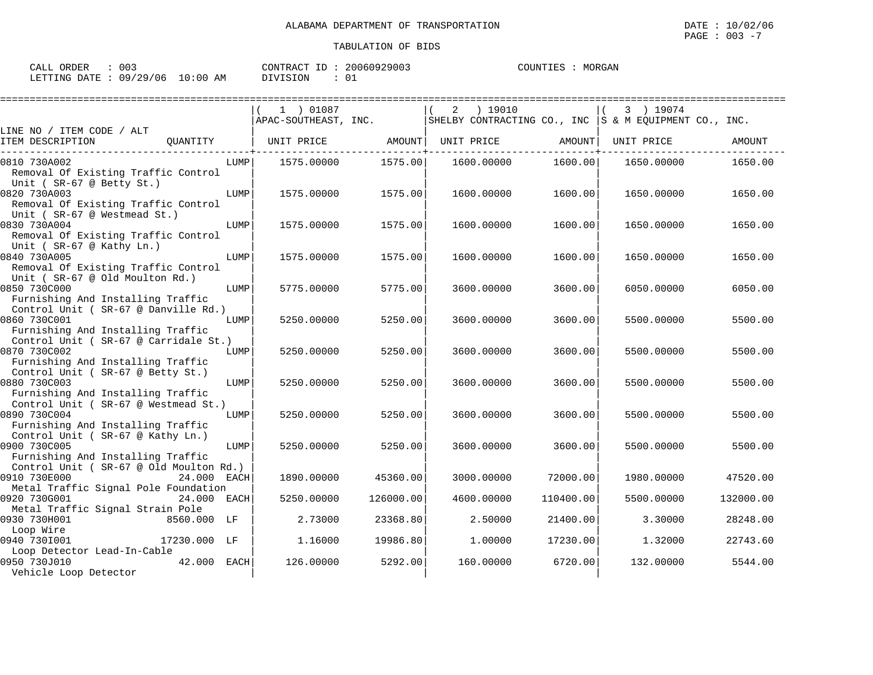| CALL ORDER                      | 003 |          | CONTRACT ID: 20060929003 | COUNTIES : MORGAN |  |
|---------------------------------|-----|----------|--------------------------|-------------------|--|
| LETTING DATE: 09/29/06 10:00 AM |     | DIVISION |                          |                   |  |

|                                                                                                                                    |      |                      | ================= |   |            |           |                                                       |           |
|------------------------------------------------------------------------------------------------------------------------------------|------|----------------------|-------------------|---|------------|-----------|-------------------------------------------------------|-----------|
|                                                                                                                                    |      | 1 ) 01087            |                   | 2 | ) 19010    |           | 3 ) 19074                                             |           |
|                                                                                                                                    |      | APAC-SOUTHEAST, INC. |                   |   |            |           | SHELBY CONTRACTING CO., INC S & M EOUIPMENT CO., INC. |           |
| LINE NO / ITEM CODE / ALT                                                                                                          |      |                      |                   |   |            |           |                                                       |           |
| OUANTITY<br>ITEM DESCRIPTION                                                                                                       |      | UNIT PRICE           | AMOUNT            |   | UNIT PRICE | AMOUNT    | UNIT PRICE                                            | AMOUNT    |
| 0810 730A002                                                                                                                       | LUMP | 1575.00000           | 1575.00           |   | 1600.00000 | 1600.00   | 1650.00000                                            | 1650.00   |
| Removal Of Existing Traffic Control<br>Unit (SR-67 @ Betty St.)                                                                    |      |                      |                   |   |            |           |                                                       |           |
| 0820 730A003<br>Removal Of Existing Traffic Control<br>Unit (SR-67 @ Westmead St.)                                                 | LUMP | 1575.00000           | 1575.00           |   | 1600.00000 | 1600.00   | 1650.00000                                            | 1650.00   |
| 0830 730A004<br>Removal Of Existing Traffic Control<br>Unit ( $SR-67$ @ Kathy Ln.)                                                 | LUMP | 1575.00000           | 1575.00           |   | 1600.00000 | 1600.00   | 1650.00000                                            | 1650.00   |
| 0840 730A005<br>Removal Of Existing Traffic Control<br>Unit (SR-67 @ Old Moulton Rd.)                                              | LUMP | 1575.00000           | 1575.00           |   | 1600.00000 | 1600.00   | 1650.00000                                            | 1650.00   |
| 0850 730C000<br>Furnishing And Installing Traffic                                                                                  | LUMP | 5775.00000           | 5775.00           |   | 3600.00000 | 3600.00   | 6050.00000                                            | 6050.00   |
| Control Unit ( SR-67 @ Danville Rd.)<br>0860 730C001<br>Furnishing And Installing Traffic<br>Control Unit ( SR-67 @ Carridale St.) | LUMP | 5250.00000           | 5250.00           |   | 3600.00000 | 3600.00   | 5500.00000                                            | 5500.00   |
| 0870 730C002<br>Furnishing And Installing Traffic<br>Control Unit ( SR-67 @ Betty St.)                                             | LUMP | 5250.00000           | 5250.00           |   | 3600.00000 | 3600.00   | 5500.00000                                            | 5500.00   |
| 0880 730C003<br>Furnishing And Installing Traffic<br>Control Unit (SR-67 @ Westmead St.)                                           | LUMP | 5250.00000           | 5250.00           |   | 3600.00000 | 3600.00   | 5500.00000                                            | 5500.00   |
| 0890 730C004<br>Furnishing And Installing Traffic<br>Control Unit ( SR-67 @ Kathy Ln.)                                             | LUMP | 5250.00000           | 5250.00           |   | 3600.00000 | 3600.00   | 5500.00000                                            | 5500.00   |
| 0900 730C005<br>Furnishing And Installing Traffic<br>Control Unit ( SR-67 @ Old Moulton Rd.)                                       | LUMP | 5250.00000           | 5250.00           |   | 3600.00000 | 3600.00   | 5500.00000                                            | 5500.00   |
| 0910 730E000<br>24.000 EACH<br>Metal Traffic Signal Pole Foundation                                                                |      | 1890.00000           | 45360.00          |   | 3000.00000 | 72000.00  | 1980.00000                                            | 47520.00  |
| 0920 730G001<br>24.000 EACH<br>Metal Traffic Signal Strain Pole                                                                    |      | 5250.00000           | 126000.00         |   | 4600.00000 | 110400.00 | 5500.00000                                            | 132000.00 |
| 0930 730H001<br>8560.000 LF<br>Loop Wire                                                                                           |      | 2.73000              | 23368.80          |   | 2.50000    | 21400.00  | 3.30000                                               | 28248.00  |
| 0940 7301001<br>17230.000 LF<br>Loop Detector Lead-In-Cable                                                                        |      | 1,16000              | 19986.80          |   | 1,00000    | 17230.00  | 1.32000                                               | 22743.60  |
| 0950 730J010<br>42.000 EACH<br>Vehicle Loop Detector                                                                               |      | 126.00000            | 5292.00           |   | 160.00000  | 6720.00   | 132,00000                                             | 5544.00   |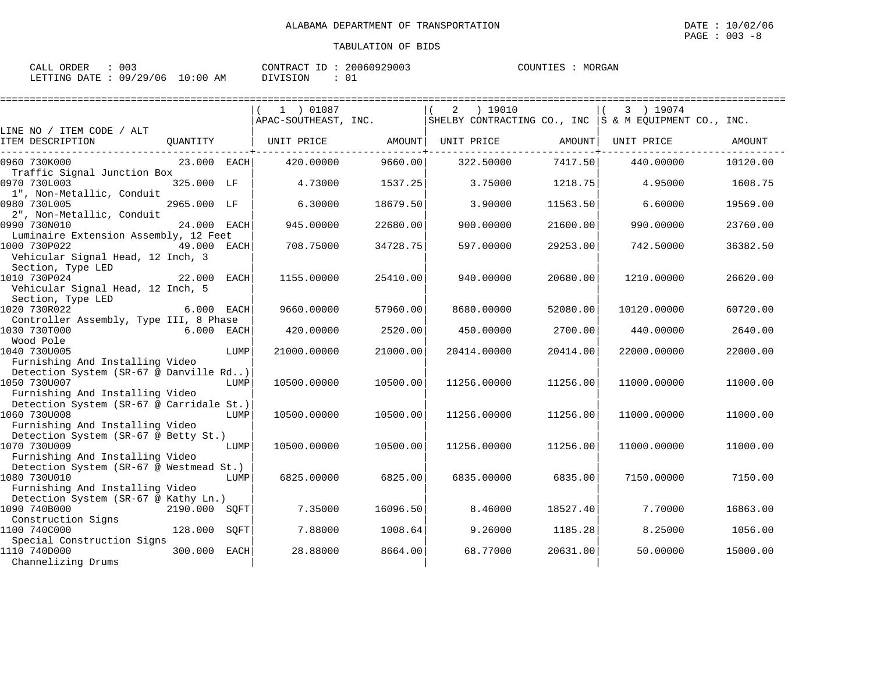MORGAN

| CALL ORDER                      | $\therefore$ 003 |          | CONTRACT ID: 20060929003 | COUNTIES : MORGAN |
|---------------------------------|------------------|----------|--------------------------|-------------------|
| LETTING DATE: 09/29/06 10:00 AM |                  | DIVISION |                          |                   |

|                                                                                             |               |      | 1 ) 01087            |          | ) 19010<br>2                                            |          | 3 ) 19074   |          |
|---------------------------------------------------------------------------------------------|---------------|------|----------------------|----------|---------------------------------------------------------|----------|-------------|----------|
| LINE NO / ITEM CODE / ALT                                                                   |               |      | APAC-SOUTHEAST, INC. |          | SHELBY CONTRACTING CO., INC   S & M EQUIPMENT CO., INC. |          |             |          |
| ITEM DESCRIPTION                                                                            | QUANTITY      |      | UNIT PRICE           | AMOUNT   | UNIT PRICE                                              | AMOUNT   | UNIT PRICE  | AMOUNT   |
| 0960 730K000                                                                                | 23.000 EACH   |      | 420.00000            | 9660.00  | 322.50000                                               | 7417.50  | 440.00000   | 10120.00 |
| Traffic Signal Junction Box<br>0970 730L003                                                 | 325.000 LF    |      | 4.73000              | 1537.25  | 3.75000                                                 | 1218.75  | 4.95000     | 1608.75  |
| 1", Non-Metallic, Conduit<br>0980 730L005                                                   | 2965.000 LF   |      | 6.30000              | 18679.50 | 3.90000                                                 | 11563.50 | 6.60000     | 19569.00 |
| 2", Non-Metallic, Conduit<br>0990 730N010<br>Luminaire Extension Assembly, 12 Feet          | 24.000        | EACH | 945.00000            | 22680.00 | 900.00000                                               | 21600.00 | 990.00000   | 23760.00 |
| 1000 730P022<br>Vehicular Signal Head, 12 Inch, 3                                           | 49.000 EACH   |      | 708.75000            | 34728.75 | 597.00000                                               | 29253.00 | 742.50000   | 36382.50 |
| Section, Type LED<br>1010 730P024<br>Vehicular Signal Head, 12 Inch, 5                      | 22.000 EACH   |      | 1155.00000           | 25410.00 | 940.00000                                               | 20680.00 | 1210.00000  | 26620.00 |
| Section, Type LED<br>1020 730R022                                                           | 6.000 EACH    |      | 9660.00000           | 57960.00 | 8680.00000                                              | 52080.00 | 10120.00000 | 60720.00 |
| Controller Assembly, Type III, 8 Phase<br>1030 730T000                                      | 6.000 EACH    |      | 420.00000            | 2520.00  | 450.00000                                               | 2700.00  | 440.00000   | 2640.00  |
| Wood Pole<br>1040 730U005                                                                   |               | LUMP | 21000.00000          | 21000.00 | 20414.00000                                             | 20414.00 | 22000.00000 | 22000.00 |
| Furnishing And Installing Video<br>Detection System (SR-67 @ Danville Rd)                   |               |      |                      |          |                                                         |          |             |          |
| 1050 730U007<br>Furnishing And Installing Video                                             |               | LUMP | 10500.00000          | 10500.00 | 11256.00000                                             | 11256.00 | 11000.00000 | 11000.00 |
| Detection System (SR-67 @ Carridale St.)<br>1060 730U008<br>Furnishing And Installing Video |               | LUMP | 10500.00000          | 10500.00 | 11256.00000                                             | 11256.00 | 11000.00000 | 11000.00 |
| Detection System (SR-67 @ Betty St.)<br>1070 730U009                                        |               | LUMP | 10500.00000          | 10500.00 | 11256.00000                                             | 11256.00 | 11000.00000 | 11000.00 |
| Furnishing And Installing Video<br>Detection System (SR-67 @ Westmead St.)<br>1080 730U010  |               | LUMP | 6825.00000           | 6825.00  | 6835.00000                                              | 6835.00  | 7150.00000  | 7150.00  |
| Furnishing And Installing Video<br>Detection System (SR-67 @ Kathy Ln.)<br>1090 740B000     | 2190.000 SQFT |      | 7.35000              | 16096.50 | 8.46000                                                 | 18527.40 | 7.70000     | 16863.00 |
| Construction Signs<br>1100 740C000<br>Special Construction Signs                            | 128.000       | SOFT | 7.88000              | 1008.64  | 9.26000                                                 | 1185.28  | 8.25000     | 1056.00  |
| 1110 740D000<br>Channelizing Drums                                                          | 300.000       | EACH | 28.88000             | 8664.00  | 68.77000                                                | 20631.00 | 50.00000    | 15000.00 |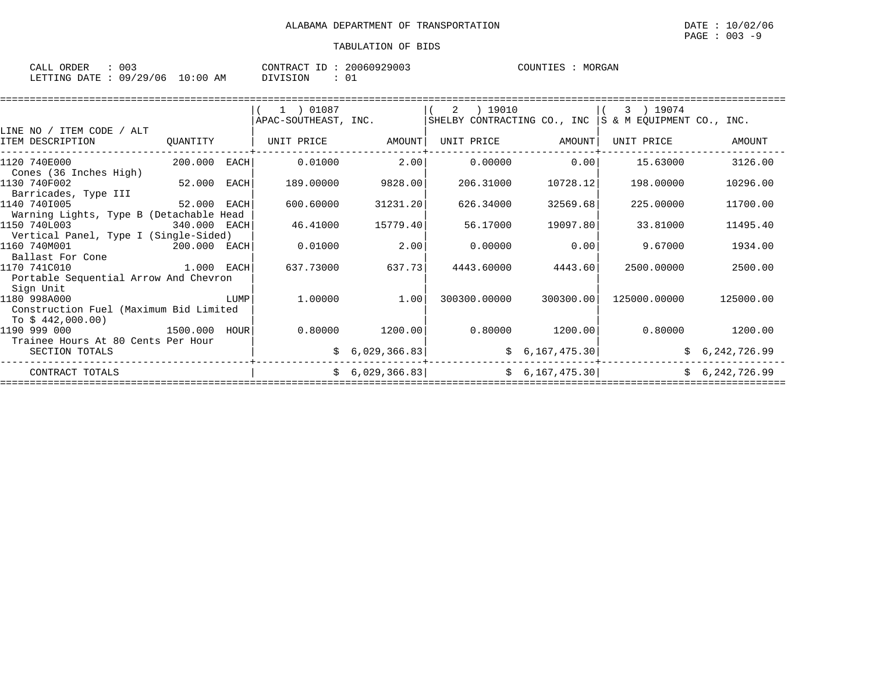| $\sim$ $\sim$ $\sim$<br>ORDER<br>CALL | 003      |             | $ -$<br>CONTRACT | 20060929003 | COUNTIES | MORGAN |
|---------------------------------------|----------|-------------|------------------|-------------|----------|--------|
| LETTING DATE                          | 09/29/06 | 10:00<br>AΜ | DIVISION         | 01          |          |        |

|                                         |                |      | $(1)$ 01087          |                 | 2 ) 19010    |                   | 3) 19074                                                  |                 |  |  |
|-----------------------------------------|----------------|------|----------------------|-----------------|--------------|-------------------|-----------------------------------------------------------|-----------------|--|--|
|                                         |                |      | APAC-SOUTHEAST, INC. |                 |              |                   | SHELBY CONTRACTING CO., INC $ S \& M$ EQUIPMENT CO., INC. |                 |  |  |
| LINE NO / ITEM CODE / ALT               |                |      |                      |                 |              |                   |                                                           |                 |  |  |
| ITEM DESCRIPTION                        | QUANTITY       |      | UNIT PRICE           | AMOUNT          | UNIT PRICE   | AMOUNT            | UNIT PRICE                                                | AMOUNT          |  |  |
| 1120 740E000                            | $200.000$ EACH |      | 0.01000              | 2.00            | 0.00000      | 0.00              | 15.63000                                                  | 3126.00         |  |  |
| Cones (36 Inches High)                  |                |      |                      |                 |              |                   |                                                           |                 |  |  |
| 1130 740F002                            | 52.000         | EACH | 189.00000            | 9828.00         | 206.31000    | 10728.12          | 198.00000                                                 | 10296.00        |  |  |
| Barricades, Type III                    |                |      |                      |                 |              |                   |                                                           |                 |  |  |
| 1140 7401005                            | 52.000         | EACH | 600.60000            | 31231.20        | 626.34000    | 32569.68          | 225,00000                                                 | 11700.00        |  |  |
| Warning Lights, Type B (Detachable Head |                |      |                      |                 |              |                   |                                                           |                 |  |  |
| 1150 740L003                            | 340.000 EACH   |      | 46.41000             | 15779.40        | 56.17000     | 19097.80          | 33.81000                                                  | 11495.40        |  |  |
| Vertical Panel, Type I (Single-Sided)   |                |      |                      |                 |              |                   |                                                           |                 |  |  |
| 1160 740M001                            | 200.000 EACH   |      | 0.01000              | 2.00            | 0.00000      | 0.00              | 9.67000                                                   | 1934.00         |  |  |
| Ballast For Cone                        |                |      |                      |                 |              |                   |                                                           |                 |  |  |
| 1170 741C010                            | 1.000 EACH     |      | 637.73000            | 637.73          | 4443.60000   | 4443.60           | 2500.00000                                                | 2500.00         |  |  |
| Portable Sequential Arrow And Chevron   |                |      |                      |                 |              |                   |                                                           |                 |  |  |
| Sign Unit                               |                |      |                      |                 |              |                   |                                                           |                 |  |  |
| 1180 998A000                            |                | LUMP | 1,00000              | 1.00            | 300300.00000 | 300300.00         | 125000.00000                                              | 125000.00       |  |  |
| Construction Fuel (Maximum Bid Limited  |                |      |                      |                 |              |                   |                                                           |                 |  |  |
| To $$442,000.00)$                       |                |      |                      |                 |              |                   |                                                           |                 |  |  |
| 1190 999 000                            | 1500.000       | HOUR | 0.80000              | 1200.00         |              | $0.80000$ 1200.00 |                                                           | 0.80000 1200.00 |  |  |
| Trainee Hours At 80 Cents Per Hour      |                |      |                      |                 |              |                   |                                                           |                 |  |  |
| SECTION TOTALS                          |                |      |                      | \$6,029,366.83] |              | \$6,167,475.30]   |                                                           | \$6,242,726.99  |  |  |
| CONTRACT TOTALS                         |                |      |                      | \$6,029,366.83] |              | \$6,167,475.30]   |                                                           | \$6,242,726.99  |  |  |
|                                         |                |      |                      |                 |              |                   |                                                           |                 |  |  |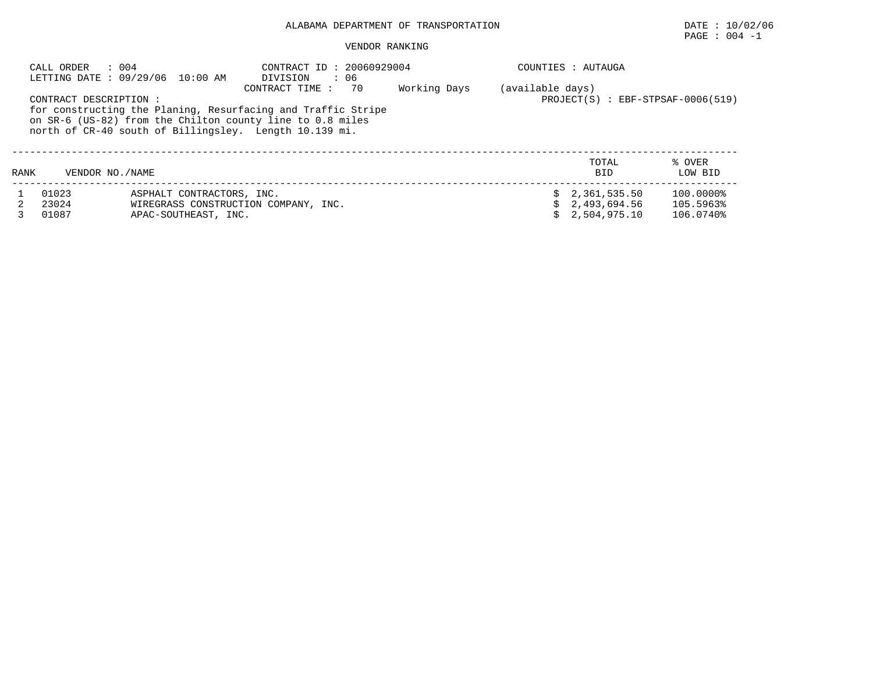# ALABAMA DEPARTMENT OF TRANSPORTATION DATE : 10/02/06

# $\texttt{PAGE}$  :  $004$  -1

#### VENDOR RANKING

|      | : 004<br>CALL ORDER    | LETTING DATE : 09/29/06 10:00 AM                             | CONTRACT ID: 20060929004<br>DIVISION<br>: 06 |    |              |                  | COUNTIES : AUTAUGA                        |           |
|------|------------------------|--------------------------------------------------------------|----------------------------------------------|----|--------------|------------------|-------------------------------------------|-----------|
|      |                        |                                                              | CONTRACT TIME:                               | 70 | Working Days | (available days) |                                           |           |
|      | CONTRACT DESCRIPTION : |                                                              |                                              |    |              |                  | $PROJECT(S)$ : $EBF - STPSAF - 0006(519)$ |           |
|      |                        | for constructing the Planing, Resurfacing and Traffic Stripe |                                              |    |              |                  |                                           |           |
|      |                        | on SR-6 (US-82) from the Chilton county line to 0.8 miles    |                                              |    |              |                  |                                           |           |
|      |                        | north of CR-40 south of Billingsley. Length 10.139 mi.       |                                              |    |              |                  |                                           |           |
|      |                        |                                                              |                                              |    |              |                  |                                           |           |
|      |                        |                                                              |                                              |    |              |                  | TOTAL                                     | % OVER    |
| RANK | VENDOR NO. / NAME      |                                                              |                                              |    |              |                  | <b>BID</b>                                | LOW BID   |
|      | 01023                  | ASPHALT CONTRACTORS, INC.                                    |                                              |    |              |                  | \$2,361,535.50                            | 100.0000% |
|      | 23024                  | WIREGRASS CONSTRUCTION COMPANY, INC.                         |                                              |    |              |                  | 2,493,694.56                              | 105.5963% |
|      | 01087                  | APAC-SOUTHEAST, INC.                                         |                                              |    |              |                  | 2,504,975.10                              | 106.0740% |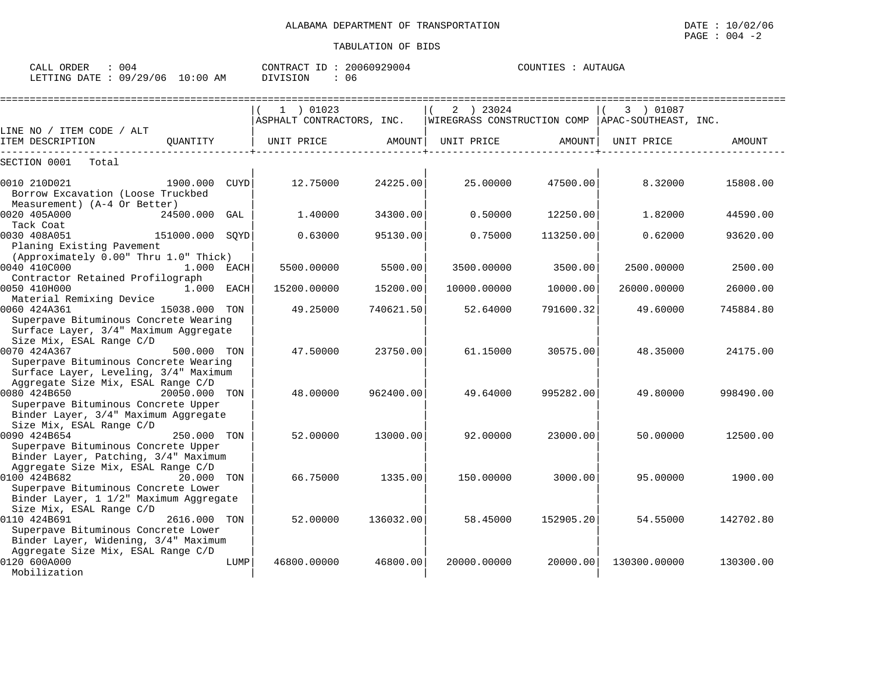| CALL ORDER                      | 004 |          | CONTRACT ID: 20060929004 | COUNTIES : AUTAUGA |  |
|---------------------------------|-----|----------|--------------------------|--------------------|--|
| LETTING DATE: 09/29/06 10:00 AM |     | DIVISION | 06                       |                    |  |

|                                                                                                                                                                                   |             | $1$ ) 01023<br>ASPHALT CONTRACTORS, INC. |           | 2 ) 23024<br> WIREGRASS CONSTRUCTION COMP   APAC-SOUTHEAST, INC. |           | 3 ) 01087    |           |
|-----------------------------------------------------------------------------------------------------------------------------------------------------------------------------------|-------------|------------------------------------------|-----------|------------------------------------------------------------------|-----------|--------------|-----------|
| LINE NO / ITEM CODE / ALT                                                                                                                                                         |             |                                          |           |                                                                  |           |              |           |
| ITEM DESCRIPTION<br>OUANTITY                                                                                                                                                      |             | UNIT PRICE                               | AMOUNT    | UNIT PRICE                                                       | AMOUNT    | UNIT PRICE   | AMOUNT    |
| SECTION 0001<br>Total                                                                                                                                                             |             |                                          |           |                                                                  |           |              |           |
| 0010 210D021<br>1900.000<br>Borrow Excavation (Loose Truckbed                                                                                                                     | <b>CUYD</b> | 12.75000                                 | 24225.00  | 25.00000                                                         | 47500.00  | 8.32000      | 15808.00  |
| Measurement) (A-4 Or Better)<br>0020 405A000<br>24500.000<br>Tack Coat                                                                                                            | GAL         | 1.40000                                  | 34300.00  | 0.50000                                                          | 12250.00  | 1.82000      | 44590.00  |
| 0030 408A051<br>151000.000 SQYD<br>Planing Existing Pavement                                                                                                                      |             | 0.63000                                  | 95130.00  | 0.75000                                                          | 113250.00 | 0.62000      | 93620.00  |
| (Approximately 0.00" Thru 1.0" Thick)<br>0040 410C000<br>1.000 EACH                                                                                                               |             | 5500.00000                               | 5500.00   | 3500.00000                                                       | 3500.00   | 2500.00000   | 2500.00   |
| Contractor Retained Profilograph<br>0050 410H000<br>1.000 EACH<br>Material Remixing Device                                                                                        |             | 15200.00000                              | 15200.00  | 10000.00000                                                      | 10000.00  | 26000.00000  | 26000.00  |
| 0060 424A361<br>15038.000 TON<br>Superpave Bituminous Concrete Wearing<br>Surface Layer, 3/4" Maximum Aggregate<br>Size Mix, ESAL Range C/D                                       |             | 49.25000                                 | 740621.50 | 52.64000                                                         | 791600.32 | 49.60000     | 745884.80 |
| 500.000 TON<br>0070 424A367<br>Superpave Bituminous Concrete Wearing<br>Surface Layer, Leveling, 3/4" Maximum                                                                     |             | 47.50000                                 | 23750.00  | 61.15000                                                         | 30575.00  | 48.35000     | 24175.00  |
| Aggregate Size Mix, ESAL Range C/D<br>0080 424B650<br>20050.000 TON<br>Superpave Bituminous Concrete Upper<br>Binder Layer, 3/4" Maximum Aggregate                                |             | 48.00000                                 | 962400.00 | 49.64000                                                         | 995282.00 | 49.80000     | 998490.00 |
| Size Mix, ESAL Range C/D<br>0090 424B654<br>250.000 TON<br>Superpave Bituminous Concrete Upper                                                                                    |             | 52.00000                                 | 13000.00  | 92.00000                                                         | 23000.00  | 50.00000     | 12500.00  |
| Binder Layer, Patching, 3/4" Maximum<br>Aggregate Size Mix, ESAL Range C/D<br>0100 424B682<br>20.000 TON<br>Superpave Bituminous Concrete Lower                                   |             | 66.75000                                 | 1335.00   | 150.00000                                                        | 3000.00   | 95.00000     | 1900.00   |
| Binder Layer, 1 1/2" Maximum Aggregate<br>Size Mix, ESAL Range C/D<br>0110 424B691<br>2616.000 TON<br>Superpave Bituminous Concrete Lower<br>Binder Layer, Widening, 3/4" Maximum |             | 52.00000                                 | 136032.00 | 58.45000                                                         | 152905.20 | 54.55000     | 142702.80 |
| Aggregate Size Mix, ESAL Range C/D<br>0120 600A000<br>Mobilization                                                                                                                | LUMP        | 46800.00000                              | 46800.00  | 20000.00000                                                      | 20000.00  | 130300.00000 | 130300.00 |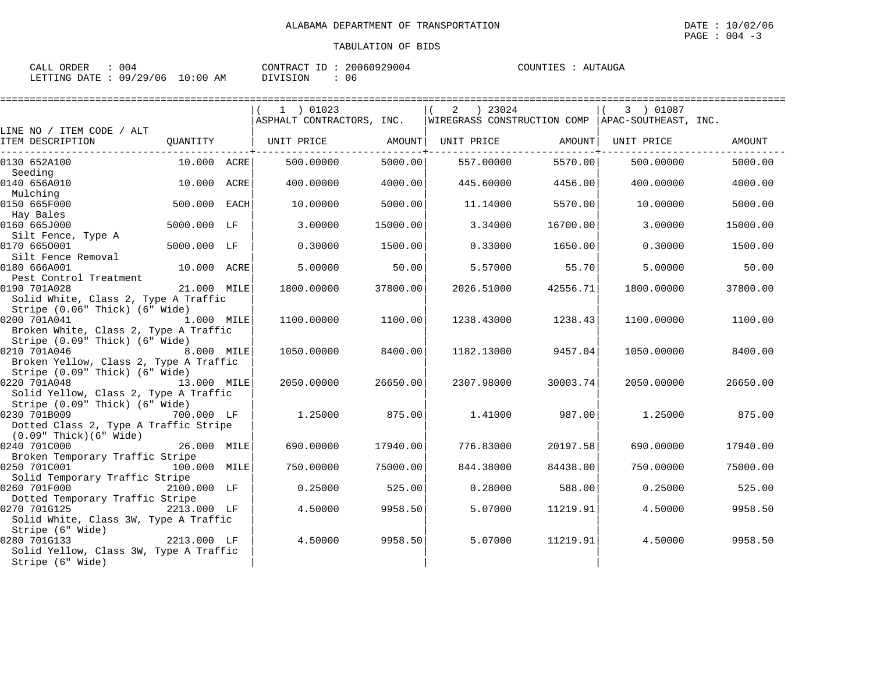| 004<br>$\sim$ $\sim$ $\sim$<br>ORDER<br>' A I<br>للسلطات |                                   | CONTRACT<br>ΙD | 20060 | TITAUGA<br>COINTIE!<br>AU. |
|----------------------------------------------------------|-----------------------------------|----------------|-------|----------------------------|
| /29/06<br>LETTING<br>09<br>DATE                          | :00<br>$\sim$ $\sim$<br>AΜ<br>⊥∪∵ | DIVISION       | 06    |                            |

|                                            |               | 1 ) 01023                 |          | 2<br>) 23024                                       |          | 3 ) 01087  |          |
|--------------------------------------------|---------------|---------------------------|----------|----------------------------------------------------|----------|------------|----------|
|                                            |               | ASPHALT CONTRACTORS, INC. |          | WIREGRASS CONSTRUCTION COMP   APAC-SOUTHEAST, INC. |          |            |          |
| LINE NO / ITEM CODE / ALT                  |               |                           |          |                                                    |          |            |          |
| ITEM DESCRIPTION                           | QUANTITY      | UNIT PRICE AMOUNT         |          | UNIT PRICE                                         | AMOUNT   | UNIT PRICE | AMOUNT   |
| 0130 652A100                               | $10.000$ ACRE | 500.00000                 | 5000.00  | 557.00000                                          | 5570.00  | 500,00000  | 5000.00  |
| Seeding                                    |               |                           |          |                                                    |          |            |          |
| 0140 656A010                               | 10.000 ACRE   | 400.00000                 | 4000.00  | 445.60000                                          | 4456.00  | 400.00000  | 4000.00  |
| Mulching<br>0150 665F000                   | 500.000 EACH  | 10.00000                  | 5000.00  | 11.14000                                           | 5570.00  | 10.00000   | 5000.00  |
| Hay Bales                                  |               |                           |          |                                                    |          |            |          |
| 0160 665J000                               | 5000.000 LF   | 3.00000                   | 15000.00 | 3.34000                                            | 16700.00 | 3.00000    | 15000.00 |
| Silt Fence, Type A                         |               |                           |          |                                                    |          |            |          |
| 0170 6650001                               | 5000.000 LF   | 0.30000                   | 1500.00  | 0.33000                                            | 1650.00  | 0.30000    | 1500.00  |
| Silt Fence Removal                         |               |                           |          |                                                    |          |            |          |
| 0180 666A001                               | 10.000 ACRE   | 5.00000                   | 50.00    | 5.57000                                            | 55.70    | 5,00000    | 50.00    |
| Pest Control Treatment                     |               |                           |          |                                                    |          |            |          |
| 0190 701A028                               | 21.000 MILE   | 1800.00000                | 37800.00 | 2026.51000                                         | 42556.71 | 1800.00000 | 37800.00 |
| Solid White, Class 2, Type A Traffic       |               |                           |          |                                                    |          |            |          |
| Stripe (0.06" Thick) (6" Wide)             |               |                           |          |                                                    |          |            |          |
| 0200 701A041                               | 1.000 MILE    | 1100.00000                | 1100.00  | 1238.43000                                         | 1238.43  | 1100.00000 | 1100.00  |
| Broken White, Class 2, Type A Traffic      |               |                           |          |                                                    |          |            |          |
| Stripe (0.09" Thick) (6" Wide)             |               |                           |          |                                                    |          |            |          |
| 0210 701A046                               | 8.000 MILE    | 1050.00000                | 8400.00  | 1182.13000                                         | 9457.04  | 1050.00000 | 8400.00  |
| Broken Yellow, Class 2, Type A Traffic     |               |                           |          |                                                    |          |            |          |
| Stripe (0.09" Thick) (6" Wide)             |               |                           |          |                                                    |          |            |          |
| 0220 701A048                               | 13.000 MILE   | 2050.00000                | 26650.00 | 2307.98000                                         | 30003.74 | 2050.00000 | 26650.00 |
| Solid Yellow, Class 2, Type A Traffic      |               |                           |          |                                                    |          |            |          |
| Stripe (0.09" Thick) (6" Wide)             |               |                           |          |                                                    |          |            |          |
| 0230 701B009<br>700.000 LF                 |               | 1.25000                   | 875.00   | 1.41000                                            | 987.00   | 1.25000    | 875.00   |
| Dotted Class 2, Type A Traffic Stripe      |               |                           |          |                                                    |          |            |          |
| $(0.09"$ Thick $)(6"$ Wide<br>0240 701C000 | 26.000 MILE   | 690.00000                 | 17940.00 | 776.83000                                          | 20197.58 | 690.00000  | 17940.00 |
| Broken Temporary Traffic Stripe            |               |                           |          |                                                    |          |            |          |
| 0250 701C001                               | 100.000 MILE  | 750.00000                 | 75000.00 | 844.38000                                          | 84438.00 | 750.00000  | 75000.00 |
| Solid Temporary Traffic Stripe             |               |                           |          |                                                    |          |            |          |
| 0260 701F000                               | 2100.000 LF   | 0.25000                   | 525.00   | 0.28000                                            | 588.00   | 0.25000    | 525.00   |
| Dotted Temporary Traffic Stripe            |               |                           |          |                                                    |          |            |          |
| 0270 701G125                               | 2213.000 LF   | 4.50000                   | 9958.50  | 5.07000                                            | 11219.91 | 4.50000    | 9958.50  |
| Solid White, Class 3W, Type A Traffic      |               |                           |          |                                                    |          |            |          |
| Stripe (6" Wide)                           |               |                           |          |                                                    |          |            |          |
| 0280 701G133                               | 2213.000 LF   | 4.50000                   | 9958.50  | 5.07000                                            | 11219.91 | 4.50000    | 9958.50  |
| Solid Yellow, Class 3W, Type A Traffic     |               |                           |          |                                                    |          |            |          |
| Stripe (6" Wide)                           |               |                           |          |                                                    |          |            |          |
|                                            |               |                           |          |                                                    |          |            |          |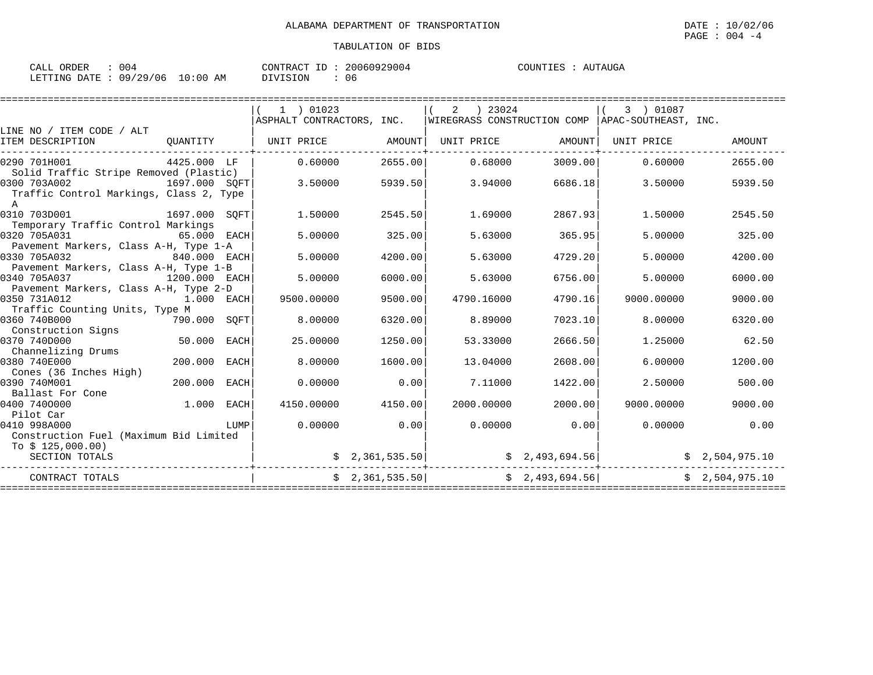| 004<br>ORDER<br>CALL     |            | CONTRACT<br>ID | 20060929004 | COUNTIES<br>NUTAUGA<br>At. |
|--------------------------|------------|----------------|-------------|----------------------------|
| 09/29/06<br>LETTING DATE | $10:00$ AM | DIVISION       | 06          |                            |

|                                    |                                                      | 1 ) 01023                                                                                                                                                                                                                                                                                                                                                                                                             |                                                                                                                  |                 |                                                                                                                                                  | 3 ) 01087                |                                                                                                                                                                                                                                                                                                                                                                                        |
|------------------------------------|------------------------------------------------------|-----------------------------------------------------------------------------------------------------------------------------------------------------------------------------------------------------------------------------------------------------------------------------------------------------------------------------------------------------------------------------------------------------------------------|------------------------------------------------------------------------------------------------------------------|-----------------|--------------------------------------------------------------------------------------------------------------------------------------------------|--------------------------|----------------------------------------------------------------------------------------------------------------------------------------------------------------------------------------------------------------------------------------------------------------------------------------------------------------------------------------------------------------------------------------|
|                                    |                                                      |                                                                                                                                                                                                                                                                                                                                                                                                                       |                                                                                                                  |                 |                                                                                                                                                  |                          |                                                                                                                                                                                                                                                                                                                                                                                        |
|                                    |                                                      |                                                                                                                                                                                                                                                                                                                                                                                                                       |                                                                                                                  | UNIT PRICE      |                                                                                                                                                  | UNIT PRICE               | AMOUNT                                                                                                                                                                                                                                                                                                                                                                                 |
|                                    |                                                      | 0.60000                                                                                                                                                                                                                                                                                                                                                                                                               |                                                                                                                  | 0.68000         |                                                                                                                                                  | 0.60000                  | 2655.00                                                                                                                                                                                                                                                                                                                                                                                |
|                                    |                                                      |                                                                                                                                                                                                                                                                                                                                                                                                                       |                                                                                                                  |                 |                                                                                                                                                  |                          |                                                                                                                                                                                                                                                                                                                                                                                        |
|                                    |                                                      |                                                                                                                                                                                                                                                                                                                                                                                                                       |                                                                                                                  |                 |                                                                                                                                                  |                          | 5939.50                                                                                                                                                                                                                                                                                                                                                                                |
|                                    |                                                      |                                                                                                                                                                                                                                                                                                                                                                                                                       |                                                                                                                  |                 |                                                                                                                                                  |                          |                                                                                                                                                                                                                                                                                                                                                                                        |
|                                    |                                                      | 1.50000                                                                                                                                                                                                                                                                                                                                                                                                               |                                                                                                                  | 1.69000         |                                                                                                                                                  | 1,50000                  | 2545.50                                                                                                                                                                                                                                                                                                                                                                                |
| Temporary Traffic Control Markings |                                                      |                                                                                                                                                                                                                                                                                                                                                                                                                       |                                                                                                                  |                 |                                                                                                                                                  |                          |                                                                                                                                                                                                                                                                                                                                                                                        |
|                                    |                                                      | 5.00000                                                                                                                                                                                                                                                                                                                                                                                                               | 325.00                                                                                                           | 5.63000         |                                                                                                                                                  | 5.00000                  | 325.00                                                                                                                                                                                                                                                                                                                                                                                 |
|                                    |                                                      |                                                                                                                                                                                                                                                                                                                                                                                                                       |                                                                                                                  |                 |                                                                                                                                                  |                          |                                                                                                                                                                                                                                                                                                                                                                                        |
|                                    |                                                      | 5.00000                                                                                                                                                                                                                                                                                                                                                                                                               | 4200.00                                                                                                          | 5.63000         |                                                                                                                                                  | 5.00000                  | 4200.00                                                                                                                                                                                                                                                                                                                                                                                |
|                                    |                                                      |                                                                                                                                                                                                                                                                                                                                                                                                                       |                                                                                                                  |                 |                                                                                                                                                  |                          |                                                                                                                                                                                                                                                                                                                                                                                        |
|                                    |                                                      | 5,00000                                                                                                                                                                                                                                                                                                                                                                                                               | 6000.00                                                                                                          | 5.63000         |                                                                                                                                                  | 5,00000                  | 6000.00                                                                                                                                                                                                                                                                                                                                                                                |
|                                    |                                                      |                                                                                                                                                                                                                                                                                                                                                                                                                       |                                                                                                                  |                 |                                                                                                                                                  |                          |                                                                                                                                                                                                                                                                                                                                                                                        |
|                                    |                                                      | 9500.00000                                                                                                                                                                                                                                                                                                                                                                                                            | 9500.00                                                                                                          | 4790.16000      |                                                                                                                                                  | 9000.00000               | 9000.00                                                                                                                                                                                                                                                                                                                                                                                |
|                                    |                                                      |                                                                                                                                                                                                                                                                                                                                                                                                                       |                                                                                                                  |                 |                                                                                                                                                  |                          |                                                                                                                                                                                                                                                                                                                                                                                        |
|                                    |                                                      | 8,00000                                                                                                                                                                                                                                                                                                                                                                                                               | 6320.00                                                                                                          | 8.89000         |                                                                                                                                                  | 8.00000                  | 6320.00                                                                                                                                                                                                                                                                                                                                                                                |
|                                    |                                                      |                                                                                                                                                                                                                                                                                                                                                                                                                       |                                                                                                                  |                 |                                                                                                                                                  |                          |                                                                                                                                                                                                                                                                                                                                                                                        |
|                                    | <b>EACH</b>                                          | 25.00000                                                                                                                                                                                                                                                                                                                                                                                                              | 1250.00                                                                                                          | 53.33000        |                                                                                                                                                  | 1.25000                  | 62.50                                                                                                                                                                                                                                                                                                                                                                                  |
|                                    |                                                      |                                                                                                                                                                                                                                                                                                                                                                                                                       |                                                                                                                  |                 |                                                                                                                                                  |                          |                                                                                                                                                                                                                                                                                                                                                                                        |
|                                    |                                                      |                                                                                                                                                                                                                                                                                                                                                                                                                       |                                                                                                                  |                 |                                                                                                                                                  |                          | 1200.00                                                                                                                                                                                                                                                                                                                                                                                |
|                                    |                                                      |                                                                                                                                                                                                                                                                                                                                                                                                                       |                                                                                                                  |                 |                                                                                                                                                  |                          |                                                                                                                                                                                                                                                                                                                                                                                        |
|                                    |                                                      |                                                                                                                                                                                                                                                                                                                                                                                                                       |                                                                                                                  |                 |                                                                                                                                                  |                          | 500.00                                                                                                                                                                                                                                                                                                                                                                                 |
|                                    |                                                      |                                                                                                                                                                                                                                                                                                                                                                                                                       |                                                                                                                  |                 |                                                                                                                                                  |                          |                                                                                                                                                                                                                                                                                                                                                                                        |
|                                    |                                                      |                                                                                                                                                                                                                                                                                                                                                                                                                       |                                                                                                                  |                 |                                                                                                                                                  |                          | 9000.00                                                                                                                                                                                                                                                                                                                                                                                |
|                                    |                                                      |                                                                                                                                                                                                                                                                                                                                                                                                                       |                                                                                                                  |                 |                                                                                                                                                  |                          |                                                                                                                                                                                                                                                                                                                                                                                        |
|                                    |                                                      |                                                                                                                                                                                                                                                                                                                                                                                                                       |                                                                                                                  |                 |                                                                                                                                                  |                          | 0.00                                                                                                                                                                                                                                                                                                                                                                                   |
|                                    |                                                      |                                                                                                                                                                                                                                                                                                                                                                                                                       |                                                                                                                  |                 |                                                                                                                                                  |                          |                                                                                                                                                                                                                                                                                                                                                                                        |
|                                    |                                                      |                                                                                                                                                                                                                                                                                                                                                                                                                       |                                                                                                                  |                 |                                                                                                                                                  |                          |                                                                                                                                                                                                                                                                                                                                                                                        |
|                                    |                                                      |                                                                                                                                                                                                                                                                                                                                                                                                                       |                                                                                                                  |                 |                                                                                                                                                  |                          |                                                                                                                                                                                                                                                                                                                                                                                        |
|                                    |                                                      |                                                                                                                                                                                                                                                                                                                                                                                                                       |                                                                                                                  |                 |                                                                                                                                                  |                          | \$2.504.975.10                                                                                                                                                                                                                                                                                                                                                                         |
|                                    | Traffic Counting Units, Type M<br>200.000<br>200.000 | 4425.000 LF<br>Solid Traffic Stripe Removed (Plastic)<br>Traffic Control Markings, Class 2, Type<br>1697.000 SOFT<br>65.000 EACH<br>Pavement Markers, Class A-H, Type 1-A<br>840.000 EACH<br>Pavement Markers, Class A-H, Type 1-B<br>1200.000 EACH<br>Pavement Markers, Class A-H, Type 2-D<br>1.000 EACH<br>50.000<br><b>EACH</b><br><b>EACH</b><br>1.000<br>EACH<br>LUMP<br>Construction Fuel (Maximum Bid Limited | QUANTITY   UNIT PRICE<br>3.50000<br>1697.000 SQFT<br>790.000 SQFT<br>8,00000<br>0.00000<br>4150.00000<br>0.00000 | 1600.00<br>0.00 | AMOUNT<br>2655.00<br>5939.50<br>3.94000<br>2545.50<br>13.04000<br>7.11000<br>4150.00<br>2000.00000<br>0.00<br>\$2,361,535.50]<br>\$2,361,535.50] | $2 \t) 23024$<br>0.00000 | $ \texttt{ASPHALT}$ CONTRACTORS, INC. $ \texttt{WIREGRASS}$ CONSTRUCTION COMP $ \texttt{APAC-SOUTHEAST}$ , INC.<br>AMOUNT<br>3009.00<br>6686.18<br>3.50000<br>2867.93<br>365.95<br>4729.20<br>6756.00<br>4790.16<br>7023.10<br>2666.50<br>2608.00<br>6.00000<br>1422.00<br>2.50000<br>2000.00<br>9000.00000<br>0.00<br>0.00000<br>\$2,493,694.56]<br>\$2,504,975.10<br>\$2,493,694.56] |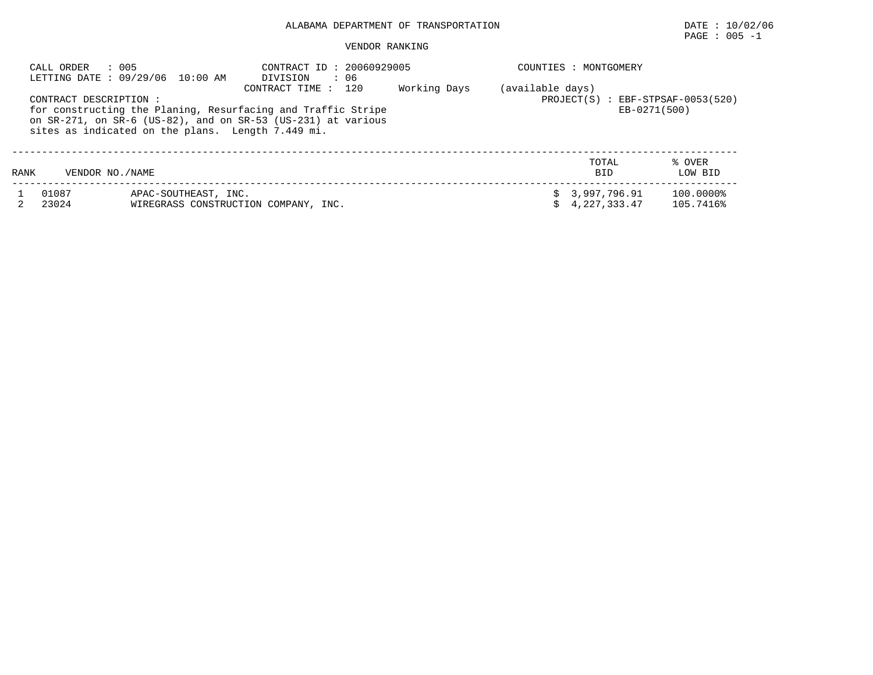# ALABAMA DEPARTMENT OF TRANSPORTATION DATE : 10/02/06

 $\texttt{PAGE}$  : 005 -1

#### VENDOR RANKING

| CALL ORDER                                                                                                                                                                                                                                                                                                                                | : 005<br>LETTING DATE : 09/29/06 10:00 AM | CONTRACT ID: 20060929005<br>DIVISION<br>: 06 |  | COUNTIES<br>: MONTGOMERY |                              |                        |  |  |  |  |
|-------------------------------------------------------------------------------------------------------------------------------------------------------------------------------------------------------------------------------------------------------------------------------------------------------------------------------------------|-------------------------------------------|----------------------------------------------|--|--------------------------|------------------------------|------------------------|--|--|--|--|
| 120<br>Working Days<br>(available days)<br>CONTRACT TIME:<br>$:$ EBF-STPSAF-0053(520)<br>CONTRACT DESCRIPTION :<br>PROJECT(S)<br>for constructing the Planing, Resurfacing and Traffic Stripe<br>EB-0271(500)<br>on $SR-271$ , on $SR-6$ (US-82), and on $SR-53$ (US-231) at various<br>sites as indicated on the plans. Length 7.449 mi. |                                           |                                              |  |                          |                              |                        |  |  |  |  |
| RANK                                                                                                                                                                                                                                                                                                                                      | VENDOR NO. / NAME                         |                                              |  |                          | TOTAL<br><b>BID</b>          | % OVER<br>LOW BID      |  |  |  |  |
| 01087<br>23024                                                                                                                                                                                                                                                                                                                            | APAC-SOUTHEAST, INC.                      | WIREGRASS CONSTRUCTION COMPANY, INC.         |  | Ŝ.                       | 3,997,796.91<br>4,227,333.47 | 100.0000%<br>105.7416% |  |  |  |  |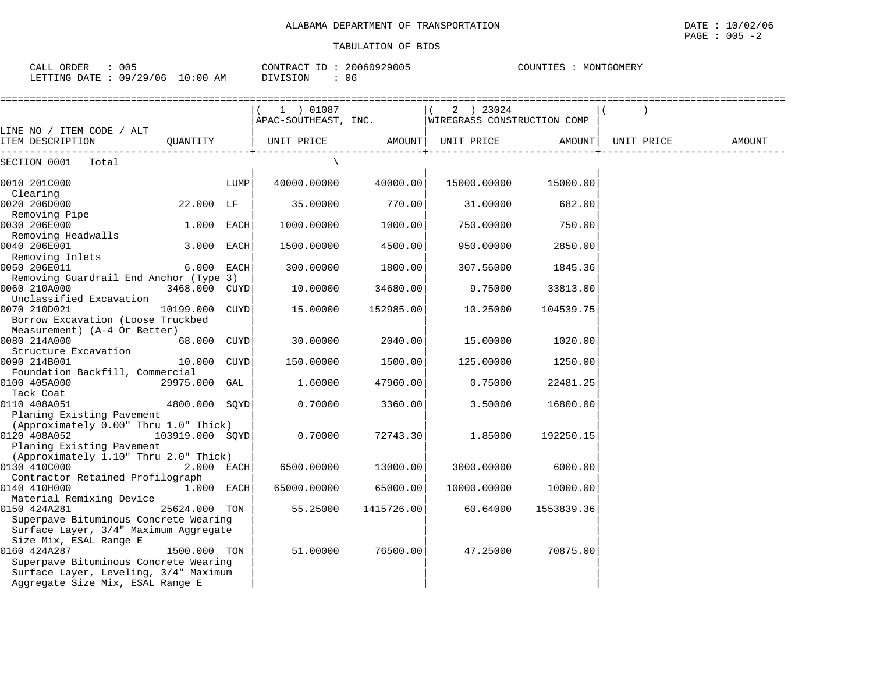CALL ORDER : 005 CONTRACT ID : 20060929005 COUNTIES : MONTGOMERY

Surface Layer, Leveling, 3/4" Maximum Aggregate Size Mix, ESAL Range E

COUNTIES : MONTGOMERY

| LETTING DATE : $09/29/06$ 10:00 AM                                                                                                                                                                                                                                                                                                                       |                 | DIVISION             | : 06       |                             |            |            |        |
|----------------------------------------------------------------------------------------------------------------------------------------------------------------------------------------------------------------------------------------------------------------------------------------------------------------------------------------------------------|-----------------|----------------------|------------|-----------------------------|------------|------------|--------|
|                                                                                                                                                                                                                                                                                                                                                          |                 | 1 ) 01087            |            | 2 ) 23024<br>$\left($       |            |            |        |
|                                                                                                                                                                                                                                                                                                                                                          |                 | APAC-SOUTHEAST, INC. |            | WIREGRASS CONSTRUCTION COMP |            |            |        |
| LINE NO / ITEM CODE / ALT<br>ITEM DESCRIPTION                                                                                                                                                                                                                                                                                                            | OUANTITY        | UNIT PRICE           |            | AMOUNT  UNIT PRICE          | AMOUNT     | UNIT PRICE | AMOUNT |
| SECTION 0001 Total                                                                                                                                                                                                                                                                                                                                       |                 |                      |            |                             |            |            |        |
| 0010 201C000<br>Clearing                                                                                                                                                                                                                                                                                                                                 |                 | 40000.00000<br>LUMP  | 40000.00   | 15000.00000                 | 15000.00   |            |        |
| 0020 206D000                                                                                                                                                                                                                                                                                                                                             | 22.000 LF       | 35.00000             | 770.00     | 31.00000                    | 682.00     |            |        |
| Removing Pipe<br>0030 206E000                                                                                                                                                                                                                                                                                                                            | $1.000$ EACH    | 1000.00000           | 1000.001   | 750.00000                   | 750.00     |            |        |
| Removing Headwalls<br>0040 206E001<br>Removing Inlets                                                                                                                                                                                                                                                                                                    | 3.000 EACH      | 1500.00000           | 4500.00    | 950.00000                   | 2850.00    |            |        |
| 0050 206E011                                                                                                                                                                                                                                                                                                                                             | 6.000 EACH      | 300.00000            | 1800.00    | 307.56000                   | 1845.36    |            |        |
| 0060 210A000                                                                                                                                                                                                                                                                                                                                             | 3468.000 CUYD   | 10.00000             | 34680.00   | 9.75000                     | 33813.00   |            |        |
| 0070 210D021<br>Borrow Excavation (Loose Truckbed                                                                                                                                                                                                                                                                                                        | 10199.000 CUYD  | 15.00000             | 152985.00  | 10.25000                    | 104539.75  |            |        |
| 0080 214A000                                                                                                                                                                                                                                                                                                                                             | 68.000 CUYD     | 30.00000             | 2040.00    | 15.00000                    | 1020.00    |            |        |
| 0090 214B001                                                                                                                                                                                                                                                                                                                                             | 10.000          | CUYD<br>150.00000    | 1500.00    | 125.00000                   | 1250.00    |            |        |
| 0100 405A000                                                                                                                                                                                                                                                                                                                                             | 29975.000 GAL   | 1.60000              | 47960.00   | 0.75000                     | 22481.25   |            |        |
| 0110 408A051                                                                                                                                                                                                                                                                                                                                             | 4800.000 SQYD   | 0.70000              | 3360.00    | 3.50000                     | 16800.00   |            |        |
| (Approximately 0.00" Thru 1.0" Thick)<br>0120 408A052<br>Planing Existing Pavement                                                                                                                                                                                                                                                                       | 103919.000 SOYD | 0.70000              | 72743.30   | 1.85000                     | 192250.15  |            |        |
| (Approximately 1.10" Thru 2.0" Thick)<br>0130 410C000                                                                                                                                                                                                                                                                                                    | 2.000 EACH      | 6500.00000           | 13000.00   | 3000.00000                  | 6000.00    |            |        |
| 0140 410H000                                                                                                                                                                                                                                                                                                                                             | $1.000$ EACH    | 65000.00000          | 65000.00   | 10000.00000                 | 10000.00   |            |        |
| 0150 424A281<br>Superpave Bituminous Concrete Wearing                                                                                                                                                                                                                                                                                                    | 25624.000 TON   | 55.25000             | 1415726.00 | 60.64000                    | 1553839.36 |            |        |
| Size Mix, ESAL Range E<br>0160 424A287                                                                                                                                                                                                                                                                                                                   | 1500.000 TON    | 51.00000             | 76500.00   | 47.25000                    | 70875.00   |            |        |
| Removing Guardrail End Anchor (Type 3)<br>Unclassified Excavation<br>Measurement) (A-4 Or Better)<br>Structure Excavation<br>Foundation Backfill, Commercial<br>Tack Coat<br>Planing Existing Pavement<br>Contractor Retained Profilograph<br>Material Remixing Device<br>Surface Layer, 3/4" Maximum Aggregate<br>Superpave Bituminous Concrete Wearing |                 |                      |            |                             |            |            |        |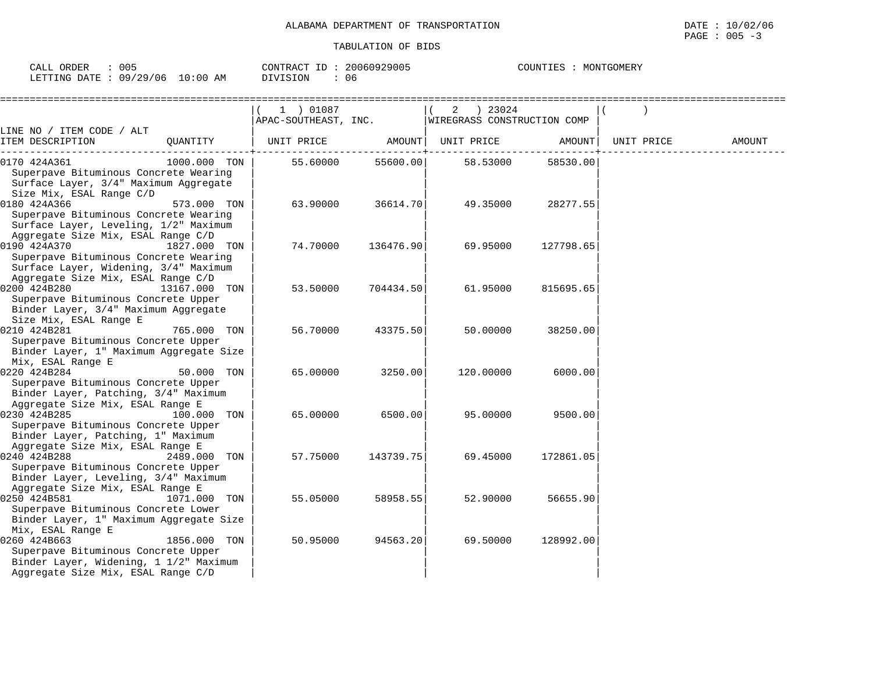| ATION OF BIDS |  |  |  |  |  |  |
|---------------|--|--|--|--|--|--|
|               |  |  |  |  |  |  |
|               |  |  |  |  |  |  |
|               |  |  |  |  |  |  |

| CALL ORDER                      | 005 |          |  | CONTRACT ID: 20060929005 |  | COUNTIES : MONTGOMERY |
|---------------------------------|-----|----------|--|--------------------------|--|-----------------------|
| LETTING DATE: 09/29/06 10:00 AM |     | DIVISION |  | 06                       |  |                       |

|                                                                                                                                                          |               | 1 ) 01087            |           | 2 ) 23024  |                             |            |        |
|----------------------------------------------------------------------------------------------------------------------------------------------------------|---------------|----------------------|-----------|------------|-----------------------------|------------|--------|
|                                                                                                                                                          |               | APAC-SOUTHEAST, INC. |           |            | WIREGRASS CONSTRUCTION COMP |            |        |
| LINE NO / ITEM CODE / ALT                                                                                                                                |               |                      |           |            |                             |            |        |
| ITEM DESCRIPTION                                                                                                                                         | QUANTITY      | UNIT PRICE           | AMOUNT    | UNIT PRICE | AMOUNT                      | UNIT PRICE | AMOUNT |
| 0170 424A361                                                                                                                                             | 1000.000 TON  | 55.60000             | 55600.00  | 58.53000   | 58530.00                    |            |        |
| Superpave Bituminous Concrete Wearing<br>Surface Layer, 3/4" Maximum Aggregate<br>Size Mix, ESAL Range C/D                                               |               |                      |           |            |                             |            |        |
| 0180 424A366<br>Superpave Bituminous Concrete Wearing<br>Surface Layer, Leveling, 1/2" Maximum                                                           | 573.000 TON   | 63.90000             | 36614.70  | 49.35000   | 28277.55                    |            |        |
| Aggregate Size Mix, ESAL Range C/D<br>0190 424A370<br>Superpave Bituminous Concrete Wearing<br>Surface Layer, Widening, 3/4" Maximum                     | 1827.000 TON  | 74.70000             | 136476.90 | 69.95000   | 127798.65                   |            |        |
| Aggregate Size Mix, ESAL Range C/D<br>0200 424B280<br>Superpave Bituminous Concrete Upper<br>Binder Layer, 3/4" Maximum Aggregate                        | 13167.000 TON | 53.50000             | 704434.50 | 61.95000   | 815695.65                   |            |        |
| Size Mix, ESAL Range E<br>0210 424B281<br>Superpave Bituminous Concrete Upper<br>Binder Layer, 1" Maximum Aggregate Size                                 | 765.000 TON   | 56.70000             | 43375.50  | 50.00000   | 38250.00                    |            |        |
| Mix, ESAL Range E<br>0220 424B284<br>Superpave Bituminous Concrete Upper<br>Binder Layer, Patching, 3/4" Maximum                                         | 50.000 TON    | 65.00000             | 3250.00   | 120.00000  | 6000.00                     |            |        |
| Aggregate Size Mix, ESAL Range E<br>0230 424B285<br>Superpave Bituminous Concrete Upper<br>Binder Layer, Patching, 1" Maximum                            | 100.000 TON   | 65.00000             | 6500.00   | 95.00000   | 9500.00                     |            |        |
| Aggregate Size Mix, ESAL Range E<br>0240 424B288<br>Superpave Bituminous Concrete Upper<br>Binder Layer, Leveling, 3/4" Maximum                          | 2489.000 TON  | 57.75000             | 143739.75 | 69.45000   | 172861.05                   |            |        |
| Aggregate Size Mix, ESAL Range E<br>0250 424B581<br>Superpave Bituminous Concrete Lower<br>Binder Layer, 1" Maximum Aggregate Size                       | 1071.000 TON  | 55.05000             | 58958.55  | 52.90000   | 56655.90                    |            |        |
| Mix, ESAL Range E<br>0260 424B663<br>Superpave Bituminous Concrete Upper<br>Binder Layer, Widening, 1 1/2" Maximum<br>Aggregate Size Mix, ESAL Range C/D | 1856.000 TON  | 50.95000             | 94563.20  | 69.50000   | 128992.00                   |            |        |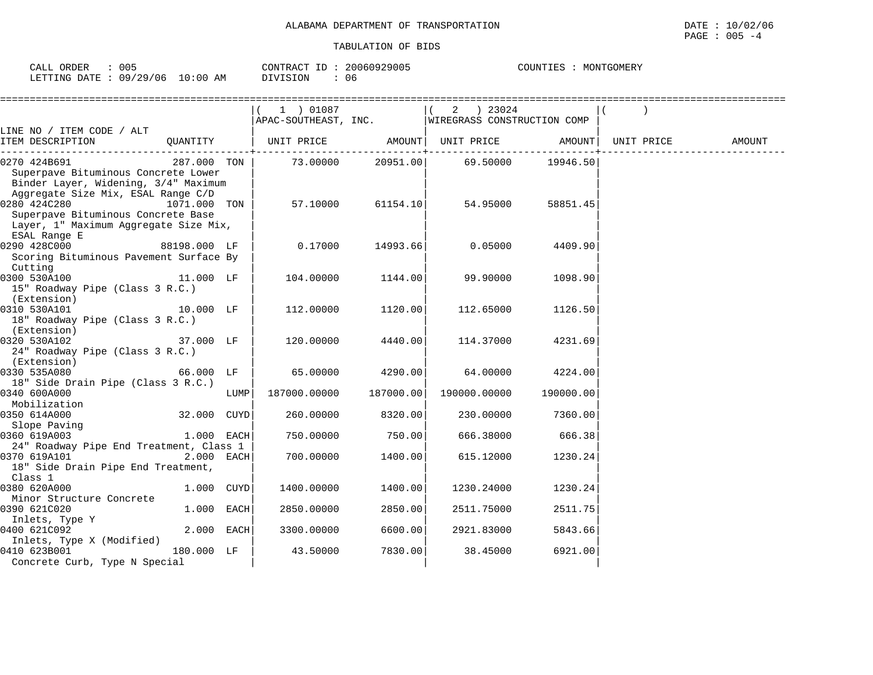| ORDER<br>CALI     | 005              |             | CONTRACT       | 929005<br>2006093 | COUNTIES<br>TGOMERY<br>MON' |
|-------------------|------------------|-------------|----------------|-------------------|-----------------------------|
| 'ETTING<br>R∆⊤ד ב | 106<br>/29<br>09 | 10:00<br>AΜ | SION<br>$-111$ | 06                |                             |

|                                                                                                                                |              |      | $(1)$ 01087                                                                                              |                                       |                            |          |            |        |
|--------------------------------------------------------------------------------------------------------------------------------|--------------|------|----------------------------------------------------------------------------------------------------------|---------------------------------------|----------------------------|----------|------------|--------|
|                                                                                                                                |              |      | $\begin{bmatrix} 1 & 1 & 1 \\ 2 & 1 & 1 \end{bmatrix}$ (APAC-SOUTHEAST, INC. WIREGRASS CONSTRUCTION COMP |                                       |                            |          |            |        |
| LINE NO / ITEM CODE / ALT                                                                                                      |              |      |                                                                                                          |                                       |                            |          |            |        |
| ITEM DESCRIPTION                                                                                                               | QUANTITY     |      | UNIT PRICE       AMOUNT  UNIT PRICE     AMOUNT                                                           | . _ _ _ _ _ _ _ _ _ + _ _ _ _ _ _ _ _ |                            |          | UNIT PRICE | AMOUNT |
|                                                                                                                                | 287.000 TON  |      |                                                                                                          |                                       | 73.00000 20951.00 69.50000 | 19946.50 |            |        |
|                                                                                                                                |              |      |                                                                                                          |                                       |                            |          |            |        |
| 287.000<br>Superpave Bituminous Concrete Lower<br>Binder Laver Wideritt Concrete Lower<br>Binder Layer, Widening, 3/4" Maximum |              |      |                                                                                                          |                                       |                            |          |            |        |
| Aggregate Size Mix, ESAL Range C/D                                                                                             |              |      |                                                                                                          |                                       |                            |          |            |        |
| 0280 424C280                                                                                                                   | 1071.000 TON |      |                                                                                                          | 57.10000 61154.10                     | 54.95000                   | 58851.45 |            |        |
| Superpave Bituminous Concrete Base                                                                                             |              |      |                                                                                                          |                                       |                            |          |            |        |
| Layer, 1" Maximum Aggregate Size Mix,                                                                                          |              |      |                                                                                                          |                                       |                            |          |            |        |
| ESAL Range E                                                                                                                   |              |      |                                                                                                          |                                       |                            |          |            |        |
| 0290 428C000                                                                                                                   | 88198.000 LF |      |                                                                                                          | $0.17000$ 14993.66                    | 0.05000                    | 4409.90  |            |        |
| Scoring Bituminous Pavement Surface By                                                                                         |              |      |                                                                                                          |                                       |                            |          |            |        |
| Cutting<br>0300 530A100 11.000 LF                                                                                              |              |      |                                                                                                          |                                       |                            |          |            |        |
|                                                                                                                                |              |      | 104.00000 1144.00                                                                                        |                                       | 99.90000                   | 1098.90  |            |        |
| 15" Roadway Pipe (Class 3 R.C.)<br>(Extension)                                                                                 |              |      |                                                                                                          |                                       |                            |          |            |        |
| 0310 530A101                                                                                                                   | 10.000 LF    |      | 112,00000                                                                                                | 1120.00                               | 112.65000                  | 1126.50  |            |        |
| 18" Roadway Pipe (Class 3 R.C.)                                                                                                |              |      |                                                                                                          |                                       |                            |          |            |        |
| (Extension)                                                                                                                    |              |      |                                                                                                          |                                       |                            |          |            |        |
| 37.000 LF<br>0320 530A102                                                                                                      |              |      | 120.00000                                                                                                | 4440.00                               | 114.37000                  | 4231.69  |            |        |
| 24" Roadway Pipe (Class 3 R.C.)                                                                                                |              |      |                                                                                                          |                                       |                            |          |            |        |
| (Extension)                                                                                                                    |              |      |                                                                                                          |                                       |                            |          |            |        |
| 0330 535A080                                                                                                                   | 66.000 LF    |      | 65.00000                                                                                                 | 4290.00                               | 64.00000                   | 4224.00  |            |        |
| 18" Side Drain Pipe (Class 3 R.C.)                                                                                             |              |      |                                                                                                          |                                       |                            |          |            |        |
| 0340 600A000                                                                                                                   |              | LUMP | 187000.00000                                                                                             | 187000.00                             | 190000.00000 190000.00     |          |            |        |
| Mobilization                                                                                                                   |              |      |                                                                                                          |                                       |                            |          |            |        |
| 0350 614A000                                                                                                                   |              |      | 260.00000                                                                                                | 8320.00                               | 230.00000                  | 7360.00  |            |        |
| Slope Paving                                                                                                                   |              |      |                                                                                                          |                                       |                            |          |            |        |
| 0360 619A003                                                                                                                   | $1.000$ EACH |      | 750.00000                                                                                                | 750.00                                | 666.38000                  | 666.38   |            |        |
| 24" Roadway Pipe End Treatment, Class 1                                                                                        |              |      |                                                                                                          |                                       |                            |          |            |        |
| 0370 619A101                                                                                                                   | $2.000$ EACH |      | 700.00000                                                                                                | 1400.00                               | 615.12000                  | 1230.24  |            |        |
| 18" Side Drain Pipe End Treatment,<br>Class 1                                                                                  |              |      |                                                                                                          |                                       |                            |          |            |        |
| 0380 620A000                                                                                                                   | 1.000 CUYD   |      | 1400.00000                                                                                               | 1400.00                               | 1230.24000                 | 1230.24  |            |        |
| Minor Structure Concrete                                                                                                       |              |      |                                                                                                          |                                       |                            |          |            |        |
| 0390 621C020                                                                                                                   | 1.000 EACH   |      | 2850.00000                                                                                               | 2850.00                               | 2511.75000                 | 2511.75  |            |        |
|                                                                                                                                |              |      |                                                                                                          |                                       |                            |          |            |        |
| 1390 bzituar<br>Inlets, Type Y<br>0400 621C092                                                                                 | $2.000$ EACH |      | 3300.00000                                                                                               | 6600.00                               | 2921.83000                 | 5843.66  |            |        |
| Inlets, Type X (Modified)                                                                                                      |              |      |                                                                                                          |                                       |                            |          |            |        |
| 0410 623B001                                                                                                                   | 180.000 LF   |      | 43.50000                                                                                                 | 7830.00                               | 38.45000                   | 6921.00  |            |        |
| Concrete Curb, Type N Special                                                                                                  |              |      |                                                                                                          |                                       |                            |          |            |        |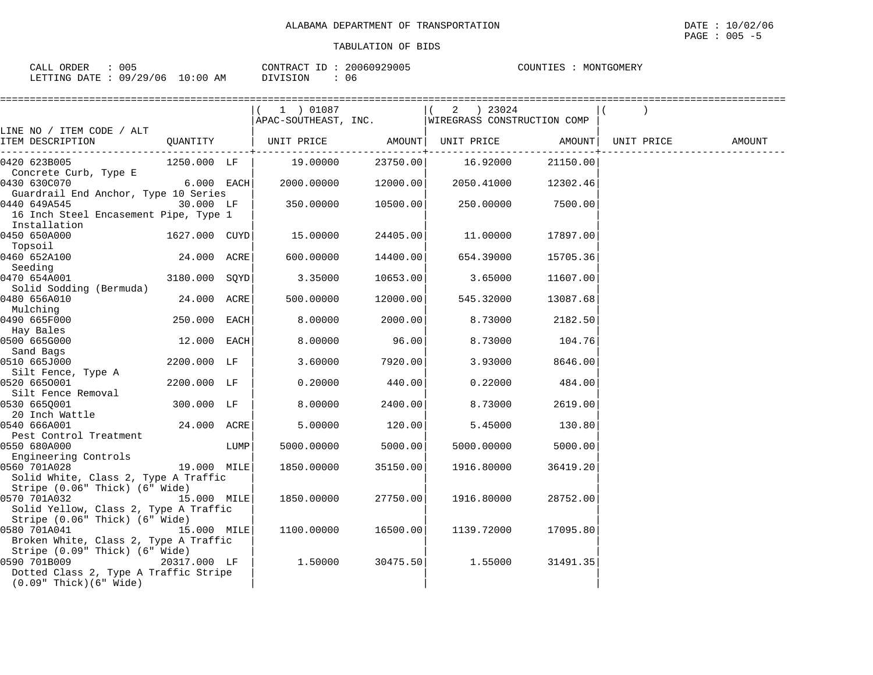|                                                      |               |      | 1 ) 01087                                        |          | 2 ) 23024  |                                     |            |        |
|------------------------------------------------------|---------------|------|--------------------------------------------------|----------|------------|-------------------------------------|------------|--------|
| LINE NO / ITEM CODE / ALT                            |               |      | APAC-SOUTHEAST, INC. WIREGRASS CONSTRUCTION COMP |          |            |                                     |            |        |
| ITEM DESCRIPTION<br>------------------------         |               |      |                                                  |          |            |                                     | UNIT PRICE | AMOUNT |
| 0420 623B005                                         | 1250.000 LF   |      | 19.00000                                         | 23750.00 | 16.92000   | . - - - - - - - - - - +<br>21150.00 |            |        |
| Concrete Curb, Type E                                |               |      |                                                  |          |            |                                     |            |        |
| 0430 630C070                                         | $6.000$ EACH  |      | 2000.00000                                       | 12000.00 | 2050.41000 | 12302.46                            |            |        |
| Guardrail End Anchor, Type 10 Series<br>0440 649A545 | 30.000 LF     |      | 350.00000                                        | 10500.00 | 250.00000  | 7500.00                             |            |        |
| 16 Inch Steel Encasement Pipe, Type 1                |               |      |                                                  |          |            |                                     |            |        |
| Installation                                         |               |      |                                                  |          |            |                                     |            |        |
| 0450 650A000                                         | 1627.000 CUYD |      | 15.00000                                         | 24405.00 | 11.00000   | 17897.00                            |            |        |
| Topsoil                                              |               |      |                                                  |          |            |                                     |            |        |
| 0460 652A100                                         | 24.000 ACRE   |      | 600.00000                                        | 14400.00 | 654.39000  | 15705.36                            |            |        |
| Seeding                                              |               |      |                                                  |          |            |                                     |            |        |
| 0470 654A001                                         | 3180.000 SOYD |      | 3.35000                                          | 10653.00 | 3.65000    | 11607.00                            |            |        |
| Solid Sodding (Bermuda)                              |               |      |                                                  |          |            |                                     |            |        |
| 0480 656A010                                         | 24.000 ACRE   |      | 500.00000                                        | 12000.00 | 545.32000  | 13087.68                            |            |        |
| Mulching                                             |               |      |                                                  |          |            |                                     |            |        |
| 0490 665F000                                         | 250.000 EACH  |      | 8.00000                                          | 2000.00  | 8.73000    | 2182.50                             |            |        |
| Hay Bales                                            |               |      |                                                  |          |            |                                     |            |        |
| 0500 665G000                                         | 12.000 EACH   |      | 8.00000                                          | 96.00    | 8.73000    | 104.76                              |            |        |
| Sand Bags                                            |               |      |                                                  |          |            |                                     |            |        |
| 0510 665J000                                         | 2200.000 LF   |      | 3.60000                                          | 7920.00  | 3.93000    | 8646.00                             |            |        |
| Silt Fence, Type A                                   |               |      |                                                  |          |            |                                     |            |        |
| 0520 6650001                                         | 2200.000 LF   |      | 0.20000                                          | 440.00   | 0.22000    | 484.00                              |            |        |
| Silt Fence Removal                                   |               |      |                                                  |          |            |                                     |            |        |
| 0530 665Q001                                         | 300.000 LF    |      | 8.00000                                          | 2400.00  | 8.73000    | 2619.00                             |            |        |
| 20 Inch Wattle<br>0540 666A001                       | 24.000 ACRE   |      | 5.00000                                          | 120.00   | 5.45000    | 130.80                              |            |        |
| Pest Control Treatment                               |               |      |                                                  |          |            |                                     |            |        |
| 0550 680A000                                         |               | LUMP | 5000.00000                                       | 5000.00  | 5000.00000 | 5000.00                             |            |        |
| Engineering Controls                                 |               |      |                                                  |          |            |                                     |            |        |
| 19.000 MILE<br>0560 701A028                          |               |      | 1850.00000                                       | 35150.00 | 1916.80000 | 36419.20                            |            |        |
| Solid White, Class 2, Type A Traffic                 |               |      |                                                  |          |            |                                     |            |        |
| Stripe (0.06" Thick) (6" Wide)                       |               |      |                                                  |          |            |                                     |            |        |
| 0570 701A032                                         | 15.000 MILE   |      | 1850.00000                                       | 27750.00 | 1916.80000 | 28752.00                            |            |        |
| Solid Yellow, Class 2, Type A Traffic                |               |      |                                                  |          |            |                                     |            |        |
| Stripe (0.06" Thick) (6" Wide)                       |               |      |                                                  |          |            |                                     |            |        |
| 15.000 MILE<br>0580 701A041                          |               |      | 1100.00000                                       | 16500.00 | 1139.72000 | 17095.80                            |            |        |
| Broken White, Class 2, Type A Traffic                |               |      |                                                  |          |            |                                     |            |        |
| Stripe (0.09" Thick) (6" Wide)                       |               |      |                                                  |          |            |                                     |            |        |
| 0590 701B009                                         | 20317.000 LF  |      | 1.50000                                          | 30475.50 | 1.55000    | 31491.35                            |            |        |
| Dotted Class 2, Type A Traffic Stripe                |               |      |                                                  |          |            |                                     |            |        |
| $(0.09"$ Thick $)(6"$ Wide $)$                       |               |      |                                                  |          |            |                                     |            |        |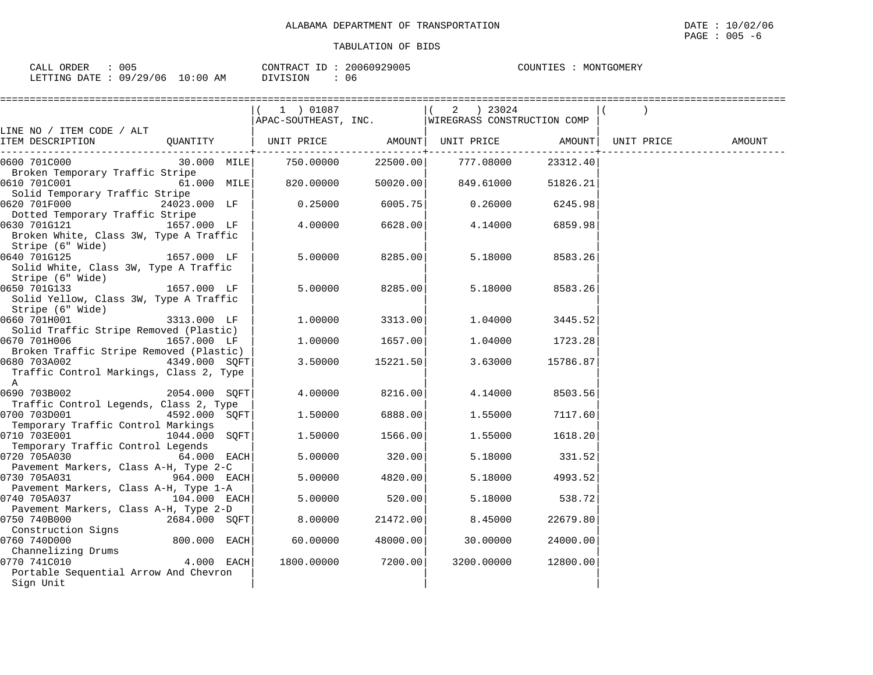| ==============                          |                   | ================== |          |                                                                            |          |            |        |
|-----------------------------------------|-------------------|--------------------|----------|----------------------------------------------------------------------------|----------|------------|--------|
|                                         |                   | 1 ) 01087          |          | 2 ) 23024                                                                  |          |            |        |
|                                         |                   |                    |          | APAC-SOUTHEAST, INC.   WIREGRASS CONSTRUCTION COMP                         |          |            |        |
| LINE NO / ITEM CODE / ALT               |                   |                    |          |                                                                            |          |            |        |
| ITEM DESCRIPTION                        | QUANTITY          |                    |          | UNIT PRICE AMOUNT  UNIT PRICE AMOUNT <br>. - - - - - - + - - - - - - - - - |          | UNIT PRICE | AMOUNT |
| 0600 701C000                            | 30.000 MILE       | 750.00000          |          | 22500.00 777.08000                                                         | 23312.40 |            |        |
| Broken Temporary Traffic Stripe         |                   |                    |          |                                                                            |          |            |        |
| 0610 701C001                            | 61.000 MILE       | 820.00000          |          | $50020.00$ 849.61000                                                       | 51826.21 |            |        |
| Solid Temporary Traffic Stripe          |                   |                    |          |                                                                            |          |            |        |
| 0620 701F000                            | 24023.000 LF      | 0.25000            | 6005.75  | 0.26000                                                                    | 6245.98  |            |        |
| Dotted Temporary Traffic Stripe         |                   |                    |          |                                                                            |          |            |        |
| 0630 701G121                            | $1657.000$ LF $ $ | 4.00000            | 6628.00  | 4.14000                                                                    | 6859.98  |            |        |
| Broken White, Class 3W, Type A Traffic  |                   |                    |          |                                                                            |          |            |        |
| Stripe (6" Wide)                        |                   |                    |          |                                                                            |          |            |        |
| $1657.000$ LF  <br>0640 701G125         |                   | 5.00000            | 8285.00  | 5.18000                                                                    | 8583.26  |            |        |
| Solid White, Class 3W, Type A Traffic   |                   |                    |          |                                                                            |          |            |        |
| Stripe (6" Wide)                        |                   |                    |          |                                                                            |          |            |        |
| 0650 701G133                            | 1657.000 LF       | 5.00000            | 8285.00  | 5.18000                                                                    | 8583.26  |            |        |
| Solid Yellow, Class 3W, Type A Traffic  |                   |                    |          |                                                                            |          |            |        |
| Stripe (6" Wide)                        |                   |                    |          |                                                                            |          |            |        |
| 0660 701H001                            | 3313.000 LF       | 1.00000            | 3313.00  | 1.04000                                                                    | 3445.52  |            |        |
| Solid Traffic Stripe Removed (Plastic)  |                   |                    |          |                                                                            |          |            |        |
| 0670 701H006                            | 1657.000 LF       | 1.00000            | 1657.00  | 1.04000                                                                    | 1723.28  |            |        |
| Broken Traffic Stripe Removed (Plastic) |                   |                    |          |                                                                            |          |            |        |
| 0680 703A002                            | 4349.000 SQFT     | 3.50000            | 15221.50 | 3.63000                                                                    | 15786.87 |            |        |
| Traffic Control Markings, Class 2, Type |                   |                    |          |                                                                            |          |            |        |
| A                                       |                   |                    |          |                                                                            |          |            |        |
| 0690 703B002                            | 2054.000 SOFT     | 4.00000            | 8216.00  | 4.14000                                                                    | 8503.56  |            |        |
| Traffic Control Legends, Class 2, Type  |                   |                    |          |                                                                            |          |            |        |
| 0700 703D001                            | 4592.000 SOFT     | 1.50000            | 6888.00  | 1.55000                                                                    | 7117.60  |            |        |
| Temporary Traffic Control Markings      |                   |                    |          |                                                                            |          |            |        |
| 0710 703E001                            | 1044.000 SOFT     | 1.50000            | 1566.00  | 1.55000                                                                    | 1618.20  |            |        |
| Temporary Traffic Control Legends       |                   |                    |          |                                                                            |          |            |        |
| 0720 705A030                            | 64.000 EACH       | 5.00000            | 320.00   | 5.18000                                                                    | 331.52   |            |        |
| Pavement Markers, Class A-H, Type 2-C   |                   |                    |          |                                                                            |          |            |        |
| $964.000$ EACH<br>0730 705A031          |                   | 5.00000            | 4820.00  | 5.18000                                                                    | 4993.52  |            |        |
| Pavement Markers, Class A-H, Type 1-A   |                   |                    |          |                                                                            |          |            |        |
| 0740 705A037                            | $104.000$ EACH    | 5.00000            | 520.00   | 5.18000                                                                    | 538.72   |            |        |
| Pavement Markers, Class A-H, Type 2-D   |                   |                    |          |                                                                            |          |            |        |
| 0750 740B000                            | 2684.000 SOFT     | 8.00000            | 21472.00 | 8.45000                                                                    | 22679.80 |            |        |
| Construction Signs                      |                   |                    |          |                                                                            |          |            |        |
| 0760 740D000                            | 800.000 EACH      | 60.00000           | 48000.00 | 30.00000                                                                   | 24000.00 |            |        |
| Channelizing Drums                      |                   |                    |          |                                                                            |          |            |        |
| 0770 741C010                            | $4.000$ EACH      | 1800.00000         | 7200.00  | 3200.00000                                                                 | 12800.00 |            |        |
| Portable Sequential Arrow And Chevron   |                   |                    |          |                                                                            |          |            |        |
| Sign Unit                               |                   |                    |          |                                                                            |          |            |        |

PAGE : 005 -6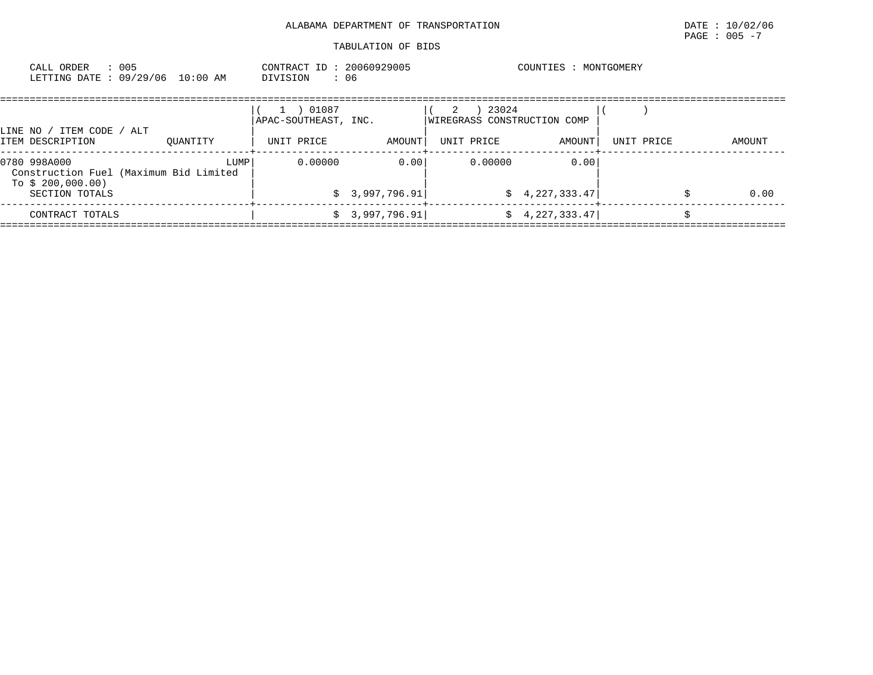| : 005<br>CALL ORDER<br>LETTING DATE : 09/29/06 10:00 AM                                       |          | CONTRACT ID: 20060929005<br>: 06<br>DIVISION           |                        |                                                         | COUNTIES : MONTGOMERY  |            |        |
|-----------------------------------------------------------------------------------------------|----------|--------------------------------------------------------|------------------------|---------------------------------------------------------|------------------------|------------|--------|
| LINE NO / ITEM CODE / ALT<br>ITEM DESCRIPTION                                                 | OUANTITY | 01087<br>$\pm$ .<br>APAC-SOUTHEAST, INC.<br>UNIT PRICE | AMOUNT                 | 23024<br>2<br>WIREGRASS CONSTRUCTION COMP<br>UNIT PRICE | AMOUNT                 | UNIT PRICE | AMOUNT |
| 0780 998A000<br>Construction Fuel (Maximum Bid Limited<br>To $$200,000.00)$<br>SECTION TOTALS | LUMP     | 0.00000                                                | 0.00<br>\$3,997,796.91 | 0.00000                                                 | 0.00<br>\$4,227,333.47 |            | 0.00   |
| CONTRACT TOTALS                                                                               |          |                                                        | \$3,997,796.91         |                                                         | $\sin 4, 227, 333.47$  |            |        |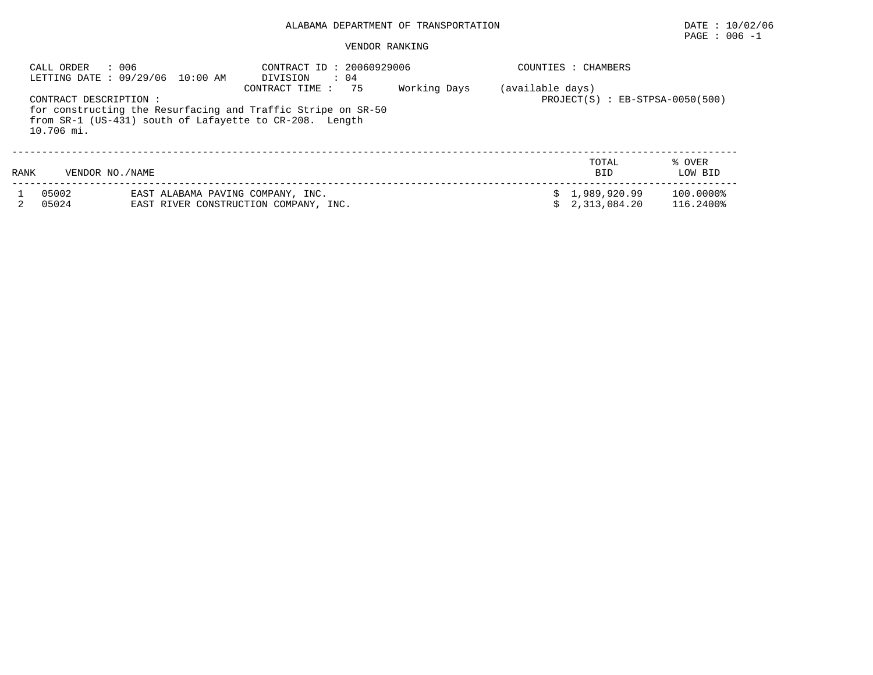# ALABAMA DEPARTMENT OF TRANSPORTATION DATE : 10/02/06

# $\texttt{PAGE}$  : 006 -1

#### VENDOR RANKING

|      | CALL ORDER             | : 006<br>LETTING DATE: 09/29/06 10:00 AM | CONTRACT ID: 20060929006<br>$\therefore$ 04<br>DIVISION<br>- 75<br>CONTRACT TIME :                                      | Working Days | COUNTIES<br>(available days) | CHAMBERS                            |           |
|------|------------------------|------------------------------------------|-------------------------------------------------------------------------------------------------------------------------|--------------|------------------------------|-------------------------------------|-----------|
|      | CONTRACT DESCRIPTION : |                                          |                                                                                                                         |              |                              | $PROJECT(S)$ : $EB-STPSA-0050(500)$ |           |
|      | 10.706 mi.             |                                          | for constructing the Resurfacing and Traffic Stripe on SR-50<br>from SR-1 (US-431) south of Lafayette to CR-208. Length |              |                              |                                     |           |
|      |                        |                                          |                                                                                                                         |              |                              | TOTAL                               | % OVER    |
| RANK | VENDOR NO. / NAME      |                                          |                                                                                                                         |              |                              | <b>BID</b>                          | LOW BID   |
|      | 05002                  | EAST ALABAMA PAVING COMPANY, INC.        |                                                                                                                         |              |                              | \$1,989,920.99                      | 100.0000% |
|      | 05024                  |                                          | EAST RIVER CONSTRUCTION COMPANY, INC.                                                                                   |              |                              | 2,313,084.20                        | 116.2400% |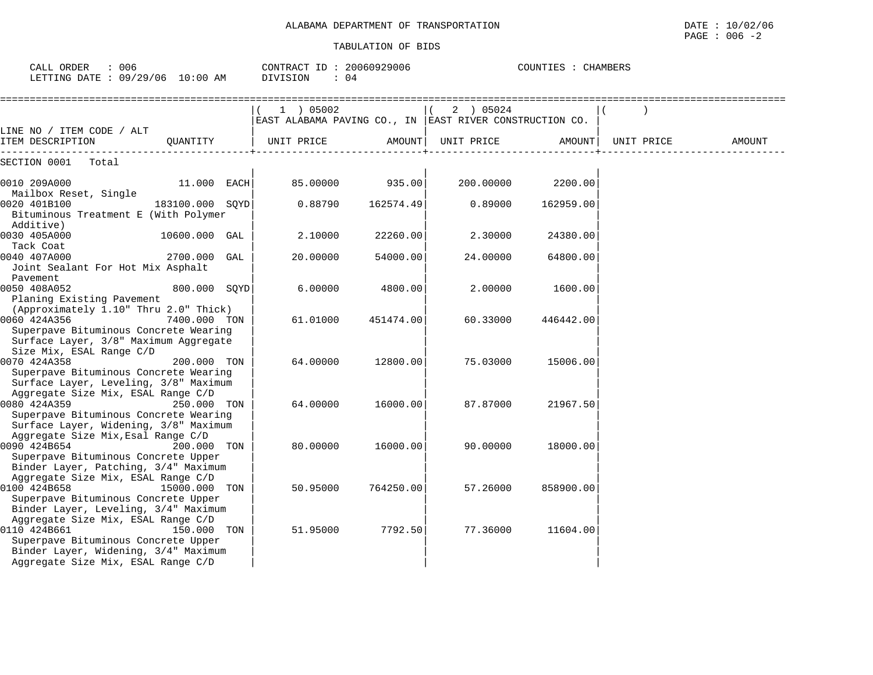| CALL ORDER<br>: 006<br>LETTING DATE : 09/29/06 10:00 AM                                                                                                                                | CONTRACT ID: 20060929006<br>: 04<br>DIVISION                         |           |            | COUNTIES : CHAMBERS |            |        |
|----------------------------------------------------------------------------------------------------------------------------------------------------------------------------------------|----------------------------------------------------------------------|-----------|------------|---------------------|------------|--------|
|                                                                                                                                                                                        | 1 ) 05002<br>EAST ALABAMA PAVING CO., IN EAST RIVER CONSTRUCTION CO. |           | 2 ) 05024  |                     |            |        |
| LINE NO / ITEM CODE / ALT<br>ITEM DESCRIPTION<br>OUANTITY                                                                                                                              | UNIT PRICE                                                           | AMOUNT    | UNIT PRICE | AMOUNT              | UNIT PRICE | AMOUNT |
| SECTION 0001<br>Total                                                                                                                                                                  |                                                                      |           |            |                     |            |        |
| 0010 209A000<br>11.000 EACH                                                                                                                                                            | 85.00000                                                             | 935.00    | 200.00000  | 2200.00             |            |        |
| Mailbox Reset, Single<br>0020 401B100<br>183100.000 SQYD<br>Bituminous Treatment E (With Polymer                                                                                       | 0.88790                                                              | 162574.49 | 0.89000    | 162959.00           |            |        |
| Additive)<br>0030 405A000<br>10600.000 GAL                                                                                                                                             | 2.10000                                                              | 22260.00  | 2.30000    | 24380.00            |            |        |
| Tack Coat<br>0040 407A000<br>2700.000 GAL<br>Joint Sealant For Hot Mix Asphalt<br>Pavement                                                                                             | 20.00000                                                             | 54000.00  | 24.00000   | 64800.00            |            |        |
| 0050 408A052<br>800.000 SQYD<br>Planing Existing Pavement                                                                                                                              | 6,00000                                                              | 4800.00   | 2,00000    | 1600.00             |            |        |
| (Approximately 1.10" Thru 2.0" Thick)<br>0060 424A356<br>7400.000 TON<br>Superpave Bituminous Concrete Wearing<br>Surface Layer, 3/8" Maximum Aggregate                                | 61.01000                                                             | 451474.00 | 60.33000   | 446442.00           |            |        |
| Size Mix, ESAL Range C/D<br>0070 424A358<br>200.000 TON<br>Superpave Bituminous Concrete Wearing<br>Surface Layer, Leveling, 3/8" Maximum                                              | 64.00000                                                             | 12800.00  | 75.03000   | 15006.00            |            |        |
| Aggregate Size Mix, ESAL Range C/D<br>0080 424A359<br>250.000 TON<br>Superpave Bituminous Concrete Wearing<br>Surface Layer, Widening, 3/8" Maximum                                    | 64.00000                                                             | 16000.00  | 87.87000   | 21967.50            |            |        |
| Aggregate Size Mix, Esal Range C/D<br>0090 424B654<br>200.000 TON<br>Superpave Bituminous Concrete Upper<br>Binder Layer, Patching, 3/4" Maximum                                       | 80.00000                                                             | 16000.00  | 90.00000   | 18000.00            |            |        |
| Aggregate Size Mix, ESAL Range C/D<br>0100 424B658<br>15000.000 TON<br>Superpave Bituminous Concrete Upper<br>Binder Layer, Leveling, 3/4" Maximum                                     | 50.95000                                                             | 764250.00 | 57.26000   | 858900.00           |            |        |
| Aggregate Size Mix, ESAL Range C/D<br>0110 424B661<br>150.000 TON<br>Superpave Bituminous Concrete Upper<br>Binder Layer, Widening, 3/4" Maximum<br>Aggregate Size Mix, ESAL Range C/D | 51.95000                                                             | 7792.50   | 77.36000   | 11604.00            |            |        |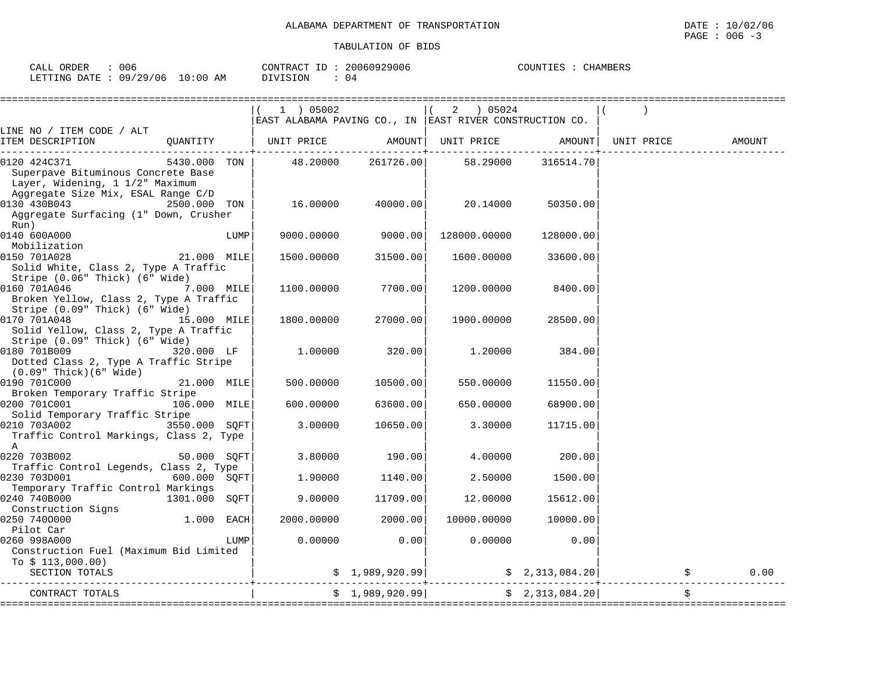| CALL | ORDER | 006                             | CONTRACT ID | 20060929006 | COUNTIES | CHAMBERS |
|------|-------|---------------------------------|-------------|-------------|----------|----------|
|      |       | LETTING DATE: 09/29/06 10:00 AM | DIVISION    | 04          |          |          |

|                                                                                                     |               | 1 ) 05002          |                 | 2 ) 05024<br>EAST ALABAMA PAVING CO., IN EAST RIVER CONSTRUCTION CO. |                 |                                |        |
|-----------------------------------------------------------------------------------------------------|---------------|--------------------|-----------------|----------------------------------------------------------------------|-----------------|--------------------------------|--------|
| LINE NO / ITEM CODE / ALT<br>ITEM DESCRIPTION                                                       | QUANTITY      | UNIT PRICE         | AMOUNT          |                                                                      |                 | UNIT PRICE AMOUNT   UNIT PRICE | AMOUNT |
| 0120 424C371<br>Superpave Bituminous Concrete Base<br>Layer, Widening, 1 1/2" Maximum               | 5430.000 TON  | 48.20000           | 261726.00       | 58.29000                                                             | 316514.70       |                                |        |
| Aggregate Size Mix, ESAL Range C/D<br>0130 430B043<br>Aggregate Surfacing (1" Down, Crusher<br>Run) | 2500.000 TON  | 16.00000           | 40000.00        | 20.14000                                                             | 50350.00        |                                |        |
| 0140 600A000<br>Mobilization                                                                        |               | LUMP<br>9000.00000 | 9000.00         | 128000.00000                                                         | 128000.00       |                                |        |
| 0150 701A028<br>Solid White, Class 2, Type A Traffic<br>Stripe (0.06" Thick) (6" Wide)              | 21.000 MILE   | 1500.00000         | 31500.00        | 1600.00000                                                           | 33600.00        |                                |        |
| 0160 701A046<br>Broken Yellow, Class 2, Type A Traffic<br>Stripe (0.09" Thick) (6" Wide)            | 7.000 MILE    | 1100.00000         | 7700.00         | 1200.00000                                                           | 8400.00         |                                |        |
| 0170 701A048<br>Solid Yellow, Class 2, Type A Traffic<br>Stripe (0.09" Thick) (6" Wide)             | 15.000 MILE   | 1800.00000         | 27000.00        | 1900.00000                                                           | 28500.00        |                                |        |
| 0180 701B009<br>Dotted Class 2, Type A Traffic Stripe<br>$(0.09"$ Thick $)(6"$ Wide $)$             | 320.000 LF    | 1.00000            | 320.00          | 1,20000                                                              | 384.00          |                                |        |
| 0190 701C000<br>Broken Temporary Traffic Stripe                                                     | 21.000 MILE   | 500.00000          | 10500.00        | 550.00000                                                            | 11550.00        |                                |        |
| 0200 701C001<br>Solid Temporary Traffic Stripe                                                      | 106.000 MILE  | 600,00000          | 63600.00        | 650.00000                                                            | 68900.00        |                                |        |
| 0210 703A002<br>Traffic Control Markings, Class 2, Type<br>$\mathbb A$                              | 3550.000 SOFT | 3.00000            | 10650.00        | 3.30000                                                              | 11715.00        |                                |        |
| 0220 703B002<br>Traffic Control Legends, Class 2, Type                                              | 50.000 SOFT   | 3.80000            | 190.00          | 4.00000                                                              | 200.00          |                                |        |
| Temporary Traffic Control Markings                                                                  | 600.000 SQFT  | 1.90000            | 1140.00         | 2.50000                                                              | 1500.00         |                                |        |
| 0240 740B000<br>Construction Signs                                                                  | 1301.000 SOFT | 9.00000            | 11709.00        | 12.00000                                                             | 15612.00        |                                |        |
| 0250 7400000<br>Pilot Car                                                                           | 1.000 EACH    | 2000.00000         | 2000.00         | 10000.00000                                                          | 10000.00        |                                |        |
| 0260 998A000<br>Construction Fuel (Maximum Bid Limited<br>To $$113,000.00)$                         |               | 0.00000<br>LUMP    | 0.00            | 0.00000                                                              | 0.00            |                                |        |
| SECTION TOTALS                                                                                      |               |                    |                 | $$2,313,084.20$ $$2,313,084.20$ $$2,313,084.20$                      |                 |                                | 0.00   |
| CONTRACT TOTALS                                                                                     |               |                    | \$1,989,920.99] |                                                                      | \$2,313,084.20] | \$                             |        |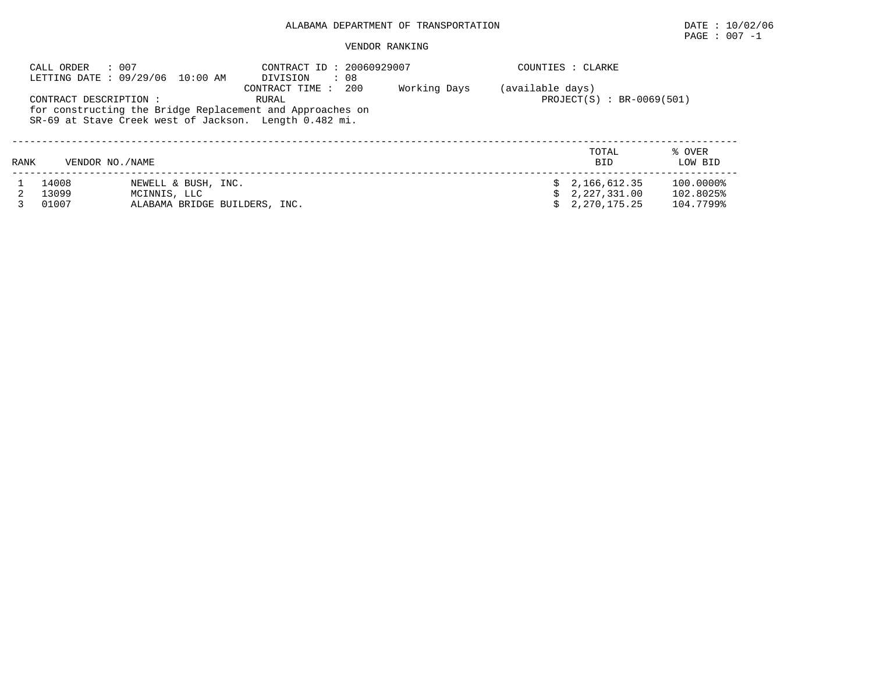# ALABAMA DEPARTMENT OF TRANSPORTATION DATE : 10/02/06

# $\texttt{PAGE}$  : 007 -1

#### VENDOR RANKING

|      | : 007<br>CALL ORDER    | LETTING DATE : 09/29/06 10:00 AM | CONTRACT ID: 20060929007<br>: 08<br>DIVISION                                                |              |                  | COUNTIES : CLARKE           |                   |
|------|------------------------|----------------------------------|---------------------------------------------------------------------------------------------|--------------|------------------|-----------------------------|-------------------|
|      | CONTRACT DESCRIPTION : |                                  | 200<br>CONTRACT TIME:<br>RURAL<br>for constructing the Bridge Replacement and Approaches on | Working Days | (available days) | $PROJECT(S) : BR-0069(501)$ |                   |
|      |                        |                                  | SR-69 at Stave Creek west of Jackson. Length 0.482 mi.                                      |              |                  |                             |                   |
| RANK | VENDOR NO. / NAME      |                                  |                                                                                             |              |                  | TOTAL<br><b>BID</b>         | % OVER<br>LOW BID |
|      | 14008                  | NEWELL & BUSH, INC.              |                                                                                             |              |                  | \$2,166,612.35              | 100.0000%         |
|      | 13099                  | MCINNIS, LLC                     |                                                                                             |              |                  | \$2,227,331.00              | 102.8025%         |
|      | 01007                  | ALABAMA BRIDGE BUILDERS, INC.    |                                                                                             |              |                  | $\sin 2.270.175.25$         | 104.7799%         |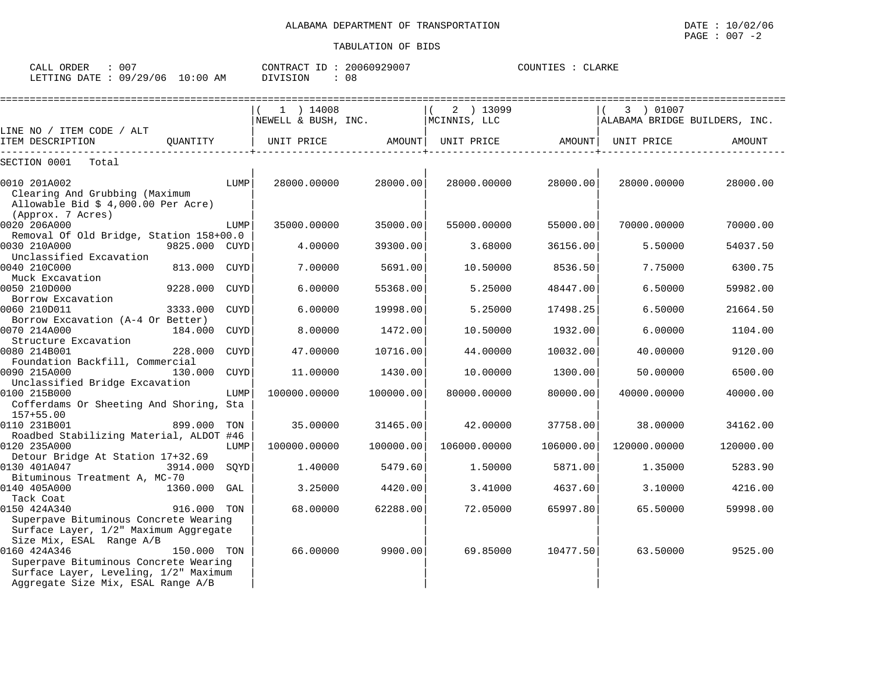| CALL ORDER                      | -007 | CONTRACT ID: 20060929007 |    | COUNTIES : CLARKE |  |
|---------------------------------|------|--------------------------|----|-------------------|--|
| LETTING DATE: 09/29/06 10:00 AM |      | DIVISION                 | 08 |                   |  |

|                                                                                                                                                     |             | ======================== |           |                   |           |                               |           |
|-----------------------------------------------------------------------------------------------------------------------------------------------------|-------------|--------------------------|-----------|-------------------|-----------|-------------------------------|-----------|
|                                                                                                                                                     |             | $(1)$ 14008              |           | 2 ) 13099         |           | 3 ) 01007                     |           |
|                                                                                                                                                     |             | NEWELL & BUSH, INC.      |           | MCINNIS, LLC      |           | ALABAMA BRIDGE BUILDERS, INC. |           |
| LINE NO / ITEM CODE / ALT<br>ITEM DESCRIPTION<br>. _ _ _ _ _ _ _ _ _ _ _ _ _                                                                        |             | OUANTITY   UNIT PRICE    | AMOUNT    | UNIT PRICE AMOUNT |           | UNIT PRICE                    | AMOUNT    |
| SECTION 0001<br>Total                                                                                                                               |             |                          |           |                   |           |                               |           |
| 0010 201A002<br>Clearing And Grubbing (Maximum                                                                                                      | LUMP        | 28000.00000              | 28000.00  | 28000.00000       | 28000.00  | 28000.00000                   | 28000.00  |
| Allowable Bid $$4,000.00$ Per Acre)<br>(Approx. 7 Acres)                                                                                            |             |                          |           |                   |           |                               |           |
| 0020 206A000                                                                                                                                        | LUMP        | 35000.00000              | 35000.00  | 55000.00000       | 55000.00  | 70000.00000                   | 70000.00  |
| Removal Of Old Bridge, Station 158+00.0                                                                                                             |             |                          |           |                   |           |                               |           |
| 0030 210A000<br>9825.000 CUYD<br>Unclassified Excavation                                                                                            |             | 4.00000                  | 39300.00  | 3.68000           | 36156.00  | 5.50000                       | 54037.50  |
| 0040 210C000<br>813.000 CUYD<br>Muck Excavation                                                                                                     |             | 7.00000                  | 5691.00   | 10.50000          | 8536.50   | 7.75000                       | 6300.75   |
| 0050 210D000<br>9228.000                                                                                                                            | CUYD        | 6.00000                  | 55368.00  | 5.25000           | 48447.00  | 6.50000                       | 59982.00  |
| Borrow Excavation<br>0060 210D011<br>3333.000                                                                                                       | CUYD        | 6.00000                  | 19998.00  | 5.25000           | 17498.25  | 6.50000                       | 21664.50  |
| Borrow Excavation (A-4 Or Better)<br>0070 214A000<br>184.000                                                                                        | CUYD        | 8.00000                  | 1472.00   | 10.50000          | 1932.00   | 6.00000                       | 1104.00   |
| Structure Excavation<br>0080 214B001<br>228,000                                                                                                     | <b>CUYD</b> | 47,00000                 | 10716.00  | 44.00000          | 10032.00  | 40.00000                      | 9120.00   |
| Foundation Backfill, Commercial<br>0090 215A000<br>130.000 CUYD                                                                                     |             | 11,00000                 | 1430.00   | 10.00000          | 1300.00   | 50.00000                      | 6500.00   |
| Unclassified Bridge Excavation<br>0100 215B000                                                                                                      | LUMP        | 100000.00000             | 100000.00 | 80000.00000       | 80000.00  | 40000.00000                   | 40000.00  |
| Cofferdams Or Sheeting And Shoring, Sta<br>$157 + 55.00$                                                                                            |             |                          |           |                   |           |                               |           |
| 0110 231B001<br>899.000<br>Roadbed Stabilizing Material, ALDOT #46                                                                                  | TON         | 35,00000                 | 31465.00  | 42.00000          | 37758.00  | 38,00000                      | 34162.00  |
| 0120 235A000                                                                                                                                        | LUMP        | 100000.00000             | 100000.00 | 106000.00000      | 106000.00 | 120000.00000                  | 120000.00 |
| Detour Bridge At Station 17+32.69<br>0130 401A047<br>3914.000                                                                                       | SOYD        | 1.40000                  | 5479.60   | 1.50000           | 5871.00   | 1.35000                       | 5283.90   |
| Bituminous Treatment A, MC-70<br>0140 405A000<br>1360.000 GAL                                                                                       |             | 3.25000                  | 4420.00   | 3.41000           | 4637.60   | 3.10000                       | 4216.00   |
| Tack Coat<br>0150 424A340<br>916.000 TON                                                                                                            |             | 68,00000                 | 62288.00  | 72.05000          | 65997.80  | 65.50000                      | 59998.00  |
| Superpave Bituminous Concrete Wearing<br>Surface Layer, 1/2" Maximum Aggregate<br>Size Mix, ESAL Range A/B                                          |             |                          |           |                   |           |                               |           |
| 0160 424A346<br>150.000 TON<br>Superpave Bituminous Concrete Wearing<br>Surface Layer, Leveling, 1/2" Maximum<br>Aggregate Size Mix, ESAL Range A/B |             | 66.00000                 | 9900.00   | 69.85000          | 10477.50  | 63.50000                      | 9525.00   |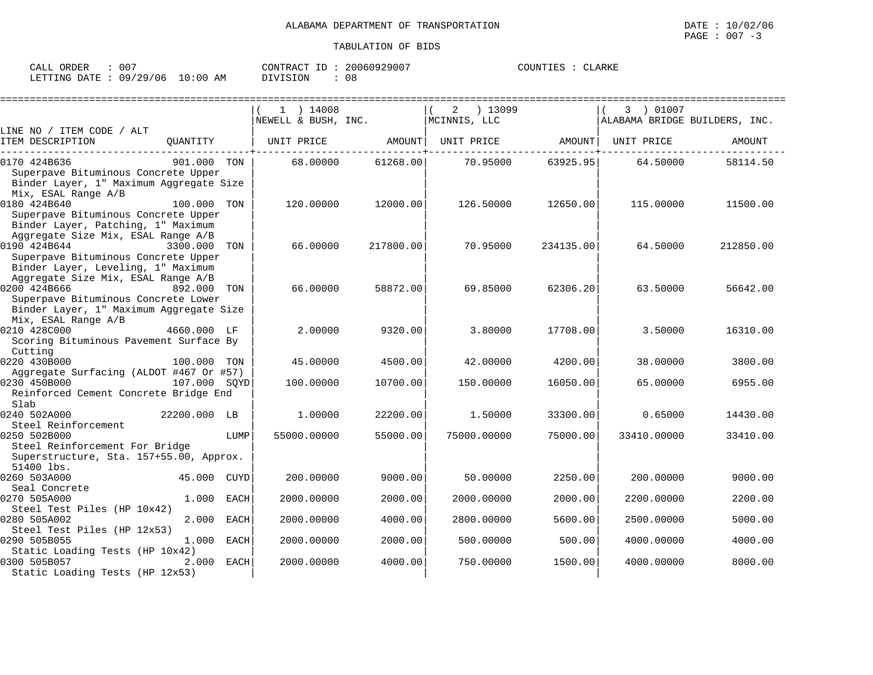CLARKE

| CALL ORDER : 007                |  | CONTRACT ID: 20060929007 |    | COUNTIES : CLARKE |  |
|---------------------------------|--|--------------------------|----|-------------------|--|
| LETTING DATE: 09/29/06 10:00 AM |  | DIVISION                 | 08 |                   |  |

|                                                                                                                 |              |             | $1$ ) 14008         |           | 13099<br>2        |           | 3 ) 01007                     |           |
|-----------------------------------------------------------------------------------------------------------------|--------------|-------------|---------------------|-----------|-------------------|-----------|-------------------------------|-----------|
|                                                                                                                 |              |             | NEWELL & BUSH, INC. |           | MCINNIS, LLC      |           | ALABAMA BRIDGE BUILDERS, INC. |           |
| LINE NO / ITEM CODE / ALT                                                                                       |              |             |                     |           |                   |           |                               |           |
| ITEM DESCRIPTION                                                                                                | OUANTITY     |             | UNIT PRICE          | AMOUNT    | UNIT PRICE AMOUNT |           | UNIT PRICE                    | AMOUNT    |
| 0170 424B636<br>Superpave Bituminous Concrete Upper<br>Binder Layer, 1" Maximum Aggregate Size                  | 901,000 TON  |             | 68,00000            | 61268.00  | 70.95000          | 63925.95  | 64.50000                      | 58114.50  |
| Mix, ESAL Range A/B                                                                                             |              |             |                     |           |                   |           |                               |           |
| 0180 424B640                                                                                                    | 100.000 TON  |             | 120,00000           | 12000.00  | 126.50000         | 12650.00  | 115,00000                     | 11500.00  |
| Superpave Bituminous Concrete Upper<br>Binder Layer, Patching, 1" Maximum<br>Aggregate Size Mix, ESAL Range A/B |              |             |                     |           |                   |           |                               |           |
| 0190 424B644<br>Superpave Bituminous Concrete Upper                                                             | 3300.000     | TON         | 66.00000            | 217800.00 | 70.95000          | 234135.00 | 64.50000                      | 212850.00 |
| Binder Layer, Leveling, 1" Maximum                                                                              |              |             |                     |           |                   |           |                               |           |
| Aggregate Size Mix, ESAL Range A/B<br>0200 424B666<br>Superpave Bituminous Concrete Lower                       | 892.000      | TON         | 66.00000            | 58872.00  | 69.85000          | 62306.20  | 63.50000                      | 56642.00  |
| Binder Layer, 1" Maximum Aggregate Size<br>Mix, ESAL Range A/B                                                  |              |             |                     |           |                   |           |                               |           |
| 0210 428C000<br>Scoring Bituminous Pavement Surface By                                                          | 4660.000 LF  |             | 2.00000             | 9320.00   | 3.80000           | 17708.00  | 3.50000                       | 16310.00  |
| Cutting                                                                                                         |              |             |                     |           |                   |           |                               |           |
| 0220 430B000                                                                                                    | 100.000 TON  |             | 45.00000            | 4500.00   | 42.00000          | 4200.00   | 38,00000                      | 3800.00   |
| Aggregate Surfacing (ALDOT #467 Or #57)                                                                         |              |             |                     |           |                   |           |                               |           |
| 0230 450B000<br>Reinforced Cement Concrete Bridge End<br>Slab                                                   | 107.000 SOYD |             | 100.00000           | 10700.00  | 150.00000         | 16050.00  | 65,00000                      | 6955.00   |
| 0240 502A000                                                                                                    | 22200.000 LB |             | 1,00000             | 22200.00  | 1.50000           | 33300.00  | 0.65000                       | 14430.00  |
| Steel Reinforcement                                                                                             |              |             |                     |           |                   |           |                               |           |
| 0250 502B000                                                                                                    |              | LUMP        | 55000.00000         | 55000.00  | 75000.00000       | 75000.00  | 33410.00000                   | 33410.00  |
| Steel Reinforcement For Bridge                                                                                  |              |             |                     |           |                   |           |                               |           |
| Superstructure, Sta. 157+55.00, Approx.<br>51400 lbs.                                                           |              |             |                     |           |                   |           |                               |           |
| 0260 503A000                                                                                                    | 45.000 CUYD  |             | 200.00000           | 9000.00   | 50.00000          | 2250.00   | 200.00000                     | 9000.00   |
| Seal Concrete                                                                                                   |              |             |                     |           |                   |           |                               |           |
| 0270 505A000                                                                                                    | 1.000        | <b>EACH</b> | 2000.00000          | 2000.00   | 2000.00000        | 2000.00   | 2200.00000                    | 2200.00   |
| Steel Test Piles (HP 10x42)                                                                                     |              |             |                     |           |                   |           |                               |           |
| 0280 505A002                                                                                                    | 2.000        | <b>EACH</b> | 2000.00000          | 4000.00   | 2800.00000        | 5600.00   | 2500.00000                    | 5000.00   |
| Steel Test Piles (HP 12x53)                                                                                     |              |             |                     |           |                   |           |                               |           |
| 0290 505B055                                                                                                    | 1.000        | EACH        | 2000.00000          | 2000.00   | 500.00000         | 500.00    | 4000.00000                    | 4000.00   |
| Static Loading Tests (HP 10x42)<br>0300 505B057                                                                 | 2.000 EACH   |             | 2000.00000          | 4000.00   | 750.00000         | 1500.00   | 4000.00000                    | 8000.00   |
| Static Loading Tests (HP 12x53)                                                                                 |              |             |                     |           |                   |           |                               |           |
|                                                                                                                 |              |             |                     |           |                   |           |                               |           |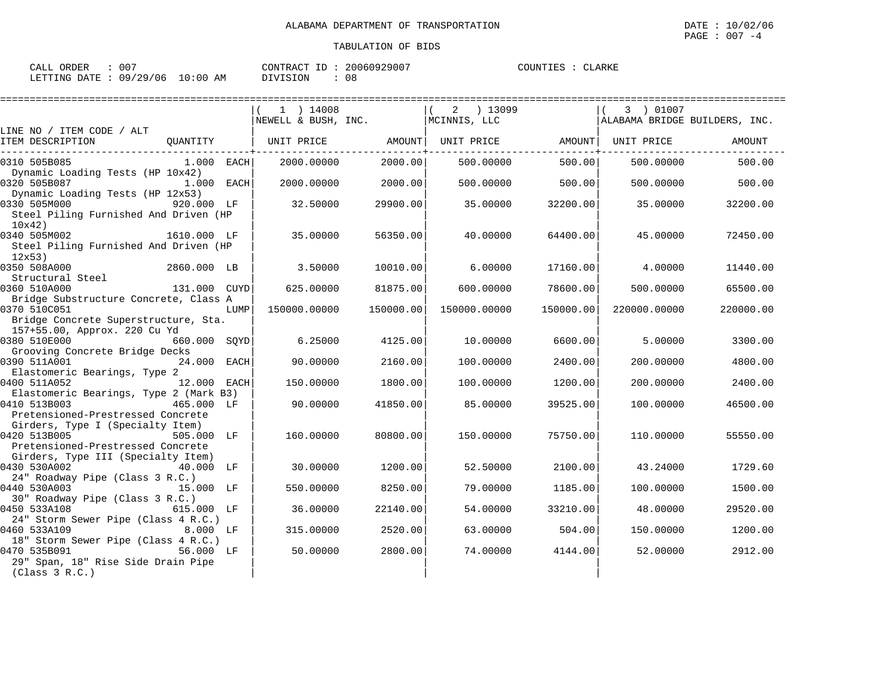| CALL ORDER : 007                |  | CONTRACT ID: 20060929007 |    | COUNTIES : CLARKE |  |
|---------------------------------|--|--------------------------|----|-------------------|--|
| LETTING DATE: 09/29/06 10:00 AM |  | DIVISION                 | 08 |                   |  |

|                                                                                               |              |      | 1 ) 14008                    |           | 2 ) 13099    |                   | 3 ) 01007                      |           |
|-----------------------------------------------------------------------------------------------|--------------|------|------------------------------|-----------|--------------|-------------------|--------------------------------|-----------|
|                                                                                               |              |      | NEWELL & BUSH, INC.          |           | MCINNIS, LLC |                   | ALABAMA BRIDGE BUILDERS, INC.  |           |
| LINE NO / ITEM CODE / ALT<br>ITEM DESCRIPTION                                                 |              |      | QUANTITY   UNIT PRICE AMOUNT |           |              | -------------+--- | UNIT PRICE AMOUNT   UNIT PRICE | AMOUNT    |
| 0310 505B085                                                                                  | 1.000 EACH   |      | 2000.00000                   | 2000.00   | 500.00000    | 500.00            | 500.00000                      | 500.00    |
| Dynamic Loading Tests (HP 10x42)<br>0320 505B087                                              | $1.000$ EACH |      | 2000.00000                   | 2000.00   | 500.00000    | 500.00            | 500.00000                      | 500.00    |
| Dynamic Loading Tests (HP 12x53)<br>0330 505M000<br>Steel Piling Furnished And Driven (HP     | 920.000 LF   |      | 32.50000                     | 29900.00  | 35.00000     | 32200.00          | 35.00000                       | 32200.00  |
| 10x42)<br>0340 505M002<br>Steel Piling Furnished And Driven (HP                               | 1610.000 LF  |      | 35,00000                     | 56350.00  | 40.00000     | 64400.00          | 45.00000                       | 72450.00  |
| 12x53)<br>0350 508A000                                                                        | 2860.000 LB  |      | 3.50000                      | 10010.00  | 6.00000      | 17160.00          | 4.00000                        | 11440.00  |
| Structural Steel<br>0360 510A000                                                              | 131.000 CUYD |      | 625.00000                    | 81875.00  | 600,00000    | 78600.00          | 500.00000                      | 65500.00  |
| Bridge Substructure Concrete, Class A<br>0370 510C051<br>Bridge Concrete Superstructure, Sta. |              | LUMP | 150000.00000                 | 150000.00 | 150000.00000 | 150000.001        | 220000.00000                   | 220000.00 |
| 157+55.00, Approx. 220 Cu Yd<br>0380 510E000 660.000 SOYD<br>Grooving Concrete Bridge Decks   |              |      | 6.25000                      | 4125.00   | 10.00000     | 6600.00           | 5,00000                        | 3300.00   |
| 0390 511A001<br>Elastomeric Bearings, Type 2                                                  | 24.000 EACH  |      | 90.00000                     | 2160.00   | 100.00000    | 2400.00           | 200.00000                      | 4800.00   |
| 0400 511A052<br>Elastomeric Bearings, Type 2 (Mark B3)                                        | 12.000 EACH  |      | 150.00000                    | 1800.00   | 100.00000    | 1200.00           | 200,00000                      | 2400.00   |
| 0410 513B003<br>465.000 LF<br>Pretensioned-Prestressed Concrete                               |              |      | 90.00000                     | 41850.00  | 85.00000     | 39525.00          | 100.00000                      | 46500.00  |
| Girders, Type I (Specialty Item)<br>0420 513B005<br>Pretensioned-Prestressed Concrete         | 505.000 LF   |      | 160.00000                    | 80800.00  | 150.00000    | 75750.00          | 110.00000                      | 55550.00  |
| Girders, Type III (Specialty Item)<br>0430 530A002<br>24" Roadway Pipe (Class 3 R.C.)         | 40.000 LF    |      | 30.00000                     | 1200.00   | 52.50000     | 2100.00           | 43.24000                       | 1729.60   |
| 0440 530A003<br>30" Roadway Pipe (Class 3 R.C.)                                               | 15.000 LF    |      | 550.00000                    | 8250.00   | 79.00000     | 1185.00           | 100.00000                      | 1500.00   |
| 0450 533A108 615.000 LF<br>24" Storm Sewer Pipe (Class 4 R.C.)                                |              |      | 36.00000                     | 22140.00  | 54.00000     | 33210.00          | 48.00000                       | 29520.00  |
| 0460 533A109<br>18" Storm Sewer Pipe (Class 4 R.C.)                                           | 8.000 LF     |      | 315,00000                    | 2520.00   | 63.00000     | 504.00            | 150.00000                      | 1200.00   |
| 0470 535B091<br>29" Span, 18" Rise Side Drain Pipe<br>(Class 3 R.C.)                          | 56.000 LF    |      | 50.00000                     | 2800.00   | 74.00000     | 4144.00           | 52.00000                       | 2912.00   |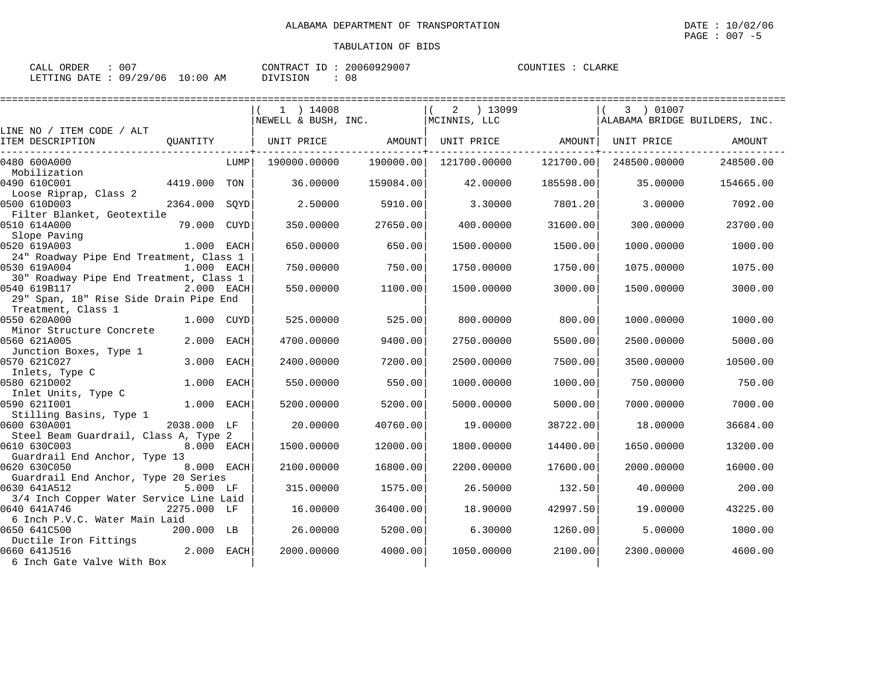| CALL ORDER : 007                |  | CONTRACT ID: 20060929007 |    | COUNTIES : CLARKE |  |
|---------------------------------|--|--------------------------|----|-------------------|--|
| LETTING DATE: 09/29/06 10:00 AM |  | DIVISION                 | 08 |                   |  |

|                                         |              |      |                     |           |                   |           |              | ------------------------------ |
|-----------------------------------------|--------------|------|---------------------|-----------|-------------------|-----------|--------------|--------------------------------|
|                                         |              |      | $1$ ) 14008         |           | $2 \t) 13099$     |           | 3 01007      |                                |
|                                         |              |      | NEWELL & BUSH, INC. |           | MCINNIS, LLC      |           |              | ALABAMA BRIDGE BUILDERS, INC.  |
| LINE NO / ITEM CODE / ALT               |              |      |                     |           |                   |           |              |                                |
| ITEM DESCRIPTION                        | OUANTITY     |      | UNIT PRICE AMOUNT   |           | UNIT PRICE AMOUNT |           | UNIT PRICE   | AMOUNT                         |
| 0480 600A000                            |              | LUMP | 190000.00000        | 190000.00 | 121700.00000      | 121700.00 | 248500.00000 | 248500.00                      |
| Mobilization                            |              |      |                     |           |                   |           |              |                                |
| 0490 610C001                            | 4419.000 TON |      | 36,00000            | 159084.00 | 42.00000          | 185598.00 | 35,00000     | 154665.00                      |
| Loose Riprap, Class 2                   |              |      |                     |           |                   |           |              |                                |
| 0500 610D003                            | 2364.000     | SOYD | 2.50000             | 5910.00   | 3.30000           | 7801.20   | 3.00000      | 7092.00                        |
| Filter Blanket, Geotextile              |              |      |                     |           |                   |           |              |                                |
| 0510 614A000                            | 79.000 CUYD  |      | 350,00000           | 27650.00  | 400,00000         | 31600.00  | 300,00000    | 23700.00                       |
| Slope Paving                            |              |      |                     |           |                   |           |              |                                |
| 0520 619A003                            | 1.000 EACH   |      | 650.00000           | 650.00    | 1500.00000        | 1500.00   | 1000.00000   | 1000.00                        |
| 24" Roadway Pipe End Treatment, Class 1 |              |      |                     |           |                   |           |              |                                |
| 0530 619A004                            | 1.000 EACH   |      | 750.00000           | 750.00    | 1750.00000        | 1750.00   | 1075.00000   | 1075.00                        |
| 30" Roadway Pipe End Treatment, Class 1 |              |      |                     |           |                   |           |              |                                |
| 0540 619B117                            | 2.000 EACH   |      | 550.00000           | 1100.00   | 1500.00000        | 3000.00   | 1500.00000   | 3000.00                        |
| 29" Span, 18" Rise Side Drain Pipe End  |              |      |                     |           |                   |           |              |                                |
| Treatment, Class 1                      |              |      |                     |           |                   |           |              |                                |
| 0550 620A000                            | 1.000 CUYD   |      | 525,00000           | 525.00    | 800,00000         | 800.00    | 1000.00000   | 1000.00                        |
| Minor Structure Concrete                |              |      |                     |           |                   |           |              |                                |
| 0560 621A005                            | 2.000 EACH   |      | 4700.00000          | 9400.00   | 2750.00000        | 5500.00   | 2500.00000   | 5000.00                        |
| Junction Boxes, Type 1                  |              |      |                     |           |                   |           |              |                                |
| 0570 621C027                            | 3.000 EACH   |      | 2400.00000          | 7200.00   | 2500.00000        | 7500.00   | 3500.00000   | 10500.00                       |
| Inlets, Type C                          |              |      |                     |           |                   |           |              |                                |
| 0580 621D002                            | 1.000        | EACH | 550.00000           | 550.00    | 1000.00000        | 1000.00   | 750.00000    | 750.00                         |
| Inlet Units, Type C                     |              |      |                     |           |                   |           |              |                                |
| 0590 6211001                            | 1.000 EACH   |      | 5200.00000          | 5200.00   | 5000.00000        | 5000.00   | 7000.00000   | 7000.00                        |
| Stilling Basins, Type 1                 |              |      |                     |           |                   |           |              |                                |
| 0600 630A001                            | 2038.000 LF  |      | 20,00000            | 40760.00  | 19,00000          | 38722.00  | 18,00000     | 36684.00                       |
| Steel Beam Guardrail, Class A, Type 2   |              |      |                     |           |                   |           |              |                                |
| 0610 630C003                            | 8.000 EACH   |      | 1500.00000          | 12000.00  | 1800.00000        | 14400.00  | 1650.00000   | 13200.00                       |
| Guardrail End Anchor, Type 13           |              |      |                     |           |                   |           |              |                                |
| 0620 630C050                            | 8.000 EACH   |      | 2100.00000          | 16800.00  | 2200.00000        | 17600.00  | 2000.00000   | 16000.00                       |
| Guardrail End Anchor, Type 20 Series    |              |      |                     |           |                   |           |              |                                |
| 0630 641A512                            | 5.000 LF     |      | 315,00000           | 1575.00   | 26.50000          | 132.50    | 40.00000     | 200.00                         |
| 3/4 Inch Copper Water Service Line Laid |              |      |                     |           |                   |           |              |                                |
| 0640 641A746                            | 2275.000 LF  |      | 16.00000            | 36400.00  | 18.90000          | 42997.50  | 19.00000     | 43225.00                       |
| 6 Inch P.V.C. Water Main Laid           |              |      |                     |           |                   |           |              |                                |
| 0650 641C500                            | 200.000 LB   |      | 26,00000            | 5200.00   | 6.30000           | 1260.00   | 5.00000      | 1000.00                        |
| Ductile Iron Fittings                   |              |      |                     |           |                   |           |              |                                |
| 0660 641J516                            | 2.000 EACH   |      | 2000.00000          | 4000.00   | 1050.00000        | 2100.00   | 2300.00000   | 4600.00                        |
| 6 Inch Gate Valve With Box              |              |      |                     |           |                   |           |              |                                |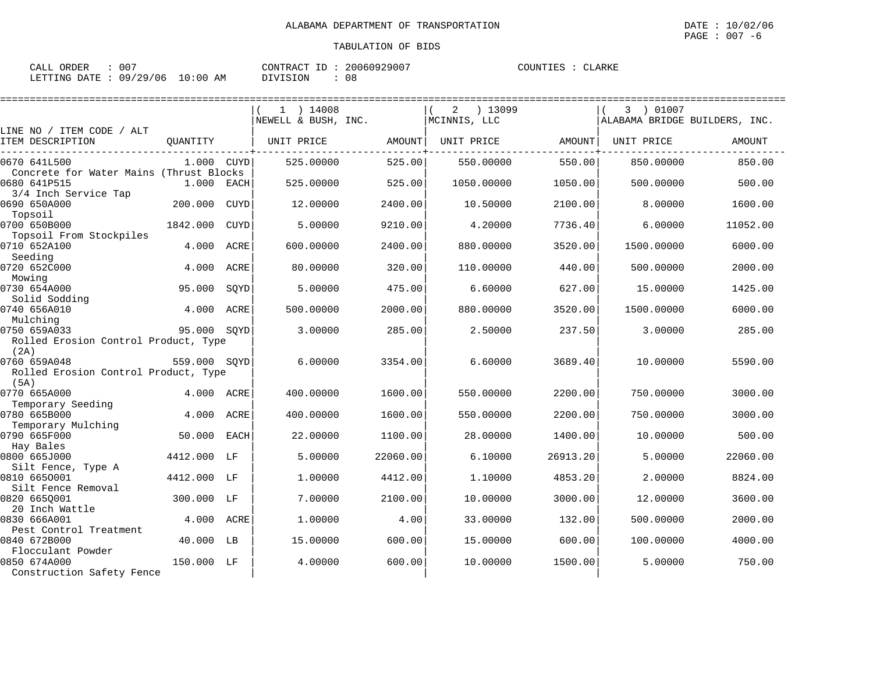| CALL ORDER : 007                |  | CONTRACT ID: 20060929007 |    | COUNTIES : CLARKE |  |
|---------------------------------|--|--------------------------|----|-------------------|--|
| LETTING DATE: 09/29/06 10:00 AM |  | DIVISION                 | 08 |                   |  |

|                                                              |              |             | $1$ ) 14008         |          | ) 13099<br>2 |          | 3 ) 01007                     |          |
|--------------------------------------------------------------|--------------|-------------|---------------------|----------|--------------|----------|-------------------------------|----------|
|                                                              |              |             | NEWELL & BUSH, INC. |          | MCINNIS, LLC |          | ALABAMA BRIDGE BUILDERS, INC. |          |
| LINE NO / ITEM CODE / ALT<br>ITEM DESCRIPTION                | OUANTITY     |             | UNIT PRICE          | AMOUNT   | UNIT PRICE   | AMOUNT   | UNIT PRICE                    | AMOUNT   |
| 0670 641L500<br>Concrete for Water Mains (Thrust Blocks      | 1.000 CUYD   |             | 525.00000           | 525.00   | 550.00000    | 550.00   | 850.00000                     | 850.00   |
| 0680 641P515                                                 | 1.000        | EACH        | 525.00000           | 525.00   | 1050.00000   | 1050.00  | 500.00000                     | 500.00   |
| 3/4 Inch Service Tap<br>0690 650A000<br>Topsoil              | 200.000      | CUYD        | 12,00000            | 2400.00  | 10.50000     | 2100.00  | 8,00000                       | 1600.00  |
| 0700 650B000<br>Topsoil From Stockpiles                      | 1842.000     | <b>CUYD</b> | 5.00000             | 9210.00  | 4.20000      | 7736.40  | 6.00000                       | 11052.00 |
| 0710 652A100<br>Seeding                                      | 4.000        | ACRE        | 600,00000           | 2400.00  | 880.00000    | 3520.00  | 1500.00000                    | 6000.00  |
| 0720 652C000<br>Mowing                                       | 4.000        | ACRE        | 80.00000            | 320.00   | 110.00000    | 440.00   | 500.00000                     | 2000.00  |
| 0730 654A000<br>Solid Sodding                                | 95.000       | SQYD        | 5.00000             | 475.00   | 6.60000      | 627.00   | 15.00000                      | 1425.00  |
| 0740 656A010<br>Mulching                                     | 4.000        | ACRE        | 500.00000           | 2000.00  | 880.00000    | 3520.00  | 1500.00000                    | 6000.00  |
| 0750 659A033<br>Rolled Erosion Control Product, Type         | 95.000 SQYD  |             | 3.00000             | 285.00   | 2.50000      | 237.50   | 3.00000                       | 285.00   |
| (2A)<br>0760 659A048<br>Rolled Erosion Control Product, Type | 559.000 SOYD |             | 6.00000             | 3354.00  | 6.60000      | 3689.40  | 10,00000                      | 5590.00  |
| (5A)<br>0770 665A000                                         | 4.000        | ACRE        | 400.00000           | 1600.00  | 550.00000    | 2200.00  | 750.00000                     | 3000.00  |
| Temporary Seeding<br>0780 665B000                            | 4.000        | ACRE        | 400.00000           | 1600.00  | 550.00000    | 2200.00  | 750.00000                     | 3000.00  |
| Temporary Mulching<br>0790 665F000                           | 50.000       | EACH        | 22.00000            | 1100.00  | 28.00000     | 1400.00  | 10,00000                      | 500.00   |
| Hay Bales<br>0800 665J000                                    | 4412.000     | LF          | 5.00000             | 22060.00 | 6.10000      | 26913.20 | 5.00000                       | 22060.00 |
| Silt Fence, Type A<br>0810 6650001<br>Silt Fence Removal     | 4412.000     | LF          | 1,00000             | 4412.00  | 1.10000      | 4853.20  | 2.00000                       | 8824.00  |
| 0820 6650001<br>20 Inch Wattle                               | 300.000      | LF          | 7.00000             | 2100.00  | 10.00000     | 3000.00  | 12.00000                      | 3600.00  |
| 0830 666A001<br>Pest Control Treatment                       | 4.000        | ACRE        | 1,00000             | 4.00     | 33.00000     | 132.00   | 500.00000                     | 2000.00  |
| 0840 672B000<br>Flocculant Powder                            | 40.000       | LB          | 15.00000            | 600.00   | 15.00000     | 600.00   | 100.00000                     | 4000.00  |
| 0850 674A000<br>Construction Safety Fence                    | 150.000      | LF          | 4.00000             | 600.00   | 10.00000     | 1500.00  | 5.00000                       | 750.00   |
|                                                              |              |             |                     |          |              |          |                               |          |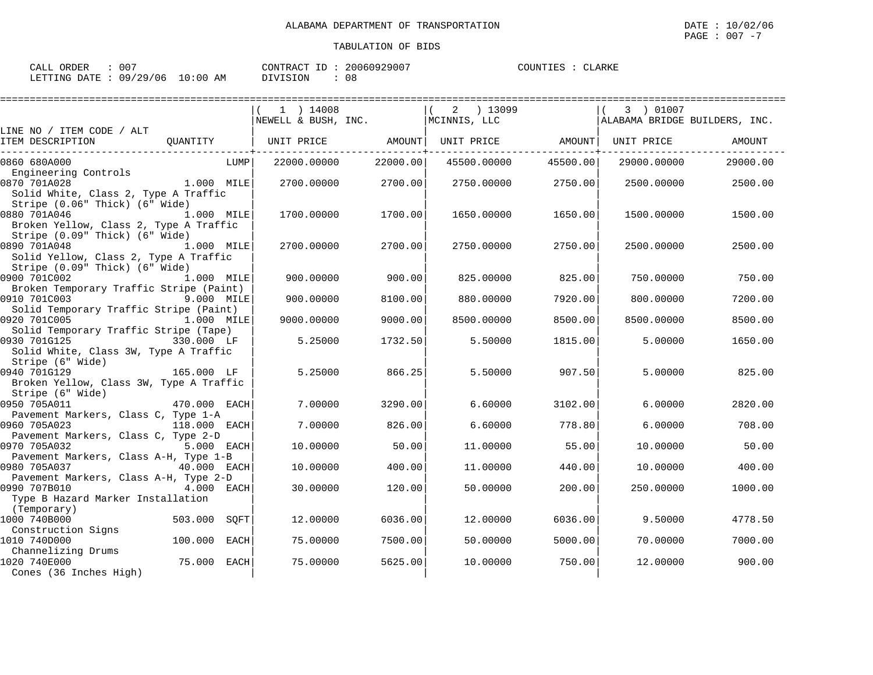| CALL ORDER                      | 007 | CONTRACT ID: | 20060929007 | COUNTIES : CLARKE |  |
|---------------------------------|-----|--------------|-------------|-------------------|--|
| LETTING DATE: 09/29/06 10:00 AM |     | DIVISION     | 08          |                   |  |

|                                                                                                                |                 | $1$ ) $14008$<br>NEWELL & BUSH, INC. |          | 2 ) 13099<br>MCINNIS, LLC |          | 3 ) 01007<br>ALABAMA BRIDGE BUILDERS, INC. |               |
|----------------------------------------------------------------------------------------------------------------|-----------------|--------------------------------------|----------|---------------------------|----------|--------------------------------------------|---------------|
| LINE NO / ITEM CODE / ALT<br>ITEM DESCRIPTION                                                                  | QUANTITY        | UNIT PRICE                           | AMOUNT   | UNIT PRICE                | AMOUNT   | UNIT PRICE                                 | <b>AMOUNT</b> |
| 0860 680A000                                                                                                   | LUMP            | 22000.00000                          | 22000.00 | 45500.00000               | 45500.00 | 29000.00000                                | 29000.00      |
| Engineering Controls<br>0870 701A028<br>Solid White, Class 2, Type A Traffic<br>Stripe (0.06" Thick) (6" Wide) | 1.000 MILE      | 2700.00000                           | 2700.00  | 2750.00000                | 2750.00  | 2500.00000                                 | 2500.00       |
| 0880 701A046<br>Broken Yellow, Class 2, Type A Traffic<br>Stripe (0.09" Thick) (6" Wide)                       | 1.000 MILE      | 1700.00000                           | 1700.00  | 1650.00000                | 1650.00  | 1500.00000                                 | 1500.00       |
| 0890 701A048<br>Solid Yellow, Class 2, Type A Traffic<br>Stripe (0.09" Thick) (6" Wide)                        | 1.000 MILE      | 2700.00000                           | 2700.00  | 2750.00000                | 2750.00  | 2500.00000                                 | 2500.00       |
| 0900 701C002                                                                                                   | 1.000 MILE      | 900.00000                            | 900.00   | 825.00000                 | 825.00   | 750.00000                                  | 750.00        |
| Broken Temporary Traffic Stripe (Paint)<br>0910 701C003                                                        | 9.000 MILE      | 900.00000                            | 8100.00  | 880.00000                 | 7920.00  | 800.00000                                  | 7200.00       |
| Solid Temporary Traffic Stripe (Paint)<br>0920 701C005                                                         | 1.000 MILE      | 9000.00000                           | 9000.00  | 8500.00000                | 8500.00  | 8500.00000                                 | 8500.00       |
| Solid Temporary Traffic Stripe (Tape)<br>0930 701G125<br>Solid White, Class 3W, Type A Traffic                 | 330.000 LF      | 5.25000                              | 1732.50  | 5.50000                   | 1815.00  | 5.00000                                    | 1650.00       |
| Stripe (6" Wide)<br>0940 701G129<br>Broken Yellow, Class 3W, Type A Traffic<br>Stripe (6" Wide)                | 165.000 LF      | 5.25000                              | 866.25   | 5.50000                   | 907.50   | 5.00000                                    | 825.00        |
| 0950 705A011                                                                                                   | 470.000 EACH    | 7.00000                              | 3290.00  | 6.60000                   | 3102.00  | 6.00000                                    | 2820.00       |
| Pavement Markers, Class C, Type 1-A<br>0960 705A023                                                            | 118.000 EACH    | 7.00000                              | 826.00   | 6.60000                   | 778.80   | 6.00000                                    | 708.00        |
| Pavement Markers, Class C, Type 2-D<br>0970 705A032                                                            | 5.000 EACH      | 10.00000                             | 50.00    | 11,00000                  | 55.00    | 10,00000                                   | 50.00         |
| Pavement Markers, Class A-H, Type 1-B<br>0980 705A037                                                          | 40.000 EACH     | 10.00000                             | 400.00   | 11,00000                  | 440.00   | 10,00000                                   | 400.00        |
| Pavement Markers, Class A-H, Type 2-D<br>0990 707B010                                                          | 4.000 EACH      | 30.00000                             | 120.00   | 50.00000                  | 200.00   | 250.00000                                  | 1000.00       |
| Type B Hazard Marker Installation<br>(Temporary)<br>1000 740B000                                               | 503.000<br>SOFT | 12,00000                             | 6036.00  | 12.00000                  | 6036.00  | 9.50000                                    | 4778.50       |
| Construction Signs<br>1010 740D000                                                                             | 100.000<br>EACH | 75.00000                             | 7500.00  | 50.00000                  | 5000.00  | 70.00000                                   | 7000.00       |
| Channelizing Drums<br>1020 740E000<br>Cones (36 Inches High)                                                   | 75.000 EACH     | 75.00000                             | 5625.00  | 10.00000                  | 750.00   | 12.00000                                   | 900.00        |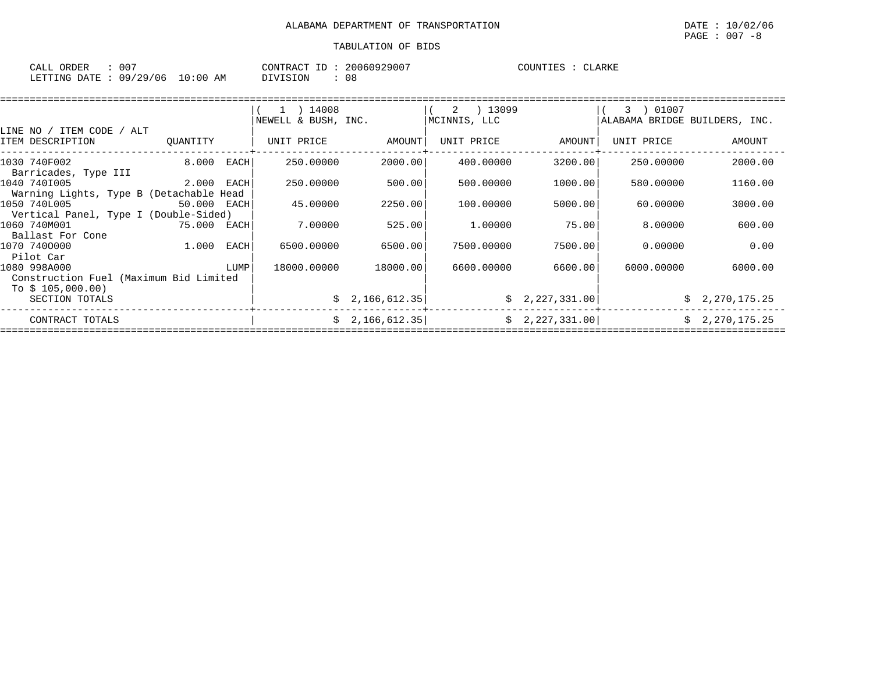| CALL ORDER                       | 007 | CONTRACT ID: | 20060929007 | COUNTIES | CLARKE |
|----------------------------------|-----|--------------|-------------|----------|--------|
| LETTING DATE : 09/29/06 10:00 AM |     | DIVISION     | 08          |          |        |

|                                         |             |      | $1$ ) 14008<br>NEWELL & BUSH, INC. |                 | 2 ) 13099<br>MCINNIS, LLC |                | 01007<br>$3 \rightarrow$<br>ALABAMA BRIDGE BUILDERS, INC. |                |
|-----------------------------------------|-------------|------|------------------------------------|-----------------|---------------------------|----------------|-----------------------------------------------------------|----------------|
| LINE NO / ITEM CODE / ALT               |             |      |                                    |                 |                           |                |                                                           |                |
| ITEM DESCRIPTION                        | OUANTITY    |      | UNIT PRICE                         | AMOUNT          | UNIT PRICE                | AMOUNT         | UNIT PRICE                                                | AMOUNT         |
| 1030 740F002<br>Barricades, Type III    | 8.000       | EACH | 250.00000                          | 2000.00         | 400.00000                 | 3200.00        | 250.00000                                                 | 2000.00        |
| 1040 7401005                            | 2.000       | EACH | 250.00000                          | 500.00          | 500.00000                 | 1000.00        | 580.00000                                                 | 1160.00        |
| Warning Lights, Type B (Detachable Head |             |      |                                    |                 |                           |                |                                                           |                |
| 1050 740L005                            | 50.000 EACH |      | 45.00000                           | 2250.00         | 100,00000                 | 5000.00        | 60,00000                                                  | 3000.00        |
| Vertical Panel, Type I (Double-Sided)   |             |      |                                    |                 |                           |                |                                                           |                |
| 1060 740M001                            | 75.000 EACH |      | 7.00000                            | 525.00          | 1,00000                   | 75.00          | 8,00000                                                   | 600.00         |
| Ballast For Cone                        |             |      |                                    |                 |                           |                |                                                           |                |
| 1070 7400000                            | 1.000       | EACH | 6500.00000                         | 6500.00         | 7500.00000                | 7500.00        | 0.00000                                                   | 0.00           |
| Pilot Car                               |             |      |                                    |                 |                           |                |                                                           |                |
| 1080 998A000                            |             | LUMP | 18000.00000                        | 18000.00        | 6600,00000                | 6600.00        | 6000.00000                                                | 6000.00        |
| Construction Fuel (Maximum Bid Limited  |             |      |                                    |                 |                           |                |                                                           |                |
| To $$105,000.00)$                       |             |      |                                    |                 |                           |                |                                                           |                |
| SECTION TOTALS                          |             |      |                                    | \$2,166,612.35] |                           | \$2,227,331.00 | Ŝ.                                                        | 2,270,175.25   |
| CONTRACT TOTALS                         |             |      |                                    | \$2,166,612.35] |                           | \$2,227,331.00 |                                                           | \$2,270,175.25 |
|                                         |             |      |                                    |                 |                           |                |                                                           |                |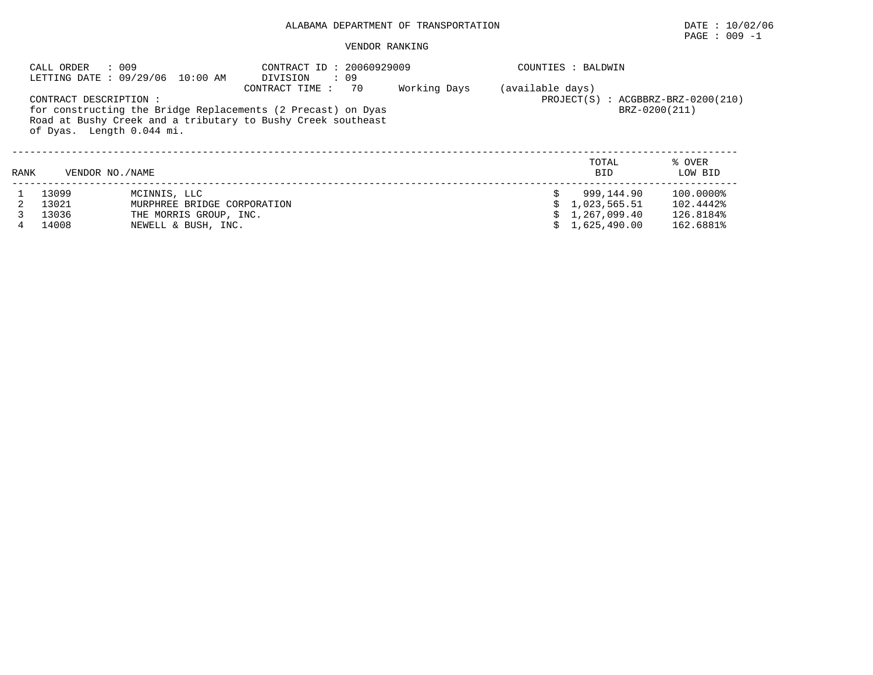|      | : 009<br>CALL ORDER                                 | LETTING DATE: 09/29/06 10:00 AM | CONTRACT ID: 20060929009<br>$\cdot$ 09<br>DIVISION                                                                                                   |              |                  | COUNTIES : BALDWIN                                      |                   |
|------|-----------------------------------------------------|---------------------------------|------------------------------------------------------------------------------------------------------------------------------------------------------|--------------|------------------|---------------------------------------------------------|-------------------|
|      | CONTRACT DESCRIPTION :<br>of Dyas. Length 0.044 mi. |                                 | CONTRACT TIME:<br>70<br>for constructing the Bridge Replacements (2 Precast) on Dyas<br>Road at Bushy Creek and a tributary to Bushy Creek southeast | Working Days | (available days) | $PROJECT(S)$ : $ACGBBRZ-BRZ-0200(210)$<br>BRZ-0200(211) |                   |
| RANK | VENDOR NO. / NAME                                   |                                 |                                                                                                                                                      |              |                  | TOTAL<br>BID                                            | % OVER<br>LOW BID |
|      | 13099                                               | MCINNIS, LLC                    |                                                                                                                                                      |              |                  | 999.144.90                                              | 100.0000%         |
|      | 13021                                               | MURPHREE BRIDGE CORPORATION     |                                                                                                                                                      |              |                  | 1,023,565.51                                            | 102.4442%         |
|      | 13036                                               | THE MORRIS GROUP, INC.          |                                                                                                                                                      |              |                  | 1,267,099.40                                            | 126.8184%         |
| 4    | 14008                                               | NEWELL & BUSH, INC.             |                                                                                                                                                      |              |                  | 1,625,490.00                                            | 162.6881%         |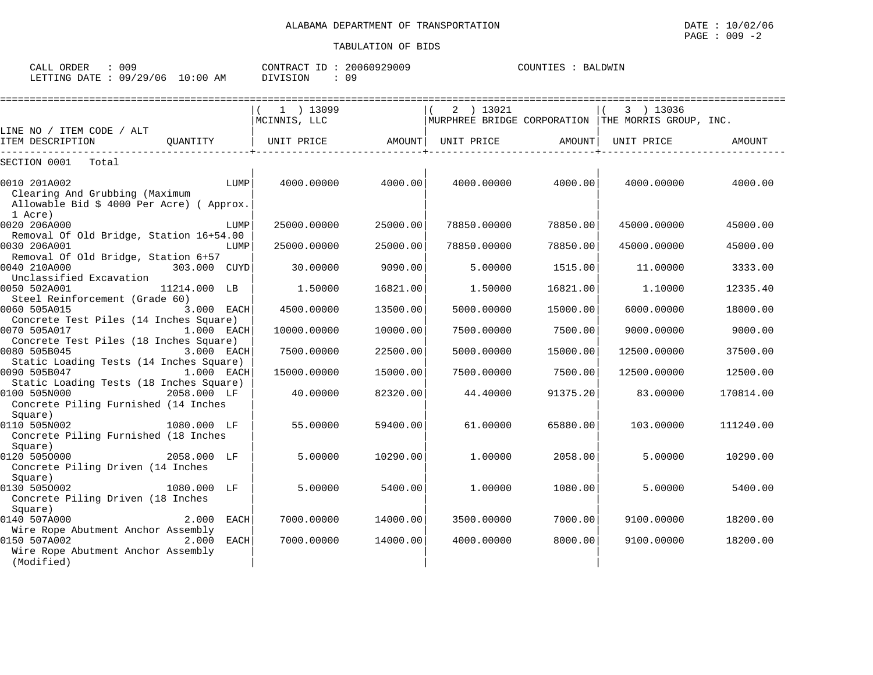| CALL ORDER                      | 009 |          | CONTRACT ID: 20060929009 | COUNTIES : BALDWIN |  |
|---------------------------------|-----|----------|--------------------------|--------------------|--|
| LETTING DATE: 09/29/06 10:00 AM |     | DIVISION | 09                       |                    |  |

|                                                                                                            |              |             | $1$ ) 13099       |          | 2 ) 13021   |          | 3 ) 13036                                          |           |
|------------------------------------------------------------------------------------------------------------|--------------|-------------|-------------------|----------|-------------|----------|----------------------------------------------------|-----------|
|                                                                                                            |              |             | MCINNIS, LLC      |          |             |          | MURPHREE BRIDGE CORPORATION THE MORRIS GROUP, INC. |           |
| LINE NO / ITEM CODE / ALT<br>ITEM DESCRIPTION                                                              | OUANTITY     |             | UNIT PRICE AMOUNT |          | UNIT PRICE  | AMOUNT   | UNIT PRICE                                         | AMOUNT    |
| SECTION 0001<br>Total                                                                                      |              |             |                   |          |             |          |                                                    |           |
| 0010 201A002<br>Clearing And Grubbing (Maximum<br>Allowable Bid \$ 4000 Per Acre) ( Approx.                |              | LUMP        | 4000.00000        | 4000.00  | 4000.00000  | 4000.00  | 4000.00000                                         | 4000.00   |
| 1 Acre)<br>0020 206A000                                                                                    |              | LUMP        | 25000.00000       | 25000.00 | 78850.00000 | 78850.00 | 45000.00000                                        | 45000.00  |
| Removal Of Old Bridge, Station 16+54.00                                                                    |              |             |                   |          |             |          |                                                    |           |
| 0030 206A001<br>Removal Of Old Bridge, Station 6+57                                                        |              | LUMP        | 25000.00000       | 25000.00 | 78850.00000 | 78850.00 | 45000.00000                                        | 45000.00  |
| 0040 210A000<br>Unclassified Excavation                                                                    | 303.000 CUYD |             | 30,00000          | 9090.00  | 5.00000     | 1515.00  | 11,00000                                           | 3333.00   |
| 0050 502A001<br>Steel Reinforcement (Grade 60)                                                             | 11214.000 LB |             | 1.50000           | 16821.00 | 1,50000     | 16821.00 | 1,10000                                            | 12335.40  |
| 0060 505A015                                                                                               | 3.000 EACH   |             | 4500.00000        | 13500.00 | 5000.00000  | 15000.00 | 6000.00000                                         | 18000.00  |
| Concrete Test Piles (14 Inches Square)<br>0070 505A017                                                     | 1.000 EACH   |             | 10000.00000       | 10000.00 | 7500.00000  | 7500.00  | 9000.00000                                         | 9000.00   |
| Concrete Test Piles (18 Inches Square)<br>0080 505B045                                                     | 3.000 EACH   |             | 7500.00000        | 22500.00 | 5000.00000  | 15000.00 | 12500.00000                                        | 37500.00  |
| Static Loading Tests (14 Inches Square)<br>0090 505B047                                                    | 1.000 EACH   |             | 15000.00000       | 15000.00 | 7500.00000  | 7500.00  | 12500.00000                                        | 12500.00  |
| Static Loading Tests (18 Inches Square)<br>0100 505N000<br>Concrete Piling Furnished (14 Inches<br>Square) | 2058.000 LF  |             | 40.00000          | 82320.00 | 44.40000    | 91375.20 | 83.00000                                           | 170814.00 |
| 0110 505N002<br>Concrete Piling Furnished (18 Inches                                                       | 1080.000 LF  |             | 55.00000          | 59400.00 | 61,00000    | 65880.00 | 103,00000                                          | 111240.00 |
| Square)<br>0120 5050000<br>Concrete Piling Driven (14 Inches<br>Square)                                    | 2058.000 LF  |             | 5.00000           | 10290.00 | 1,00000     | 2058.00  | 5.00000                                            | 10290.00  |
| 0130 5050002<br>1080.000 LF<br>Concrete Piling Driven (18 Inches                                           |              |             | 5.00000           | 5400.00  | 1,00000     | 1080.00  | 5.00000                                            | 5400.00   |
| Square)<br>0140 507A000<br>Wire Rope Abutment Anchor Assembly                                              | 2.000        | <b>EACH</b> | 7000.00000        | 14000.00 | 3500.00000  | 7000.00  | 9100.00000                                         | 18200.00  |
| 0150 507A002<br>Wire Rope Abutment Anchor Assembly<br>(Modified)                                           | 2.000        | EACH        | 7000.00000        | 14000.00 | 4000.00000  | 8000.00  | 9100.00000                                         | 18200.00  |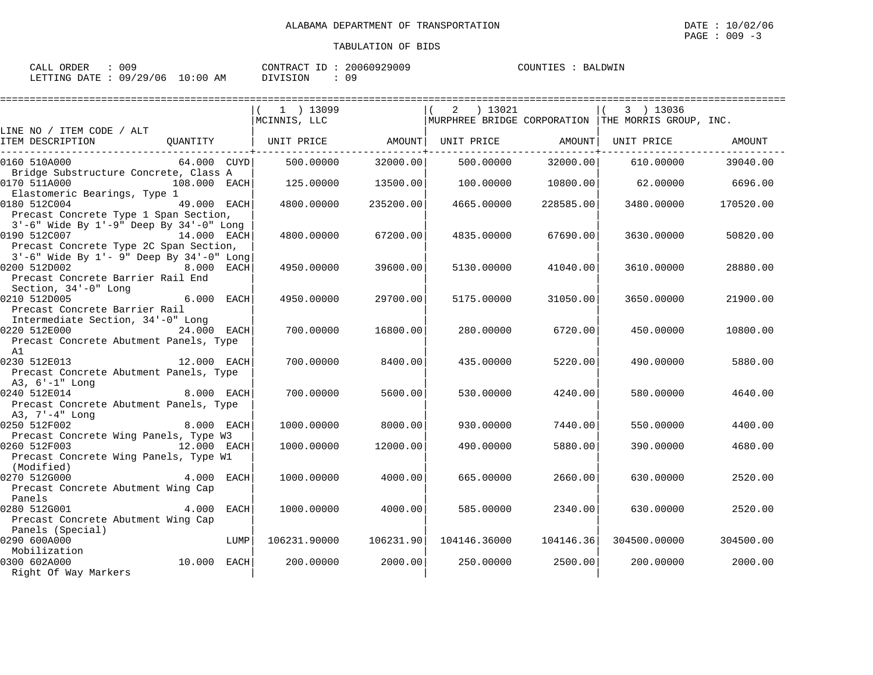| CALL ORDER                      | . 009 |          | CONTRACT ID: 20060929009 | COUNTIES : BALDWIN |  |
|---------------------------------|-------|----------|--------------------------|--------------------|--|
| LETTING DATE: 09/29/06 10:00 AM |       | DIVISION | 09                       |                    |  |

|                                                                                  | 1 ) 13099<br>MCINNIS, LLC |           | 2 ) 13021         |           | 3 ) 13036<br>  MURPHREE BRIDGE CORPORATION   THE MORRIS GROUP, INC. |           |
|----------------------------------------------------------------------------------|---------------------------|-----------|-------------------|-----------|---------------------------------------------------------------------|-----------|
| LINE NO / ITEM CODE / ALT                                                        |                           |           |                   |           |                                                                     |           |
| ITEM DESCRIPTION<br>QUANTITY                                                     | UNIT PRICE AMOUNT         |           | UNIT PRICE AMOUNT |           | UNIT PRICE                                                          | AMOUNT    |
| 0160 510A000<br>64.000 CUYDI<br>Bridge Substructure Concrete, Class A            | 500,00000                 | 32000.00  | 500.00000         | 32000.00  | 610.00000                                                           | 39040.00  |
| 0170 511A000<br>108.000 EACH                                                     | 125.00000                 | 13500.00  | 100.00000         | 10800.00  | 62.00000                                                            | 6696.00   |
| Elastomeric Bearings, Type 1<br>0180 512C004<br>49.000 EACH                      | 4800.00000                | 235200.00 | 4665.00000        | 228585.00 | 3480.00000                                                          | 170520.00 |
| Precast Concrete Type 1 Span Section,<br>3'-6" Wide By 1'-9" Deep By 34'-0" Long |                           |           |                   |           |                                                                     |           |
| 0190 512C007<br>14.000 EACH<br>Precast Concrete Type 2C Span Section,            | 4800,00000                | 67200.00  | 4835.00000        | 67690.00  | 3630.00000                                                          | 50820.00  |
| 3'-6" Wide By 1'- 9" Deep By 34'-0" Long<br>0200 512D002<br>8.000 EACH           | 4950.00000                | 39600.00  | 5130.00000        | 41040.00  | 3610.00000                                                          | 28880.00  |
| Precast Concrete Barrier Rail End<br>Section, 34'-0" Long                        |                           |           |                   |           |                                                                     |           |
| 0210 512D005<br>6.000 EACH<br>Precast Concrete Barrier Rail                      | 4950.00000                | 29700.00  | 5175.00000        | 31050.00  | 3650.00000                                                          | 21900.00  |
| Intermediate Section, 34'-0" Long<br>0220 512E000<br>24.000 EACH                 | 700.00000                 | 16800.00  | 280,00000         | 6720.00   | 450.00000                                                           | 10800.00  |
| Precast Concrete Abutment Panels, Type<br>A1                                     |                           |           |                   |           |                                                                     |           |
| 0230 512E013<br>12.000 EACH<br>Precast Concrete Abutment Panels, Type            | 700.00000                 | 8400.00   | 435.00000         | 5220.00   | 490.00000                                                           | 5880.00   |
| A3, 6'-1" Long                                                                   |                           |           |                   |           |                                                                     |           |
| 0240 512E014<br>$8.000$ EACH                                                     | 700.00000                 | 5600.00   | 530.00000         | 4240.00   | 580.00000                                                           | 4640.00   |
| Precast Concrete Abutment Panels, Type<br>A3, 7'-4" Long                         |                           |           |                   |           |                                                                     |           |
| 0250 512F002<br>8.000 EACH                                                       | 1000.00000                | 8000.00   | 930.00000         | 7440.00   | 550.00000                                                           | 4400.00   |
| Precast Concrete Wing Panels, Type W3<br>0260 512F003<br>$12.000$ EACH           | 1000.00000                | 12000.00  | 490.00000         | 5880.00   | 390.00000                                                           | 4680.00   |
| Precast Concrete Wing Panels, Type W1<br>(Modified)                              |                           |           |                   |           |                                                                     |           |
| 0270 512G000<br>4.000 EACH<br>Precast Concrete Abutment Wing Cap                 | 1000.00000                | 4000.00   | 665.00000         | 2660.00   | 630,00000                                                           | 2520.00   |
| Panels                                                                           |                           |           |                   |           |                                                                     |           |
| 0280 512G001<br>4.000 EACH<br>Precast Concrete Abutment Wing Cap                 | 1000.00000                | 4000.00   | 585.00000         | 2340.00   | 630,00000                                                           | 2520.00   |
| Panels (Special)                                                                 |                           |           |                   |           |                                                                     |           |
| 0290 600A000<br>LUMP                                                             | 106231.90000              | 106231.90 | 104146.36000      | 104146.36 | 304500.00000                                                        | 304500.00 |
| Mobilization                                                                     |                           |           |                   |           |                                                                     |           |
| 10.000 EACH<br>0300 602A000                                                      | 200,00000                 | 2000.00   | 250.00000         | 2500.00   | 200,00000                                                           | 2000.00   |
| Right Of Way Markers                                                             |                           |           |                   |           |                                                                     |           |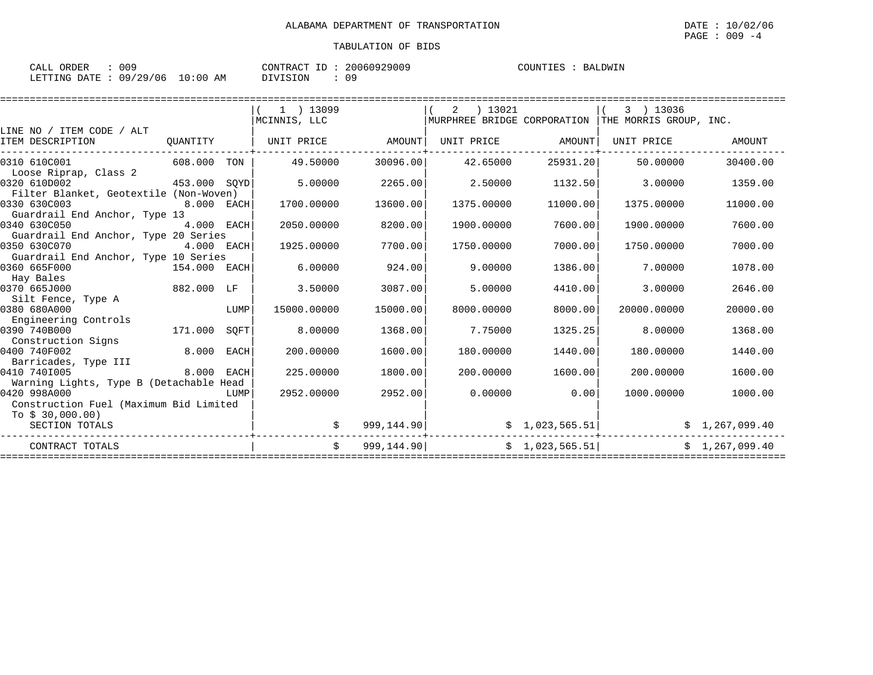| CALL ORDER                      | . 009 |          | CONTRACT ID: 20060929009 | COUNTIES : BALDWIN |  |
|---------------------------------|-------|----------|--------------------------|--------------------|--|
| LETTING DATE: 09/29/06 10:00 AM |       | DIVISION | 09                       |                    |  |

|                                         |              |      | $1$ ) 13099       |            | ) 13021<br>2      |                | 3 ) 13036                                                        |                |
|-----------------------------------------|--------------|------|-------------------|------------|-------------------|----------------|------------------------------------------------------------------|----------------|
|                                         |              |      | MCINNIS, LLC      |            |                   |                | $\mid$ MURPHREE BRIDGE CORPORATION $\mid$ THE MORRIS GROUP, INC. |                |
| LINE NO / ITEM CODE / ALT               |              |      |                   |            |                   |                |                                                                  |                |
| ITEM DESCRIPTION                        | OUANTITY     |      | UNIT PRICE AMOUNT |            | UNIT PRICE AMOUNT |                | UNIT PRICE                                                       | AMOUNT         |
| 0310 610C001                            | 608.000 TON  |      | 49.50000          | 30096.00   | 42.65000          | 25931.20       | 50.00000                                                         | 30400.00       |
| Loose Riprap, Class 2                   |              |      |                   |            |                   |                |                                                                  |                |
| 0320 610D002                            | 453.000 SOYD |      | 5.00000           | 2265.00    | 2.50000           | 1132.50        | 3,00000                                                          | 1359.00        |
| Filter Blanket, Geotextile (Non-Woven)  |              |      |                   |            |                   |                |                                                                  |                |
| 0330 630C003                            | 8.000 EACH   |      | 1700.00000        | 13600.00   | 1375.00000        | 11000.00       | 1375.00000                                                       | 11000.00       |
| Guardrail End Anchor, Type 13           |              |      |                   |            |                   |                |                                                                  |                |
| 0340 630C050                            | 4.000 EACH   |      | 2050.00000        | 8200.00    | 1900.00000        | 7600.00        | 1900.00000                                                       | 7600.00        |
| Guardrail End Anchor, Type 20 Series    |              |      |                   |            |                   |                |                                                                  |                |
| 0350 630C070                            | 4.000 EACH   |      | 1925.00000        | 7700.00    | 1750.00000        | 7000.00        | 1750.00000                                                       | 7000.00        |
| Guardrail End Anchor, Type 10 Series    |              |      |                   |            |                   |                |                                                                  |                |
| 0360 665F000                            | 154.000 EACH |      | 6.00000           | 924.00     | 9,00000           | 1386.00        | 7.00000                                                          | 1078.00        |
| Hay Bales                               |              |      |                   |            |                   |                |                                                                  |                |
| 0370 665J000                            | 882.000 LF   |      | 3.50000           | 3087.00    | 5,00000           | 4410.00        | 3.00000                                                          | 2646.00        |
| Silt Fence, Type A                      |              |      |                   |            |                   |                |                                                                  |                |
| 0380 680A000                            |              | LUMP | 15000.00000       | 15000.00   | 8000.00000        | 8000.00        | 20000.00000                                                      | 20000.00       |
| Engineering Controls                    |              |      |                   |            |                   |                |                                                                  |                |
| 0390 740B000                            | 171.000      | SOFT | 8,00000           | 1368.00    | 7.75000           | 1325.25        | 8.00000                                                          | 1368.00        |
| Construction Signs                      |              |      |                   |            |                   |                |                                                                  |                |
| 0400 740F002                            | 8.000        | EACH | 200.00000         | 1600.00    | 180.00000         | 1440.00        | 180.00000                                                        | 1440.00        |
| Barricades, Type III                    |              |      |                   |            |                   |                |                                                                  |                |
| 0410 7401005                            | 8.000 EACH   |      | 225,00000         | 1800.00    | 200,00000         | 1600.00        | 200,00000                                                        | 1600.00        |
| Warning Lights, Type B (Detachable Head |              |      |                   |            |                   |                |                                                                  |                |
| 0420 998A000                            |              | LUMP | 2952.00000        | 2952.00    | 0.00000           | 0.00           | 1000.00000                                                       | 1000.00        |
| Construction Fuel (Maximum Bid Limited  |              |      |                   |            |                   |                |                                                                  |                |
| To $$30,000.00)$                        |              |      |                   |            |                   |                |                                                                  |                |
| SECTION TOTALS                          |              |      |                   | 999,144.90 |                   | \$1,023,565.51 |                                                                  | \$1,267,099.40 |
| CONTRACT TOTALS                         |              |      | $\ddot{s}$        | 999,144.90 |                   |                | \$1,023,565.51]                                                  | \$1,267,099.40 |
|                                         |              |      |                   |            |                   |                |                                                                  |                |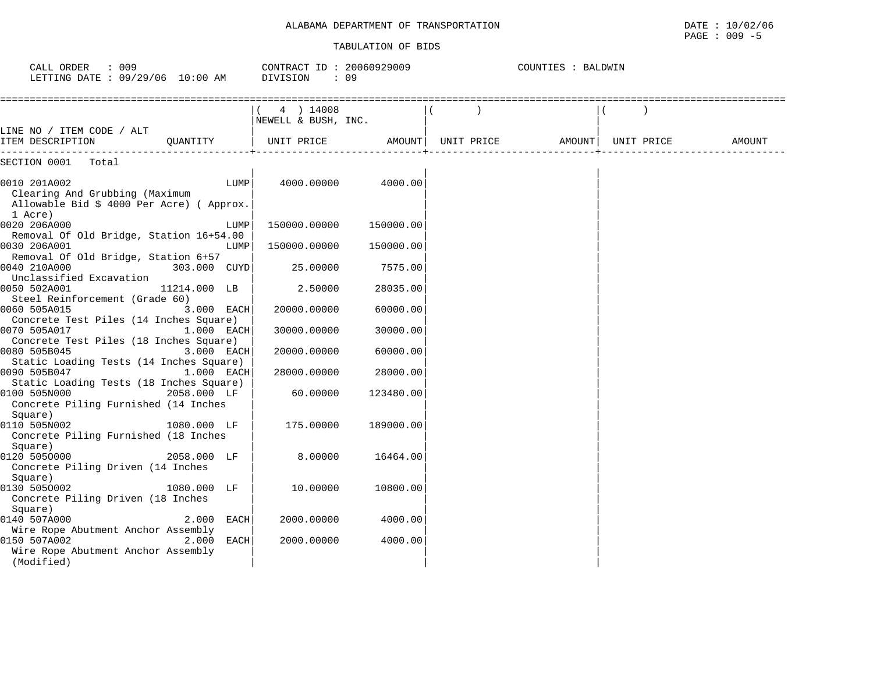#### TABULATION OF BIDS

PAGE : 009 -5

| : 009<br>CALL ORDER<br>LETTING DATE : 09/29/06 10:00 AM                                                |            | CONTRACT ID: 20060929009<br>DIVISION<br>: 09 |           |            | COUNTIES : BALDWIN |            |        |
|--------------------------------------------------------------------------------------------------------|------------|----------------------------------------------|-----------|------------|--------------------|------------|--------|
| LINE NO / ITEM CODE / ALT                                                                              |            | 4 ) 14008<br>NEWELL & BUSH, INC.             |           |            |                    |            |        |
| ITEM DESCRIPTION<br>OUANTITY                                                                           |            | UNIT PRICE                                   | AMOUNT    | UNIT PRICE | AMOUNT             | UNIT PRICE | AMOUNT |
| SECTION 0001<br>Total                                                                                  |            |                                              |           |            |                    |            |        |
| 0010 201A002<br>Clearing And Grubbing (Maximum<br>Allowable Bid \$ 4000 Per Acre) ( Approx.<br>1 Acre) | LUMP       | 4000.00000                                   | 4000.00   |            |                    |            |        |
| 0020 206A000                                                                                           | LUMP       | 150000.00000                                 | 150000.00 |            |                    |            |        |
| Removal Of Old Bridge, Station 16+54.00<br>0030 206A001<br>Removal Of Old Bridge, Station 6+57         | LUMP       | 150000.00000                                 | 150000.00 |            |                    |            |        |
| 0040 210A000<br>303.000 CUYD<br>Unclassified Excavation                                                |            | 25.00000                                     | 7575.00   |            |                    |            |        |
| 0050 502A001<br>11214.000 LB<br>Steel Reinforcement (Grade 60)                                         |            | 2.50000                                      | 28035.00  |            |                    |            |        |
| 0060 505A015<br>Concrete Test Piles (14 Inches Square)                                                 | 3.000 EACH | 20000.00000                                  | 60000.00  |            |                    |            |        |
| 0070 505A017<br>Concrete Test Piles (18 Inches Square)                                                 | 1.000 EACH | 30000.00000                                  | 30000.00  |            |                    |            |        |
| 0080 505B045<br>Static Loading Tests (14 Inches Square)                                                | 3.000 EACH | 20000.00000                                  | 60000.00  |            |                    |            |        |
| 0090 505B047<br>Static Loading Tests (18 Inches Square)                                                | 1.000 EACH | 28000.00000                                  | 28000.00  |            |                    |            |        |
| 0100 505N000<br>2058.000 LF<br>Concrete Piling Furnished (14 Inches<br>Square)                         |            | 60.00000                                     | 123480.00 |            |                    |            |        |
| 0110 505N002<br>1080.000 LF<br>Concrete Piling Furnished (18 Inches<br>Square)                         |            | 175.00000                                    | 189000.00 |            |                    |            |        |
| 0120 5050000<br>2058.000 LF<br>Concrete Piling Driven (14 Inches<br>Square)                            |            | 8.00000                                      | 16464.00  |            |                    |            |        |
| 0130 5050002<br>1080.000 LF<br>Concrete Piling Driven (18 Inches<br>Square)                            |            | 10.00000                                     | 10800.00  |            |                    |            |        |
| 0140 507A000<br>2.000<br>Wire Rope Abutment Anchor Assembly                                            | EACH       | 2000.00000                                   | 4000.00   |            |                    |            |        |
| 0150 507A002<br>2.000<br>Wire Rope Abutment Anchor Assembly<br>(Modified)                              | EACH       | 2000.00000                                   | 4000.00   |            |                    |            |        |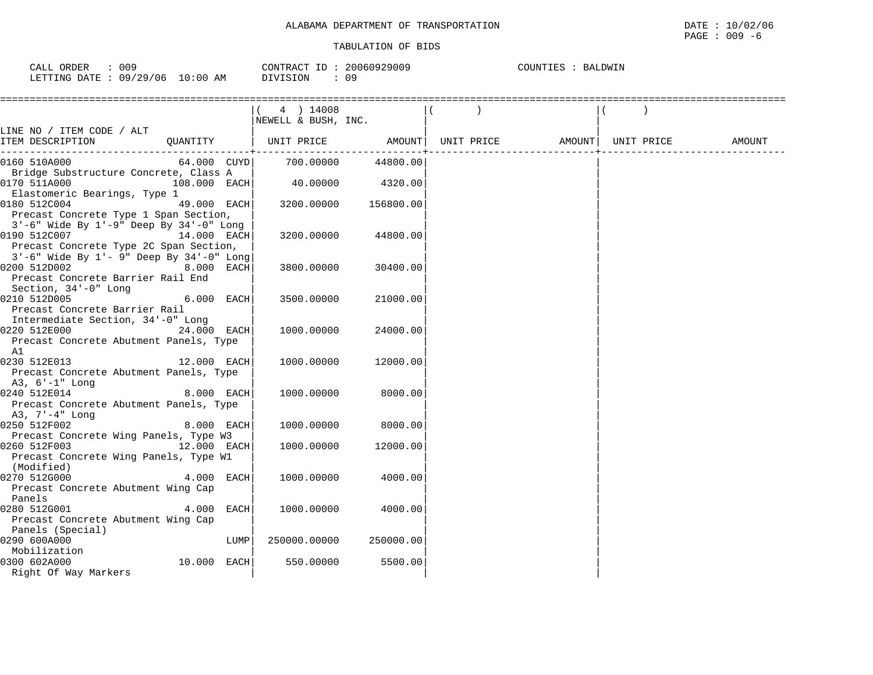| : 009<br>CALL ORDER             |          | CONTRACT ID: 20060929009 | COUNTIES : BALDWIN |
|---------------------------------|----------|--------------------------|--------------------|
| LETTING DATE: 09/29/06 10:00 AM | DIVISION | 09                       |                    |

|                                                                                                                           | $(4)$ 14008<br>NEWELL & BUSH, INC. |                   |            |                    |        |
|---------------------------------------------------------------------------------------------------------------------------|------------------------------------|-------------------|------------|--------------------|--------|
| LINE NO / ITEM CODE / ALT                                                                                                 |                                    |                   |            |                    |        |
| ITEM DESCRIPTION<br>QUANTITY                                                                                              |                                    | UNIT PRICE AMOUNT | UNIT PRICE | AMOUNT  UNIT PRICE | AMOUNT |
| 0160 510A000                                                                                                              | 64.000 CUYD 700.00000              | 44800.00          |            |                    |        |
| Bridge Substructure Concrete, Class A<br>0170 511A000<br>108.000 EACH<br>Elastomeric Bearings, Type 1                     | 40.00000                           | 4320.00           |            |                    |        |
| 0180 512C004<br>49.000 EACH<br>Precast Concrete Type 1 Span Section,                                                      | 3200.00000                         | 156800.00         |            |                    |        |
| $3'-6$ " Wide By $1'-9$ " Deep By $34'-0$ " Long<br>0190 512C007<br>14.000 EACH<br>Precast Concrete Type 2C Span Section, | 3200.00000                         | 44800.00          |            |                    |        |
| 3'-6" Wide By 1'- 9" Deep By 34'-0" Long<br>0200 512D002<br>8.000 EACH<br>Precast Concrete Barrier Rail End               | 3800.00000                         | 30400.00          |            |                    |        |
| Section, 34'-0" Long<br>0210 512D005<br>6.000 EACH<br>Precast Concrete Barrier Rail<br>Intermediate Section, 34'-0" Long  | 3500.00000                         | 21000.00          |            |                    |        |
| 0220 512E000<br>24.000 EACH<br>Precast Concrete Abutment Panels, Type<br>A1                                               | 1000.00000                         | 24000.00          |            |                    |        |
| 0230 512E013<br>12.000 EACH<br>Precast Concrete Abutment Panels, Type<br>A3, 6'-1" Long                                   | 1000.00000                         | 12000.00          |            |                    |        |
| 0240 512E014<br>8.000 EACH<br>Precast Concrete Abutment Panels, Type<br>A3, 7'-4" Long                                    | 1000.00000                         | 8000.00           |            |                    |        |
| 0250 512F002<br>8.000 EACH<br>Precast Concrete Wing Panels, Type W3                                                       | 1000.00000                         | 8000.00           |            |                    |        |
| 12.000 EACH<br>0260 512F003<br>Precast Concrete Wing Panels, Type W1<br>(Modified)                                        | 1000.00000                         | 12000.00          |            |                    |        |
| 0270 512G000<br>4.000 EACH<br>Precast Concrete Abutment Wing Cap<br>Panels                                                | 1000.00000                         | 4000.00           |            |                    |        |
| 0280 512G001<br>4.000 EACH<br>Precast Concrete Abutment Wing Cap                                                          | 1000.00000                         | 4000.00           |            |                    |        |
| Panels (Special)<br>0290 600A000<br>LUMP                                                                                  | 250000.00000                       | 250000.00         |            |                    |        |
| Mobilization<br>10.000 EACH<br>0300 602A000<br>Right Of Way Markers                                                       | 550.00000                          | 5500.00           |            |                    |        |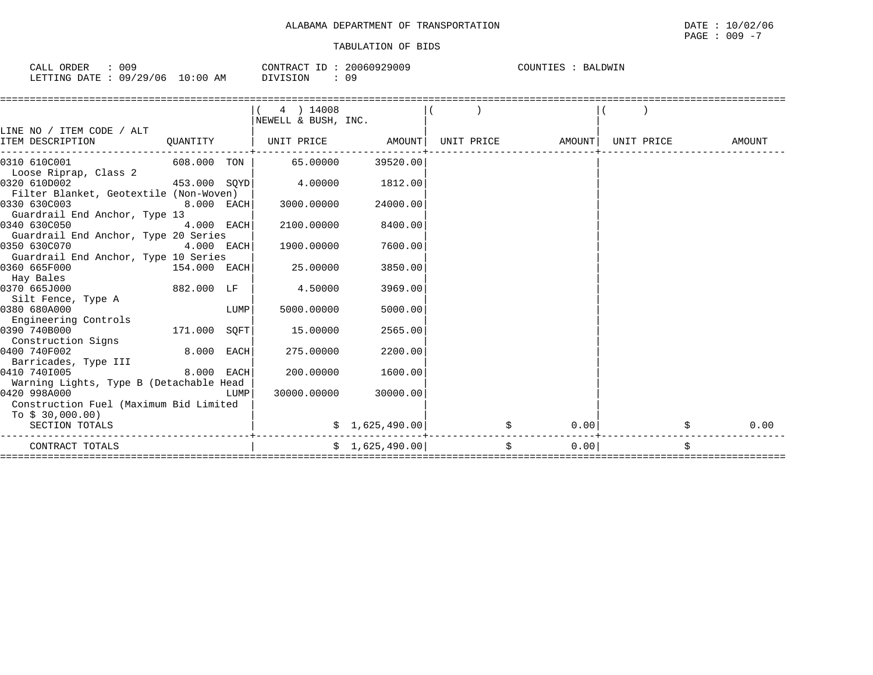| TRANSPORTATION<br>. DEPARTMENT<br>$\cap$<br>7777777<br>АЦАВАМА<br>- 92 | DATE | 10/02/06<br>the contract of the contract of the contract of the contract of the contract of the contract of the contract of |
|------------------------------------------------------------------------|------|-----------------------------------------------------------------------------------------------------------------------------|
|                                                                        | PAGE | 009<br>$\overline{\phantom{0}}$                                                                                             |

| 009<br>ORDER<br>TAT.T<br>للبلائر                                 | CONTP<br>$\pi$ $\pi$<br>חמ<br>ın.<br>,,, | COUNT<br>R A<br>UDW. |
|------------------------------------------------------------------|------------------------------------------|----------------------|
| 129/06<br>LETTING<br><b>DATE</b><br>AΜ<br>09.<br>') : OU<br>____ | SION.<br>09                              |                      |

|                                                                                                                                      |              |      | 4 ) 14008                      |                 |  |                                |            |
|--------------------------------------------------------------------------------------------------------------------------------------|--------------|------|--------------------------------|-----------------|--|--------------------------------|------------|
|                                                                                                                                      |              |      | NEWELL & BUSH, INC.            |                 |  |                                |            |
| LINE NO / ITEM CODE / ALT                                                                                                            |              |      |                                |                 |  |                                |            |
| ITEM DESCRIPTION                                                                                                                     | QUANTITY     |      | UNIT PRICE AMOUNT              |                 |  | UNIT PRICE AMOUNT   UNIT PRICE | AMOUNT     |
|                                                                                                                                      |              |      |                                |                 |  |                                |            |
| 0310 610C001                                                                                                                         |              |      | $608.000$ TON $\vert$ 65.00000 | 39520.00        |  |                                |            |
| Loose Riprap, Class 2                                                                                                                |              |      |                                |                 |  |                                |            |
| 0320 610D002<br>$453.000$ SQYD                                                                                                       |              |      | 4.00000                        | 1812.00         |  |                                |            |
| Filter Blanket, Geotextile (Non-Woven)                                                                                               |              |      |                                |                 |  |                                |            |
| 0330 630C003<br>$8.000$ EACH                                                                                                         |              |      | 3000.00000                     | 24000.00        |  |                                |            |
| Guardrail End Anchor, Type 13                                                                                                        |              |      |                                |                 |  |                                |            |
| 4.000 EACH<br>0340 630C050                                                                                                           |              |      | 2100.00000                     | 8400.00         |  |                                |            |
| Guardrail End Anchor, Type 20 Series                                                                                                 |              |      |                                |                 |  |                                |            |
| 0350 630C070                                                                                                                         | 4.000 EACH   |      | 1900.00000                     | 7600.00         |  |                                |            |
| Guardrail End Anchor, Type 10 Series                                                                                                 |              |      |                                |                 |  |                                |            |
| 0360 665F000<br>154.000 EACH                                                                                                         |              |      | 25.00000                       | 3850.00         |  |                                |            |
| Hay Bales                                                                                                                            |              |      |                                |                 |  |                                |            |
| 0370 665J000                                                                                                                         | 882.000 LF   |      | 4.50000                        | 3969.00         |  |                                |            |
| Silt Fence, Type A                                                                                                                   |              |      |                                |                 |  |                                |            |
| 0380 680A000                                                                                                                         |              | LUMP | 5000.00000                     | 5000.00         |  |                                |            |
| Engineering Controls                                                                                                                 |              |      |                                |                 |  |                                |            |
| 171.000 SQFT<br>0390 740B000                                                                                                         |              |      | 15.00000                       | 2565.00         |  |                                |            |
| Construction Signs                                                                                                                   |              |      |                                |                 |  |                                |            |
| 0400 740F002                                                                                                                         | $8.000$ EACH |      | 275.00000                      | 2200.00         |  |                                |            |
| Barricades, Type III                                                                                                                 |              |      |                                |                 |  |                                |            |
| 0410 7401005                                                                                                                         | 8.000 EACH   |      | 200,00000                      | 1600.00         |  |                                |            |
| Warning Lights, Type B (Detachable Head                                                                                              |              |      |                                |                 |  |                                |            |
| 0420 998A000<br><b>EXECUTE IN THE EXECUTIVE IN THE EXECUTIVE IN THE EXECUTIVE IN THE EXECUTIVE IN THE EXECUTIVE IN THE EXECUTIVE</b> |              |      | 30000.00000                    | 30000.00        |  |                                |            |
| Construction Fuel (Maximum Bid Limited                                                                                               |              |      |                                |                 |  |                                |            |
| To \$ 30,000.00)                                                                                                                     |              |      |                                |                 |  |                                |            |
| SECTION TOTALS                                                                                                                       |              |      |                                | \$1,625,490.00] |  | 0.00                           | \$<br>0.00 |
| CONTRACT TOTALS                                                                                                                      |              |      |                                | \$1,625,490.00  |  | $\ddot{s}$<br>0.00             |            |
|                                                                                                                                      |              |      |                                |                 |  |                                |            |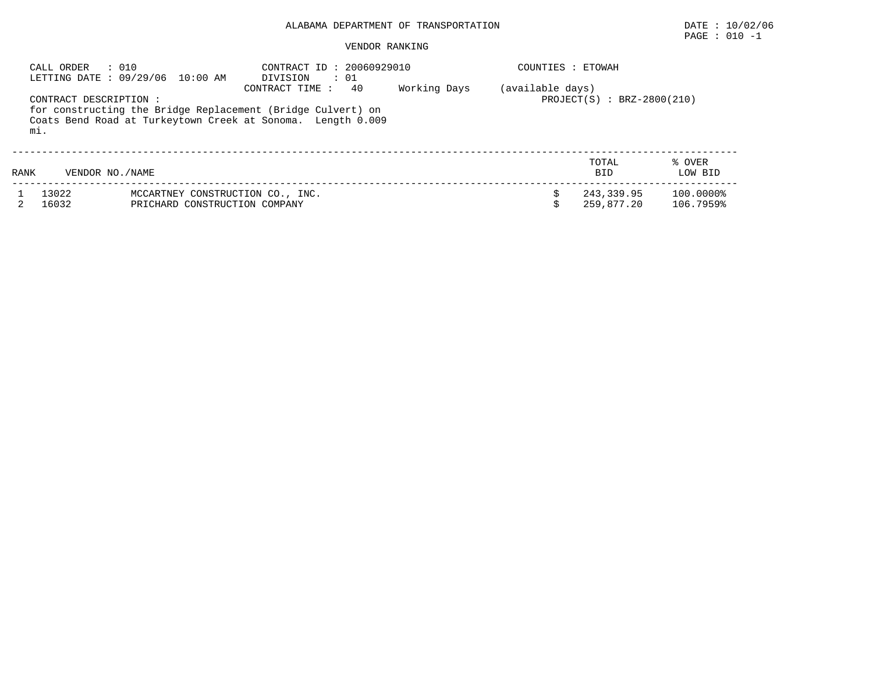#### VENDOR RANKING

|      | : 010<br>CALL ORDER          | LETTING DATE : 09/29/06 10:00 AM                                  | CONTRACT ID: 20060929010<br>DIVISION<br>$\cdots$ 01                                                                                                |              | COUNTIES : ETOWAH |                              |                        |
|------|------------------------------|-------------------------------------------------------------------|----------------------------------------------------------------------------------------------------------------------------------------------------|--------------|-------------------|------------------------------|------------------------|
|      | CONTRACT DESCRIPTION:<br>mi. |                                                                   | 40<br>CONTRACT TIME:<br>for constructing the Bridge Replacement (Bridge Culvert) on<br>Coats Bend Road at Turkeytown Creek at Sonoma. Length 0.009 | Working Days | (available days)  | $PROJECT(S) : BRZ-2800(210)$ |                        |
| RANK | VENDOR NO. / NAME            |                                                                   |                                                                                                                                                    |              |                   | TOTAL<br><b>BID</b>          | % OVER<br>LOW BID      |
|      | 13022<br>16032               | MCCARTNEY CONSTRUCTION CO., INC.<br>PRICHARD CONSTRUCTION COMPANY |                                                                                                                                                    |              |                   | 243,339.95<br>259,877.20     | 100.0000%<br>106.7959% |

PAGE : 010 -1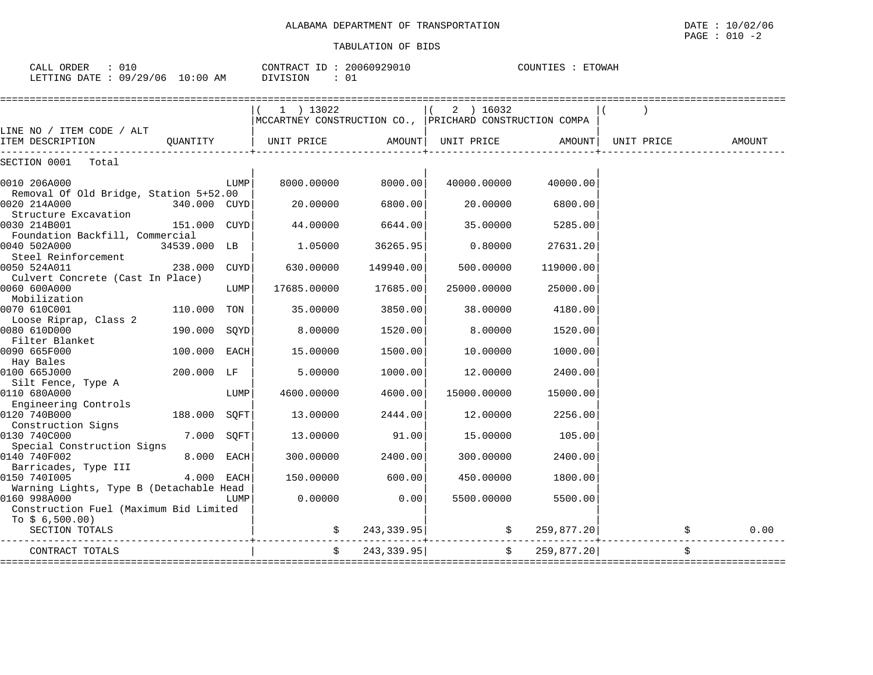| 010<br>ORDER<br>$7\Delta$ t.1<br>لمسلطات |                   | CONTRACT<br>$ -$ | 20060929010 | <b>ETOWAH</b><br>COUNTIES |
|------------------------------------------|-------------------|------------------|-------------|---------------------------|
| /29/06<br>LETTING<br>חימת<br>09 /        | 10:00<br>ΆM<br>∸∪ | OIVISION         |             |                           |

|                                               |              |      | 1 ) 13022                                               |               | 2 ) 16032   |                          |            |        |
|-----------------------------------------------|--------------|------|---------------------------------------------------------|---------------|-------------|--------------------------|------------|--------|
|                                               |              |      | MCCARTNEY CONSTRUCTION CO., PRICHARD CONSTRUCTION COMPA |               |             |                          |            |        |
| LINE NO / ITEM CODE / ALT<br>ITEM DESCRIPTION | OUANTITY     |      | UNIT PRICE                                              | AMOUNT        | UNIT PRICE  | AMOUNT                   | UNIT PRICE | AMOUNT |
| SECTION 0001<br>Total                         |              |      |                                                         |               |             |                          |            |        |
| 0010 206A000                                  |              | LUMP | 8000.00000                                              | 8000.00       | 40000.00000 | 40000.00                 |            |        |
| Removal Of Old Bridge, Station 5+52.00        |              |      |                                                         |               |             |                          |            |        |
| 0020 214A000                                  | 340.000 CUYD |      | 20,00000                                                | 6800.00       | 20,00000    | 6800.00                  |            |        |
| Structure Excavation<br>0030 214B001          | 151.000 CUYD |      |                                                         | 6644.00       | 35.00000    | 5285.00                  |            |        |
| Foundation Backfill, Commercial               |              |      | 44.00000                                                |               |             |                          |            |        |
| 0040 502A000                                  | 34539.000 LB |      | 1,05000                                                 | 36265.95      | 0.80000     | 27631.20                 |            |        |
| Steel Reinforcement                           |              |      |                                                         |               |             |                          |            |        |
| 0050 524A011                                  | 238.000      | CUYD | 630.00000                                               | 149940.00     | 500.00000   | 119000.00                |            |        |
| Culvert Concrete (Cast In Place)              |              |      |                                                         |               |             |                          |            |        |
| 0060 600A000                                  |              | LUMP | 17685.00000                                             | 17685.00      | 25000.00000 | 25000.00                 |            |        |
| Mobilization                                  |              |      |                                                         |               |             |                          |            |        |
| 0070 610C001                                  | 110.000 TON  |      | 35.00000                                                | 3850.00       | 38.00000    | 4180.00                  |            |        |
| Loose Riprap, Class 2                         |              |      |                                                         |               |             |                          |            |        |
| 0080 610D000<br>Filter Blanket                | 190.000      | SOYD | 8,00000                                                 | 1520.00       | 8,00000     | 1520.00                  |            |        |
| 0090 665F000                                  | 100.000      | EACH | 15.00000                                                | 1500.00       | 10.00000    | 1000.00                  |            |        |
| Hay Bales                                     |              |      |                                                         |               |             |                          |            |        |
| 0100 665J000                                  | 200.000 LF   |      | 5.00000                                                 | 1000.00       | 12.00000    | 2400.00                  |            |        |
| Silt Fence, Type A                            |              |      |                                                         |               |             |                          |            |        |
| 0110 680A000                                  |              | LUMP | 4600.00000                                              | 4600.00       | 15000.00000 | 15000.00                 |            |        |
| Engineering Controls                          |              |      |                                                         |               |             |                          |            |        |
| 0120 740B000                                  | 188.000 SOFT |      | 13.00000                                                | 2444.00       | 12,00000    | 2256.00                  |            |        |
| Construction Signs                            |              |      |                                                         |               |             |                          |            |        |
| 0130 740C000<br>Special Construction Signs    | 7.000        | SQFT | 13.00000                                                | 91.00         | 15.00000    | 105.00                   |            |        |
| 0140 740F002                                  | 8.000        | EACH | 300.00000                                               | 2400.00       | 300.00000   | 2400.00                  |            |        |
| Barricades, Type III                          |              |      |                                                         |               |             |                          |            |        |
| 0150 7401005                                  | 4.000 EACH   |      | 150.00000                                               | 600.00        | 450.00000   | 1800.00                  |            |        |
| Warning Lights, Type B (Detachable Head       |              |      |                                                         |               |             |                          |            |        |
| 0160 998A000                                  |              | LUMP | 0.00000                                                 | 0.00          | 5500.00000  | 5500.00                  |            |        |
| Construction Fuel (Maximum Bid Limited        |              |      |                                                         |               |             |                          |            |        |
| To $$6,500.00)$                               |              |      |                                                         |               |             |                          |            |        |
| SECTION TOTALS                                |              |      |                                                         | \$243,339.95] |             | $\frac{1}{2}$ 259,877.20 |            | 0.00   |
| CONTRACT TOTALS                               |              |      | $\ddot{s}$                                              | 243,339.95    | \$          | 259,877.20               |            |        |
|                                               |              |      |                                                         |               |             |                          |            |        |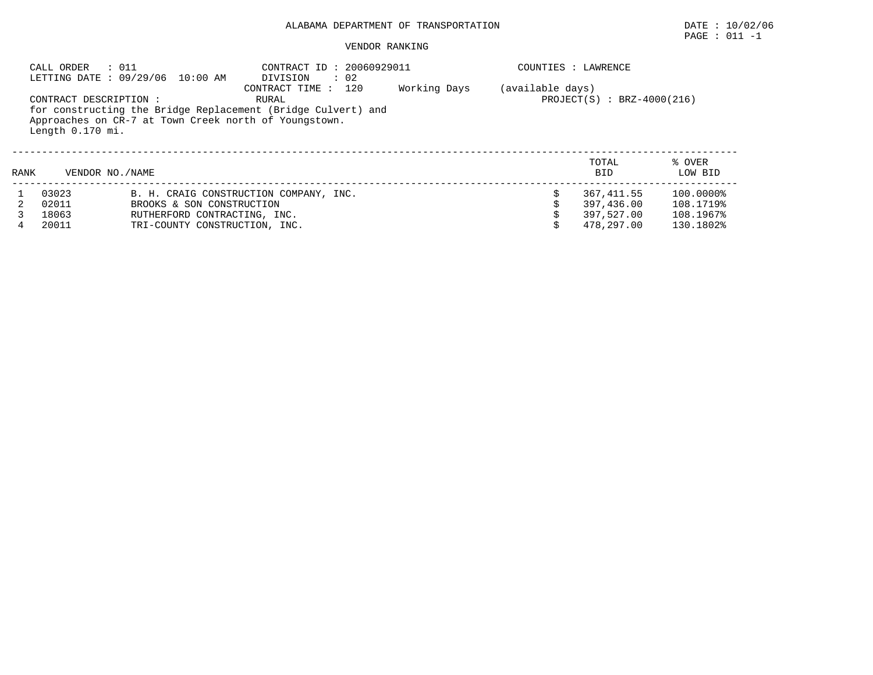# $\texttt{PAGE}$  : 011 -1

|      | : 011<br>CALL ORDER    | LETTING DATE : 09/29/06 10:00 AM                      | CONTRACT ID: 20060929011<br>$\therefore$ 02<br>DIVISION      |              |                  | COUNTIES : LAWRENCE |           |  |  |  |  |
|------|------------------------|-------------------------------------------------------|--------------------------------------------------------------|--------------|------------------|---------------------|-----------|--|--|--|--|
|      |                        |                                                       | CONTRACT TIME : 120<br>RURAL                                 | Working Days | (available days) |                     |           |  |  |  |  |
|      | CONTRACT DESCRIPTION : |                                                       | $PROJECT(S) : BRZ-4000(216)$                                 |              |                  |                     |           |  |  |  |  |
|      | Length 0.170 mi.       | Approaches on CR-7 at Town Creek north of Youngstown. | for constructing the Bridge Replacement (Bridge Culvert) and |              |                  |                     |           |  |  |  |  |
|      |                        |                                                       |                                                              |              |                  | TOTAL               | % OVER    |  |  |  |  |
| RANK | VENDOR NO. / NAME      |                                                       |                                                              |              |                  | <b>BID</b>          | LOW BID   |  |  |  |  |
|      | 03023                  |                                                       | B. H. CRAIG CONSTRUCTION COMPANY, INC.                       |              |                  | 367, 411, 55        | 100.0000% |  |  |  |  |
|      | 02011                  | BROOKS & SON CONSTRUCTION                             |                                                              |              |                  | 397,436.00          | 108.1719% |  |  |  |  |
|      | 18063                  | RUTHERFORD CONTRACTING, INC.                          |                                                              |              |                  | 397,527.00          | 108.1967% |  |  |  |  |
|      | 20011                  | TRI-COUNTY CONSTRUCTION, INC.                         |                                                              |              |                  | 478,297.00          | 130.1802% |  |  |  |  |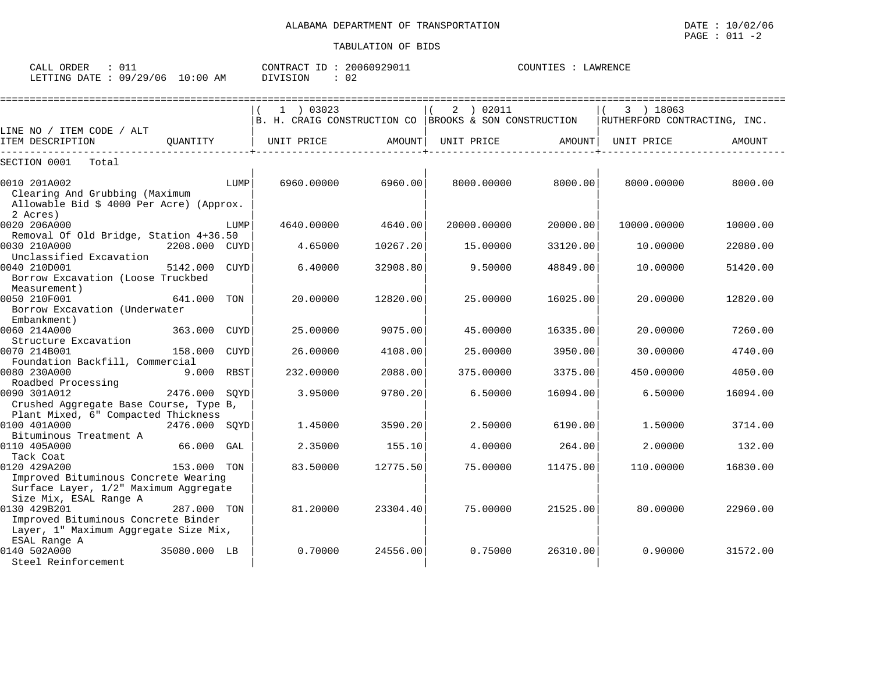| ORDER<br>$\sim$ $ -$<br>ىلىلەت      | $\sim$ $\sim$        |            | $-1$<br>CONTR :<br>$\sim$ $\sim$ $\sim$<br>NTRAC. | $\bigcap_{n=1}^{n} \bigcap_{n=1}^{n} \bigcap_{n=1}^{n} \bigcap_{n=1}^{n} \bigcap_{n=1}^{n} \bigcap_{n=1}^{n} \bigcap_{n=1}^{n} \bigcap_{n=1}^{n} \bigcap_{n=1}^{n} \bigcap_{n=1}^{n} \bigcap_{n=1}^{n} \bigcap_{n=1}^{n} \bigcap_{n=1}^{n} \bigcap_{n=1}^{n} \bigcap_{n=1}^{n} \bigcap_{n=1}^{n} \bigcap_{n=1}^{n} \bigcap_{n=1}^{n} \bigcap_{n=1}^{n} \bigcap_{n=1}^{n}$<br>161<br>$\overline{\phantom{a}}$<br>- - - | COUNTIES | .AWR⊤ |
|-------------------------------------|----------------------|------------|---------------------------------------------------|-----------------------------------------------------------------------------------------------------------------------------------------------------------------------------------------------------------------------------------------------------------------------------------------------------------------------------------------------------------------------------------------------------------------------|----------|-------|
| <b>FTTING</b><br>DATE:<br>TE LI TMC | ، 29 ′<br>09/<br>'06 | ):00<br>AΜ | SION<br>$\lambda$                                 | ∪∠                                                                                                                                                                                                                                                                                                                                                                                                                    |          |       |

|                                                                                            |               |             |                                                                      | ================ |             | ================= |                              |          |
|--------------------------------------------------------------------------------------------|---------------|-------------|----------------------------------------------------------------------|------------------|-------------|-------------------|------------------------------|----------|
|                                                                                            |               |             | $1$ ) 03023<br>B. H. CRAIG CONSTRUCTION CO BROOKS & SON CONSTRUCTION |                  | 2 ) 02011   |                   | 3 ) 18063                    |          |
| LINE NO / ITEM CODE / ALT                                                                  |               |             |                                                                      |                  |             |                   | RUTHERFORD CONTRACTING, INC. |          |
| ITEM DESCRIPTION                                                                           | OUANTITY      |             | UNIT PRICE                                                           | AMOUNT           | UNIT PRICE  | AMOUNT            | UNIT PRICE                   | AMOUNT   |
| SECTION 0001<br>Total                                                                      |               |             |                                                                      |                  |             |                   |                              |          |
| 0010 201A002<br>Clearing And Grubbing (Maximum<br>Allowable Bid \$ 4000 Per Acre) (Approx. |               | LUMP        | 6960,00000                                                           | 6960.00          | 8000.00000  | 8000.00           | 8000.00000                   | 8000.00  |
| 2 Acres)<br>0020 206A000                                                                   |               | LUMP        | 4640,00000                                                           | 4640.00          | 20000.00000 | 20000.00          | 10000.00000                  | 10000.00 |
| Removal Of Old Bridge, Station 4+36.50                                                     |               |             |                                                                      |                  |             |                   |                              |          |
| 0030 210A000<br>Unclassified Excavation                                                    | 2208.000 CUYD |             | 4.65000                                                              | 10267.20         | 15.00000    | 33120.00          | 10.00000                     | 22080.00 |
| 0040 210D001<br>Borrow Excavation (Loose Truckbed                                          | 5142.000      | <b>CUYD</b> | 6.40000                                                              | 32908.80         | 9.50000     | 48849.00          | 10.00000                     | 51420.00 |
| Measurement)<br>0050 210F001<br>Borrow Excavation (Underwater                              | 641.000       | TON         | 20.00000                                                             | 12820.00         | 25,00000    | 16025.00          | 20,00000                     | 12820.00 |
| Embankment)<br>0060 214A000                                                                | 363.000       | <b>CUYD</b> | 25.00000                                                             | 9075.00          | 45.00000    | 16335.00          | 20.00000                     | 7260.00  |
| Structure Excavation<br>0070 214B001                                                       | 158.000       | <b>CUYD</b> | 26.00000                                                             | 4108.00          | 25.00000    | 3950.00           | 30,00000                     | 4740.00  |
| Foundation Backfill, Commercial<br>0080 230A000<br>Roadbed Processing                      | 9.000 RBST    |             | 232.00000                                                            | 2088.00          | 375.00000   | 3375.00           | 450.00000                    | 4050.00  |
| 0090 301A012<br>Crushed Aggregate Base Course, Type B,                                     | 2476.000      | SOYD        | 3.95000                                                              | 9780.20          | 6.50000     | 16094.00          | 6.50000                      | 16094.00 |
| Plant Mixed, 6" Compacted Thickness                                                        |               |             |                                                                      |                  |             |                   |                              |          |
| 0100 401A000                                                                               | 2476.000      | SQYD        | 1.45000                                                              | 3590.20          | 2.50000     | 6190.00           | 1.50000                      | 3714.00  |
| Bituminous Treatment A<br>0110 405A000                                                     | 66.000        | GAL         | 2.35000                                                              | 155.10           | 4.00000     | 264.00            | 2.00000                      | 132.00   |
| Tack Coat<br>0120 429A200                                                                  | 153.000 TON   |             | 83.50000                                                             | 12775.50         | 75,00000    | 11475.00          | 110.00000                    | 16830.00 |
| Improved Bituminous Concrete Wearing<br>Surface Layer, 1/2" Maximum Aggregate              |               |             |                                                                      |                  |             |                   |                              |          |
| Size Mix, ESAL Range A<br>0130 429B201<br>Improved Bituminous Concrete Binder              | 287.000 TON   |             | 81.20000                                                             | 23304.40         | 75.00000    | 21525.00          | 80,00000                     | 22960.00 |
| Layer, 1" Maximum Aggregate Size Mix,<br>ESAL Range A<br>0140 502A000                      | 35080.000 LB  |             | 0.70000                                                              | 24556.00         | 0.75000     | 26310.00          | 0.90000                      | 31572.00 |
| Steel Reinforcement                                                                        |               |             |                                                                      |                  |             |                   |                              |          |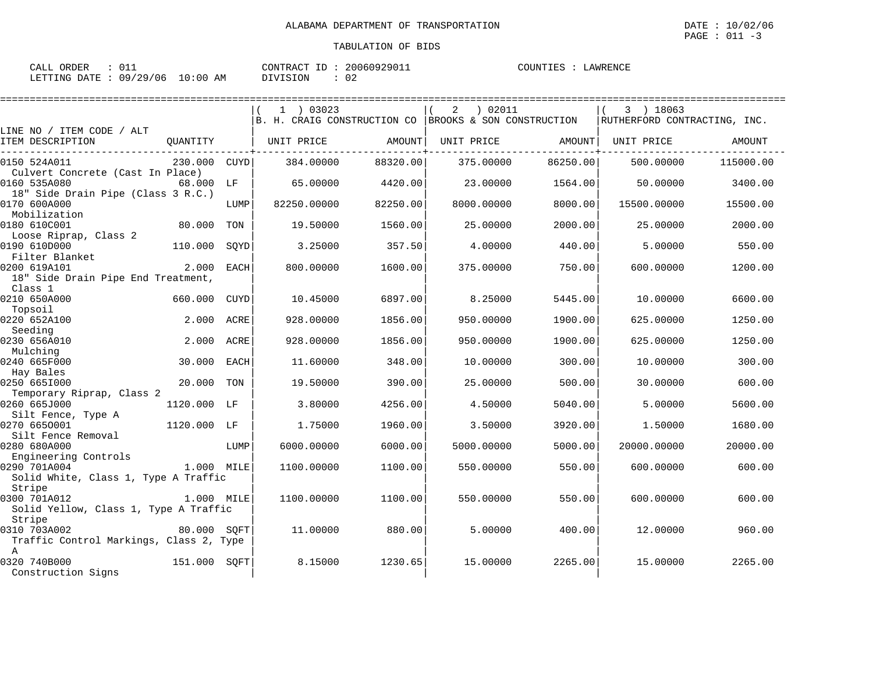| CALL ORDER                      | CONTRACT ID: 20060929011 | COUNTIES :<br>LAWRENCE |
|---------------------------------|--------------------------|------------------------|
| LETTING DATE: 09/29/06 10:00 AM | DIVISION                 |                        |

|                                                                                   |              |             | $1$ ) 03023<br>B. H. CRAIG CONSTRUCTION CO BROOKS & SON CONSTRUCTION |          | 02011 (<br>2      |          | 3 ) 18063<br>RUTHERFORD CONTRACTING, INC. |           |
|-----------------------------------------------------------------------------------|--------------|-------------|----------------------------------------------------------------------|----------|-------------------|----------|-------------------------------------------|-----------|
| LINE NO / ITEM CODE / ALT                                                         |              |             |                                                                      |          |                   |          |                                           |           |
| ITEM DESCRIPTION                                                                  | OUANTITY     |             | UNIT PRICE                                                           | AMOUNT   | UNIT PRICE AMOUNT |          | UNIT PRICE                                | AMOUNT    |
| 0150 524A011<br>Culvert Concrete (Cast In Place)                                  | 230.000 CUYD |             | 384.00000                                                            | 88320.00 | 375.00000         | 86250.00 | 500.00000                                 | 115000.00 |
| 0160 535A080<br>18" Side Drain Pipe (Class 3 R.C.)                                | 68.000 LF    |             | 65,00000                                                             | 4420.00  | 23,00000          | 1564.00  | 50.00000                                  | 3400.00   |
| 0170 600A000<br>Mobilization                                                      |              | LUMP        | 82250.00000                                                          | 82250.00 | 8000.00000        | 8000.00  | 15500.00000                               | 15500.00  |
| 0180 610C001<br>Loose Riprap, Class 2                                             | 80.000       | TON         | 19.50000                                                             | 1560.00  | 25.00000          | 2000.00  | 25.00000                                  | 2000.00   |
| 0190 610D000<br>Filter Blanket                                                    | 110.000      | SOYD        | 3.25000                                                              | 357.50   | 4.00000           | 440.00   | 5.00000                                   | 550.00    |
| 0200 619A101<br>18" Side Drain Pipe End Treatment,<br>Class 1                     | 2.000        | <b>EACH</b> | 800,00000                                                            | 1600.00  | 375.00000         | 750.00   | 600.00000                                 | 1200.00   |
| 0210 650A000<br>Topsoil                                                           | 660.000      | CUYD        | 10.45000                                                             | 6897.00  | 8.25000           | 5445.00  | 10,00000                                  | 6600.00   |
| 0220 652A100<br>Seeding                                                           | 2.000        | ACRE        | 928,00000                                                            | 1856.00  | 950.00000         | 1900.00  | 625.00000                                 | 1250.00   |
| 0230 656A010<br>Mulching                                                          | 2.000        | ACRE        | 928.00000                                                            | 1856.00  | 950.00000         | 1900.00  | 625.00000                                 | 1250.00   |
| 0240 665F000<br>Hay Bales                                                         | 30.000       | <b>EACH</b> | 11.60000                                                             | 348.00   | 10.00000          | 300.00   | 10.00000                                  | 300.00    |
| 0250 6651000<br>Temporary Riprap, Class 2                                         | 20,000       | TON         | 19.50000                                                             | 390.00   | 25.00000          | 500.00   | 30.00000                                  | 600.00    |
| 0260 665J000<br>Silt Fence, Type A                                                | 1120.000     | LF          | 3.80000                                                              | 4256.00  | 4.50000           | 5040.00  | 5.00000                                   | 5600.00   |
| 0270 6650001<br>Silt Fence Removal                                                | 1120.000 LF  |             | 1.75000                                                              | 1960.00  | 3.50000           | 3920.00  | 1.50000                                   | 1680.00   |
| 0280 680A000<br>Engineering Controls                                              |              | LUMP        | 6000.00000                                                           | 6000.00  | 5000.00000        | 5000.00  | 20000.00000                               | 20000.00  |
| 0290 701A004<br>Solid White, Class 1, Type A Traffic<br>Stripe                    | 1.000 MILE   |             | 1100.00000                                                           | 1100.00  | 550.00000         | 550.00   | 600.00000                                 | 600.00    |
| 0300 701A012<br>Solid Yellow, Class 1, Type A Traffic                             | 1.000 MILE   |             | 1100.00000                                                           | 1100.00  | 550.00000         | 550.00   | 600.00000                                 | 600.00    |
| Stripe<br>0310 703A002<br>Traffic Control Markings, Class 2, Type<br>$\mathbb{A}$ | 80.000 SOFT  |             | 11,00000                                                             | 880.00   | 5.00000           | 400.00   | 12,00000                                  | 960.00    |
| 0320 740B000<br>Construction Signs                                                | 151.000 SQFT |             | 8.15000                                                              | 1230.65  | 15,00000          | 2265.00  | 15,00000                                  | 2265.00   |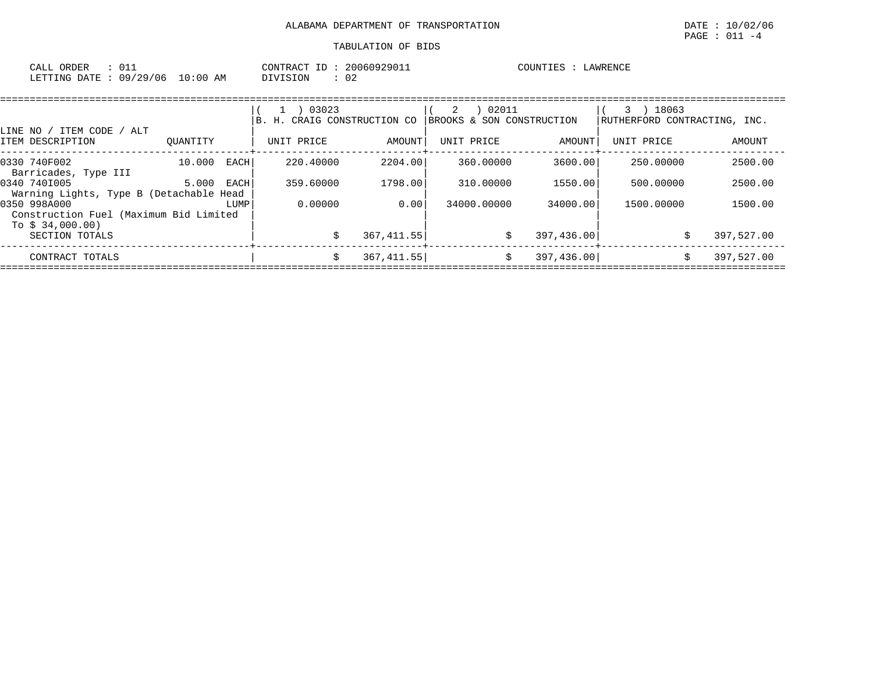| 01<br>CALL<br>ORDER                     |                                          | $T\cap N$ דים מידי     | ? O C<br>$\overline{\phantom{a}}$ | 60929011 | $\Lambda$ $\Lambda$ $\Lambda$ $\Gamma$ $\Gamma$ $\Gamma$<br>- ت | $.14$ WR F.N $C$ <sup>T</sup> |
|-----------------------------------------|------------------------------------------|------------------------|-----------------------------------|----------|-----------------------------------------------------------------|-------------------------------|
| '29/<br>በ 9 /<br>106<br>LETTING<br>DATE | $\textcolor{red}{\textbf{-0}:}$ 00<br>AΜ | <b>ION</b><br>$\cdots$ | $\sim$<br>◡▵                      |          |                                                                 |                               |

|                                                            |          |             | 03023<br>H. CRAIG CONSTRUCTION CO |             | 02011<br>2<br>BROOKS & SON CONSTRUCTION |             | 18063<br>RUTHERFORD CONTRACTING, INC. |            |
|------------------------------------------------------------|----------|-------------|-----------------------------------|-------------|-----------------------------------------|-------------|---------------------------------------|------------|
| LINE NO / ITEM CODE /<br>' ALT                             |          |             |                                   |             |                                         |             |                                       |            |
| ITEM DESCRIPTION                                           | OUANTITY |             | UNIT PRICE                        | AMOUNT      | UNIT PRICE                              | AMOUNT      | UNIT PRICE                            | AMOUNT     |
| 0330 740F002<br>Barricades, Type III                       | 10.000   | <b>EACH</b> | 220.40000                         | 2204.00     | 360.00000                               | 3600.00     | 250.00000                             | 2500.00    |
| 0340 7401005<br>Warning Lights, Type B (Detachable Head    | 5.000    | EACH        | 359.60000                         | 1798.00     | 310.00000                               | 1550.00     | 500.00000                             | 2500.00    |
| 0350 998A000                                               |          | LUMP        | 0.00000                           | 0.00        | 34000,00000                             | 34000.00    | 1500.00000                            | 1500.00    |
| Construction Fuel (Maximum Bid Limited<br>To $$34,000.00)$ |          |             |                                   |             |                                         |             |                                       |            |
| SECTION TOTALS                                             |          |             |                                   | 367, 411.55 | S.                                      | 397,436.00  |                                       | 397,527.00 |
| CONTRACT TOTALS                                            |          |             | Ŝ.                                | 367, 411.55 | Ŝ.                                      | 397, 436.00 |                                       | 397,527.00 |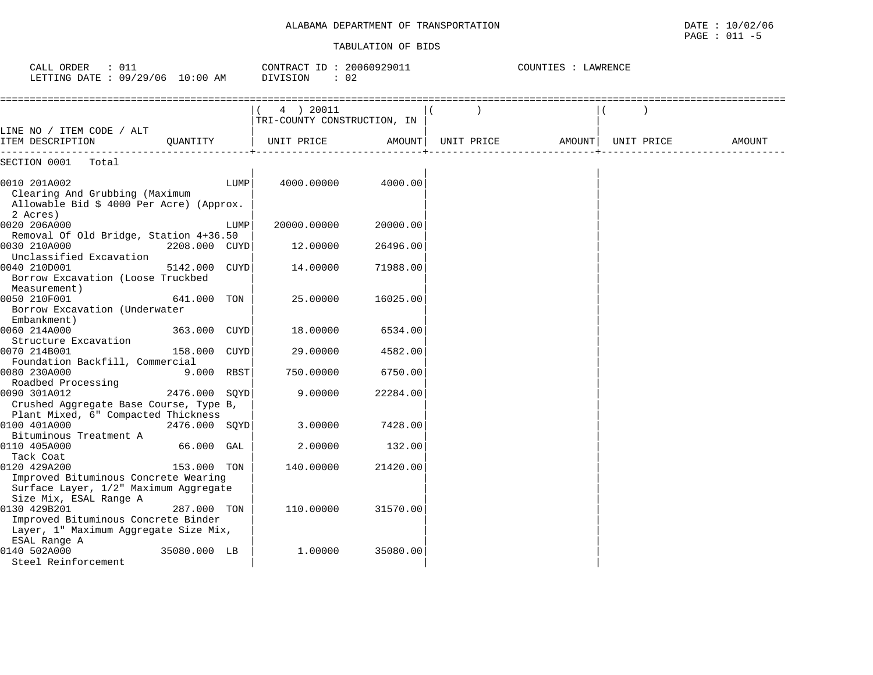#### TABULATION OF BIDS

 $\texttt{PAGE}$  : 011 -5

| CALL ORDER<br>: 011<br>LETTING DATE : 09/29/06 10:00 AM                                                                |               |      | CONTRACT ID: 20060929011<br>DIVISION<br>$\cdot$ 02 |          |            | COUNTIES : LAWRENCE |            |        |
|------------------------------------------------------------------------------------------------------------------------|---------------|------|----------------------------------------------------|----------|------------|---------------------|------------|--------|
|                                                                                                                        |               |      | 4 ) 20011<br>TRI-COUNTY CONSTRUCTION, IN           |          |            |                     |            |        |
| LINE NO / ITEM CODE / ALT<br>ITEM DESCRIPTION                                                                          | OUANTITY      |      | UNIT PRICE                                         | AMOUNT   | UNIT PRICE | AMOUNT              | UNIT PRICE | AMOUNT |
| SECTION 0001<br>Total                                                                                                  |               |      |                                                    |          |            |                     |            |        |
| 0010 201A002<br>Clearing And Grubbing (Maximum<br>Allowable Bid \$ 4000 Per Acre) (Approx.<br>2 Acres)                 |               | LUMP | 4000.00000                                         | 4000.00  |            |                     |            |        |
| 0020 206A000                                                                                                           |               | LUMP | 20000.00000                                        | 20000.00 |            |                     |            |        |
| Removal Of Old Bridge, Station 4+36.50                                                                                 |               |      |                                                    |          |            |                     |            |        |
| 0030 210A000<br>Unclassified Excavation                                                                                | 2208.000 CUYD |      | 12.00000                                           | 26496.00 |            |                     |            |        |
| 0040 210D001<br>Borrow Excavation (Loose Truckbed<br>Measurement)                                                      | 5142.000 CUYD |      | 14.00000                                           | 71988.00 |            |                     |            |        |
| 0050 210F001<br>Borrow Excavation (Underwater<br>Embankment)                                                           | 641.000 TON   |      | 25,00000                                           | 16025.00 |            |                     |            |        |
| 0060 214A000                                                                                                           | 363.000 CUYD  |      | 18.00000                                           | 6534.00  |            |                     |            |        |
| Structure Excavation                                                                                                   |               |      |                                                    |          |            |                     |            |        |
| 0070 214B001<br>Foundation Backfill, Commercial                                                                        | 158.000 CUYD  |      | 29.00000                                           | 4582.00  |            |                     |            |        |
| 0080 230A000                                                                                                           | 9.000 RBST    |      | 750.00000                                          | 6750.00  |            |                     |            |        |
| Roadbed Processing                                                                                                     |               |      |                                                    |          |            |                     |            |        |
| 0090 301A012<br>Crushed Aggregate Base Course, Type B,<br>Plant Mixed, 6" Compacted Thickness                          | 2476.000 SQYD |      | 9.00000                                            | 22284.00 |            |                     |            |        |
| 0100 401A000                                                                                                           | 2476.000 SOYD |      | 3.00000                                            | 7428.00  |            |                     |            |        |
| Bituminous Treatment A                                                                                                 |               |      |                                                    |          |            |                     |            |        |
| 0110 405A000                                                                                                           | 66.000 GAL    |      | 2.00000                                            | 132.00   |            |                     |            |        |
| Tack Coat<br>0120 429A200<br>Improved Bituminous Concrete Wearing<br>Surface Layer, 1/2" Maximum Aggregate             | 153.000 TON   |      | 140.00000                                          | 21420.00 |            |                     |            |        |
| Size Mix, ESAL Range A<br>0130 429B201<br>Improved Bituminous Concrete Binder<br>Layer, 1" Maximum Aggregate Size Mix, | 287.000 TON   |      | 110.00000                                          | 31570.00 |            |                     |            |        |
| ESAL Range A<br>0140 502A000<br>Steel Reinforcement                                                                    | 35080.000 LB  |      | 1,00000                                            | 35080.00 |            |                     |            |        |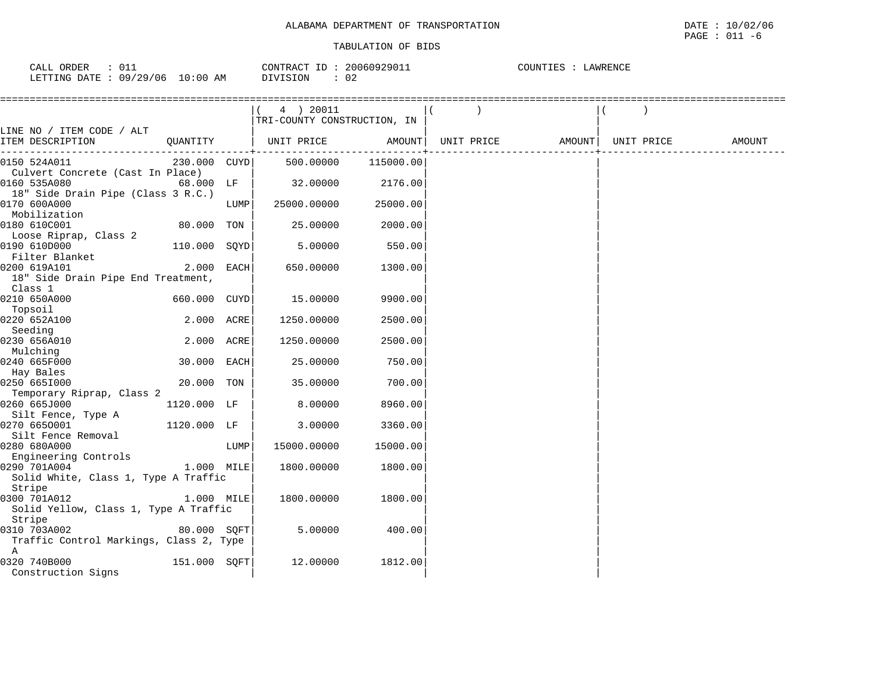| ORDER<br>$\sim$ $\sim$<br>CALL<br>∪⊥⊥ | CONTRACT               | ID | 20060929011  | COUNTIES<br>LAWRENCE |
|---------------------------------------|------------------------|----|--------------|----------------------|
| 09/29/06<br>LETTING DATE              | $10:00$ AM<br>DIVISION |    | $\sim$<br>◡∠ |                      |

|                                         |              |      | (4) 20011                   |          |            |                    |        |
|-----------------------------------------|--------------|------|-----------------------------|----------|------------|--------------------|--------|
|                                         |              |      | TRI-COUNTY CONSTRUCTION, IN |          |            |                    |        |
| LINE NO / ITEM CODE / ALT               |              |      |                             |          |            |                    |        |
| ITEM DESCRIPTION<br>QUANTITY            |              |      | UNIT PRICE                  | AMOUNT   | UNIT PRICE | AMOUNT  UNIT PRICE | AMOUNT |
| 0150 524A011                            | 230.000 CUYD |      | 500.00000 115000.00         |          |            |                    |        |
| Culvert Concrete (Cast In Place)        |              |      |                             |          |            |                    |        |
| 0160 535A080                            | 68.000 LF    |      | 32.00000                    | 2176.00  |            |                    |        |
| 18" Side Drain Pipe (Class 3 R.C.)      |              |      |                             |          |            |                    |        |
| 0170 600A000                            |              | LUMP | 25000.00000                 | 25000.00 |            |                    |        |
| Mobilization                            |              |      |                             |          |            |                    |        |
| 0180 610C001                            | 80.000 TON   |      | 25.00000                    | 2000.00  |            |                    |        |
| Loose Riprap, Class 2                   |              |      |                             |          |            |                    |        |
| 0190 610D000                            | 110.000 SQYD |      | 5.00000                     | 550.00   |            |                    |        |
| Filter Blanket                          |              |      |                             |          |            |                    |        |
| 2.000 EACH<br>0200 619A101              |              |      | 650.00000                   | 1300.00  |            |                    |        |
| 18" Side Drain Pipe End Treatment,      |              |      |                             |          |            |                    |        |
| Class 1                                 |              |      |                             |          |            |                    |        |
| 0210 650A000                            | 660.000 CUYD |      | 15.00000                    | 9900.00  |            |                    |        |
| Topsoil                                 |              |      |                             |          |            |                    |        |
| 0220 652A100                            | 2.000 ACRE   |      | 1250.00000                  | 2500.00  |            |                    |        |
| Seeding                                 |              |      |                             |          |            |                    |        |
| 0230 656A010                            | 2.000 ACRE   |      | 1250.00000                  | 2500.00  |            |                    |        |
| Mulching                                |              |      |                             |          |            |                    |        |
| 0240 665F000                            | 30.000 EACH  |      | 25.00000                    | 750.00   |            |                    |        |
| Hay Bales<br>0250 665I000               | 20.000 TON   |      | 35.00000                    | 700.00   |            |                    |        |
| Temporary Riprap, Class 2               |              |      |                             |          |            |                    |        |
| 0260 665J000                            | 1120.000 LF  |      | 8.00000                     | 8960.00  |            |                    |        |
| Silt Fence, Type A                      |              |      |                             |          |            |                    |        |
| 0270 6650001                            | 1120.000 LF  |      | 3.00000                     | 3360.00  |            |                    |        |
| Silt Fence Removal                      |              |      |                             |          |            |                    |        |
| 0280 680A000                            |              | LUMP | 15000.00000                 | 15000.00 |            |                    |        |
| Engineering Controls                    |              |      |                             |          |            |                    |        |
| 0290 701A004                            | 1.000 MILE   |      | 1800.00000                  | 1800.00  |            |                    |        |
| Solid White, Class 1, Type A Traffic    |              |      |                             |          |            |                    |        |
| Stripe                                  |              |      |                             |          |            |                    |        |
| 0300 701A012                            | 1.000 MILE   |      | 1800.00000                  | 1800.00  |            |                    |        |
| Solid Yellow, Class 1, Type A Traffic   |              |      |                             |          |            |                    |        |
| Stripe                                  |              |      |                             |          |            |                    |        |
| 0310 703A002                            | 80.000 SOFT  |      | 5.00000                     | 400.00   |            |                    |        |
| Traffic Control Markings, Class 2, Type |              |      |                             |          |            |                    |        |
| A                                       |              |      |                             |          |            |                    |        |
| 0320 740B000                            | 151.000 SOFT |      | 12.00000                    | 1812.00  |            |                    |        |
| Construction Signs                      |              |      |                             |          |            |                    |        |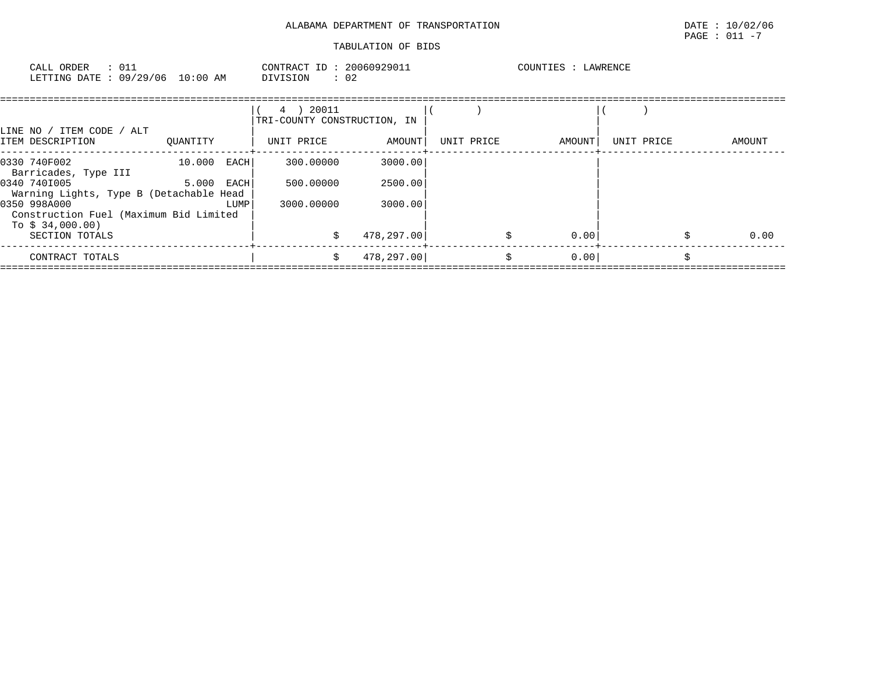# ALABAMA DEPARTMENT OF TRANSPORTATION DATE : 10/02/06 TABULATION OF BIDS

# $\texttt{PAGE}$  : 011 -7

| CALL ORDER<br>: 011<br>LETTING DATE: 09/29/06 10:00 AM                     |               |      | CONTRACT ID: 20060929011<br>DIVISION<br>$\therefore$ 02 |               |            | COUNTIES : LAWRENCE |            |    |        |
|----------------------------------------------------------------------------|---------------|------|---------------------------------------------------------|---------------|------------|---------------------|------------|----|--------|
| LINE NO / ITEM CODE / ALT                                                  |               |      | 4 ) 20011<br>TRI-COUNTY CONSTRUCTION, IN                |               |            |                     |            |    |        |
| ITEM DESCRIPTION                                                           | OUANTITY      |      | UNIT PRICE                                              | <b>AMOUNT</b> | UNIT PRICE | AMOUNT              | UNIT PRICE |    | AMOUNT |
| 0330 740F002<br>Barricades, Type III                                       | $10.000$ EACH |      | 300,00000                                               | 3000.00       |            |                     |            |    |        |
| 0340 7401005<br>Warning Lights, Type B (Detachable Head                    | $5.000$ EACH  |      | 500,00000                                               | 2500.00       |            |                     |            |    |        |
| 0350 998A000<br>Construction Fuel (Maximum Bid Limited<br>To $$34,000.00)$ |               | LUMP | 3000.00000                                              | 3000.00       |            |                     |            |    |        |
| SECTION TOTALS                                                             |               |      |                                                         | 478,297.00    |            | 0.00                |            |    | 0.00   |
| CONTRACT TOTALS                                                            |               |      | Ŝ.                                                      | 478,297.00    |            | \$<br>0.00          |            | Ś. |        |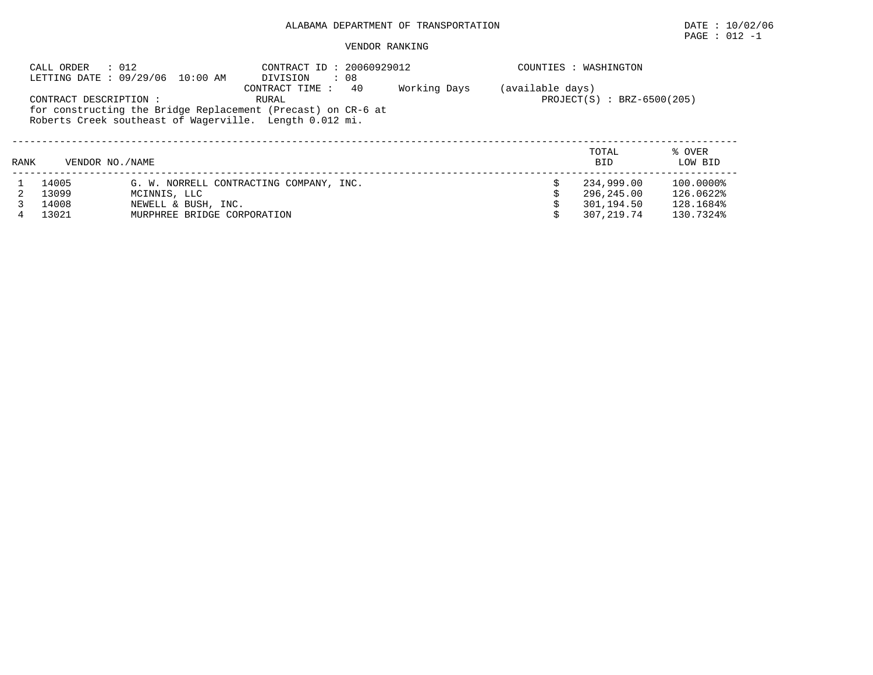# $\texttt{PAGE}$  : 012 -1

|      | CALL ORDER             | : 012<br>LETTING DATE: 09/29/06 10:00 AM | COUNTIES : WASHINGTON                                                                                                                                                        |              |                  |                              |                   |
|------|------------------------|------------------------------------------|------------------------------------------------------------------------------------------------------------------------------------------------------------------------------|--------------|------------------|------------------------------|-------------------|
|      | CONTRACT DESCRIPTION : |                                          | : 08<br>DIVISION<br>40<br>CONTRACT TIME:<br>RURAL<br>for constructing the Bridge Replacement (Precast) on CR-6 at<br>Roberts Creek southeast of Wagerville. Length 0.012 mi. | Working Days | (available days) | $PROJECT(S) : BRZ-6500(205)$ |                   |
| RANK | VENDOR NO. / NAME      |                                          |                                                                                                                                                                              |              |                  | TOTAL<br><b>BID</b>          | % OVER<br>LOW BID |
|      | 14005                  |                                          | G. W. NORRELL CONTRACTING COMPANY, INC.                                                                                                                                      |              |                  | 234,999.00                   | 100.0000%         |
|      | 13099                  | MCINNIS, LLC                             |                                                                                                                                                                              |              |                  | 296,245.00                   | 126.0622%         |
|      | 14008                  | NEWELL & BUSH, INC.                      |                                                                                                                                                                              |              |                  | 301,194.50                   | 128.1684%         |
| 4    | 13021                  | MURPHREE BRIDGE CORPORATION              |                                                                                                                                                                              |              |                  | 307,219.74                   | 130.7324%         |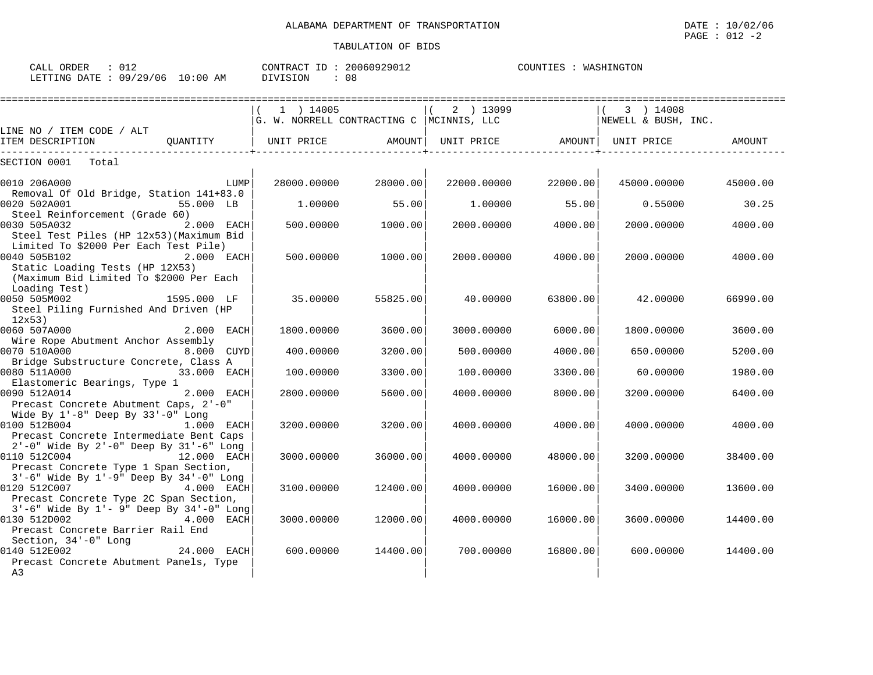0140 512E002 24.000 EACH| 600.00000 14400.00| 700.00000 16800.00| 600.00000 14400.00

|                                                                                                                                                   | $1$ ) 14005<br>G. W. NORRELL CONTRACTING C  MCINNIS, LLC |          | 2 ) 13099         |          | $(3)$ 14008<br>NEWELL & BUSH, INC. |          |
|---------------------------------------------------------------------------------------------------------------------------------------------------|----------------------------------------------------------|----------|-------------------|----------|------------------------------------|----------|
| LINE NO / ITEM CODE / ALT<br>ITEM DESCRIPTION                                                                                                     | OUANTITY   UNIT PRICE AMOUNT                             |          | UNIT PRICE AMOUNT |          | UNIT PRICE                         | AMOUNT   |
| Total<br>SECTION 0001                                                                                                                             |                                                          |          |                   |          |                                    |          |
| 0010 206A000<br>LUMP                                                                                                                              | 28000.00000                                              | 28000.00 | 22000.00000       | 22000.00 | 45000.00000                        | 45000.00 |
| Removal Of Old Bridge, Station 141+83.0<br>0020 502A001<br>55.000 LB<br>Steel Reinforcement (Grade 60)                                            | 1.00000                                                  | 55.00    | 1.00000           | 55.00    | 0.55000                            | 30.25    |
| 0030 505A032<br>2.000 EACH<br>Steel Test Piles (HP 12x53) (Maximum Bid                                                                            | 500.00000                                                | 1000.00  | 2000.00000        | 4000.00  | 2000.00000                         | 4000.00  |
| Limited To \$2000 Per Each Test Pile)<br>0040 505B102<br>2.000 EACH<br>Static Loading Tests (HP 12X53)<br>(Maximum Bid Limited To \$2000 Per Each | 500.00000                                                | 1000.00  | 2000.00000        | 4000.00  | 2000.00000                         | 4000.00  |
| Loading Test)<br>0050 505M002<br>1595.000 LF<br>Steel Piling Furnished And Driven (HP<br>12x53                                                    | 35.00000                                                 | 55825.00 | 40.00000          | 63800.00 | 42.00000                           | 66990.00 |
| 0060 507A000<br>2.000 EACH<br>Wire Rope Abutment Anchor Assembly                                                                                  | 1800.00000                                               | 3600.00  | 3000.00000        | 6000.00  | 1800.00000                         | 3600.00  |
| 0070 510A000<br>8.000 CUYD                                                                                                                        | 400.00000                                                | 3200.00  | 500.00000         | 4000.00  | 650.00000                          | 5200.00  |
| Bridge Substructure Concrete, Class A<br>0080 511A000<br>33.000 EACH                                                                              | 100.00000                                                | 3300.00  | 100.00000         | 3300.00  | 60,00000                           | 1980.00  |
| Elastomeric Bearings, Type 1<br>0090 512A014<br>2.000 EACH<br>Precast Concrete Abutment Caps, 2'-0"                                               | 2800.00000                                               | 5600.00  | 4000.00000        | 8000.00  | 3200.00000                         | 6400.00  |
| Wide By $1'-8$ " Deep By $33'-0$ " Long<br>0100 512B004<br>$1.000$ EACH<br>Precast Concrete Intermediate Bent Caps                                | 3200.00000                                               | 3200.00  | 4000.00000        | 4000.00  | 4000.00000                         | 4000.00  |
| 2'-0" Wide By 2'-0" Deep By 31'-6" Long<br>0110 512C004 12.000 EACH<br>Precast Concrete Type 1 Span Section,                                      | 3000.00000                                               | 36000.00 | 4000.00000        | 48000.00 | 3200.00000                         | 38400.00 |
| $3'-6$ " Wide By $1'-9$ " Deep By $34'-0$ " Long<br>0120 512C007 4.000 EACH                                                                       | 3100.00000                                               | 12400.00 | 4000.00000        | 16000.00 | 3400.00000                         | 13600.00 |

0130 512D002 4.000 EACH| 3000.00000 12000.00| 4000.00000 16000.00| 3600.00000 14400.00

CALL ORDER :  $012$  CONTRACT ID :  $20060929012$ COUNTIES : WASHINGTON LETTING DATE : 09/29/06 10:00 AM DIVISION : 08

Precast Concrete Type 2C Span Section, | | |

 $\overline{A3}$   $\overline{A3}$ 

Section, 34'-0" Long | | |

 $3'-6$ " Wide By  $1'-9$ " Deep By  $34'-0$ " Long

Precast Concrete Abutment Panels, Type<br>A3

Precast Concrete Barrier Rail End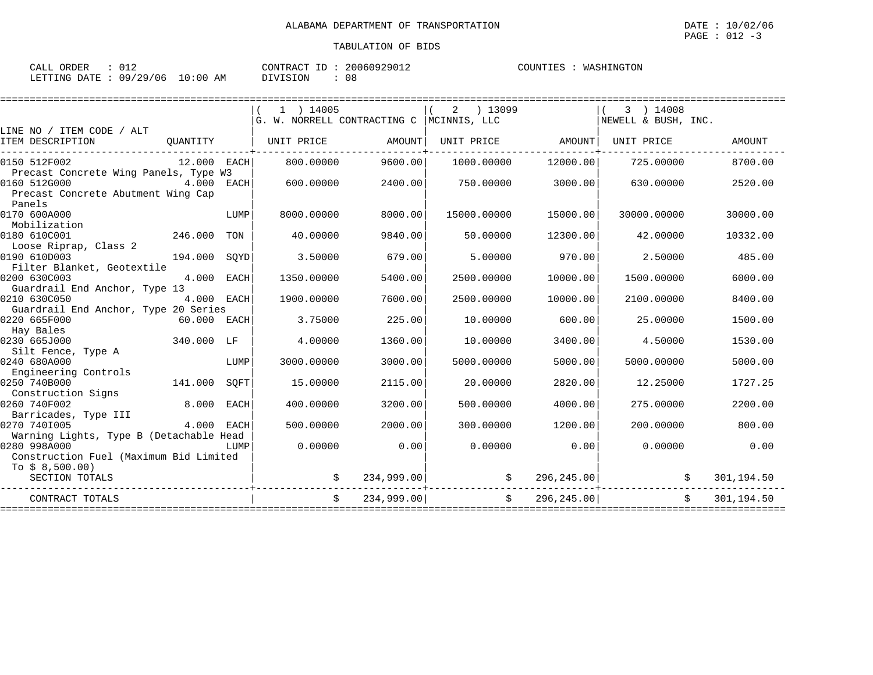| ORDER<br>$\cap$ $\wedge$ $\wedge$ $\wedge$<br>ىلىلەپ<br>◡⊥▵ |             | 20060929012<br>T <sub>D</sub><br>`ONTR AC.<br>. $\sim$<br>- 17 | COUNTT.<br>NGTON <sup>-</sup><br>WAS. |
|-------------------------------------------------------------|-------------|----------------------------------------------------------------|---------------------------------------|
| 79/<br>LETTING<br>12 Q<br>ገ∆ጥኩ<br>706<br>۔ ت                | AΜ<br>10:0U | <b>TVTSTON</b><br>n n<br>v c<br>∸∽∽                            |                                       |

|                                         |              |             | $1$ ) 14005                               |            | ) 13099<br>2      |            | 3 ) 14008           |                  |
|-----------------------------------------|--------------|-------------|-------------------------------------------|------------|-------------------|------------|---------------------|------------------|
|                                         |              |             | G. W. NORRELL CONTRACTING C  MCINNIS, LLC |            |                   |            | NEWELL & BUSH, INC. |                  |
| LINE NO / ITEM CODE / ALT               |              |             |                                           |            |                   |            |                     |                  |
| ITEM DESCRIPTION                        | OUANTITY     |             | UNIT PRICE                                | AMOUNT     | UNIT PRICE AMOUNT |            | UNIT PRICE          | <b>AMOUNT</b>    |
| 0150 512F002                            | 12.000 EACH  |             | 800,00000                                 | 9600.00    | 1000.00000        | 12000.00   | 725.00000           | 8700.00          |
| Precast Concrete Wing Panels, Type W3   |              |             |                                           |            |                   |            |                     |                  |
| 0160 512G000                            | $4.000$ EACH |             | 600.00000                                 | 2400.00    | 750.00000         | 3000.00    | 630.00000           | 2520.00          |
| Precast Concrete Abutment Wing Cap      |              |             |                                           |            |                   |            |                     |                  |
| Panels                                  |              |             |                                           |            |                   |            |                     |                  |
| 0170 600A000                            |              | LUMP        | 8000.00000                                | 8000.00    | 15000.00000       | 15000.00   | 30000.00000         | 30000.00         |
| Mobilization                            |              |             |                                           |            |                   |            |                     |                  |
| 0180 610C001                            | 246.000      | TON         | 40.00000                                  | 9840.00    | 50.00000          | 12300.00   | 42.00000            | 10332.00         |
| Loose Riprap, Class 2<br>0190 610D003   | 194.000      | SOYD        | 3.50000                                   | 679.00     | 5,00000           | 970.00     | 2.50000             | 485.00           |
| Filter Blanket, Geotextile              |              |             |                                           |            |                   |            |                     |                  |
| 0200 630C003                            | 4.000 EACH   |             | 1350.00000                                | 5400.00    | 2500.00000        | 10000.00   | 1500.00000          | 6000.00          |
| Guardrail End Anchor, Type 13           |              |             |                                           |            |                   |            |                     |                  |
| 0210 630C050                            | 4.000 EACH   |             | 1900.00000                                | 7600.00    | 2500.00000        | 10000.00   | 2100.00000          | 8400.00          |
| Guardrail End Anchor, Type 20 Series    |              |             |                                           |            |                   |            |                     |                  |
| 0220 665F000                            | 60.000 EACH  |             | 3.75000                                   | 225.00     | 10.00000          | 600.00     | 25.00000            | 1500.00          |
| Hay Bales                               |              |             |                                           |            |                   |            |                     |                  |
| 0230 665J000                            | 340.000 LF   |             | 4.00000                                   | 1360.00    | 10.00000          | 3400.00    | 4.50000             | 1530.00          |
| Silt Fence, Type A                      |              |             |                                           |            |                   |            |                     |                  |
| 0240 680A000                            |              | LUMP        | 3000.00000                                | 3000.00    | 5000.00000        | 5000.00    | 5000.00000          | 5000.00          |
| Engineering Controls                    |              |             |                                           |            |                   |            |                     |                  |
| 0250 740B000                            | 141.000      | SQFT        | 15.00000                                  | 2115.00    | 20,00000          | 2820.00    | 12.25000            | 1727.25          |
| Construction Signs                      |              |             |                                           |            |                   |            |                     |                  |
| 0260 740F002                            | 8.000        | <b>EACH</b> | 400.00000                                 | 3200.00    | 500.00000         | 4000.00    | 275.00000           | 2200.00          |
| Barricades, Type III                    |              |             |                                           |            |                   |            |                     |                  |
| 0270 7401005                            | 4.000        | EACH        | 500.00000                                 | 2000.00    | 300.00000         | 1200.00    | 200,00000           | 800.00           |
| Warning Lights, Type B (Detachable Head |              |             |                                           |            |                   |            |                     |                  |
| 0280 998A000                            |              | LUMP        | 0.00000                                   | 0.00       | 0.00000           | 0.00       | 0.00000             | 0.00             |
| Construction Fuel (Maximum Bid Limited  |              |             |                                           |            |                   |            |                     |                  |
| To $$8,500.00)$                         |              |             |                                           |            |                   |            |                     |                  |
| SECTION TOTALS                          |              |             |                                           | 234,999.00 |                   | 296,245.00 |                     | 301,194.50       |
| CONTRACT TOTALS                         |              |             | Ŝ.                                        | 234,999.00 | \$                | 296,245.00 |                     | 301,194.50<br>Ŝ. |
|                                         |              |             |                                           |            |                   |            |                     |                  |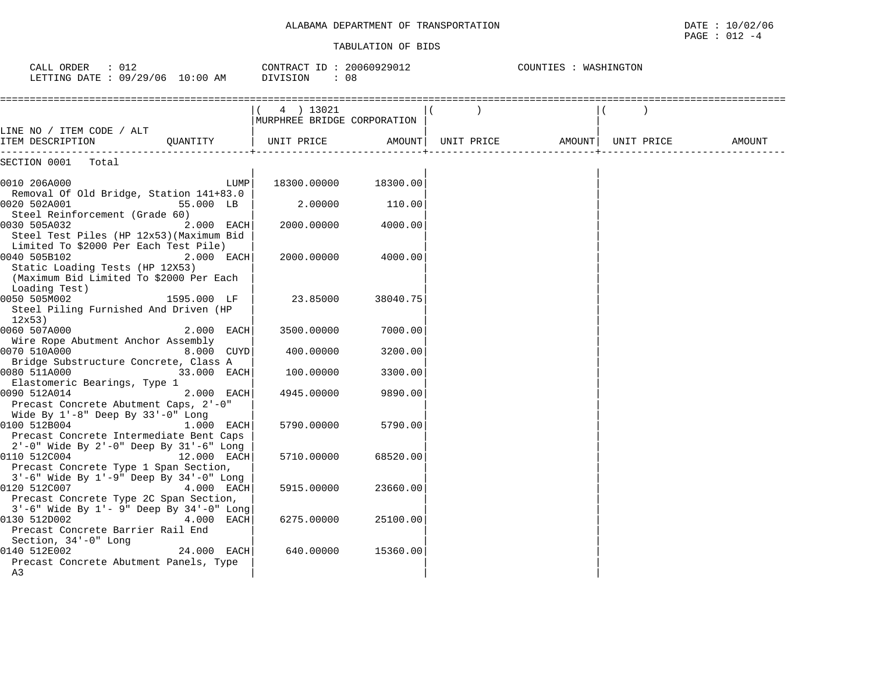| CALL ORDER : 012<br>LETTING DATE : 09/29/06 10:00 AM                                                                                                       | CONTRACT ID: 20060929012<br>DIVISION<br>: 08 |          | COUNTIES : WASHINGTON |                     |  |  |        |
|------------------------------------------------------------------------------------------------------------------------------------------------------------|----------------------------------------------|----------|-----------------------|---------------------|--|--|--------|
|                                                                                                                                                            | 4 ) 13021<br>MURPHREE BRIDGE CORPORATION     |          |                       |                     |  |  |        |
| LINE NO / ITEM CODE / ALT<br>OUANTITY<br>ITEM DESCRIPTION                                                                                                  | UNIT PRICE                                   | AMOUNT   | UNIT PRICE            | AMOUNT   UNIT PRICE |  |  | AMOUNT |
| SECTION 0001<br>Total                                                                                                                                      |                                              |          |                       |                     |  |  |        |
| LUMP<br>0010 206A000<br>Removal Of Old Bridge, Station 141+83.0                                                                                            | 18300.00000                                  | 18300.00 |                       |                     |  |  |        |
| 0020 502A001<br>55.000 LB<br>Steel Reinforcement (Grade 60)                                                                                                | 2.00000                                      | 110.00   |                       |                     |  |  |        |
| 0030 505A032<br>2.000 EACH<br>Steel Test Piles (HP 12x53) (Maximum Bid                                                                                     | 2000.00000                                   | 4000.00  |                       |                     |  |  |        |
| Limited To \$2000 Per Each Test Pile)<br>0040 505B102<br>2.000 EACH<br>Static Loading Tests (HP 12X53)<br>(Maximum Bid Limited To \$2000 Per Each          | 2000.00000                                   | 4000.00  |                       |                     |  |  |        |
| Loading Test)<br>0050 505M002<br>1595.000 LF<br>Steel Piling Furnished And Driven (HP<br>12x53)                                                            | 23.85000                                     | 38040.75 |                       |                     |  |  |        |
| 0060 507A000<br>2.000 EACH                                                                                                                                 | 3500.00000                                   | 7000.00  |                       |                     |  |  |        |
| Wire Rope Abutment Anchor Assembly<br>0070 510A000<br>8.000 CUYD                                                                                           | 400.00000                                    | 3200.00  |                       |                     |  |  |        |
| Bridge Substructure Concrete, Class A<br>0080 511A000<br>33.000 EACH<br>Elastomeric Bearings, Type 1                                                       | 100.00000                                    | 3300.00  |                       |                     |  |  |        |
| 0090 512A014<br>2.000 EACH<br>Precast Concrete Abutment Caps, 2'-0"                                                                                        | 4945.00000                                   | 9890.00  |                       |                     |  |  |        |
| Wide By 1'-8" Deep By 33'-0" Long<br>0100 512B004<br>1.000 EACH<br>Precast Concrete Intermediate Bent Caps                                                 | 5790.00000                                   | 5790.00  |                       |                     |  |  |        |
| 2'-0" Wide By 2'-0" Deep By 31'-6" Long<br>0110 512C004<br>12.000 EACH<br>Precast Concrete Type 1 Span Section,<br>3'-6" Wide By 1'-9" Deep By 34'-0" Long | 5710.00000                                   | 68520.00 |                       |                     |  |  |        |
| 0120 512C007<br>4.000 EACH<br>Precast Concrete Type 2C Span Section,                                                                                       | 5915.00000                                   | 23660.00 |                       |                     |  |  |        |
| 3'-6" Wide By 1'- 9" Deep By 34'-0" Long<br>0130 512D002<br>4.000 EACH<br>Precast Concrete Barrier Rail End<br>Section, 34'-0" Long                        | 6275.00000                                   | 25100.00 |                       |                     |  |  |        |
| 0140 512E002<br>24.000 EACH<br>Precast Concrete Abutment Panels, Type<br>A3                                                                                | 640.00000                                    | 15360.00 |                       |                     |  |  |        |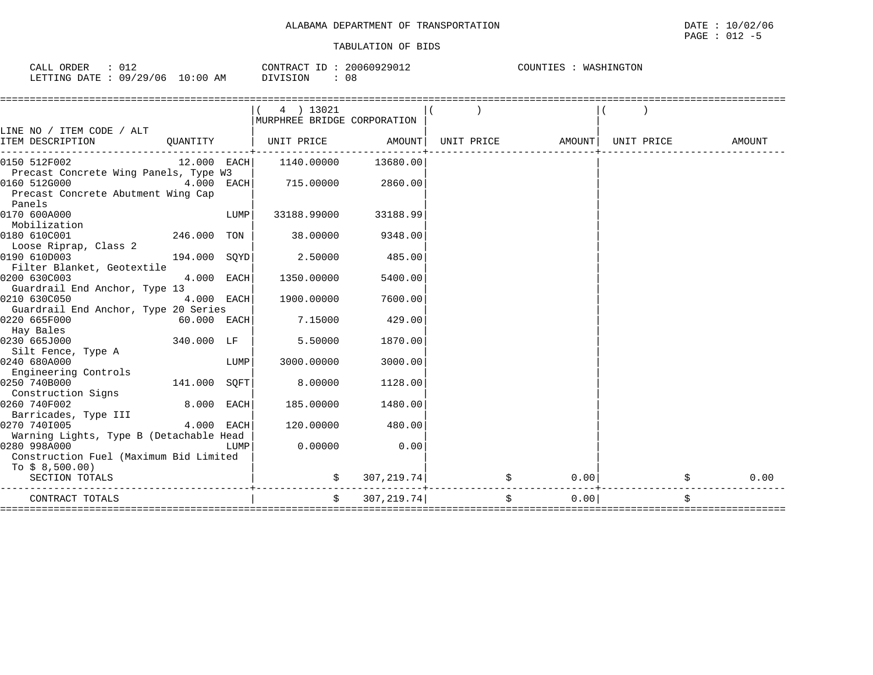| TRANSPORTATION<br>. DEPARTMENT<br>OF<br>$\overline{P}$<br>ALABAMA | DATE | 10/02/06 |
|-------------------------------------------------------------------|------|----------|
|                                                                   | PAGE | 012      |

| 012<br>CALL ORDER               | CONTRACT ID: 20060929012 | COUNTIES : WASHINGTON |
|---------------------------------|--------------------------|-----------------------|
| LETTING DATE: 09/29/06 10:00 AM | DIVISION<br>- 08         |                       |

|                                         |               |      | 4 ) 13021<br>MURPHREE BRIDGE CORPORATION |                       |                             |                                |            |
|-----------------------------------------|---------------|------|------------------------------------------|-----------------------|-----------------------------|--------------------------------|------------|
| LINE NO / ITEM CODE / ALT               |               |      |                                          |                       |                             |                                |            |
| ITEM DESCRIPTION                        |               |      | QUANTITY   UNIT PRICE                    | AMOUNT                |                             | UNIT PRICE AMOUNT   UNIT PRICE | AMOUNT     |
| 0150 512F002                            | 12.000 EACH   |      | 1140.00000                               | 13680.00              |                             |                                |            |
| Precast Concrete Wing Panels, Type W3   |               |      |                                          |                       |                             |                                |            |
| 0160 512G000                            | $4.000$ EACH  |      | 715.00000                                | 2860.00               |                             |                                |            |
| Precast Concrete Abutment Wing Cap      |               |      |                                          |                       |                             |                                |            |
| Panels                                  |               |      |                                          |                       |                             |                                |            |
| 0170 600A000                            |               | LUMP | 33188.99000                              | 33188.99              |                             |                                |            |
| Mobilization                            |               |      |                                          |                       |                             |                                |            |
| 0180 610C001                            | 246.000 TON   |      | 38,00000                                 | 9348.00               |                             |                                |            |
| Loose Riprap, Class 2                   |               |      |                                          |                       |                             |                                |            |
| 0190 610D003                            | 194.000 SOYD  |      | 2.50000                                  | 485.00                |                             |                                |            |
| Filter Blanket, Geotextile              |               |      |                                          |                       |                             |                                |            |
| 0200 630C003                            | 4.000 EACH    |      | 1350.00000                               | 5400.00               |                             |                                |            |
| Guardrail End Anchor, Type 13           |               |      |                                          |                       |                             |                                |            |
| 0210 630C050                            | 4.000 EACH    |      | 1900.00000                               | 7600.00               |                             |                                |            |
| Guardrail End Anchor, Type 20 Series    |               |      |                                          |                       |                             |                                |            |
| 0220 665F000                            | $60.000$ EACH |      | 7.15000                                  | 429.00                |                             |                                |            |
| Hay Bales                               |               |      |                                          |                       |                             |                                |            |
| 0230 665J000                            | 340.000 LF    |      | 5.50000                                  | 1870.00               |                             |                                |            |
| Silt Fence, Type A                      |               |      |                                          |                       |                             |                                |            |
| 0240 680A000                            |               | LUMP | 3000.00000                               | 3000.00               |                             |                                |            |
| Engineering Controls                    |               |      |                                          |                       |                             |                                |            |
| 0250 740B000                            | 141.000 SQFT  |      | 8.00000                                  | 1128.00               |                             |                                |            |
| Construction Signs                      |               |      |                                          |                       |                             |                                |            |
| 0260 740F002                            | 8.000 EACH    |      | 185.00000                                | 1480.00               |                             |                                |            |
| Barricades, Type III                    |               |      |                                          |                       |                             |                                |            |
| 0270 7401005                            | $4.000$ EACH  |      | 120.00000                                | 480.00                |                             |                                |            |
| Warning Lights, Type B (Detachable Head |               |      |                                          |                       |                             |                                |            |
| 0280 998A000                            |               | LUMP | 0.00000                                  | 0.00                  |                             |                                |            |
| Construction Fuel (Maximum Bid Limited  |               |      |                                          |                       |                             |                                |            |
| To $$8,500.00)$                         |               |      |                                          |                       |                             |                                |            |
| SECTION TOTALS                          |               |      |                                          | $\approx 307, 219.74$ |                             | 0.00                           | \$<br>0.00 |
| CONTRACT TOTALS                         |               |      |                                          | $\sin 307, 219.74$    | \$                          | 0.00                           | \$         |
|                                         |               |      |                                          |                       | =========================== |                                |            |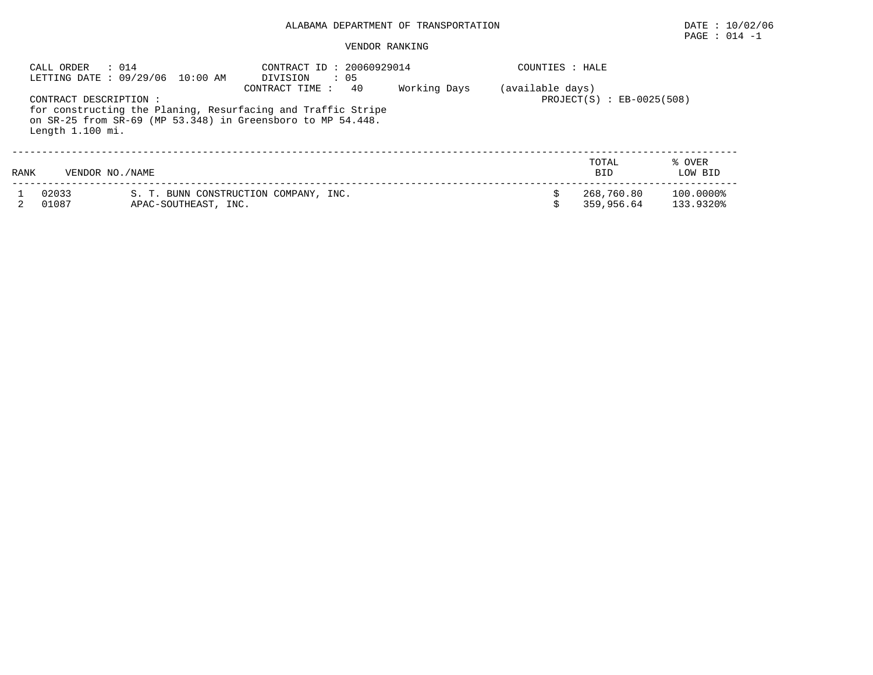# PAGE : 014 -1

| CALL ORDER                                 | : 014<br>LETTING DATE: 09/29/06 10:00 AM | CONTRACT ID: 20060929014<br>: 05<br>DIVISION                                                                                                         |              | COUNTIES : HALE  |                               |                        |
|--------------------------------------------|------------------------------------------|------------------------------------------------------------------------------------------------------------------------------------------------------|--------------|------------------|-------------------------------|------------------------|
| CONTRACT DESCRIPTION :<br>Length 1.100 mi. |                                          | 40<br>CONTRACT TIME :<br>for constructing the Planing, Resurfacing and Traffic Stripe<br>on SR-25 from SR-69 (MP 53.348) in Greensboro to MP 54.448. | Working Days | (available days) | $PROJECT(S)$ : $EB-0025(508)$ |                        |
| RANK                                       | VENDOR NO. / NAME                        |                                                                                                                                                      |              |                  | TOTAL<br><b>BID</b>           | % OVER<br>LOW BID      |
| 02033<br>01087                             | APAC-SOUTHEAST, INC.                     | S. T. BUNN CONSTRUCTION COMPANY, INC.                                                                                                                |              |                  | 268,760.80<br>359,956.64      | 100.0000%<br>133.9320% |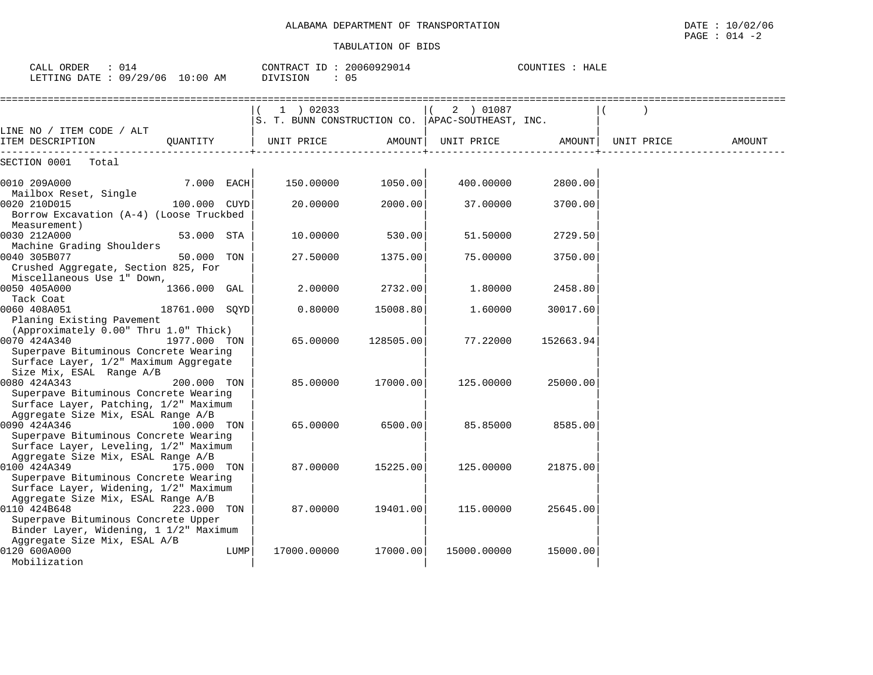| CALL ORDER : 014                | CONTRACT ID: 20060929014 | COUNTIES : HALE |
|---------------------------------|--------------------------|-----------------|
| LETTING DATE: 09/29/06 10:00 AM | DIVISION : 05            |                 |

|                                                                                                                                                                              |                |      | 1 ) 02033<br>S. T. BUNN CONSTRUCTION CO.   APAC-SOUTHEAST, INC. |           | 2 ) 01087   |           |            |        |
|------------------------------------------------------------------------------------------------------------------------------------------------------------------------------|----------------|------|-----------------------------------------------------------------|-----------|-------------|-----------|------------|--------|
| LINE NO / ITEM CODE / ALT<br>ITEM DESCRIPTION                                                                                                                                | QUANTITY       |      | UNIT PRICE                                                      | AMOUNT    | UNIT PRICE  | AMOUNT    | UNIT PRICE | AMOUNT |
| SECTION 0001<br>Total                                                                                                                                                        |                |      |                                                                 |           |             |           |            |        |
| 0010 209A000                                                                                                                                                                 | 7.000 EACH     |      | 150.00000                                                       | 1050.00   | 400.00000   | 2800.00   |            |        |
| Mailbox Reset, Single<br>0020 210D015<br>Borrow Excavation (A-4) (Loose Truckbed                                                                                             | 100.000 CUYD   |      | 20.00000                                                        | 2000.00   | 37.00000    | 3700.00   |            |        |
| Measurement)<br>0030 212A000<br>Machine Grading Shoulders                                                                                                                    | 53.000 STA     |      | 10.00000                                                        | 530.00    | 51.50000    | 2729.50   |            |        |
| 0040 305B077<br>Crushed Aggregate, Section 825, For<br>Miscellaneous Use 1" Down,                                                                                            | 50.000         | TON  | 27.50000                                                        | 1375.00   | 75.00000    | 3750.00   |            |        |
| 0050 405A000<br>Tack Coat                                                                                                                                                    | 1366.000 GAL   |      | 2.00000                                                         | 2732.00   | 1,80000     | 2458.80   |            |        |
| 0060 408A051<br>Planing Existing Pavement                                                                                                                                    | 18761.000 SOYD |      | 0.80000                                                         | 15008.80  | 1.60000     | 30017.60  |            |        |
| (Approximately 0.00" Thru 1.0" Thick)<br>0070 424A340<br>Superpave Bituminous Concrete Wearing                                                                               | 1977.000 TON   |      | 65.00000                                                        | 128505.00 | 77.22000    | 152663.94 |            |        |
| Surface Layer, 1/2" Maximum Aggregate<br>Size Mix, ESAL Range A/B                                                                                                            |                |      |                                                                 |           |             |           |            |        |
| 0080 424A343<br>Superpave Bituminous Concrete Wearing<br>Surface Layer, Patching, 1/2" Maximum                                                                               | 200.000 TON    |      | 85.00000                                                        | 17000.00  | 125.00000   | 25000.00  |            |        |
| Aggregate Size Mix, ESAL Range A/B<br>0090 424A346<br>Superpave Bituminous Concrete Wearing<br>Surface Layer, Leveling, 1/2" Maximum                                         | 100.000 TON    |      | 65,00000                                                        | 6500.00   | 85.85000    | 8585.00   |            |        |
| Aggregate Size Mix, ESAL Range A/B<br>0100 424A349<br>Superpave Bituminous Concrete Wearing                                                                                  | 175.000 TON    |      | 87.00000                                                        | 15225.00  | 125.00000   | 21875.00  |            |        |
| Surface Layer, Widening, 1/2" Maximum<br>Aggregate Size Mix, ESAL Range A/B<br>0110 424B648<br>Superpave Bituminous Concrete Upper<br>Binder Layer, Widening, 1 1/2" Maximum | 223.000 TON    |      | 87.00000                                                        | 19401.00  | 115.00000   | 25645.00  |            |        |
| Aggregate Size Mix, ESAL A/B<br>0120 600A000<br>Mobilization                                                                                                                 |                | LUMP | 17000.00000                                                     | 17000.00  | 15000.00000 | 15000.00  |            |        |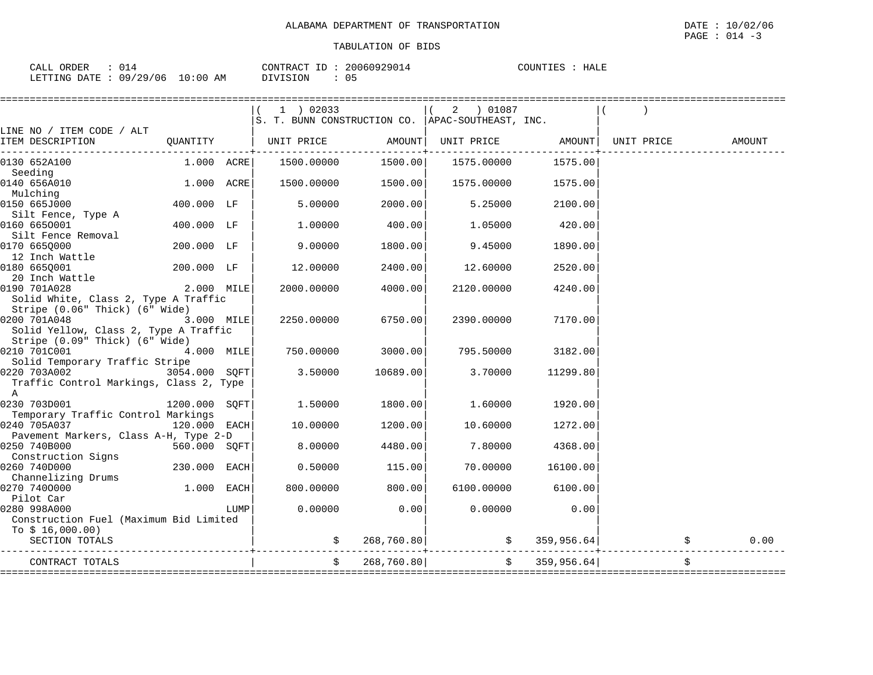| CALL ORDER                      |  |          | CONTRACT ID: 20060929014 | COUNTIES : | HALE |
|---------------------------------|--|----------|--------------------------|------------|------|
| LETTING DATE: 09/29/06 10:00 AM |  | DIVISION | 05                       |            |      |

|                                                                                                                           |               |      | 1 ) 02033<br>S. T. BUNN CONSTRUCTION CO. APAC-SOUTHEAST, INC. |                                 | 2 ) 01087  |                          |                   |                     |      |
|---------------------------------------------------------------------------------------------------------------------------|---------------|------|---------------------------------------------------------------|---------------------------------|------------|--------------------------|-------------------|---------------------|------|
| LINE NO / ITEM CODE / ALT<br>ITEM DESCRIPTION                                                                             |               |      | QUANTITY   UNIT PRICE AMOUNT                                  | . _ _ _ _ _ _ _ _ _ _ _ _ + _ . |            |                          | UNIT PRICE AMOUNT |                     |      |
| 0130 652A100                                                                                                              | $1.000$ ACRE  |      | 1500.00000                                                    | 1500.00                         |            | 1575.00000 1575.00       |                   |                     |      |
| Seeding<br>0140 656A010                                                                                                   | 1.000 ACRE    |      | 1500.00000                                                    | 1500.00                         | 1575.00000 | 1575.00                  |                   |                     |      |
| Mulching<br>0150 665J000                                                                                                  | 400.000 LF    |      | 5.00000                                                       | 2000.00                         | 5.25000    | 2100.00                  |                   |                     |      |
| Silt Fence, Type A<br>0160 6650001<br>Silt Fence Removal                                                                  | 400.000 LF    |      | 1,00000                                                       | 400.00                          | 1.05000    | 420.00                   |                   |                     |      |
| 0170 6650000<br>12 Inch Wattle                                                                                            | 200.000 LF    |      | 9.00000                                                       | 1800.00                         | 9.45000    | 1890.00                  |                   |                     |      |
| 0180 665Q001<br>20 Inch Wattle                                                                                            | 200.000 LF    |      | 12,00000                                                      | 2400.00                         | 12.60000   | 2520.00                  |                   |                     |      |
| 0190 701A028<br>Solid White, Class 2, Type A Traffic                                                                      | 2.000 MILE    |      | 2000.00000                                                    | 4000.00                         | 2120.00000 | 4240.00                  |                   |                     |      |
| Stripe (0.06" Thick) (6" Wide)<br>0200 701A048<br>Solid Yellow, Class 2, Type A Traffic<br>Stripe (0.09" Thick) (6" Wide) | 3.000 MILE    |      | 2250.00000                                                    | 6750.00                         | 2390.00000 | 7170.00                  |                   |                     |      |
| 0210 701C001<br>4.000 MILE<br>Solid Temporary Traffic Stripe                                                              |               |      | 750.00000                                                     | 3000.00                         | 795.50000  | 3182.00                  |                   |                     |      |
| 0220 703A002<br>Traffic Control Markings, Class 2, Type<br>A                                                              | 3054.000 SOFT |      | 3.50000                                                       | 10689.00                        | 3.70000    | 11299.80                 |                   |                     |      |
| 0230 703D001                                                                                                              | 1200.000 SOFT |      | 1.50000                                                       | 1800.00                         | 1.60000    | 1920.00                  |                   |                     |      |
| Temporary Traffic Control Markings<br>0240 705A037                                                                        | 120.000 EACH  |      | 10.00000                                                      | 1200.00                         | 10.60000   | 1272.00                  |                   |                     |      |
| Pavement Markers, Class A-H, Type 2-D<br>0250 740B000                                                                     | 560.000 SQFT  |      | 8.00000                                                       | 4480.00                         | 7.80000    | 4368.00                  |                   |                     |      |
| Construction Signs<br>0260 740D000                                                                                        | 230.000 EACH  |      | 0.50000                                                       | 115.00                          | 70.00000   | 16100.00                 |                   |                     |      |
| Channelizing Drums<br>0270 7400000<br>Pilot Car                                                                           | 1.000 EACH    |      | 800.00000                                                     | 800.00                          | 6100.00000 | 6100.00                  |                   |                     |      |
| 0280 998A000<br>Construction Fuel (Maximum Bid Limited<br>To $$16,000.00)$                                                |               | LUMP | 0.00000                                                       | 0.00                            | 0.00000    | 0.00                     |                   |                     |      |
| SECTION TOTALS                                                                                                            |               |      |                                                               | \$268,760.80]                   |            | $\frac{1}{5}$ 359,956.64 |                   | $\ddot{\mathsf{S}}$ | 0.00 |
| CONTRACT TOTALS                                                                                                           |               |      | $\ddot{s}$                                                    | 268,760.80                      |            | \$359,956.64]            |                   | \$                  |      |
|                                                                                                                           |               |      |                                                               |                                 |            |                          |                   |                     |      |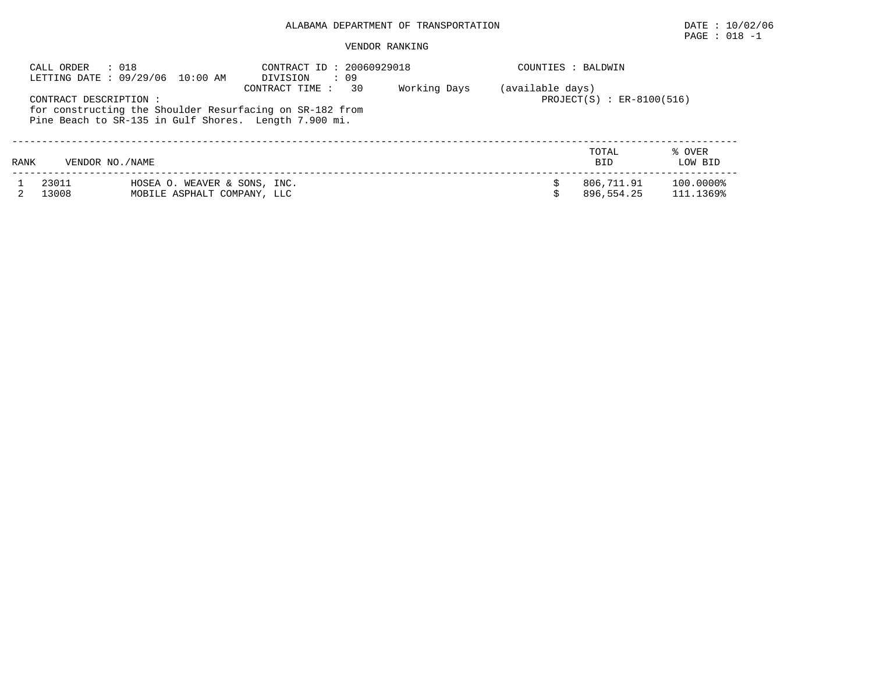# PAGE : 018 -1

| CALL ORDER | : 018<br>LETTING DATE : 09/29/06 10:00 AM                                                                                                  | CONTRACT ID: 20060929018<br>DIVISION<br>: 09 |              |                  | COUNTIES : BALDWIN          |                   |
|------------|--------------------------------------------------------------------------------------------------------------------------------------------|----------------------------------------------|--------------|------------------|-----------------------------|-------------------|
|            | CONTRACT DESCRIPTION:<br>for constructing the Shoulder Resurfacing on SR-182 from<br>Pine Beach to SR-135 in Gulf Shores. Length 7.900 mi. | 30<br>CONTRACT TIME :                        | Working Days | (available days) | $PROJECT(S) : ER-8100(516)$ |                   |
| RANK       | VENDOR NO. / NAME                                                                                                                          |                                              |              |                  | TOTAL<br><b>BID</b>         | % OVER<br>LOW BID |
| 23011      | HOSEA O. WEAVER & SONS, INC.                                                                                                               |                                              |              |                  | 806,711.91                  | 100.0000%         |
| 13008      | MOBILE ASPHALT COMPANY, LLC                                                                                                                |                                              |              |                  | 896,554.25                  | 111.1369%         |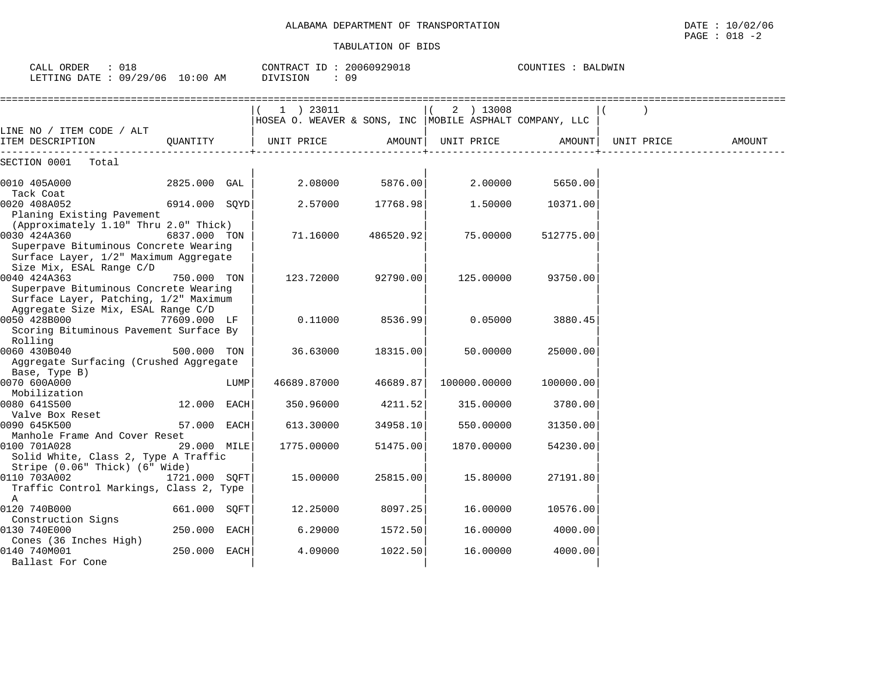$\text{CALL}$  ORDER : 018 CONTRACT ID : 20060929018

| LETTING DATE: 09/29/06 10:00 AM                                                                                                         |               |      | DIVISION<br>: 09                                                        |           |              |           |            |        |
|-----------------------------------------------------------------------------------------------------------------------------------------|---------------|------|-------------------------------------------------------------------------|-----------|--------------|-----------|------------|--------|
|                                                                                                                                         |               |      | 1 ) 23011<br> HOSEA O. WEAVER & SONS, INC   MOBILE ASPHALT COMPANY, LLC |           | 2 ) 13008    |           |            |        |
| LINE NO / ITEM CODE / ALT<br>ITEM DESCRIPTION                                                                                           | QUANTITY      |      | UNIT PRICE                                                              | AMOUNT    | UNIT PRICE   | AMOUNT    | UNIT PRICE | AMOUNT |
| SECTION 0001 Total                                                                                                                      |               |      |                                                                         |           |              |           |            |        |
| 0010 405A000<br>Tack Coat                                                                                                               | 2825.000 GAL  |      | 2.08000                                                                 | 5876.00   | 2.00000      | 5650.00   |            |        |
| 0020 408A052<br>Planing Existing Pavement                                                                                               | 6914.000 SQYD |      | 2.57000                                                                 | 17768.98  | 1.50000      | 10371.00  |            |        |
| (Approximately 1.10" Thru 2.0" Thick)<br>0030 424A360<br>Superpave Bituminous Concrete Wearing<br>Surface Layer, 1/2" Maximum Aggregate | 6837.000 TON  |      | 71.16000                                                                | 486520.92 | 75.00000     | 512775.00 |            |        |
| Size Mix, ESAL Range C/D<br>0040 424A363<br>Superpave Bituminous Concrete Wearing<br>Surface Layer, Patching, 1/2" Maximum              | 750.000 TON   |      | 123.72000                                                               | 92790.00  | 125.00000    | 93750.00  |            |        |
| Aggregate Size Mix, ESAL Range C/D<br>0050 428B000<br>Scoring Bituminous Pavement Surface By                                            | 77609.000 LF  |      | 0.11000                                                                 | 8536.99   | 0.05000      | 3880.45   |            |        |
| Rolling<br>0060 430B040<br>Aggregate Surfacing (Crushed Aggregate                                                                       | 500.000 TON   |      | 36.63000                                                                | 18315.00  | 50.00000     | 25000.00  |            |        |
| Base, Type B)<br>0070 600A000<br>Mobilization                                                                                           |               | LUMP | 46689.87000                                                             | 46689.87  | 100000.00000 | 100000.00 |            |        |
| 0080 641S500<br>Valve Box Reset                                                                                                         | 12.000 EACH   |      | 350.96000                                                               | 4211.52   | 315.00000    | 3780.00   |            |        |
| 0090 645K500<br>Manhole Frame And Cover Reset                                                                                           | 57.000 EACH   |      | 613.30000                                                               | 34958.10  | 550.00000    | 31350.00  |            |        |
| 0100 701A028<br>Solid White, Class 2, Type A Traffic                                                                                    | 29.000 MILE   |      | 1775.00000                                                              | 51475.00  | 1870.00000   | 54230.00  |            |        |
| Stripe (0.06" Thick) (6" Wide)<br>0110 703A002<br>Traffic Control Markings, Class 2, Type<br>A                                          | 1721.000 SQFT |      | 15.00000                                                                | 25815.00  | 15.80000     | 27191.80  |            |        |
| 0120 740B000<br>Construction Signs                                                                                                      | 661.000 SQFT  |      | 12.25000                                                                | 8097.25   | 16.00000     | 10576.00  |            |        |
| 0130 740E000<br>Cones (36 Inches High)                                                                                                  | 250.000 EACH  |      | 6.29000                                                                 | 1572.50   | 16.00000     | 4000.00   |            |        |
| 0140 740M001<br>Ballast For Cone                                                                                                        | 250.000 EACH  |      | 4.09000                                                                 | 1022.50   | 16.00000     | 4000.00   |            |        |

 $\texttt{PAGE}$  : 018 -2

COUNTIES : BALDWIN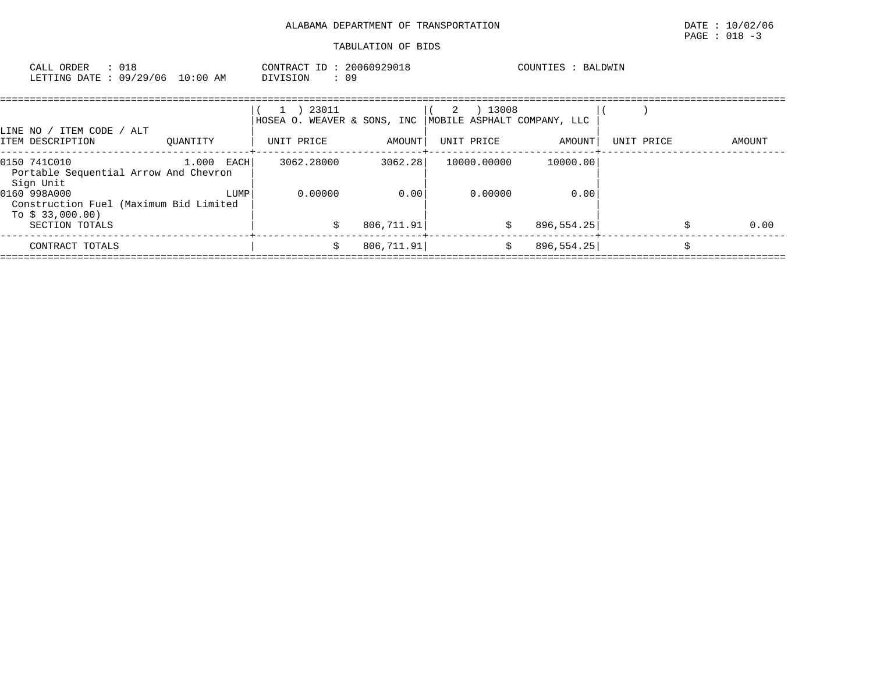| CALL ORDER : 018<br>LETTING DATE: 09/29/06 10:00 AM |  |  | CONTRACT ID: 20060929018<br>DIVISION : 09                                             |  |  | COUNTIES : BALDWIN |  |  |
|-----------------------------------------------------|--|--|---------------------------------------------------------------------------------------|--|--|--------------------|--|--|
|                                                     |  |  | $(1)$ 23011 $(2)$ 13008<br> HOSEA O. WEAVER & SONS, INC   MOBILE ASPHALT COMPANY, LLC |  |  |                    |  |  |

| ITEM CODE<br>ALT<br>LINE NO .<br>ITEM DESCRIPTION                         | OUANTITY             | UNIT PRICE | AMOUNT      | UNIT PRICE  | AMOUNT      | UNIT PRICE | AMOUNT |
|---------------------------------------------------------------------------|----------------------|------------|-------------|-------------|-------------|------------|--------|
| 0150 741C010<br>Portable Sequential Arrow And Chevron<br>Sign Unit        | 1,000<br><b>EACH</b> | 3062.28000 | 3062.28     | 10000.00000 | 10000.00    |            |        |
| 0160 998A000<br>Construction Fuel (Maximum Bid Limited<br>To $$33,000.00$ | LUMP                 | 0.00000    | 0.00        | 0.00000     | 0.00        |            |        |
| SECTION TOTALS                                                            |                      |            | 806,711.91  | S           | 896, 554.25 |            | 0.00   |
| CONTRACT TOTALS                                                           |                      |            | 806, 711.91 |             | 896, 554.25 |            |        |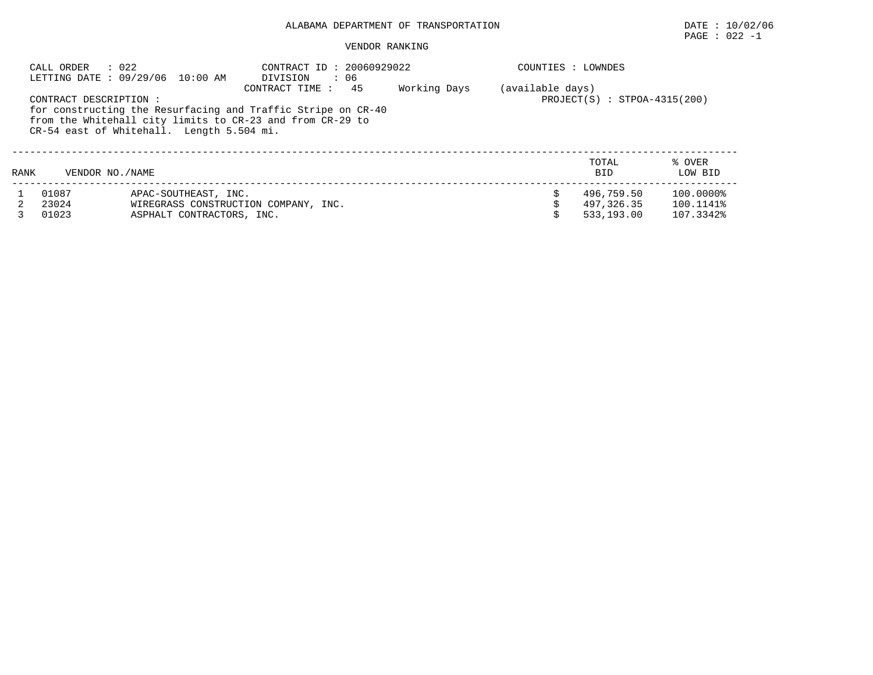# $\texttt{PAGE}$  : 022 -1

|      | $\therefore$ 022<br>CALL ORDER | LETTING DATE: 09/29/06 10:00 AM           | CONTRACT ID: 20060929022<br>DIVISION<br>$\cdot$ 06                                                                                                |              | COUNTIES : LOWNDES |                                |                   |
|------|--------------------------------|-------------------------------------------|---------------------------------------------------------------------------------------------------------------------------------------------------|--------------|--------------------|--------------------------------|-------------------|
|      | CONTRACT DESCRIPTION :         | CR-54 east of Whitehall. Length 5.504 mi. | 45<br>CONTRACT TIME:<br>for constructing the Resurfacing and Traffic Stripe on CR-40<br>from the Whitehall city limits to CR-23 and from CR-29 to | Working Days | (available days)   | $PROJECT(S) : STPOA-4315(200)$ |                   |
| RANK | VENDOR NO. / NAME              |                                           |                                                                                                                                                   |              |                    | TOTAL<br><b>BID</b>            | % OVER<br>LOW BID |
|      | 01087                          | APAC-SOUTHEAST, INC.                      |                                                                                                                                                   |              |                    | 496,759.50                     | 100.0000%         |
|      | 23024                          |                                           | WIREGRASS CONSTRUCTION COMPANY, INC.                                                                                                              |              |                    | 497,326.35                     | 100.1141%         |
|      | 01023                          | ASPHALT CONTRACTORS, INC.                 |                                                                                                                                                   |              |                    | 533,193.00                     | 107.3342%         |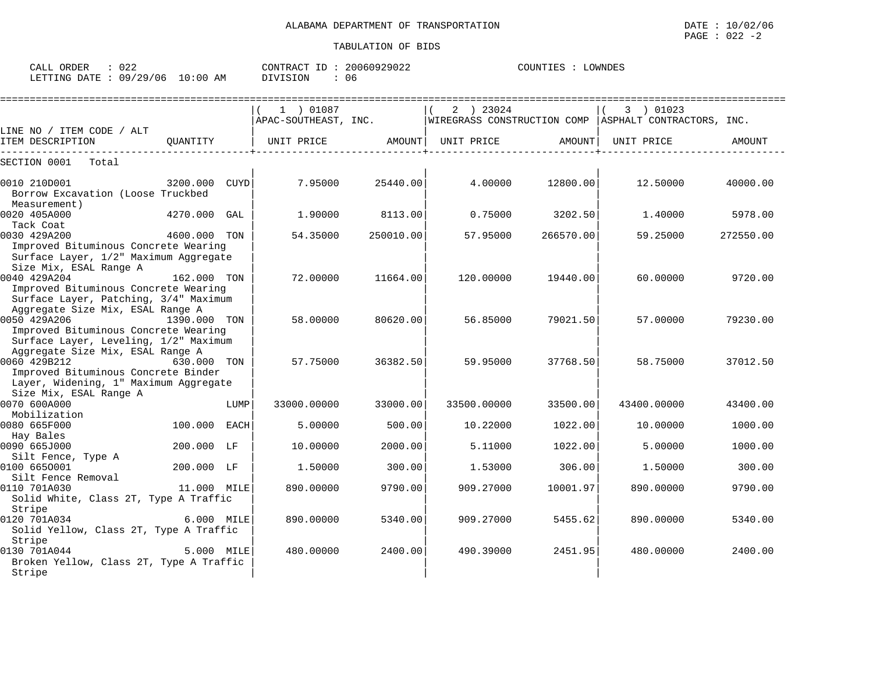| CALL ORDER<br>: 022<br>LETTING DATE: 09/29/06                     | 10:00 AM |      | CONTRACT ID: 20060929022<br>: 06<br>DIVISION |          |   |            | COUNTIES : LOWNDES          |                                    |          |
|-------------------------------------------------------------------|----------|------|----------------------------------------------|----------|---|------------|-----------------------------|------------------------------------|----------|
| LINE NO / ITEM CODE / ALT                                         |          |      | 01087<br>APAC-SOUTHEAST, INC.                |          | 2 | 23024      | WIREGRASS CONSTRUCTION COMP | 01023<br>ASPHALT CONTRACTORS, INC. |          |
| ITEM DESCRIPTION                                                  | OUANTITY |      | UNIT PRICE                                   | AMOUNT   |   | UNIT PRICE | AMOUNT                      | UNIT PRICE                         | AMOUNT   |
| SECTION 0001<br>Total                                             |          |      |                                              |          |   |            |                             |                                    |          |
| 0010 210D001<br>Borrow Excavation (Loose Truckbed<br>Measurement) | 3200.000 | CUYD | 7.95000                                      | 25440.00 |   | 4.00000    | 12800.00                    | 12.50000                           | 40000.00 |

|                                                  | JAVV.VVV     |      |             | 2 J I I V . V V |             |           |             |           |
|--------------------------------------------------|--------------|------|-------------|-----------------|-------------|-----------|-------------|-----------|
| Borrow Excavation (Loose Truckbed                |              |      |             |                 |             |           |             |           |
| Measurement)                                     |              |      |             |                 |             |           |             |           |
| 0020 405A000                                     | 4270.000 GAL |      | 1,90000     | 8113.00         | 0.75000     | 3202.50   | 1,40000     | 5978.00   |
| Tack Coat                                        |              |      |             |                 |             |           |             |           |
| 0030 429A200                                     | 4600.000 TON |      | 54.35000    | 250010.00       | 57.95000    | 266570.00 | 59.25000    | 272550.00 |
| Improved Bituminous Concrete Wearing             |              |      |             |                 |             |           |             |           |
| Surface Layer, 1/2" Maximum Aggregate            |              |      |             |                 |             |           |             |           |
| Size Mix, ESAL Range A                           |              |      |             |                 |             |           |             |           |
| 0040 429A204                                     | 162.000 TON  |      | 72.00000    | 11664.00        | 120.00000   | 19440.00  | 60.00000    | 9720.00   |
| Improved Bituminous Concrete Wearing             |              |      |             |                 |             |           |             |           |
| Surface Layer, Patching, 3/4" Maximum            |              |      |             |                 |             |           |             |           |
| Aggregate Size Mix, ESAL Range A<br>0050 429A206 | 1390.000 TON |      | 58.00000    | 80620.00        | 56.85000    | 79021.50  | 57.00000    | 79230.00  |
| Improved Bituminous Concrete Wearing             |              |      |             |                 |             |           |             |           |
| Surface Layer, Leveling, 1/2" Maximum            |              |      |             |                 |             |           |             |           |
| Aggregate Size Mix, ESAL Range A                 |              |      |             |                 |             |           |             |           |
| 0060 429B212                                     | 630.000 TON  |      | 57.75000    | 36382.50        | 59.95000    | 37768.50  | 58.75000    | 37012.50  |
| Improved Bituminous Concrete Binder              |              |      |             |                 |             |           |             |           |
| Layer, Widening, 1" Maximum Aggregate            |              |      |             |                 |             |           |             |           |
| Size Mix, ESAL Range A                           |              |      |             |                 |             |           |             |           |
| 0070 600A000                                     |              | LUMP | 33000.00000 | 33000.00        | 33500.00000 | 33500.00  | 43400.00000 | 43400.00  |
| Mobilization                                     |              |      |             |                 |             |           |             |           |
| 0080 665F000                                     | 100.000      | EACH | 5.00000     | 500.00          | 10.22000    | 1022.00   | 10,00000    | 1000.00   |
| Hay Bales                                        |              |      |             |                 |             |           |             |           |
| 0090 665J000                                     | 200.000 LF   |      | 10.00000    | 2000.00         | 5.11000     | 1022.00   | 5.00000     | 1000.00   |
| Silt Fence, Type A                               |              |      |             |                 |             |           |             |           |
| 0100 6650001                                     | 200.000 LF   |      | 1.50000     | 300.00          | 1.53000     | 306.00    | 1.50000     | 300.00    |
| Silt Fence Removal                               |              |      |             |                 |             |           |             |           |
| 0110 701A030                                     | 11.000 MILE  |      | 890,00000   | 9790.00         | 909.27000   | 10001.97  | 890,00000   | 9790.00   |
| Solid White, Class 2T, Type A Traffic            |              |      |             |                 |             |           |             |           |
| Stripe                                           | 6.000 MILE   |      | 890,00000   |                 | 909.27000   |           | 890,00000   |           |
| 0120 701A034                                     |              |      |             | 5340.00         |             | 5455.62   |             | 5340.00   |
| Solid Yellow, Class 2T, Type A Traffic<br>Stripe |              |      |             |                 |             |           |             |           |
| 0130 701A044                                     | 5.000 MILE   |      | 480.00000   | 2400.00         | 490.39000   | 2451.95   | 480.00000   | 2400.00   |
| Broken Yellow, Class 2T, Type A Traffic          |              |      |             |                 |             |           |             |           |
| Stripe                                           |              |      |             |                 |             |           |             |           |
|                                                  |              |      |             |                 |             |           |             |           |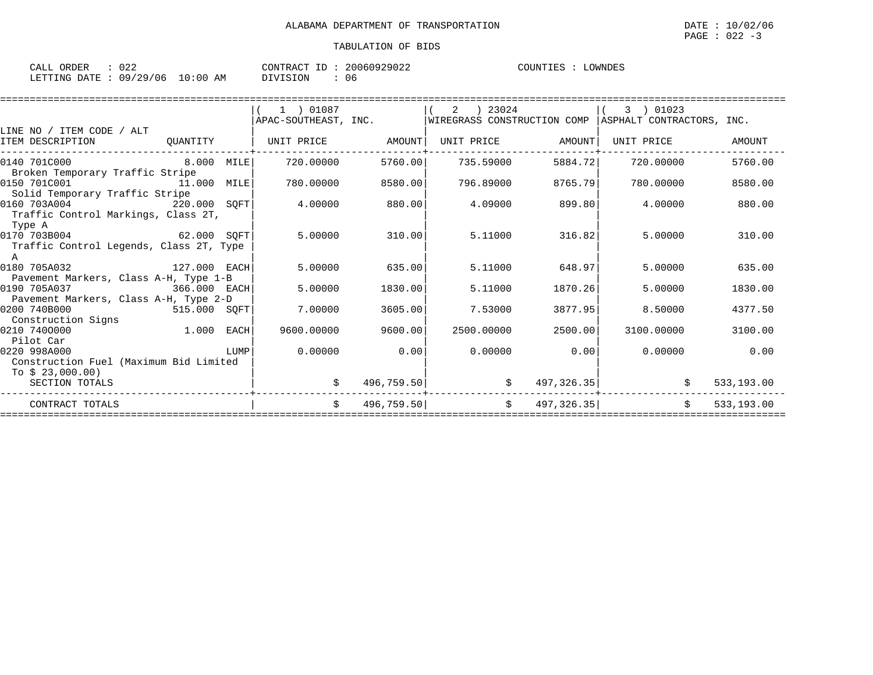| ORDER<br>CALL | ∪∠∠      |             | CONTRACT<br>T D | 20060929022 | COUNTIES | OWNDES |
|---------------|----------|-------------|-----------------|-------------|----------|--------|
| LETTING DATE: | 09/29/06 | 10:00<br>ΆM | DIVISION        | 06          |          |        |

|                                         |              |      | 1 ) 01087            |            | 2<br>23024                  |                   | 3<br>01023                |            |
|-----------------------------------------|--------------|------|----------------------|------------|-----------------------------|-------------------|---------------------------|------------|
|                                         |              |      | APAC-SOUTHEAST, INC. |            | WIREGRASS CONSTRUCTION COMP |                   | ASPHALT CONTRACTORS, INC. |            |
| LINE NO / ITEM CODE / ALT               |              |      |                      |            |                             |                   |                           |            |
| ITEM DESCRIPTION                        | QUANTITY     |      | UNIT PRICE           | AMOUNT     |                             | UNIT PRICE AMOUNT | UNIT PRICE                | AMOUNT     |
| 0140 701C000                            | 8.000 MILE   |      | 720.00000            | 5760.00    | 735.59000                   | 5884.72           | 720,00000                 | 5760.00    |
| Broken Temporary Traffic Stripe         |              |      |                      |            |                             |                   |                           |            |
| 0150 701C001<br>11.000 MILE             |              |      | 780,00000            | 8580.00    | 796.89000                   | 8765.79           | 780.00000                 | 8580.00    |
| Solid Temporary Traffic Stripe          |              |      |                      |            |                             |                   |                           |            |
| 0160 703A004<br>220.000 SOFT            |              |      | 4.00000              | 880.00     | 4.09000                     | 899.80            | 4.00000                   | 880.00     |
| Traffic Control Markings, Class 2T,     |              |      |                      |            |                             |                   |                           |            |
| Type A                                  |              |      |                      |            |                             |                   |                           |            |
| $62.000$ SQFT<br>0170 703B004           |              |      | 5.00000              | 310.00     | 5.11000                     | 316.82            | 5.00000                   | 310.00     |
| Traffic Control Legends, Class 2T, Type |              |      |                      |            |                             |                   |                           |            |
| A                                       |              |      |                      |            |                             |                   |                           |            |
| 0180 705A032                            | 127.000 EACH |      | 5.00000              | 635.00     | 5.11000                     | 648.97            | 5,00000                   | 635.00     |
| Pavement Markers, Class A-H, Type 1-B   |              |      |                      |            |                             |                   |                           |            |
| 0190 705A037<br>366.000 EACH            |              |      | 5.00000              | 1830.00    | 5.11000                     | 1870.26           | 5.00000                   | 1830.00    |
| Pavement Markers, Class A-H, Type 2-D   |              |      |                      |            |                             |                   |                           |            |
| 0200 740B000<br>515.000 SQFT            |              |      | 7.00000              | 3605.00    | 7.53000                     | 3877.95           | 8.50000                   | 4377.50    |
| Construction Signs                      |              |      |                      |            |                             |                   |                           |            |
| 1.000 EACH<br>0210 7400000              |              |      | 9600,00000           | 9600.00    | 2500.00000                  | 2500.00           | 3100.00000                | 3100.00    |
| Pilot Car                               |              |      |                      |            |                             |                   |                           |            |
| 0220 998A000                            |              | LUMP | 0.00000              | 0.00       | 0.00000                     | 0.00              | 0.00000                   | 0.00       |
| Construction Fuel (Maximum Bid Limited  |              |      |                      |            |                             |                   |                           |            |
| To \$ 23,000.00)                        |              |      |                      |            |                             |                   |                           |            |
| SECTION TOTALS                          |              |      |                      | 496,759.50 | \$                          | 497,326.35        |                           | 533,193.00 |
|                                         |              |      |                      |            |                             |                   |                           |            |
| CONTRACT TOTALS                         |              |      | Ŝ.                   | 496,759.50 | \$                          | 497, 326.35       | $\mathsf{S}$              | 533,193.00 |
|                                         |              |      |                      |            |                             |                   |                           |            |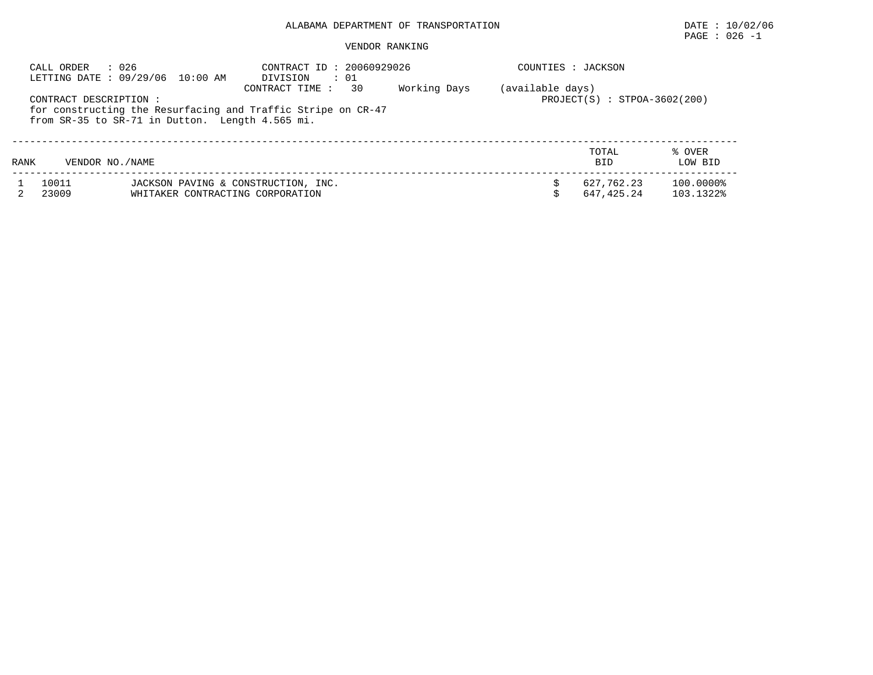# PAGE : 026 -1

|             | : 026<br>CALL ORDER   | LETTING DATE: 09/29/06 10:00 AM                                         | CONTRACT ID: 20060929026<br>DIVISION<br>: 01                                         |              | COUNTIES : JACKSON |                                |                        |
|-------------|-----------------------|-------------------------------------------------------------------------|--------------------------------------------------------------------------------------|--------------|--------------------|--------------------------------|------------------------|
|             | CONTRACT DESCRIPTION: | from SR-35 to SR-71 in Dutton. Length 4.565 mi.                         | 30<br>CONTRACT TIME:<br>for constructing the Resurfacing and Traffic Stripe on CR-47 | Working Days | (available days)   | $PROJECT(S) : STPOA-3602(200)$ |                        |
| <b>RANK</b> | VENDOR NO. / NAME     |                                                                         |                                                                                      |              |                    | TOTAL<br><b>BID</b>            | % OVER<br>LOW BID      |
|             | 10011<br>23009        | JACKSON PAVING & CONSTRUCTION, INC.<br>WHITAKER CONTRACTING CORPORATION |                                                                                      |              |                    | 627,762.23<br>647.425.24       | 100.0000%<br>103.1322% |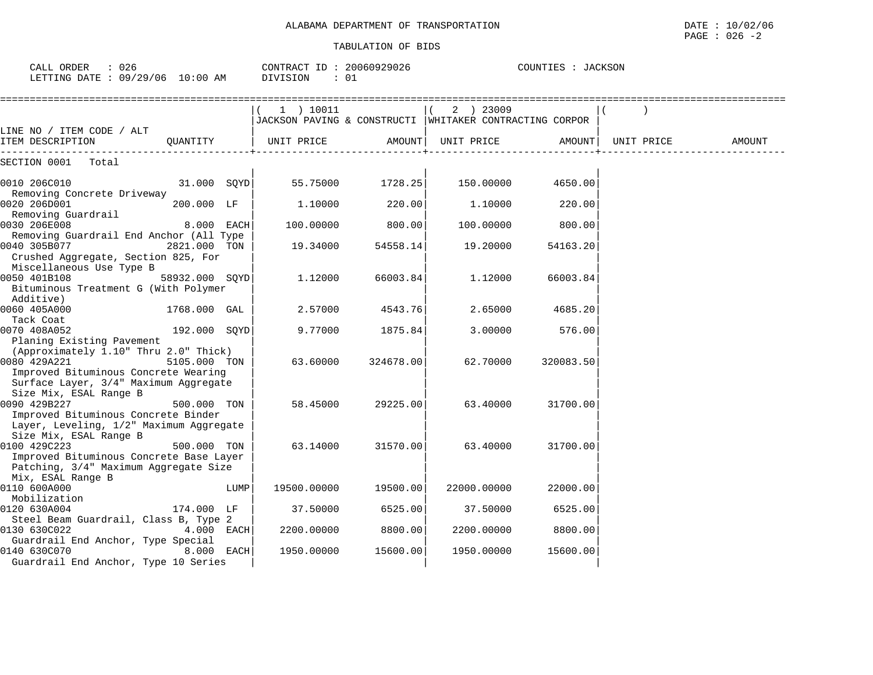| 026<br>CALL ORDER<br>LETTING DATE: 09/29/06 | $10:00$ AM | CONTRACT ID:<br>DIVISION | 20060929026<br>01 | COUNTIES<br>JACKSON |
|---------------------------------------------|------------|--------------------------|-------------------|---------------------|
|                                             |            |                          |                   |                     |

| LINE NO / ITEM CODE / ALT                                                                                                |                |      | $1$ ) 10011<br>2 ) 23009<br>JACKSON PAVING & CONSTRUCTI<br>WHITAKER CONTRACTING CORPOR |                   |             |                   | $\rightarrow$ |        |
|--------------------------------------------------------------------------------------------------------------------------|----------------|------|----------------------------------------------------------------------------------------|-------------------|-------------|-------------------|---------------|--------|
| ITEM DESCRIPTION                                                                                                         |                |      | QUANTITY   UNIT PRICE AMOUNT  UNIT PRICE AMOUNT  UNIT PRICE                            |                   |             |                   |               | AMOUNT |
| SECTION 0001 Total                                                                                                       |                |      |                                                                                        |                   |             |                   |               |        |
| 0010 206C010<br>Removing Concrete Driveway                                                                               | 31.000 SOYD    |      |                                                                                        | 55.75000 1728.25  |             | 150.00000 4650.00 |               |        |
| 0020 206D001<br>Removing Guardrail                                                                                       | 200.000 LF     |      | 1,10000                                                                                | 220.00            | 1.10000     | 220.00            |               |        |
| 0030 206E008<br>Removing Guardrail End Anchor (All Type                                                                  | $8.000$ EACH   |      | 100.00000                                                                              | 800.00            | 100.00000   | 800.00            |               |        |
| 0040 305B077<br>Crushed Aggregate, Section 825, For<br>Miscellaneous Use Type B                                          | 2821.000 TON   |      | 19.34000                                                                               | 54558.14          | 19.20000    | 54163.20          |               |        |
| 0050 401B108<br>Bituminous Treatment G (With Polymer<br>Additive)                                                        | 58932.000 SOYD |      | 1.12000                                                                                | 66003.84          | 1.12000     | 66003.84          |               |        |
| $ 0060 405A000$ 1768.000 GAL<br>Tack Coat                                                                                |                |      | 2.57000                                                                                | 4543.76           | 2.65000     | 4685.20           |               |        |
| 0070 408A052<br>Planing Existing Pavement<br>(Approximately 1.10" Thru 2.0" Thick)                                       | 192.000 SQYD   |      | 9.77000                                                                                | 1875.84           | 3.00000     | 576.00            |               |        |
| 0080 429A221<br>Improved Bituminous Concrete Wearing<br>Surface Layer, 3/4" Maximum Aggregate<br>Size Mix, ESAL Range B  | 5105.000 TON   |      | 63.60000                                                                               | 324678.00         | 62.70000    | 320083.50         |               |        |
| 0090 429B227<br>Improved Bituminous Concrete Binder<br>Layer, Leveling, 1/2" Maximum Aggregate<br>Size Mix, ESAL Range B | 500.000 TON    |      | 58.45000                                                                               | 29225.00          | 63.40000    | 31700.00          |               |        |
| 0100 429C223<br>Improved Bituminous Concrete Base Layer<br>Patching, 3/4" Maximum Aggregate Size<br>Mix, ESAL Range B    | 500.000 TON    |      |                                                                                        | 63.14000 31570.00 | 63.40000    | 31700.00          |               |        |
| 0110 600A000<br>Mobilization                                                                                             |                | LUMP | 19500.00000                                                                            | 19500.00          | 22000.00000 | 22000.00          |               |        |
| 0120 630A004<br>Steel Beam Guardrail, Class B, Type 2                                                                    | 174.000 LF     |      | 37.50000                                                                               | 6525.00           | 37.50000    | 6525.00           |               |        |
| 0130 630C022<br>Guardrail End Anchor, Type Special                                                                       | $4.000$ EACH   |      | 2200.00000                                                                             | 8800.00           | 2200.00000  | 8800.00           |               |        |
| 0140 630C070<br>Guardrail End Anchor, Type 10 Series                                                                     | $8.000$ EACH   |      | 1950.00000                                                                             | 15600.00          | 1950.00000  | 15600.00          |               |        |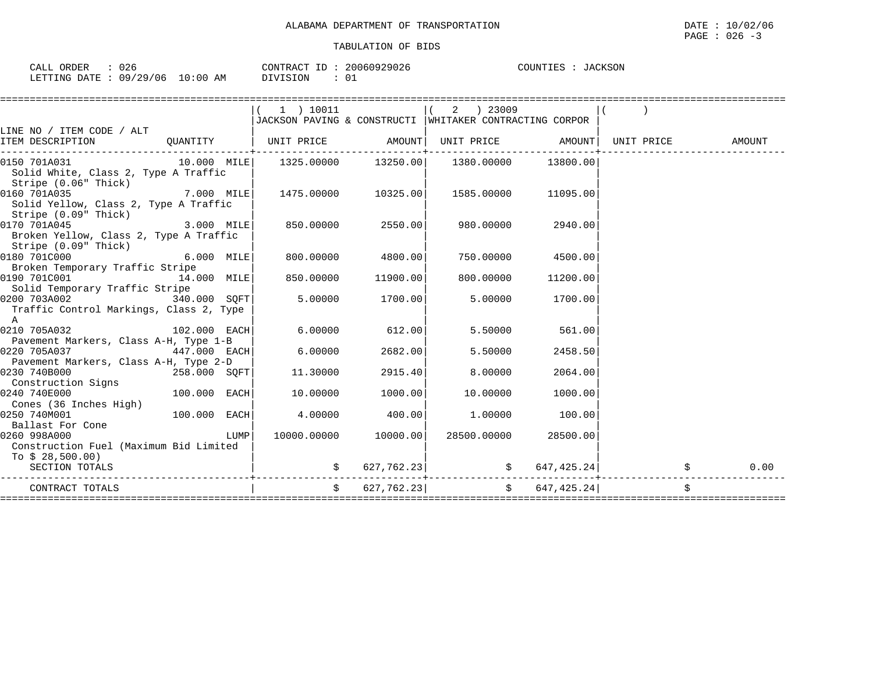| 026<br>ORDER<br>CALI              | 20060929026<br>CONTRACT<br>$ -$<br>⊥ມ | JACKSON<br>COUNTIES<br>$.1 \Delta T$ |
|-----------------------------------|---------------------------------------|--------------------------------------|
| 09/29/06<br>10:00<br>LETTING DATE | $\sim$<br>DIVISION<br>ΆM<br>്ധ ച      |                                      |

|                                                                                                                                                                                  |              |      | $1$ ) 10011                                               |                    | $(2)$ 23009                                                       |                     |  |
|----------------------------------------------------------------------------------------------------------------------------------------------------------------------------------|--------------|------|-----------------------------------------------------------|--------------------|-------------------------------------------------------------------|---------------------|--|
|                                                                                                                                                                                  |              |      | JACKSON PAVING & CONSTRUCTI   WHITAKER CONTRACTING CORPOR |                    |                                                                   |                     |  |
| LINE NO / ITEM CODE / ALT                                                                                                                                                        |              |      |                                                           |                    |                                                                   |                     |  |
| ITEM DESCRIPTION CUANTITY   UNIT PRICE AMOUNT  UNIT PRICE AMOUNT  UNIT PRICE AMOUNT                                                                                              |              |      |                                                           |                    |                                                                   |                     |  |
| $[0150 701A031 \qquad \qquad 10.000 101E] \qquad 1325.00000 \qquad 13250.00] \qquad 1380.00000 \qquad 13800.00]$<br>Solid White, Class 2, Type A Traffic<br>Stripe (0.06" Thick) |              |      |                                                           |                    |                                                                   |                     |  |
| 0160 701A035<br>7.000 MILE<br>Solid Yellow, Class 2, Type A Traffic<br>Stripe (0.09" Thick)                                                                                      |              |      | 1475.00000 10325.00                                       |                    | 1585.00000 11095.00                                               |                     |  |
| 0170 701A045 3.000 MILE<br>Broken Yellow, Class 2, Type A Traffic<br>Stripe (0.09" Thick)                                                                                        |              |      | 850.00000 2550.00                                         |                    | 980.00000                                                         | 2940.00             |  |
| $0180 \overline{7010000}$ 6.000 MILE<br>Broken Temporary Traffic Stripe                                                                                                          |              |      | 800.00000 4800.00                                         |                    |                                                                   | 750.00000 4500.00   |  |
| 0190 701C001 14.000 MILE<br>Solid Temporary Traffic Stripe                                                                                                                       |              |      | 850.00000 11900.00                                        |                    | 800.00000                                                         | 11200.00            |  |
| $0200$ 703A002 $340.000$ SQFT<br>Traffic Control Markings, Class 2, Type<br>$\overline{A}$                                                                                       |              |      |                                                           | $5.00000$ 1700.00  |                                                                   | 5.00000 1700.00     |  |
| 0210 705A032 102.000 EACH<br>Pavement Markers, Class A-H, Type 1-B                                                                                                               |              |      |                                                           | $6.00000$ $612.00$ | 5.50000                                                           | 561.00              |  |
| 0220 705A037<br>Pavement Markers, Class A-H, Type 2-D                                                                                                                            | 447.000 EACH |      | 6.00000                                                   | 2682.00            | 5.50000                                                           | 2458.50             |  |
| 0230 740B000<br>Construction Signs                                                                                                                                               |              |      | 258.000 SQFT 11.30000                                     | 2915.40            | 8,00000                                                           | 2064.00             |  |
| 0240 740E000<br>Cones (36 Inches High)                                                                                                                                           | 100.000 EACH |      | 10.00000                                                  | 1000.00            | 10.00000                                                          | 1000.00             |  |
| 0250 740M001<br>Ballast For Cone                                                                                                                                                 | 100.000 EACH |      | 4.00000                                                   | 400.00             | 1.00000                                                           | 100.00              |  |
| 0260 998A000<br>Construction Fuel (Maximum Bid Limited<br>To $$28,500.00$ )                                                                                                      |              | LUMP | 10000.00000 10000.00                                      |                    | 28500.00000 28500.00                                              |                     |  |
| SECTION TOTALS                                                                                                                                                                   |              |      |                                                           |                    | $\sin 627, 762.23$ $\sin 647, 425.24$ $\sin 762.24$ $\sin 762.23$ | ___________________ |  |
| CONTRACT TOTALS                                                                                                                                                                  |              |      |                                                           |                    | $\sharp$ 627,762.23 $\sharp$ 647,425.24                           |                     |  |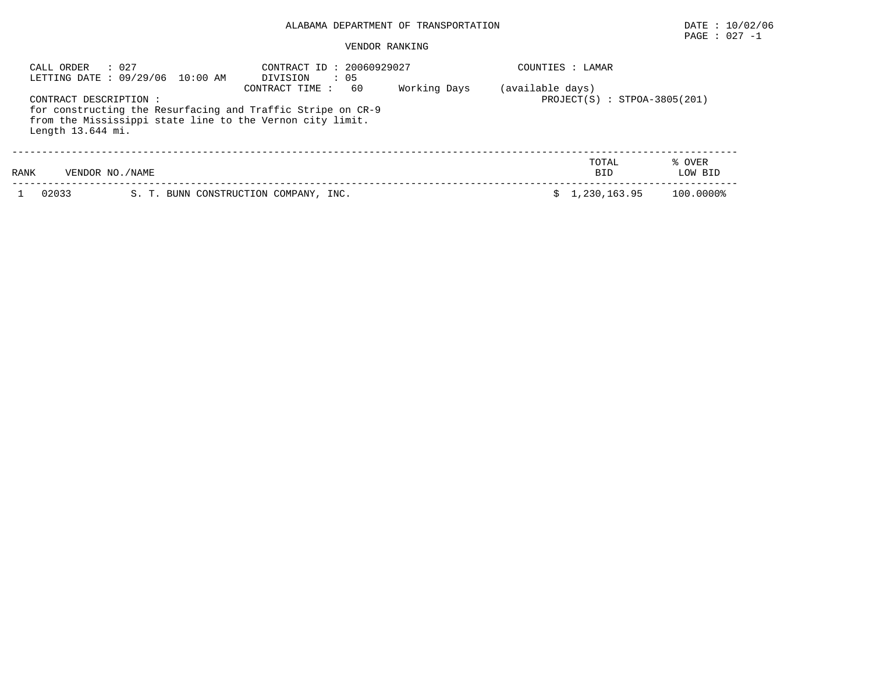# PAGE : 027 -1

| : 027<br>CALL ORDER<br>LETTING DATE: 09/29/06 10:00 AM |                 | : 05<br>DIVISION                                                                                                                                 | CONTRACT ID: 20060929027 |                  |                                |                   |
|--------------------------------------------------------|-----------------|--------------------------------------------------------------------------------------------------------------------------------------------------|--------------------------|------------------|--------------------------------|-------------------|
| CONTRACT DESCRIPTION :<br>Length 13.644 mi.            |                 | 60<br>CONTRACT TIME:<br>for constructing the Resurfacing and Traffic Stripe on CR-9<br>from the Mississippi state line to the Vernon city limit. | Working Days             | (available days) | $PROJECT(S) : STPOA-3805(201)$ |                   |
| RANK                                                   | VENDOR NO./NAME |                                                                                                                                                  |                          |                  | TOTAL<br><b>BID</b>            | % OVER<br>LOW BID |
| 02033                                                  |                 | S. T. BUNN CONSTRUCTION COMPANY, INC.                                                                                                            |                          |                  | 1,230,163.95                   | 100.0000%         |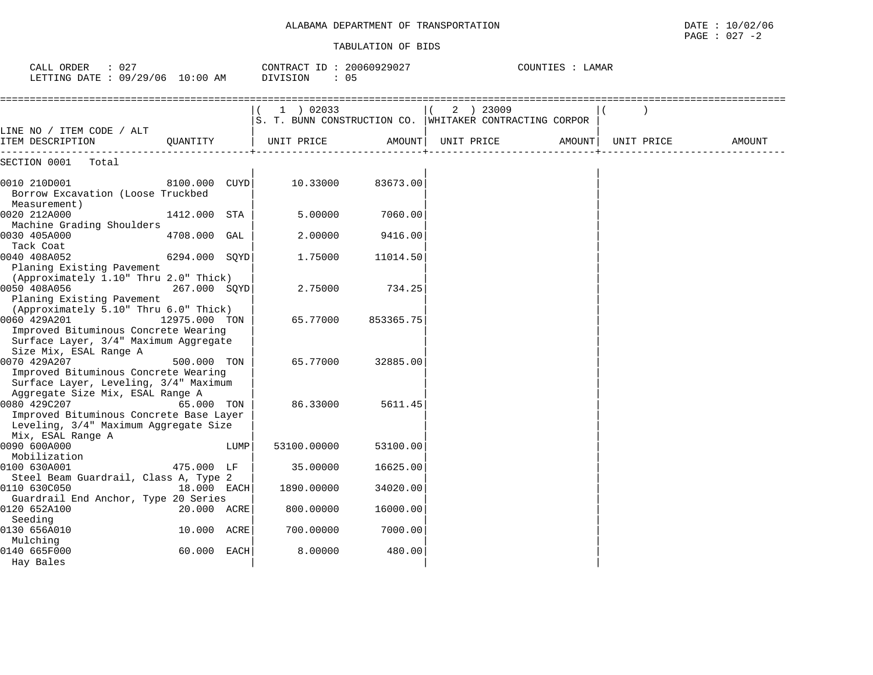| CALL ORDER<br>: 027<br>LETTING DATE : 09/29/06 10:00 AM                                                                              |               |      | CONTRACT ID: 20060929027<br>DIVISION<br>: 05 |               |                                                                      | COUNTIES : LAMAR |            |        |
|--------------------------------------------------------------------------------------------------------------------------------------|---------------|------|----------------------------------------------|---------------|----------------------------------------------------------------------|------------------|------------|--------|
|                                                                                                                                      |               |      | 1 ) 02033                                    |               | 2 ) 23009<br>S. T. BUNN CONSTRUCTION CO. WHITAKER CONTRACTING CORPOR |                  |            |        |
| LINE NO / ITEM CODE / ALT<br>ITEM DESCRIPTION                                                                                        | OUANTITY      |      | UNIT PRICE                                   | <b>AMOUNT</b> | UNIT PRICE                                                           | AMOUNT           | UNIT PRICE | AMOUNT |
| SECTION 0001<br>Total                                                                                                                |               |      |                                              |               |                                                                      |                  |            |        |
| 0010 210D001<br>Borrow Excavation (Loose Truckbed<br>Measurement)                                                                    | 8100.000 CUYD |      | 10.33000                                     | 83673.00      |                                                                      |                  |            |        |
| 0020 212A000<br>Machine Grading Shoulders                                                                                            | 1412.000 STA  |      | 5.00000                                      | 7060.00       |                                                                      |                  |            |        |
| 0030 405A000<br>Tack Coat                                                                                                            | 4708.000 GAL  |      | 2.00000                                      | 9416.00       |                                                                      |                  |            |        |
| 0040 408A052<br>Planing Existing Pavement<br>(Approximately 1.10" Thru 2.0" Thick)                                                   | 6294.000 SQYD |      | 1.75000                                      | 11014.50      |                                                                      |                  |            |        |
| 0050 408A056<br>Planing Existing Pavement<br>(Approximately 5.10" Thru 6.0" Thick)                                                   | 267.000 SOYD  |      | 2.75000                                      | 734.25        |                                                                      |                  |            |        |
| 0060 429A201<br>Improved Bituminous Concrete Wearing<br>Surface Layer, 3/4" Maximum Aggregate                                        | 12975.000 TON |      | 65.77000                                     | 853365.75     |                                                                      |                  |            |        |
| Size Mix, ESAL Range A<br>0070 429A207<br>Improved Bituminous Concrete Wearing<br>Surface Layer, Leveling, 3/4" Maximum              | 500.000 TON   |      | 65.77000                                     | 32885.00      |                                                                      |                  |            |        |
| Aggregate Size Mix, ESAL Range A<br>0080 429C207<br>Improved Bituminous Concrete Base Layer<br>Leveling, 3/4" Maximum Aggregate Size | 65.000 TON    |      | 86.33000                                     | 5611.45       |                                                                      |                  |            |        |
| Mix, ESAL Range A<br>0090 600A000<br>Mobilization                                                                                    |               | LUMP | 53100.00000                                  | 53100.00      |                                                                      |                  |            |        |
| 0100 630A001<br>Steel Beam Guardrail, Class A, Type 2                                                                                | 475.000 LF    |      | 35.00000                                     | 16625.00      |                                                                      |                  |            |        |
| 0110 630C050<br>Guardrail End Anchor, Type 20 Series                                                                                 | 18.000 EACH   |      | 1890.00000                                   | 34020.00      |                                                                      |                  |            |        |
| 0120 652A100<br>Seeding                                                                                                              | 20.000 ACRE   |      | 800.00000                                    | 16000.00      |                                                                      |                  |            |        |
| 0130 656A010<br>Mulching                                                                                                             | 10.000 ACRE   |      | 700.00000                                    | 7000.00       |                                                                      |                  |            |        |
| 0140 665F000<br>Hay Bales                                                                                                            | 60.000 EACH   |      | 8.00000                                      | 480.00        |                                                                      |                  |            |        |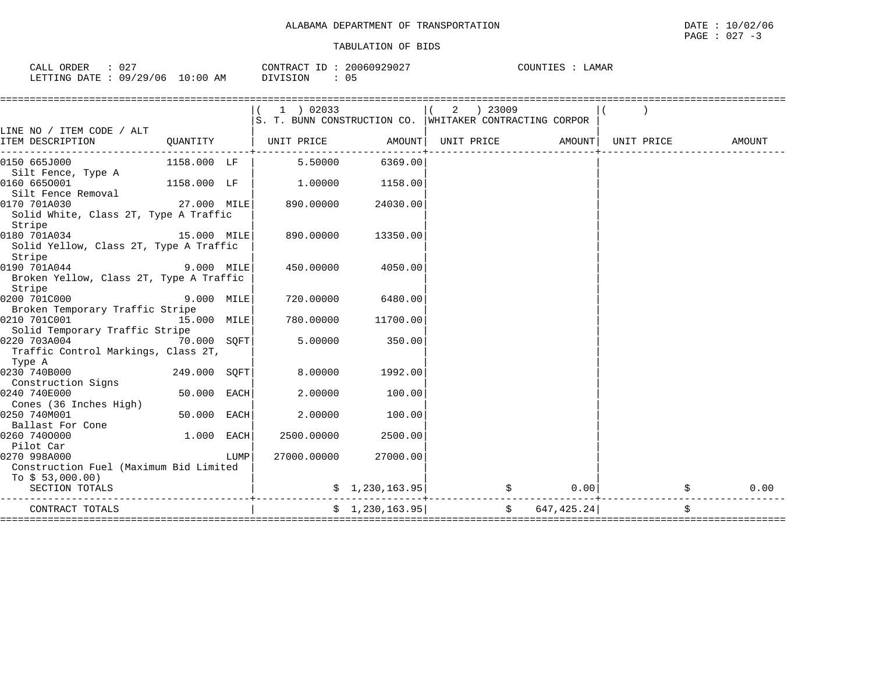| CALL ORDER                      | -027 |          | CONTRACT ID: 20060929027 | COUNTIES | LAMAR |
|---------------------------------|------|----------|--------------------------|----------|-------|
| LETTING DATE: 09/29/06 10:00 AM |      | DIVISION | 05                       |          |       |

|                                                                                        |              |      | $1$ ) 02033<br>S. T. BUNN CONSTRUCTION CO. WHITAKER CONTRACTING CORPOR |                 |            | 2 ) 23009      |                |            |    |        |
|----------------------------------------------------------------------------------------|--------------|------|------------------------------------------------------------------------|-----------------|------------|----------------|----------------|------------|----|--------|
| LINE NO / ITEM CODE / ALT                                                              |              |      |                                                                        |                 |            |                |                |            |    |        |
| ITEM DESCRIPTION                                                                       | QUANTITY     |      | UNIT PRICE                                                             | AMOUNT          | UNIT PRICE |                | AMOUNT         | UNIT PRICE |    | AMOUNT |
| 0150 665J000<br>Silt Fence, Type A                                                     | 1158.000 LF  |      | 5.50000                                                                | 6369.00         |            |                |                |            |    |        |
| 0160 6650001<br>Silt Fence Removal                                                     | 1158.000 LF  |      | 1.00000                                                                | 1158.00         |            |                |                |            |    |        |
| 0170 701A030<br>Solid White, Class 2T, Type A Traffic<br>Stripe                        | 27.000 MILE  |      | 890.00000                                                              | 24030.00        |            |                |                |            |    |        |
| 15.000 MILE<br>0180 701A034<br>Solid Yellow, Class 2T, Type A Traffic<br>Stripe        |              |      | 890.00000                                                              | 13350.00        |            |                |                |            |    |        |
| 0190 701A044<br><b>9.000 MILE</b><br>Broken Yellow, Class 2T, Type A Traffic<br>Stripe |              |      | 450.00000                                                              | 4050.00         |            |                |                |            |    |        |
| 0200 701C000                                                                           | 9.000 MILE   |      | 720.00000                                                              | 6480.00         |            |                |                |            |    |        |
| Broken Temporary Traffic Stripe<br>0210 701C001<br>Solid Temporary Traffic Stripe      | 15.000 MILE  |      | 780.00000                                                              | 11700.00        |            |                |                |            |    |        |
| 0220 703A004<br>Traffic Control Markings, Class 2T,<br>Type A                          | 70.000 SOFT  |      | 5.00000                                                                | 350.00          |            |                |                |            |    |        |
| 0230 740B000<br>Construction Signs                                                     | 249.000 SQFT |      | 8,00000                                                                | 1992.00         |            |                |                |            |    |        |
| 0240 740E000<br>Cones (36 Inches High)                                                 | 50.000 EACH  |      | 2,00000                                                                | 100.00          |            |                |                |            |    |        |
| 0250 740M001<br>Ballast For Cone                                                       | 50.000 EACH  |      | 2.00000                                                                | 100.00          |            |                |                |            |    |        |
| 0260 7400000<br>Pilot Car                                                              | 1.000 EACH   |      | 2500.00000                                                             | 2500.00         |            |                |                |            |    |        |
| 0270 998A000<br>Construction Fuel (Maximum Bid Limited                                 |              | LUMP | 27000.00000                                                            | 27000.00        |            |                |                |            |    |        |
| To $$53,000.00)$<br>SECTION TOTALS                                                     |              |      |                                                                        | \$1,230,163.95] |            | $\mathfrak{S}$ | 0.001          |            | \$ | 0.00   |
| CONTRACT TOTALS                                                                        |              |      |                                                                        | \$1,230,163.95] |            |                | \$647, 425.24] |            | \$ |        |
|                                                                                        |              |      |                                                                        |                 |            |                |                |            |    |        |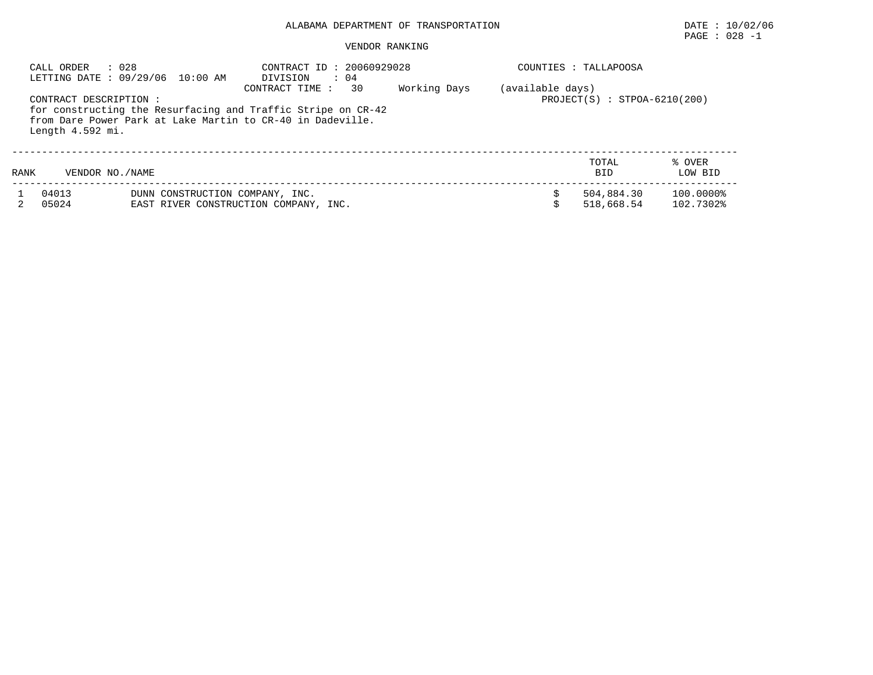# PAGE : 028 -1

|      | : 028<br>CALL ORDER<br>LETTING DATE: 09/29/06 10:00 AM                                                                                                                   |                                 | CONTRACT ID: 20060929028<br>DIVISION<br>$\cdot$ 04 |    |              | COUNTIES :       | TALLAPOOSA                     |                        |
|------|--------------------------------------------------------------------------------------------------------------------------------------------------------------------------|---------------------------------|----------------------------------------------------|----|--------------|------------------|--------------------------------|------------------------|
|      | CONTRACT DESCRIPTION :<br>for constructing the Resurfacing and Traffic Stripe on CR-42<br>from Dare Power Park at Lake Martin to CR-40 in Dadeville.<br>Length 4.592 mi. |                                 | CONTRACT TIME :                                    | 30 | Working Days | (available days) | $PROJECT(S) : STPOA-6210(200)$ |                        |
| RANK | VENDOR NO. / NAME                                                                                                                                                        |                                 |                                                    |    |              |                  | TOTAL<br><b>BID</b>            | % OVER<br>LOW BID      |
|      | 04013<br>05024                                                                                                                                                           | DUNN CONSTRUCTION COMPANY, INC. | EAST RIVER CONSTRUCTION COMPANY, INC.              |    |              |                  | 504,884.30<br>518,668.54       | 100.0000%<br>102.7302% |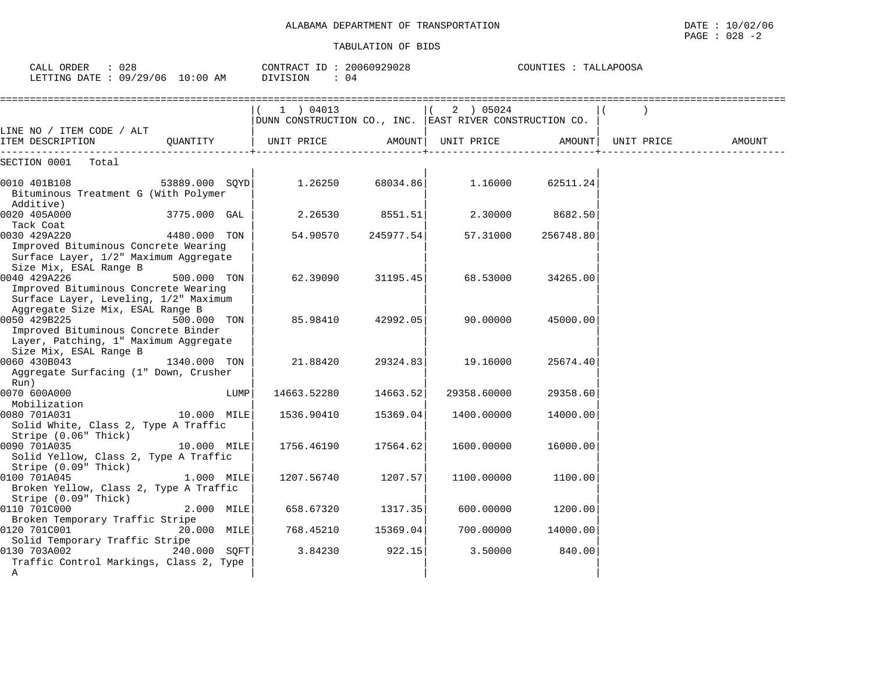| TRANSPORTATION<br>OF<br>ALABAMA DEPARTMENT | 10/02/06<br>DATE                        |
|--------------------------------------------|-----------------------------------------|
|                                            | 028<br>PAGE<br>$\overline{\phantom{0}}$ |

| CALL ORDER : 028<br>LETTING DATE: 09/29/06 10:00 AM                                                                              |                |      | CONTRACT ID: 20060929028<br>DIVISION<br>$\therefore$ 04              |           | COUNTIES : TALLAPOOSA |           |            |        |  |
|----------------------------------------------------------------------------------------------------------------------------------|----------------|------|----------------------------------------------------------------------|-----------|-----------------------|-----------|------------|--------|--|
|                                                                                                                                  |                |      | (1) 04013<br>DUNN CONSTRUCTION CO., INC. EAST RIVER CONSTRUCTION CO. |           | $(2)$ 05024           |           |            |        |  |
| LINE NO / ITEM CODE / ALT<br>ITEM DESCRIPTION QUANTITY                                                                           |                |      | UNIT PRICE                                                           |           | AMOUNT  UNIT PRICE    | AMOUNT    | UNIT PRICE | AMOUNT |  |
| SECTION 0001 Total                                                                                                               |                |      |                                                                      |           |                       |           |            |        |  |
| 0010 401B108<br>Bituminous Treatment G (With Polymer<br>Additive)                                                                | 53889.000 SQYD |      | 1.26250                                                              | 68034.86  | 1.16000               | 62511.24  |            |        |  |
| 0020 405A000<br>Tack Coat                                                                                                        | 3775.000 GAL   |      | 2.26530                                                              | 8551.51   | 2.30000               | 8682.50   |            |        |  |
| 0030 429A220<br>Improved Bituminous Concrete Wearing<br>Surface Layer, 1/2" Maximum Aggregate                                    | 4480.000 TON   |      | 54.90570                                                             | 245977.54 | 57.31000              | 256748.80 |            |        |  |
| Size Mix, ESAL Range B<br>0040 429A226<br>Improved Bituminous Concrete Wearing<br>Surface Layer, Leveling, 1/2" Maximum          | 500.000 TON    |      | 62.39090                                                             | 31195.45  | 68.53000              | 34265.00  |            |        |  |
| Aggregate Size Mix, ESAL Range B<br>0050 429B225<br>Improved Bituminous Concrete Binder<br>Layer, Patching, 1" Maximum Aggregate | 500.000 TON    |      | 85.98410                                                             | 42992.05  | 90.00000              | 45000.00  |            |        |  |
| Size Mix, ESAL Range B<br>0060 430B043<br>Aggregate Surfacing (1" Down, Crusher<br>Run)                                          | 1340.000 TON   |      | 21.88420                                                             | 29324.83  | 19.16000              | 25674.40  |            |        |  |
| 0070 600A000                                                                                                                     |                | LUMP | 14663.52280                                                          | 14663.52  | 29358.60000           | 29358.60  |            |        |  |
| Mobilization<br>0080 701A031<br>Solid White, Class 2, Type A Traffic<br>Stripe (0.06" Thick)                                     | 10.000 MILE    |      | 1536.90410                                                           | 15369.04  | 1400.00000            | 14000.00  |            |        |  |
| 0090 701A035<br>Solid Yellow, Class 2, Type A Traffic<br>Stripe (0.09" Thick)                                                    | 10.000 MILE    |      | 1756.46190                                                           | 17564.62  | 1600.00000            | 16000.00  |            |        |  |
| 0100 701A045<br>Broken Yellow, Class 2, Type A Traffic<br>Stripe (0.09" Thick)                                                   | 1.000 MILE     |      | 1207.56740                                                           | 1207.57   | 1100.00000            | 1100.00   |            |        |  |
| 0110 701C000<br>Broken Temporary Traffic Stripe                                                                                  | 2.000 MILE     |      | 658.67320                                                            | 1317.35   | 600.00000             | 1200.00   |            |        |  |
| 0120 701C001<br>Solid Temporary Traffic Stripe                                                                                   | 20.000 MILE    |      | 768.45210                                                            | 15369.04  | 700.00000             | 14000.00  |            |        |  |
| 0130 703A002<br>Traffic Control Markings, Class 2, Type<br>A                                                                     | 240.000 SOFT   |      | 3.84230                                                              | 922.15    | 3.50000               | 840.00    |            |        |  |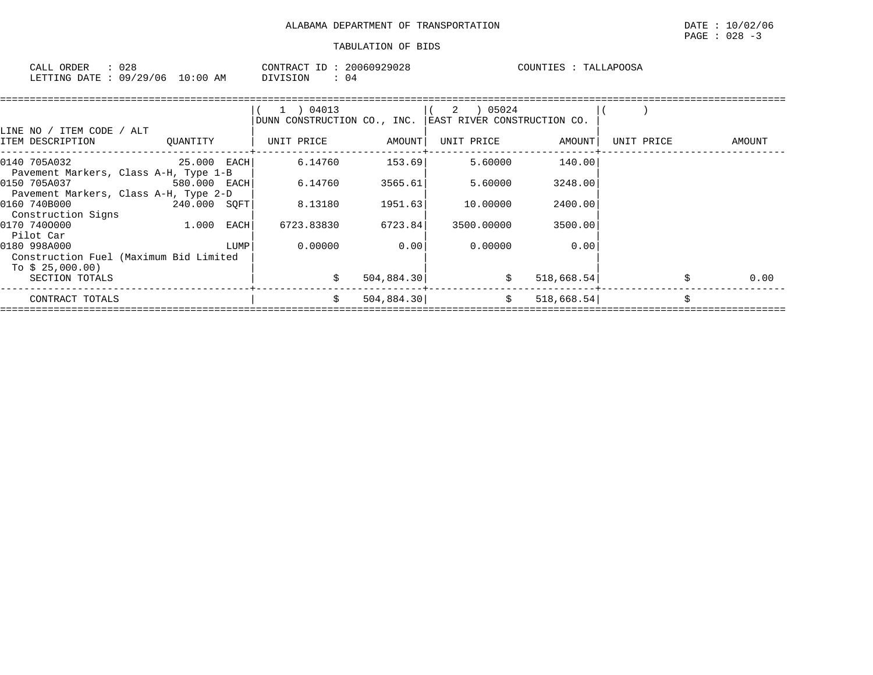| 028<br>CALL ORDER               | CONTRACT ID: 20060929028 | COUNTIES : TALLAPOOSA |
|---------------------------------|--------------------------|-----------------------|
| LETTING DATE: 09/29/06 10:00 AM | DIVISION<br>04           |                       |

| LINE NO / ITEM CODE / ALT                                                  |              |      | $1$ ) 04013<br>DUNN CONSTRUCTION CO., INC. |            | EAST RIVER CONSTRUCTION CO. |            |            |    |        |
|----------------------------------------------------------------------------|--------------|------|--------------------------------------------|------------|-----------------------------|------------|------------|----|--------|
| ITEM DESCRIPTION                                                           | QUANTITY     |      | UNIT PRICE                                 | AMOUNT     | UNIT PRICE                  | AMOUNT     | UNIT PRICE |    | AMOUNT |
| 0140 705A032<br>Pavement Markers, Class A-H, Type 1-B                      | 25.000 EACH  |      | 6.14760                                    | 153.69     | 5.60000                     | 140.00     |            |    |        |
| 0150 705A037<br>Pavement Markers, Class A-H, Type 2-D                      | 580.000 EACH |      | 6.14760                                    | 3565.61    | 5.60000                     | 3248.00    |            |    |        |
| 0160 740B000<br>Construction Signs                                         | 240.000 SOFT |      | 8.13180                                    | 1951.63    | 10.00000                    | 2400.00    |            |    |        |
| 0170 7400000<br>Pilot Car                                                  | 1.000        | EACH | 6723.83830                                 | 6723.84    | 3500.00000                  | 3500.00    |            |    |        |
| 0180 998A000<br>Construction Fuel (Maximum Bid Limited<br>To $$25,000.00)$ |              | LUMP | 0.00000                                    | 0.00       | 0.00000                     | 0.00       |            |    |        |
| SECTION TOTALS                                                             |              |      |                                            | 504,884.30 | \$                          | 518,668.54 |            |    | 0.00   |
| CONTRACT TOTALS                                                            |              |      | Ŝ.                                         | 504,884.30 | Ŝ.                          | 518,668.54 |            | Ś. |        |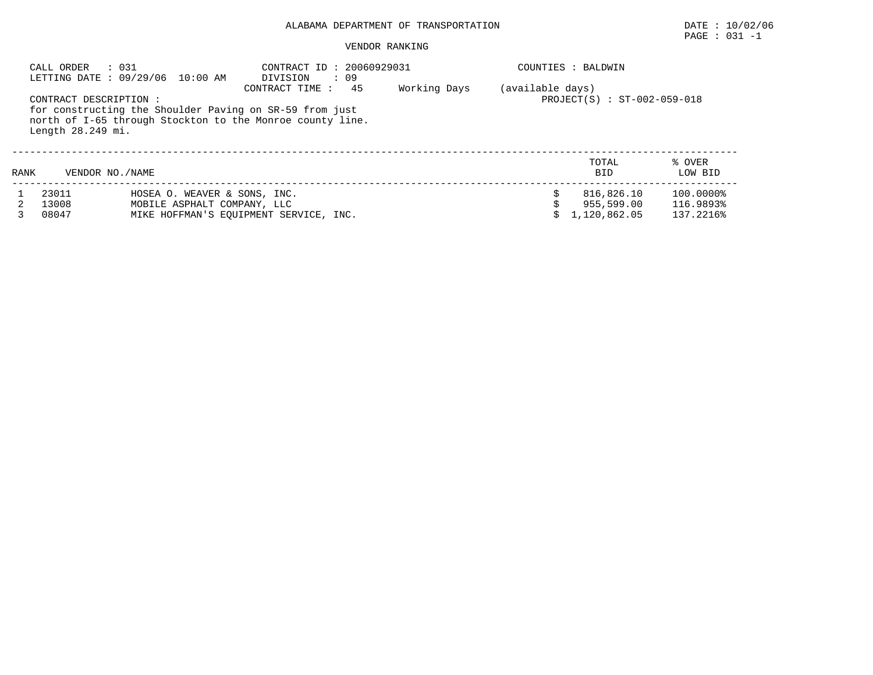# PAGE : 031 -1

|      | CALL ORDER<br>: 031                         | LETTING DATE: 09/29/06 10:00 AM                                                                                      | CONTRACT ID: 20060929031<br>DIVISION | $\cdots$ 09 |              |                  | COUNTIES : BALDWIN                       |                                     |
|------|---------------------------------------------|----------------------------------------------------------------------------------------------------------------------|--------------------------------------|-------------|--------------|------------------|------------------------------------------|-------------------------------------|
|      | CONTRACT DESCRIPTION :<br>Length 28.249 mi. | for constructing the Shoulder Paving on SR-59 from just<br>north of I-65 through Stockton to the Monroe county line. | CONTRACT TIME:                       | 45          | Working Days | (available days) | $PROJECT(S) : ST-002-059-018$            |                                     |
| RANK | VENDOR NO. / NAME                           |                                                                                                                      |                                      |             |              |                  | TOTAL<br><b>BID</b>                      | % OVER<br>LOW BID                   |
|      | 23011<br>13008<br>08047                     | HOSEA O. WEAVER & SONS, INC.<br>MOBILE ASPHALT COMPANY, LLC<br>MIKE HOFFMAN'S EOUIPMENT SERVICE, INC.                |                                      |             |              |                  | 816,826.10<br>955,599.00<br>1,120,862.05 | 100.0000%<br>116.9893%<br>137.2216% |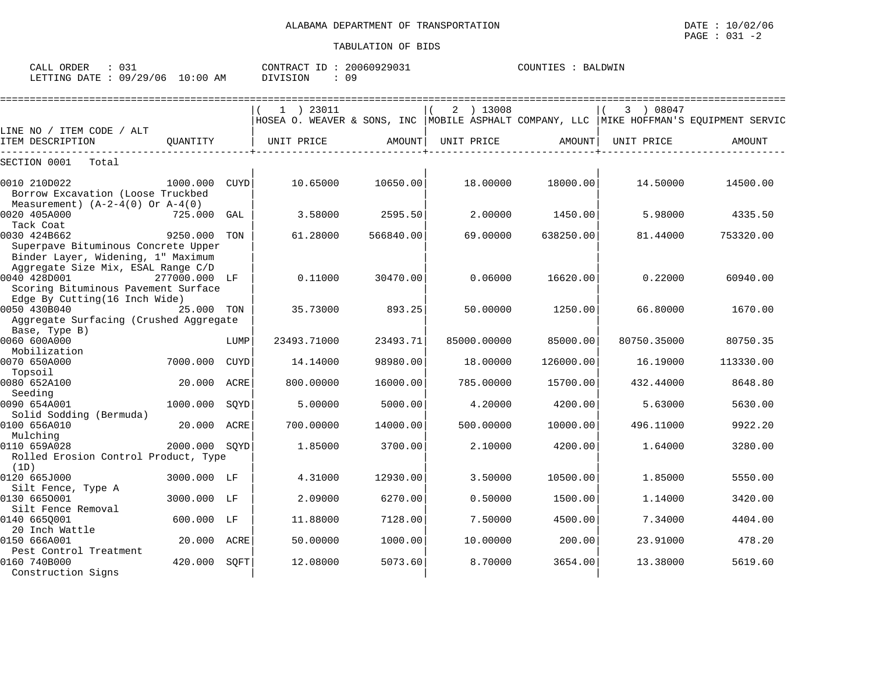| ORDER<br>CALL | $\sim$ $\sim$ $\sim$ |             | $ -$<br>CONTRACT | 20060929031 | COUNTIES | ™DWIN<br>RАI |
|---------------|----------------------|-------------|------------------|-------------|----------|--------------|
| LETTING DATE  | 09/29/06             | 10:00<br>AM | SION<br>NTTT.    | ററ          |          |              |

|                                                                           |               |      | ========================== |           |             | ==================== | ========================= |                                                                                             |
|---------------------------------------------------------------------------|---------------|------|----------------------------|-----------|-------------|----------------------|---------------------------|---------------------------------------------------------------------------------------------|
|                                                                           |               |      | $1$ ) 23011                |           | 2 ) 13008   |                      | 3 08047                   |                                                                                             |
|                                                                           |               |      |                            |           |             |                      |                           | HOSEA O. WEAVER & SONS, INC   MOBILE ASPHALT COMPANY, LLC   MIKE HOFFMAN'S EQUIPMENT SERVIC |
| LINE NO / ITEM CODE / ALT                                                 |               |      |                            |           |             |                      |                           |                                                                                             |
| ITEM DESCRIPTION                                                          | OUANTITY      |      | UNIT PRICE                 | AMOUNT    | UNIT PRICE  | AMOUNT               | UNIT PRICE                | AMOUNT                                                                                      |
| SECTION 0001<br>Total                                                     |               |      |                            |           |             |                      |                           |                                                                                             |
| 0010 210D022                                                              | 1000.000 CUYD |      | 10.65000                   | 10650.00  | 18,00000    | 18000.00             | 14.50000                  | 14500.00                                                                                    |
| Borrow Excavation (Loose Truckbed                                         |               |      |                            |           |             |                      |                           |                                                                                             |
| Measurement) $(A-2-4(0)$ Or $A-4(0)$                                      |               |      |                            |           |             |                      |                           |                                                                                             |
| 0020 405A000                                                              | 725.000       | GAL  | 3.58000                    | 2595.50   | 2.00000     | 1450.00              | 5.98000                   | 4335.50                                                                                     |
| Tack Coat                                                                 |               |      |                            |           |             |                      |                           |                                                                                             |
| 0030 424B662                                                              | 9250.000      | TON  | 61.28000                   | 566840.00 | 69,00000    | 638250.00            | 81.44000                  | 753320.00                                                                                   |
| Superpave Bituminous Concrete Upper<br>Binder Layer, Widening, 1" Maximum |               |      |                            |           |             |                      |                           |                                                                                             |
| Aggregate Size Mix, ESAL Range C/D                                        |               |      |                            |           |             |                      |                           |                                                                                             |
| 0040 428D001                                                              | 277000.000 LF |      | 0.11000                    | 30470.00  | 0.06000     | 16620.00             | 0.22000                   | 60940.00                                                                                    |
| Scoring Bituminous Pavement Surface                                       |               |      |                            |           |             |                      |                           |                                                                                             |
| Edge By Cutting(16 Inch Wide)                                             |               |      |                            |           |             |                      |                           |                                                                                             |
| 0050 430B040                                                              | 25.000 TON    |      | 35.73000                   | 893.25    | 50.00000    | 1250.00              | 66.80000                  | 1670.00                                                                                     |
| Aggregate Surfacing (Crushed Aggregate                                    |               |      |                            |           |             |                      |                           |                                                                                             |
| Base, Type B)                                                             |               |      |                            |           |             |                      |                           |                                                                                             |
| 0060 600A000<br>Mobilization                                              |               | LUMP | 23493.71000                | 23493.71  | 85000.00000 | 85000.00             | 80750.35000               | 80750.35                                                                                    |
| 0070 650A000                                                              | 7000.000      | CUYD | 14.14000                   | 98980.00  | 18,00000    | 126000.00            | 16.19000                  | 113330.00                                                                                   |
| Topsoil                                                                   |               |      |                            |           |             |                      |                           |                                                                                             |
| 0080 652A100                                                              | 20.000        | ACRE | 800,00000                  | 16000.00  | 785.00000   | 15700.00             | 432.44000                 | 8648.80                                                                                     |
| Seeding                                                                   |               |      |                            |           |             |                      |                           |                                                                                             |
| 0090 654A001                                                              | 1000.000      | SOYD | 5.00000                    | 5000.00   | 4.20000     | 4200.00              | 5.63000                   | 5630.00                                                                                     |
| Solid Sodding (Bermuda)                                                   |               |      |                            |           |             |                      |                           |                                                                                             |
| 0100 656A010                                                              | 20.000        | ACRE | 700.00000                  | 14000.00  | 500.00000   | 10000.00             | 496.11000                 | 9922.20                                                                                     |
| Mulching                                                                  |               |      |                            |           |             |                      |                           |                                                                                             |
| 0110 659A028                                                              | 2000.000 SOYD |      | 1.85000                    | 3700.00   | 2.10000     | 4200.00              | 1.64000                   | 3280.00                                                                                     |
| Rolled Erosion Control Product, Type                                      |               |      |                            |           |             |                      |                           |                                                                                             |
| (1D)                                                                      |               |      |                            |           |             |                      |                           |                                                                                             |
| 0120 665J000                                                              | 3000.000 LF   |      | 4.31000                    | 12930.00  | 3.50000     | 10500.00             | 1.85000                   | 5550.00                                                                                     |
| Silt Fence, Type A                                                        |               |      |                            |           |             |                      |                           |                                                                                             |
| 0130 6650001                                                              | 3000.000      | LF   | 2.09000                    | 6270.00   | 0.50000     | 1500.00              | 1.14000                   | 3420.00                                                                                     |
| Silt Fence Removal<br>0140 665Q001                                        | 600.000       | LF   | 11.88000                   | 7128.00   | 7.50000     | 4500.00              | 7.34000                   | 4404.00                                                                                     |
| 20 Inch Wattle                                                            |               |      |                            |           |             |                      |                           |                                                                                             |
| 0150 666A001                                                              | 20.000        | ACRE | 50.00000                   | 1000.00   | 10.00000    | 200.00               | 23.91000                  | 478.20                                                                                      |
| Pest Control Treatment                                                    |               |      |                            |           |             |                      |                           |                                                                                             |
| 0160 740B000                                                              | 420.000       | SOFT | 12.08000                   | 5073.60   | 8.70000     | 3654.00              | 13.38000                  | 5619.60                                                                                     |
| Construction Signs                                                        |               |      |                            |           |             |                      |                           |                                                                                             |
|                                                                           |               |      |                            |           |             |                      |                           |                                                                                             |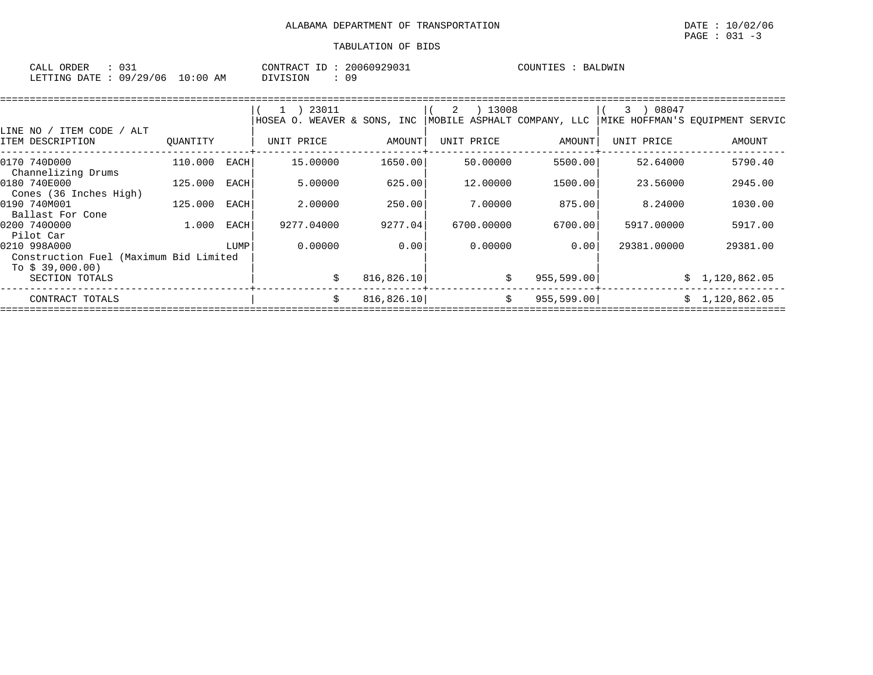| ORDER<br>CALL ( |          |             | ID<br>CONTRACT | 20060929031 | COUNTIES | BALDWIN |
|-----------------|----------|-------------|----------------|-------------|----------|---------|
| LETTING DATE :  | 09/29/06 | 10:00<br>AM | OIVISION       |             |          |         |

|                                                                            |          |      | 23011                |            | 13008<br>2                  |             | 08047<br>3  |                                 |
|----------------------------------------------------------------------------|----------|------|----------------------|------------|-----------------------------|-------------|-------------|---------------------------------|
|                                                                            |          |      | WEAVER &<br>HOSEA O. | SONS, INC  | MOBILE ASPHALT COMPANY, LLC |             |             | MIKE HOFFMAN'S EOUIPMENT SERVIC |
| LINE NO / ITEM CODE<br>/ ALT<br>ITEM DESCRIPTION                           | OUANTITY |      | UNIT PRICE           | AMOUNT     | UNIT PRICE                  | AMOUNT      | UNIT PRICE  | AMOUNT                          |
| 0170 740D000<br>Channelizing Drums                                         | 110.000  | EACH | 15,00000             | 1650.00    | 50.00000                    | 5500.00     | 52.64000    | 5790.40                         |
| 0180 740E000<br>Cones (36 Inches High)                                     | 125,000  | EACH | 5.00000              | 625.00     | 12,00000                    | 1500.00     | 23.56000    | 2945.00                         |
| 0190 740M001<br>Ballast For Cone                                           | 125,000  | EACH | 2,00000              | 250.00     | 7.00000                     | 875.00      | 8.24000     | 1030.00                         |
| 0200 7400000<br>Pilot Car                                                  | 1.000    | EACH | 9277.04000           | 9277.04    | 6700.00000                  | 6700.00     | 5917.00000  | 5917.00                         |
| 0210 998A000<br>Construction Fuel (Maximum Bid Limited<br>To $$39,000.00)$ |          | LUMP | 0.00000              | 0.00       | 0.00000                     | 0.001       | 29381.00000 | 29381.00                        |
| SECTION TOTALS                                                             |          |      | Ŝ.                   | 816,826.10 | \$                          | 955, 599.00 |             | \$1,120,862.05                  |
| CONTRACT TOTALS                                                            |          |      | Ŝ.                   | 816,826.10 | \$                          | 955, 599.00 |             | \$1,120,862.05                  |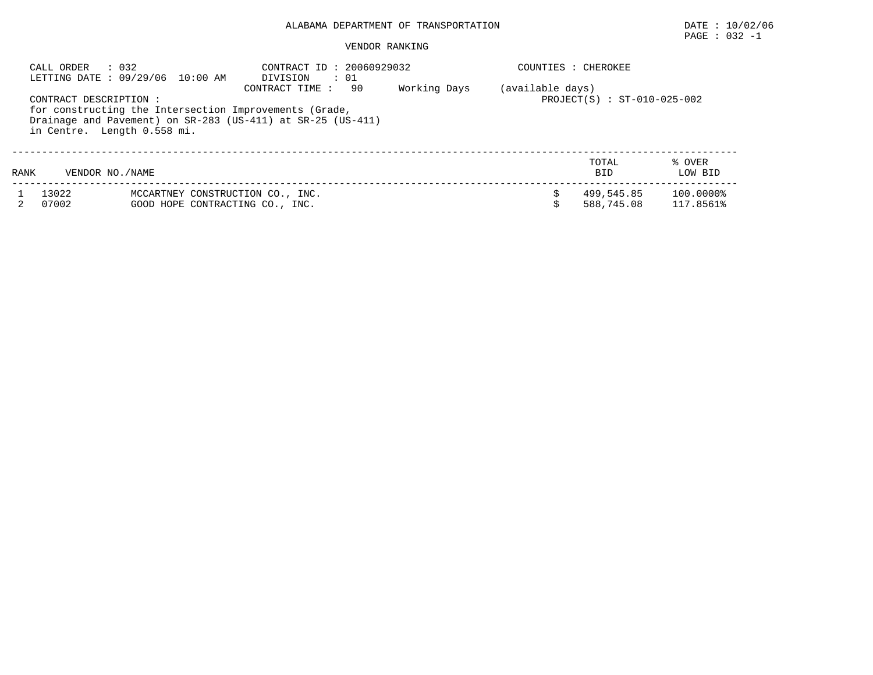# $\texttt{PAGE}$  : 032 -1

|      | : 032<br>CALL ORDER                                   | LETTING DATE: 09/29/06 10:00 AM                                     | CONTRACT ID: 20060929032<br>DIVISION<br>: 01                                                                                                   |              | COUNTIES : CHEROKEE |                               |                        |
|------|-------------------------------------------------------|---------------------------------------------------------------------|------------------------------------------------------------------------------------------------------------------------------------------------|--------------|---------------------|-------------------------------|------------------------|
|      | CONTRACT DESCRIPTION :<br>in Centre. Length 0.558 mi. |                                                                     | 90<br>CONTRACT TIME :<br>for constructing the Intersection Improvements (Grade,<br>Drainage and Pavement) on SR-283 (US-411) at SR-25 (US-411) | Working Days | (available days)    | $PROJECT(S) : ST-010-025-002$ |                        |
| RANK | VENDOR NO. / NAME                                     |                                                                     |                                                                                                                                                |              |                     | TOTAL<br><b>BID</b>           | % OVER<br>LOW BID      |
|      | 13022<br>07002                                        | MCCARTNEY CONSTRUCTION CO., INC.<br>GOOD HOPE CONTRACTING CO., INC. |                                                                                                                                                |              |                     | 499,545.85<br>588,745.08      | 100.0000%<br>117.8561% |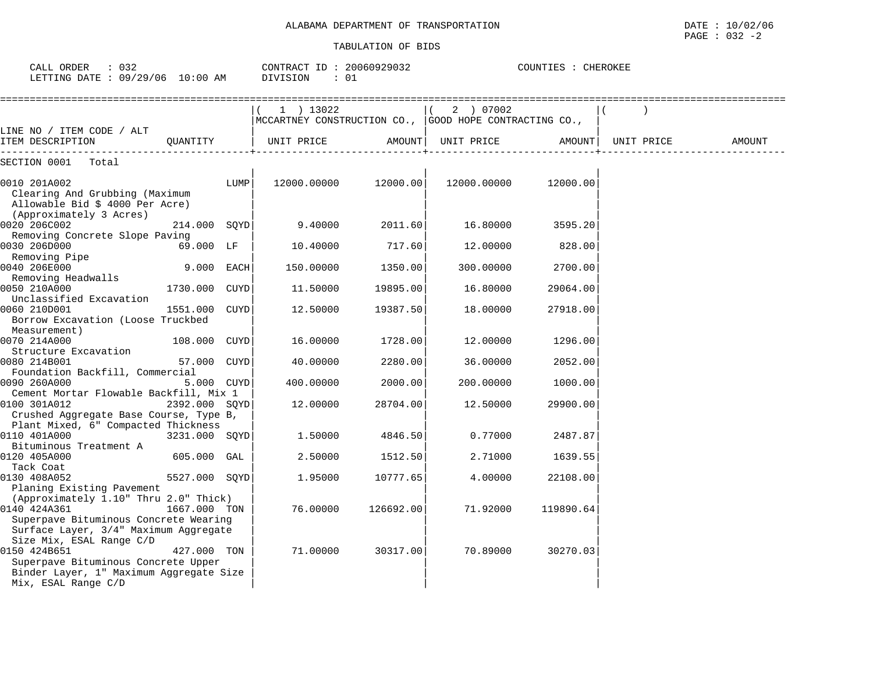| CALL ORDER<br>$\therefore$ 032<br>LETTING DATE : 09/29/06 10:00 AM                                                                                |               |      | CONTRACT ID: 20060929032<br>DIVISION<br>: 01                        |           |                         | COUNTIES : CHEROKEE |            |        |
|---------------------------------------------------------------------------------------------------------------------------------------------------|---------------|------|---------------------------------------------------------------------|-----------|-------------------------|---------------------|------------|--------|
|                                                                                                                                                   |               |      | 1 ) 13022<br>MCCARTNEY CONSTRUCTION CO., GOOD HOPE CONTRACTING CO., |           | 2 ) 07002<br>$\sqrt{2}$ |                     |            |        |
| LINE NO / ITEM CODE / ALT<br>ITEM DESCRIPTION                                                                                                     | QUANTITY      |      | UNIT PRICE                                                          | AMOUNT    | UNIT PRICE              | AMOUNT              | UNIT PRICE | AMOUNT |
| SECTION 0001<br>Total                                                                                                                             |               |      |                                                                     |           |                         |                     |            |        |
| 0010 201A002<br>Clearing And Grubbing (Maximum<br>Allowable Bid \$ 4000 Per Acre)<br>(Approximately 3 Acres)                                      |               | LUMP | 12000.00000                                                         | 12000.00  | 12000.00000             | 12000.00            |            |        |
| 0020 206C002                                                                                                                                      | 214.000 SQYD  |      | 9.40000                                                             | 2011.60   | 16.80000                | 3595.20             |            |        |
| Removing Concrete Slope Paving<br>0030 206D000<br>Removing Pipe                                                                                   | 69.000 LF     |      | 10.40000                                                            | 717.60    | 12.00000                | 828.00              |            |        |
| 0040 206E000<br>Removing Headwalls                                                                                                                | 9.000 EACH    |      | 150.00000                                                           | 1350.00   | 300.00000               | 2700.00             |            |        |
| 0050 210A000<br>Unclassified Excavation                                                                                                           | 1730.000      | CUYD | 11.50000                                                            | 19895.00  | 16.80000                | 29064.00            |            |        |
| 0060 210D001<br>Borrow Excavation (Loose Truckbed<br>Measurement)                                                                                 | 1551.000      | CUYD | 12.50000                                                            | 19387.50  | 18.00000                | 27918.00            |            |        |
| 0070 214A000<br>Structure Excavation                                                                                                              | 108.000       | CUYD | 16.00000                                                            | 1728.00   | 12.00000                | 1296.00             |            |        |
| 0080 214B001<br>Foundation Backfill, Commercial                                                                                                   | 57.000        | CUYD | 40.00000                                                            | 2280.00   | 36.00000                | 2052.00             |            |        |
| 0090 260A000<br>Cement Mortar Flowable Backfill, Mix 1                                                                                            | 5.000 CUYD    |      | 400.00000                                                           | 2000.00   | 200.00000               | 1000.00             |            |        |
| 0100 301A012<br>Crushed Aggregate Base Course, Type B,<br>Plant Mixed, 6" Compacted Thickness                                                     | 2392.000 SOYD |      | 12,00000                                                            | 28704.00  | 12.50000                | 29900.00            |            |        |
| 0110 401A000<br>Bituminous Treatment A                                                                                                            | 3231.000 SOYD |      | 1,50000                                                             | 4846.50   | 0.77000                 | 2487.87             |            |        |
| 0120 405A000<br>Tack Coat                                                                                                                         | 605.000 GAL   |      | 2.50000                                                             | 1512.50   | 2.71000                 | 1639.55             |            |        |
| 0130 408A052<br>Planing Existing Pavement                                                                                                         | 5527.000 SQYD |      | 1.95000                                                             | 10777.65  | 4.00000                 | 22108.00            |            |        |
| (Approximately 1.10" Thru 2.0" Thick)<br>0140 424A361<br>Superpave Bituminous Concrete Wearing<br>Surface Layer, 3/4" Maximum Aggregate           | 1667.000 TON  |      | 76.00000                                                            | 126692.00 | 71.92000                | 119890.64           |            |        |
| Size Mix, ESAL Range C/D<br>0150 424B651<br>Superpave Bituminous Concrete Upper<br>Binder Layer, 1" Maximum Aggregate Size<br>Mix, ESAL Range C/D | 427.000 TON   |      | 71.00000                                                            | 30317.00  | 70.89000                | 30270.03            |            |        |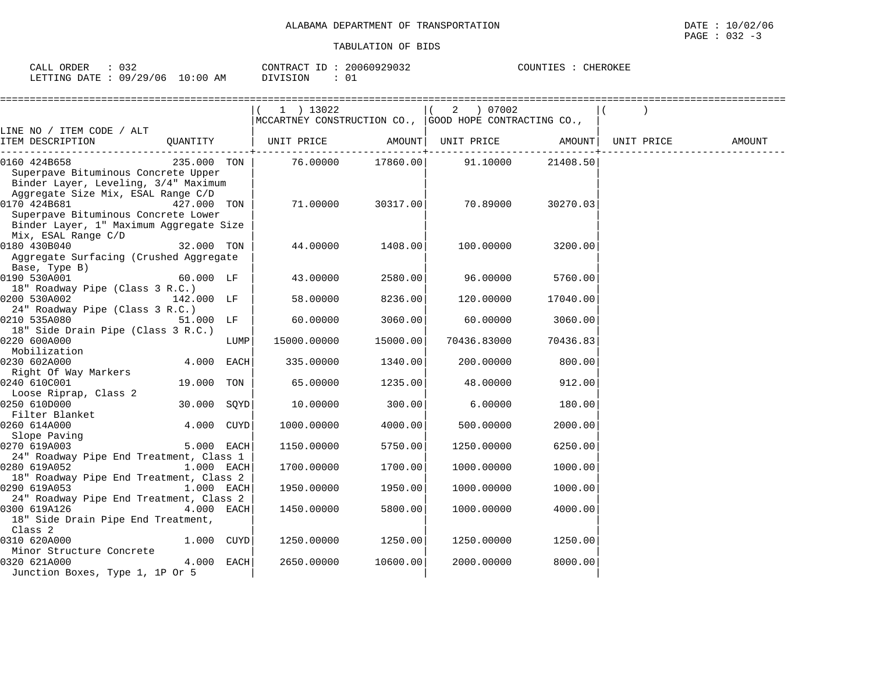| $\sim$ $\sim$ $\sim$<br>ORDER<br>$\sim$ 1<br>ے ت<br>---                  | $\cap$ $\cap$ $\Gamma$ $\Gamma$ $\vdash$ $\ldots$<br>$\pi$<br><b>Η</b> Δι | 50929032<br>20060<br>. . | CHEROKEE<br>C<br>المحمد المستنب |
|--------------------------------------------------------------------------|---------------------------------------------------------------------------|--------------------------|---------------------------------|
| '29/<br>$\sqrt{2}$<br>∩Q<br><b>ETTING</b><br><b>DATE</b><br>U6<br>الاظلا | : 00<br>AΜ<br>SION<br>$\lambda$                                           | $\sim$ -<br>◡∸           |                                 |

|                                                                                                                                   |             |      | $1$ ) 13022                                              |                   | 2 ) 07002   |          |            |        |
|-----------------------------------------------------------------------------------------------------------------------------------|-------------|------|----------------------------------------------------------|-------------------|-------------|----------|------------|--------|
|                                                                                                                                   |             |      | MCCARTNEY CONSTRUCTION CO.,   GOOD HOPE CONTRACTING CO., |                   |             |          |            |        |
| LINE NO / ITEM CODE / ALT<br>ITEM DESCRIPTION                                                                                     | QUANTITY    |      | UNIT PRICE                                               | AMOUNT            | UNIT PRICE  | AMOUNT   | UNIT PRICE | AMOUNT |
| 0160 424B658<br>Superpave Bituminous Concrete Upper<br>Binder Layer, Leveling, 3/4" Maximum<br>Aggregate Size Mix, ESAL Range C/D | 235.000 TON |      |                                                          | 76.00000 17860.00 | 91.10000    | 21408.50 |            |        |
| 0170 424B681<br>Superpave Bituminous Concrete Lower<br>Binder Layer, 1" Maximum Aggregate Size<br>Mix, ESAL Range C/D             | 427.000 TON |      | 71.00000                                                 | 30317.00          | 70.89000    | 30270.03 |            |        |
| 0180 430B040<br>Aggregate Surfacing (Crushed Aggregate<br>Base, Type B)                                                           | 32.000 TON  |      | 44.00000                                                 | 1408.00           | 100.00000   | 3200.00  |            |        |
| 0190 530A001<br>18" Roadway Pipe (Class 3 R.C.)                                                                                   | 60.000 LF   |      | 43.00000                                                 | 2580.00           | 96.00000    | 5760.00  |            |        |
| 0200 530A002<br>24" Roadway Pipe (Class 3 R.C.)                                                                                   | 142.000 LF  |      | 58.00000                                                 | 8236.00           | 120.00000   | 17040.00 |            |        |
| 0210 535A080<br>18" Side Drain Pipe (Class 3 R.C.)                                                                                | 51.000 LF   |      | 60.00000                                                 | 3060.00           | 60.00000    | 3060.00  |            |        |
| 0220 600A000<br>Mobilization                                                                                                      |             | LUMP | 15000.00000                                              | 15000.00          | 70436.83000 | 70436.83 |            |        |
| 0230 602A000<br>Right Of Way Markers                                                                                              | 4.000 EACH  |      | 335.00000                                                | 1340.00           | 200.00000   | 800.00   |            |        |
| 0240 610C001<br>Loose Riprap, Class 2                                                                                             | 19.000 TON  |      | 65.00000                                                 | 1235.00           | 48.00000    | 912.00   |            |        |
| 0250 610D000<br>Filter Blanket                                                                                                    | 30.000      | SQYD | 10.00000                                                 | 300.00            | 6.00000     | 180.00   |            |        |
| 0260 614A000<br>Slope Paving                                                                                                      | 4.000 CUYD  |      | 1000.00000                                               | 4000.00           | 500.00000   | 2000.00  |            |        |
| 0270 619A003                                                                                                                      | 5.000 EACH  |      | 1150.00000                                               | 5750.00           | 1250.00000  | 6250.00  |            |        |
| 24" Roadway Pipe End Treatment, Class 1<br>0280 619A052                                                                           | 1.000 EACH  |      | 1700.00000                                               | 1700.00           | 1000.00000  | 1000.00  |            |        |
| 18" Roadway Pipe End Treatment, Class 2<br>0290 619A053                                                                           | 1.000 EACH  |      | 1950.00000                                               | 1950.00           | 1000.00000  | 1000.00  |            |        |
| 24" Roadway Pipe End Treatment, Class 2<br>0300 619A126<br>18" Side Drain Pipe End Treatment,<br>Class <sub>2</sub>               | 4.000 EACH  |      | 1450.00000                                               | 5800.00           | 1000.00000  | 4000.00  |            |        |
| 0310 620A000                                                                                                                      | 1.000 CUYD  |      | 1250.00000                                               | 1250.00           | 1250.00000  | 1250.00  |            |        |
| Minor Structure Concrete<br>0320 621A000<br>Junction Boxes, Type 1, 1P Or 5                                                       | 4.000 EACH  |      | 2650.00000                                               | 10600.00          | 2000.00000  | 8000.00  |            |        |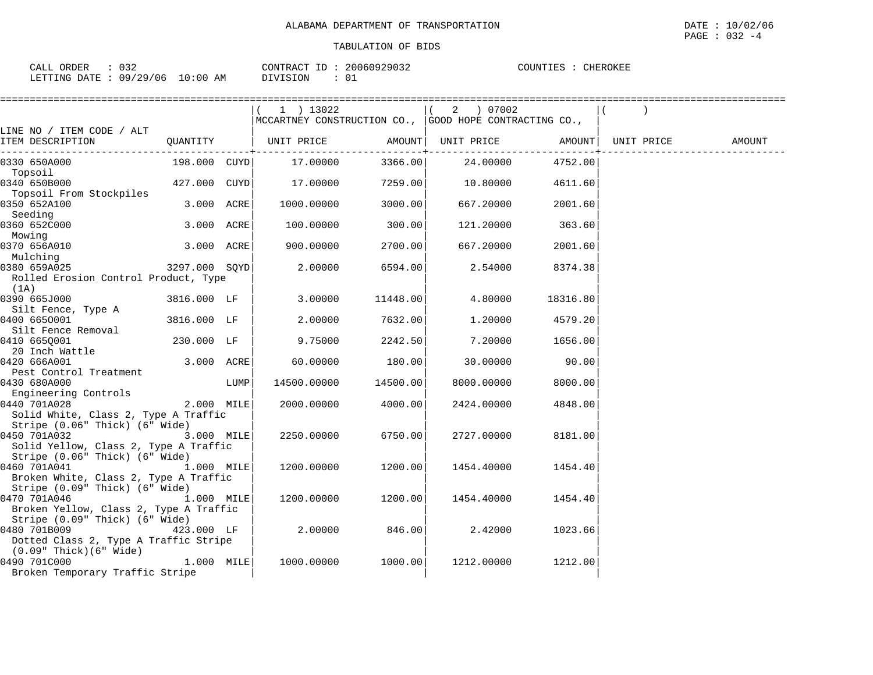| 032<br>CALL ORDER         | CONTRACT ID:           | 20060929032 | COUNTIES : | CHEROKEE |
|---------------------------|------------------------|-------------|------------|----------|
| LETTING DATE : 09/29/06 1 | $10:00$ AM<br>DIVISION |             |            |          |

|                                                                         |               |      | $1$ ) 13022<br>$ {\tt MCCARTNEY}$ CONSTRUCTION CO., $ {\tt GOOD}$ HOPE CONTRACTING CO., |          | 2 ) 07002                      |                         |            |        |
|-------------------------------------------------------------------------|---------------|------|-----------------------------------------------------------------------------------------|----------|--------------------------------|-------------------------|------------|--------|
| LINE NO / ITEM CODE / ALT                                               |               |      |                                                                                         |          |                                |                         |            |        |
| ITEM DESCRIPTION                                                        | QUANTITY      |      | UNIT PRICE                                                                              | AMOUNT   | UNIT PRICE<br>------+--------- | AMOUNT  <br>----------+ | UNIT PRICE | AMOUNT |
| 0330 650A000                                                            | 198.000 CUYDI |      | 17.00000                                                                                | 3366.00  | 24.00000                       | 4752.00                 |            |        |
| Topsoil<br>0340 650B000                                                 | 427.000 CUYD  |      | 17.00000                                                                                | 7259.00  | 10.80000                       | 4611.60                 |            |        |
| Topsoil From Stockpiles<br>0350 652A100                                 | 3.000 ACRE    |      | 1000.00000                                                                              | 3000.00  | 667.20000                      | 2001.60                 |            |        |
| Seeding<br>0360 652C000                                                 | 3.000 ACRE    |      | 100.00000                                                                               | 300.00   | 121.20000                      | 363.60                  |            |        |
| Mowing<br>0370 656A010                                                  | 3.000 ACRE    |      | 900.00000                                                                               | 2700.001 | 667.20000                      | 2001.60                 |            |        |
| Mulching<br>0380 659A025                                                | 3297.000 SOYD |      | 2.00000                                                                                 | 6594.00  | 2.54000                        | 8374.38                 |            |        |
| Rolled Erosion Control Product, Type<br>(1A)                            |               |      |                                                                                         |          |                                |                         |            |        |
| 0390 665J000<br>Silt Fence, Type A                                      | 3816.000 LF   |      | 3.00000                                                                                 | 11448.00 | 4.80000                        | 18316.80                |            |        |
| 0400 6650001<br>Silt Fence Removal                                      | 3816.000 LF   |      | 2.00000                                                                                 | 7632.00  | 1,20000                        | 4579.20                 |            |        |
| 0410 665Q001<br>20 Inch Wattle                                          | 230.000 LF    |      | 9.75000                                                                                 | 2242.50  | 7.20000                        | 1656.00                 |            |        |
| 0420 666A001                                                            | 3.000 ACRE    |      | 60.00000                                                                                | 180.00   | 30.00000                       | 90.00                   |            |        |
| Pest Control Treatment<br>0430 680A000                                  |               | LUMP | 14500.00000                                                                             | 14500.00 | 8000.00000                     | 8000.00                 |            |        |
| Engineering Controls<br>0440 701A028                                    | 2.000 MILE    |      | 2000.00000                                                                              | 4000.00  | 2424.00000                     | 4848.00                 |            |        |
| Solid White, Class 2, Type A Traffic<br>Stripe (0.06" Thick) (6" Wide)  |               |      |                                                                                         |          |                                |                         |            |        |
| 0450 701A032<br>Solid Yellow, Class 2, Type A Traffic                   | $3.000$ MILE  |      | 2250.00000                                                                              | 6750.00  | 2727.00000                     | 8181.00                 |            |        |
| Stripe (0.06" Thick) (6" Wide)<br>0460 701A041                          | 1.000 MILE    |      | 1200.00000                                                                              | 1200.00  | 1454.40000                     | 1454.40                 |            |        |
| Broken White, Class 2, Type A Traffic<br>Stripe (0.09" Thick) (6" Wide) |               |      |                                                                                         |          |                                |                         |            |        |
| 0470 701A046<br>Broken Yellow, Class 2, Type A Traffic                  | $1.000$ MILE  |      | 1200.00000                                                                              | 1200.00  | 1454.40000                     | 1454.40                 |            |        |
| Stripe (0.09" Thick) (6" Wide)<br>0480 701B009                          | 423.000 LF    |      | 2,00000                                                                                 | 846.00   | 2.42000                        | 1023.66                 |            |        |
| Dotted Class 2, Type A Traffic Stripe<br>$(0.09"$ Thick $)(6"$ Wide $)$ |               |      |                                                                                         |          |                                |                         |            |        |
| 0490 701C000<br>Broken Temporary Traffic Stripe                         | $1.000$ MILE  |      | 1000.00000                                                                              | 1000.001 | 1212.00000                     | 1212.00                 |            |        |
|                                                                         |               |      |                                                                                         |          |                                |                         |            |        |

PAGE : 032 -4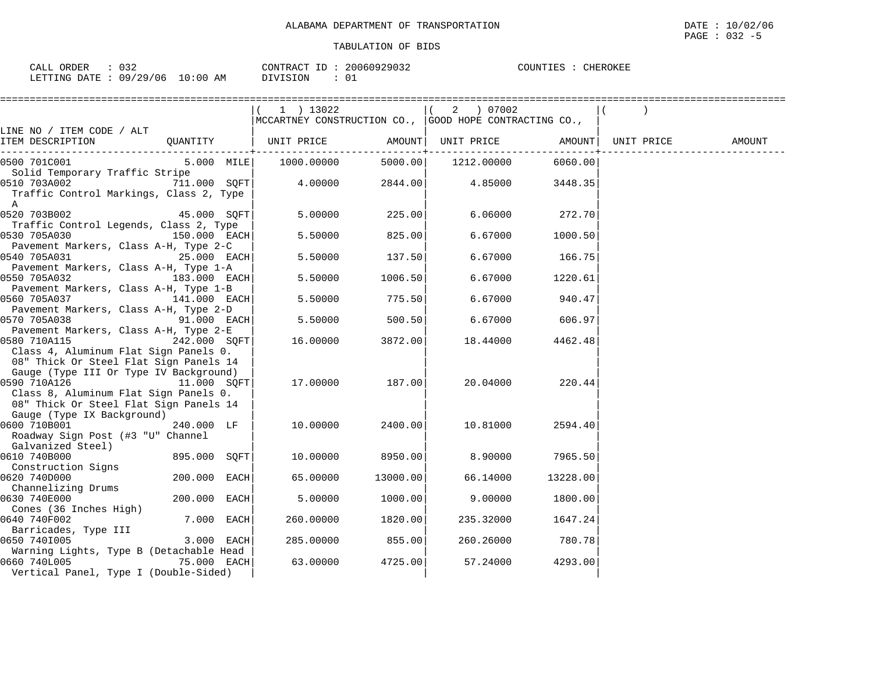| $\cap$ $\cap$ $\cap$                 | 20060929032  | COUNTIES : |
|--------------------------------------|--------------|------------|
| CALL ORDER                           | CONTRACT ID: | CHEROKEE   |
|                                      |              |            |
| LETTING DATE: 09/29/06<br>$10:00$ AM | DIVISION     |            |

|                                                   |              | $1$ ) 13022                                                              |          | 2 ) 07002          |          |            |        |
|---------------------------------------------------|--------------|--------------------------------------------------------------------------|----------|--------------------|----------|------------|--------|
|                                                   |              | $ {\tt MCCARTNEY}$ CONSTRUCTION CO., $ {\tt GOOD}$ HOPE CONTRACTING CO., |          |                    |          |            |        |
| LINE NO / ITEM CODE / ALT                         |              |                                                                          |          |                    |          |            |        |
| ITEM DESCRIPTION                                  | QUANTITY     | UNIT PRICE                                                               |          | AMOUNT UNIT PRICE  | AMOUNT   | UNIT PRICE | AMOUNT |
| 0500 701C001                                      |              | 5.000 MILE 1000.00000                                                    |          | 5000.00 1212.00000 | 6060.00  |            |        |
| Solid Temporary Traffic Stripe                    |              |                                                                          |          |                    |          |            |        |
| 0510 703A002                                      | 711.000 SOFT | 4.00000                                                                  | 2844.00  | 4.85000            | 3448.35  |            |        |
| Traffic Control Markings, Class 2, Type           |              |                                                                          |          |                    |          |            |        |
| A                                                 |              |                                                                          |          |                    |          |            |        |
| 0520 703B002                                      | 45.000 SQFT  | 5.00000                                                                  | 225.00   | 6.06000            | 272.70   |            |        |
| Traffic Control Legends, Class 2, Type            |              |                                                                          |          |                    |          |            |        |
| 0530 705A030                                      | 150.000 EACH | 5.50000                                                                  | 825.00   | 6.67000            | 1000.50  |            |        |
| Pavement Markers, Class A-H, Type 2-C             |              |                                                                          |          |                    |          |            |        |
| and the company of the company of<br>0540 705A031 | 25.000 EACH  | 5.50000                                                                  | 137.50   | 6.67000            | 166.75   |            |        |
| Pavement Markers, Class A-H, Type 1-A             |              |                                                                          |          |                    |          |            |        |
| 0550 705A032<br>$183.000$ EACH                    |              | 5.50000                                                                  | 1006.50  | 6.67000            | 1220.61  |            |        |
| Pavement Markers, Class A-H, Type 1-B             |              |                                                                          |          |                    |          |            |        |
| 0560 705A037                                      | 141.000 EACH | 5.50000                                                                  | 775.50   | 6.67000            | 940.47   |            |        |
| Pavement Markers, Class A-H, Type 2-D             |              |                                                                          |          |                    |          |            |        |
| 0570 705A038                                      | 91.000 EACH  | 5.50000                                                                  | 500.50   | 6.67000            | 606.97   |            |        |
| Pavement Markers, Class A-H, Type 2-E             |              |                                                                          |          |                    |          |            |        |
| 0580 710A115<br>242.000 SOFT                      |              | 16.00000                                                                 | 3872.00  | 18.44000           | 4462.48  |            |        |
| Class 4, Aluminum Flat Sign Panels 0.             |              |                                                                          |          |                    |          |            |        |
| 08" Thick Or Steel Flat Sign Panels 14            |              |                                                                          |          |                    |          |            |        |
| Gauge (Type III Or Type IV Background)            |              |                                                                          |          |                    |          |            |        |
| 0590 710A126<br>11.000 SQFT                       |              | 17.00000                                                                 | 187.00   | 20.04000           | 220.44   |            |        |
| Class 8, Aluminum Flat Sign Panels 0.             |              |                                                                          |          |                    |          |            |        |
| 08" Thick Or Steel Flat Sign Panels 14            |              |                                                                          |          |                    |          |            |        |
| Gauge (Type IX Background)                        |              |                                                                          |          |                    |          |            |        |
| 0600 710B001                                      | 240.000 LF   | 10.00000                                                                 | 2400.00  | 10.81000           | 2594.40  |            |        |
| Roadway Sign Post (#3 "U" Channel                 |              |                                                                          |          |                    |          |            |        |
| Galvanized Steel)                                 |              |                                                                          |          |                    |          |            |        |
| 0610 740B000                                      | 895.000 SOFT | 10.00000                                                                 | 8950.001 | 8.90000            | 7965.50  |            |        |
| Construction Signs                                |              |                                                                          |          |                    |          |            |        |
| 0620 740D000                                      | 200.000 EACH | 65.00000                                                                 | 13000.00 | 66.14000           | 13228.00 |            |        |
| Channelizing Drums                                |              |                                                                          |          |                    |          |            |        |
| 0630 740E000                                      | 200.000 EACH | 5.00000                                                                  | 1000.00  | 9.00000            | 1800.00  |            |        |
| Cones (36 Inches High)                            |              |                                                                          |          |                    |          |            |        |
| 0640 740F002                                      | 7.000 EACH   | 260.00000                                                                | 1820.00  | 235.32000          | 1647.24  |            |        |
| Barricades, Type III                              |              |                                                                          |          |                    |          |            |        |
| 0650 7401005                                      | 3.000 EACH   | 285.00000                                                                | 855.00   | 260.26000          | 780.78   |            |        |
| Warning Lights, Type B (Detachable Head           |              |                                                                          |          |                    |          |            |        |
| 0660 740L005                                      | 75.000 EACH  | 63.00000                                                                 | 4725.00  | 57.24000           | 4293.00  |            |        |
| Vertical Panel, Type I (Double-Sided)             |              |                                                                          |          |                    |          |            |        |
|                                                   |              |                                                                          |          |                    |          |            |        |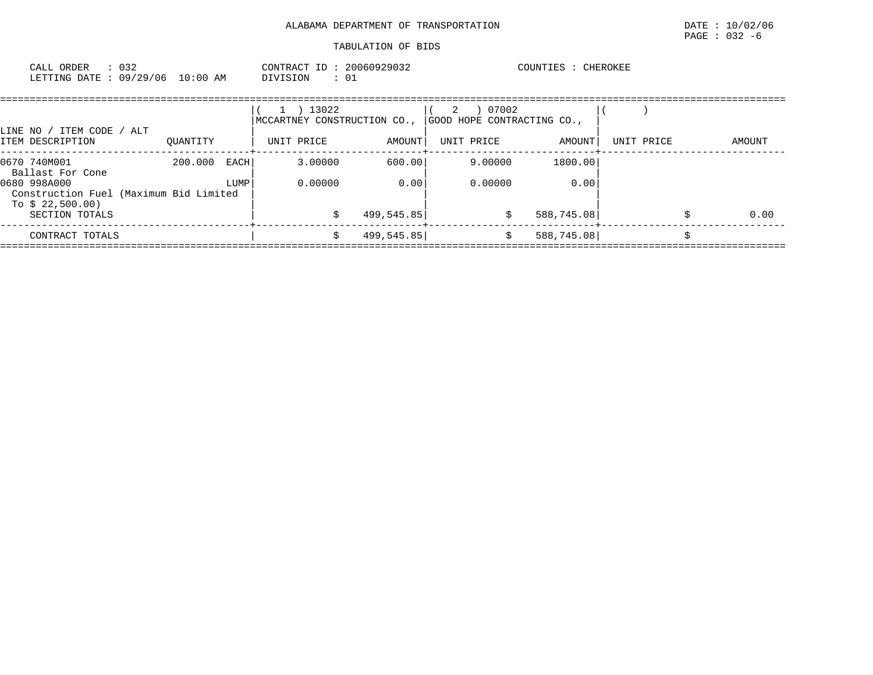| : 032<br>CALL ORDER<br>LETTING DATE: 09/29/06                                                                                    | 10:00 AM                | CONTRACT ID: 20060929032<br>DIVISION<br>$\colon$ 01             |                              |                                                        | COUNTIES : CHEROKEE           |            |        |
|----------------------------------------------------------------------------------------------------------------------------------|-------------------------|-----------------------------------------------------------------|------------------------------|--------------------------------------------------------|-------------------------------|------------|--------|
| LINE NO / ITEM CODE<br>/ ALT<br>ITEM DESCRIPTION                                                                                 | OUANTITY                | 13022<br>$\perp$ )<br>MCCARTNEY CONSTRUCTION CO.,<br>UNIT PRICE | AMOUNT                       | 07002<br>2<br>GOOD HOPE CONTRACTING CO.,<br>UNIT PRICE | AMOUNT                        | UNIT PRICE | AMOUNT |
| 0670 740M001<br>Ballast For Cone<br>0680 998A000<br>Construction Fuel (Maximum Bid Limited<br>To $$22,500.00)$<br>SECTION TOTALS | 200.000<br>EACH<br>LUMP | 3.00000<br>0.00000                                              | 600.00<br>0.00<br>499,545.85 | 9.00000<br>0.00000<br>\$                               | 1800.00<br>0.00<br>588,745.08 |            | 0.00   |
| CONTRACT TOTALS                                                                                                                  |                         | Ŝ.                                                              | 499,545.85                   | \$                                                     | 588,745.08                    |            |        |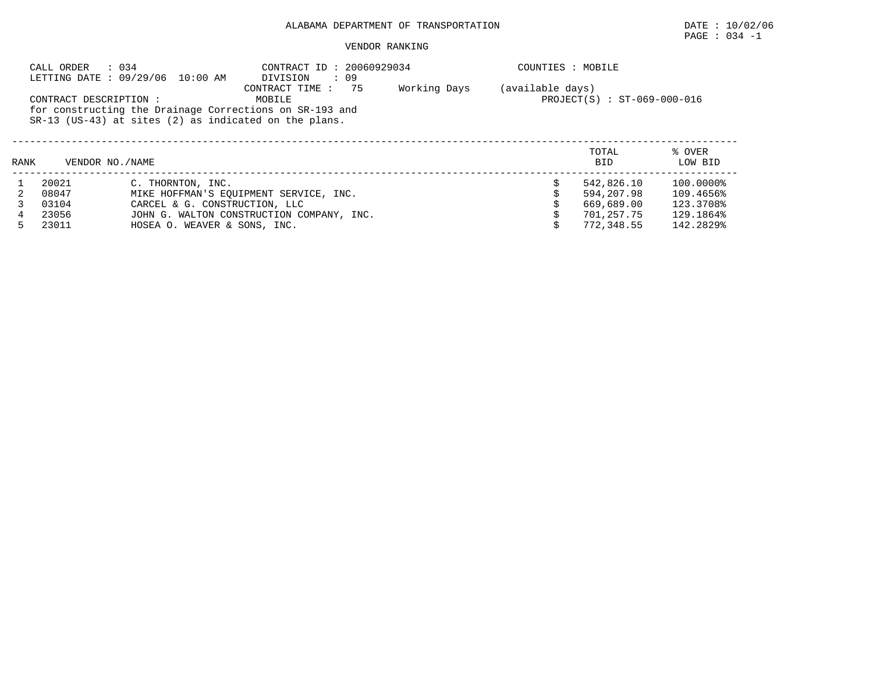# PAGE : 034 -1

|      | CALL ORDER        | : 034<br>LETTING DATE: 09/29/06 10:00 AM                                                                                                                                                                                                           | CONTRACT ID: 20060929034<br>$\cdot$ 09<br>DIVISION |  | COUNTIES : MOBILE |                     |                   |
|------|-------------------|----------------------------------------------------------------------------------------------------------------------------------------------------------------------------------------------------------------------------------------------------|----------------------------------------------------|--|-------------------|---------------------|-------------------|
|      |                   | (available days)<br>75<br>Working Days<br>CONTRACT TIME :<br>PROJECT(S) : ST-069-000-016<br>CONTRACT DESCRIPTION :<br>MOBILE<br>for constructing the Drainage Corrections on SR-193 and<br>$SR-13$ (US-43) at sites (2) as indicated on the plans. |                                                    |  |                   |                     |                   |
| RANK | VENDOR NO. / NAME |                                                                                                                                                                                                                                                    |                                                    |  |                   | TOTAL<br><b>BID</b> | % OVER<br>LOW BID |
|      | 20021             | C. THORNTON, INC.                                                                                                                                                                                                                                  |                                                    |  |                   | 542,826.10          | 100.0000%         |
|      | 08047             |                                                                                                                                                                                                                                                    | MIKE HOFFMAN'S EOUIPMENT SERVICE, INC.             |  |                   | 594,207.98          | 109.4656%         |
|      | 03104             | CARCEL & G. CONSTRUCTION, LLC                                                                                                                                                                                                                      |                                                    |  |                   | 669,689.00          | 123.3708%         |
| 4    | 23056             |                                                                                                                                                                                                                                                    | JOHN G. WALTON CONSTRUCTION COMPANY, INC.          |  |                   | 701,257.75          | 129.1864%         |
|      | 23011             | HOSEA O. WEAVER & SONS, INC.                                                                                                                                                                                                                       |                                                    |  |                   | 772,348.55          | 142.2829%         |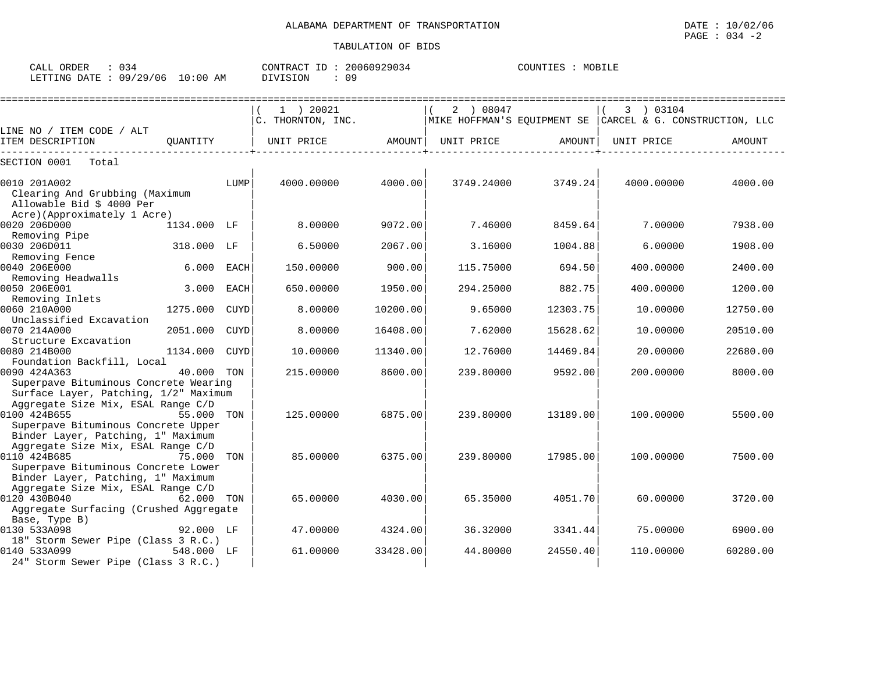| $\sim$ $ -$<br>ORDER<br>CALL | - 34                |                  | CONTR<br>TD.<br>$\sqrt{2}$<br>'R A ( | 29034<br>UUEU d. | COUNTIES | MOB |
|------------------------------|---------------------|------------------|--------------------------------------|------------------|----------|-----|
| <b>ETTING</b><br>DATE        | റ വ<br>120.7<br>′06 | L O<br>AΜ<br>:00 | VISION                               | n a<br>ັບ -      |          |     |

|                                                                                              |             |             | $1$ ) 20021<br>C. THORNTON, INC. |          | 2 ) 08047  |          | 3 ) 03104<br>MIKE HOFFMAN'S EOUIPMENT SE CARCEL & G. CONSTRUCTION, LLC |          |
|----------------------------------------------------------------------------------------------|-------------|-------------|----------------------------------|----------|------------|----------|------------------------------------------------------------------------|----------|
| LINE NO / ITEM CODE / ALT                                                                    |             |             |                                  |          |            |          |                                                                        |          |
| ITEM DESCRIPTION                                                                             | OUANTITY    |             | UNIT PRICE                       | AMOUNT   | UNIT PRICE | AMOUNT   | UNIT PRICE                                                             | AMOUNT   |
| SECTION 0001<br>Total                                                                        |             |             |                                  |          |            |          |                                                                        |          |
| 0010 201A002<br>Clearing And Grubbing (Maximum<br>Allowable Bid \$ 4000 Per                  |             | LUMP        | 4000.00000                       | 4000.00  | 3749.24000 | 3749.24  | 4000.00000                                                             | 4000.00  |
| Acre) (Approximately 1 Acre)<br>0020 206D000                                                 | 1134.000 LF |             | 8,00000                          | 9072.00  | 7.46000    | 8459.64  | 7.00000                                                                | 7938.00  |
| Removing Pipe                                                                                |             |             |                                  |          |            |          |                                                                        |          |
| 0030 206D011                                                                                 | 318.000 LF  |             | 6.50000                          | 2067.00  | 3.16000    | 1004.88  | 6.00000                                                                | 1908.00  |
| Removing Fence                                                                               |             |             |                                  |          |            |          |                                                                        |          |
| 0040 206E000                                                                                 | 6.000       | EACH        | 150.00000                        | 900.00   | 115.75000  | 694.50   | 400.00000                                                              | 2400.00  |
| Removing Headwalls                                                                           |             |             |                                  |          |            |          |                                                                        |          |
| 0050 206E001                                                                                 | 3.000       | <b>EACH</b> | 650.00000                        | 1950.00  | 294.25000  | 882.75   | 400.00000                                                              | 1200.00  |
| Removing Inlets                                                                              |             |             |                                  |          |            |          |                                                                        |          |
| 0060 210A000                                                                                 | 1275.000    | <b>CUYD</b> | 8.00000                          | 10200.00 | 9.65000    | 12303.75 | 10.00000                                                               | 12750.00 |
| Unclassified Excavation                                                                      |             |             |                                  |          |            |          |                                                                        |          |
| 0070 214A000                                                                                 | 2051.000    | <b>CUYD</b> | 8.00000                          | 16408.00 | 7.62000    | 15628.62 | 10.00000                                                               | 20510.00 |
| Structure Excavation<br>0080 214B000                                                         | 1134.000    | <b>CUYD</b> | 10.00000                         | 11340.00 | 12.76000   | 14469.84 | 20,00000                                                               | 22680.00 |
| Foundation Backfill, Local                                                                   |             |             |                                  |          |            |          |                                                                        |          |
| 0090 424A363                                                                                 | 40.000      | TON         | 215.00000                        | 8600.00  | 239.80000  | 9592.00  | 200.00000                                                              | 8000.00  |
| Superpave Bituminous Concrete Wearing<br>Surface Layer, Patching, 1/2" Maximum               |             |             |                                  |          |            |          |                                                                        |          |
| Aggregate Size Mix, ESAL Range C/D<br>0100 424B655<br>Superpave Bituminous Concrete Upper    | 55.000      | TON         | 125,00000                        | 6875.00  | 239.80000  | 13189.00 | 100.00000                                                              | 5500.00  |
| Binder Layer, Patching, 1" Maximum<br>Aggregate Size Mix, ESAL Range C/D                     |             |             |                                  |          |            |          |                                                                        |          |
| 0110 424B685<br>Superpave Bituminous Concrete Lower<br>Binder Layer, Patching, 1" Maximum    | 75.000      | TON         | 85.00000                         | 6375.00  | 239.80000  | 17985.00 | 100.00000                                                              | 7500.00  |
| Aggregate Size Mix, ESAL Range C/D<br>0120 430B040<br>Aggregate Surfacing (Crushed Aggregate | 62.000 TON  |             | 65.00000                         | 4030.00  | 65.35000   | 4051.70  | 60.00000                                                               | 3720.00  |
| Base, Type B)                                                                                |             |             |                                  |          |            |          |                                                                        |          |
| 0130 533A098<br>18" Storm Sewer Pipe (Class 3 R.C.)                                          | 92.000 LF   |             | 47.00000                         | 4324.00  | 36.32000   | 3341.44  | 75,00000                                                               | 6900.00  |
| 0140 533A099<br>24" Storm Sewer Pipe (Class 3 R.C.)                                          | 548.000 LF  |             | 61.00000                         | 33428.00 | 44.80000   | 24550.40 | 110.00000                                                              | 60280.00 |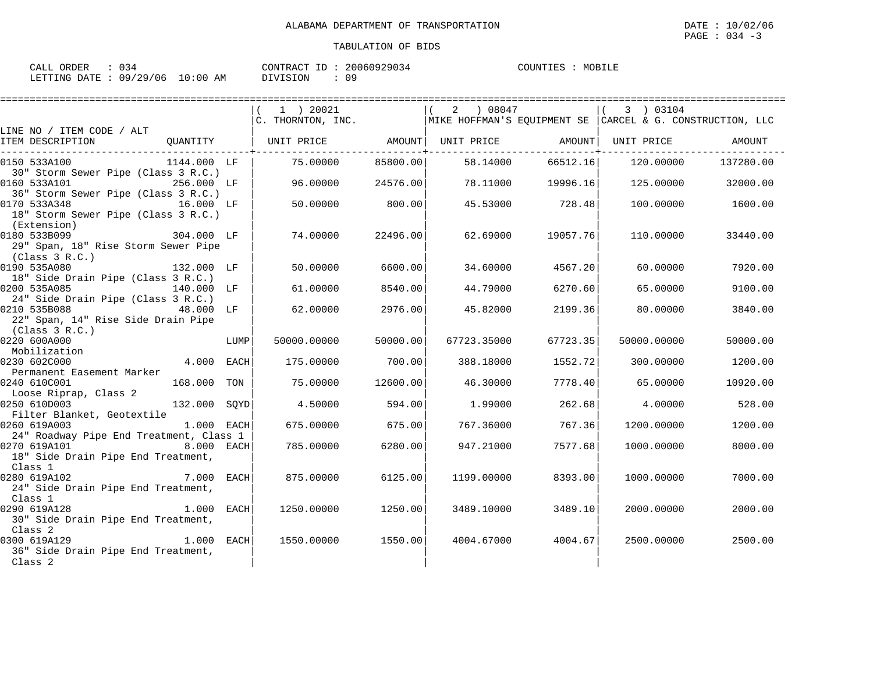| ORDER<br>CALL  |          |            | CONTRACT ID.    | 20060929034 | COUNTIES | MOBILE |
|----------------|----------|------------|-----------------|-------------|----------|--------|
| LETTING DATE : | 09/29/06 | $10:00$ AM | <b>DIVISION</b> |             |          |        |

|                                               |                                                                                               |      | ==========================                                                                            |          |             |                   |             | ================== |
|-----------------------------------------------|-----------------------------------------------------------------------------------------------|------|-------------------------------------------------------------------------------------------------------|----------|-------------|-------------------|-------------|--------------------|
|                                               |                                                                                               |      | 1 ) 20021                                                                                             |          | (2) 08047   |                   | 3 ) 03104   |                    |
|                                               |                                                                                               |      | $\overline{C}$ . THORNTON, INC. $\overline{MIKE HOFFMAN'S EQUIPMENT SE CARCH & G. CONSTRUCTION, LLC}$ |          |             |                   |             |                    |
| LINE NO / ITEM CODE / ALT                     |                                                                                               |      |                                                                                                       |          |             |                   |             |                    |
| ITEM DESCRIPTION                              |                                                                                               |      | QUANTITY   UNIT PRICE     AMOUNT  UNIT PRICE     AMOUNT  UNIT PRICE     AMOUNT                        |          |             |                   |             |                    |
| 0150 533A100                                  | 1144.000 LF                                                                                   |      | 75.00000                                                                                              | 85800.00 | 58.14000    | 66512.16          | 120.00000   | 137280.00          |
| 30" Storm Sewer Pipe (Class 3 R.C.)           |                                                                                               |      |                                                                                                       |          |             |                   |             |                    |
| 0160 533A101                                  | 256.000 LF                                                                                    |      | 96.00000                                                                                              | 24576.00 |             | 78.11000 19996.16 | 125.00000   | 32000.00           |
| 36" Storm Sewer Pipe (Class 3 R.C.)           |                                                                                               |      |                                                                                                       |          |             |                   |             |                    |
| 0170 533A348                                  | 16.000 LF                                                                                     |      | 50.00000                                                                                              | 800.00   |             | 45.53000 728.48   |             | 100.00000 1600.00  |
| 18" Storm Sewer Pipe (Class 3 R.C.)           |                                                                                               |      |                                                                                                       |          |             |                   |             |                    |
| (Extension)<br>0180 533B099                   | 304.000 LF                                                                                    |      | 74.00000                                                                                              | 22496.00 | 62.69000    | 19057.76          | 110.00000   | 33440.00           |
| 29" Span, 18" Rise Storm Sewer Pipe           |                                                                                               |      |                                                                                                       |          |             |                   |             |                    |
| (Class 3 R.C.)                                |                                                                                               |      |                                                                                                       |          |             |                   |             |                    |
| 0190 535A080                                  | 132.000 LF                                                                                    |      | 50.00000                                                                                              | 6600.00  | 34.60000    | 4567.20           | 60.00000    | 7920.00            |
| 18" Side Drain Pipe (Class 3 R.C.)            |                                                                                               |      |                                                                                                       |          |             |                   |             |                    |
| 0200 535A085<br>140.000 LF                    |                                                                                               |      | 61.00000                                                                                              | 8540.00  | 44.79000    | 6270.60           | 65.00000    | 9100.00            |
| 24" Side Drain Pipe (Class 3 R.C.)            |                                                                                               |      |                                                                                                       |          |             |                   |             |                    |
| 0210 535B088<br>48.000 LF                     |                                                                                               |      | 62.00000                                                                                              | 2976.00  | 45.82000    | 2199.36           | 80.00000    | 3840.00            |
| 22" Span, 14" Rise Side Drain Pipe            |                                                                                               |      |                                                                                                       |          |             |                   |             |                    |
| (Class 3 R.C.)                                |                                                                                               |      |                                                                                                       |          |             |                   |             |                    |
| 0220 600A000                                  |                                                                                               | LUMP | 50000.00000                                                                                           | 50000.00 | 67723.35000 | 67723.35          | 50000.00000 | 50000.00           |
| Mobilization                                  |                                                                                               |      |                                                                                                       |          |             |                   |             |                    |
| 0230 602C000                                  | 4.000 EACH                                                                                    |      | 175.00000                                                                                             | 700.00   | 388.18000   | 1552.72           | 300.00000   | 1200.00            |
| Permanent Easement Marker<br>0240 610C001     | 168.000 TON                                                                                   |      | 75.00000                                                                                              | 12600.00 | 46.30000    | 7778.40           | 65.00000    | 10920.00           |
| Loose Riprap, Class 2                         |                                                                                               |      |                                                                                                       |          |             |                   |             |                    |
| 0250 610D003                                  | $\begin{array}{ccccc}\n\text{1ass} & \text{2} & \\ \text{132.000} & \text{SQYD}\n\end{array}$ |      | 4.50000                                                                                               | 594.00   | 1.99000     | 262.68            | 4.00000     | 528.00             |
| Filter Blanket, Geotextile                    |                                                                                               |      |                                                                                                       |          |             |                   |             |                    |
| 0260 619A003                                  | 1.000 EACH                                                                                    |      | 675.00000                                                                                             | 675.00   | 767.36000   | 767.36            | 1200.00000  | 1200.00            |
| 24" Roadway Pipe End Treatment, Class 1       |                                                                                               |      |                                                                                                       |          |             |                   |             |                    |
| 0270 619A101                                  | 8.000 EACH                                                                                    |      | 785.00000                                                                                             | 6280.00  | 947.21000   | 7577.68           | 1000.00000  | 8000.00            |
| 18" Side Drain Pipe End Treatment,            |                                                                                               |      |                                                                                                       |          |             |                   |             |                    |
| Class 1                                       |                                                                                               |      |                                                                                                       |          |             |                   |             |                    |
| 7.000 EACH<br>0280 619A102                    |                                                                                               |      | 875,00000                                                                                             | 6125.00  | 1199.00000  | 8393.00           | 1000.00000  | 7000.00            |
| 24" Side Drain Pipe End Treatment,            |                                                                                               |      |                                                                                                       |          |             |                   |             |                    |
| Class 1                                       |                                                                                               |      |                                                                                                       |          |             |                   |             |                    |
| 0290 619A128                                  | 1.000 EACH                                                                                    |      | 1250.00000                                                                                            | 1250.00  | 3489.10000  | 3489.10           | 2000.00000  | 2000.00            |
| 30" Side Drain Pipe End Treatment,<br>Class 2 |                                                                                               |      |                                                                                                       |          |             |                   |             |                    |
| $1.000$ EACH<br>0300 619A129                  |                                                                                               |      | 1550.00000                                                                                            | 1550.00  | 4004.67000  | 4004.67           | 2500.00000  | 2500.00            |
| 36" Side Drain Pipe End Treatment,            |                                                                                               |      |                                                                                                       |          |             |                   |             |                    |
| Class 2                                       |                                                                                               |      |                                                                                                       |          |             |                   |             |                    |
|                                               |                                                                                               |      |                                                                                                       |          |             |                   |             |                    |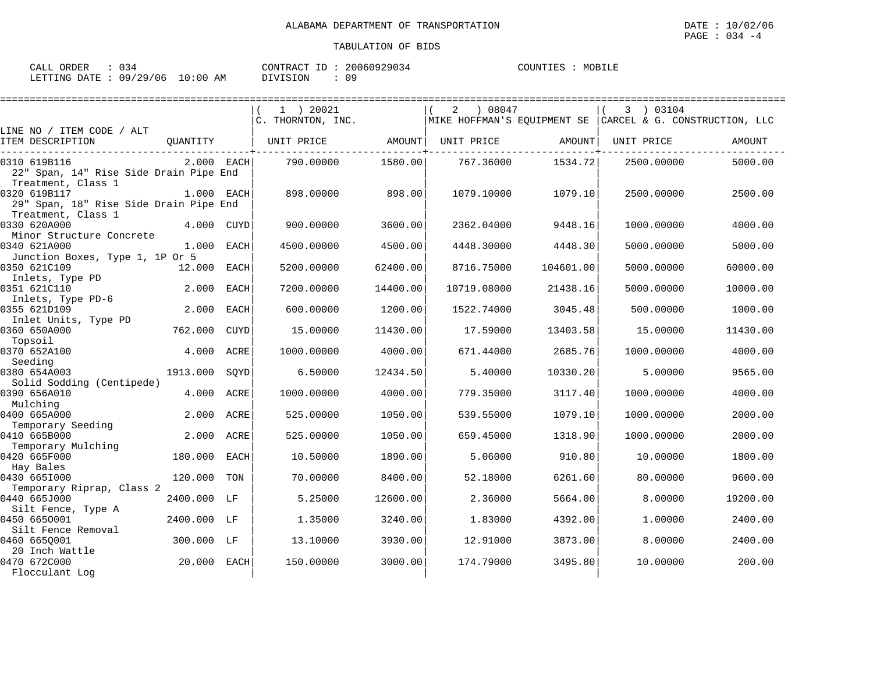| CALL ORDER                      |  | CONTRACT ID: | 20060929034 | COUNTIES | MOBILE |
|---------------------------------|--|--------------|-------------|----------|--------|
| LETTING DATE: 09/29/06 10:00 AM |  | DIVISION     | 09          |          |        |

|                                                                              |              |              | 1 ) 20021<br>C. THORNTON, INC. |          | 08047 (<br>2 |           | 3 ) 03104<br>MIKE HOFFMAN'S EOUIPMENT SE CARCEL & G. CONSTRUCTION, LLC |          |
|------------------------------------------------------------------------------|--------------|--------------|--------------------------------|----------|--------------|-----------|------------------------------------------------------------------------|----------|
| LINE NO / ITEM CODE / ALT<br>ITEM DESCRIPTION                                | QUANTITY     |              | UNIT PRICE                     | AMOUNT   | UNIT PRICE   | AMOUNT    | UNIT PRICE                                                             | AMOUNT   |
| 0310 619B116<br>22" Span, 14" Rise Side Drain Pipe End<br>Treatment, Class 1 | $2.000$ EACH |              | 790.00000                      | 1580.00  | 767.36000    | 1534.72   | 2500.00000                                                             | 5000.00  |
| 0320 619B117<br>29" Span, 18" Rise Side Drain Pipe End                       | 1.000 EACH   |              | 898,00000                      | 898.00   | 1079.10000   | 1079.10   | 2500.00000                                                             | 2500.00  |
| Treatment, Class 1<br>0330 620A000<br>Minor Structure Concrete               |              | 4.000 CUYD   | 900.00000                      | 3600.00  | 2362.04000   | 9448.16   | 1000.00000                                                             | 4000.00  |
| 0340 621A000<br>Junction Boxes, Type 1, 1P Or 5                              |              | $1.000$ EACH | 4500.00000                     | 4500.00  | 4448.30000   | 4448.30   | 5000.00000                                                             | 5000.00  |
| 0350 621C109<br>Inlets, Type PD                                              | 12.000 EACH  |              | 5200.00000                     | 62400.00 | 8716.75000   | 104601.00 | 5000.00000                                                             | 60000.00 |
| 0351 621C110<br>Inlets, Type PD-6                                            | 2.000        | EACH         | 7200.00000                     | 14400.00 | 10719.08000  | 21438.16  | 5000.00000                                                             | 10000.00 |
| 0355 621D109<br>Inlet Units, Type PD                                         | 2.000        | <b>EACH</b>  | 600.00000                      | 1200.00  | 1522.74000   | 3045.48   | 500.00000                                                              | 1000.00  |
| 0360 650A000<br>Topsoil                                                      | 762.000      | <b>CUYD</b>  | 15.00000                       | 11430.00 | 17.59000     | 13403.58  | 15,00000                                                               | 11430.00 |
| 0370 652A100<br>Seeding                                                      | 4.000        | ACRE         | 1000.00000                     | 4000.00  | 671.44000    | 2685.76   | 1000.00000                                                             | 4000.00  |
| 0380 654A003<br>Solid Sodding (Centipede)                                    | 1913.000     | SOYD         | 6.50000                        | 12434.50 | 5.40000      | 10330.20  | 5.00000                                                                | 9565.00  |
| 0390 656A010<br>Mulching                                                     | 4.000        | ACRE         | 1000.00000                     | 4000.00  | 779.35000    | 3117.40   | 1000.00000                                                             | 4000.00  |
| 0400 665A000<br>Temporary Seeding                                            | 2.000        | ACRE         | 525.00000                      | 1050.00  | 539.55000    | 1079.10   | 1000.00000                                                             | 2000.00  |
| 0410 665B000<br>Temporary Mulching                                           | 2.000        | ACRE         | 525.00000                      | 1050.00  | 659.45000    | 1318.90   | 1000.00000                                                             | 2000.00  |
| 0420 665F000<br>Hay Bales                                                    | 180.000      | EACH         | 10.50000                       | 1890.00  | 5.06000      | 910.80    | 10.00000                                                               | 1800.00  |
| 0430 6651000<br>Temporary Riprap, Class 2                                    | 120.000      | TON          | 70.00000                       | 8400.00  | 52.18000     | 6261.60   | 80.00000                                                               | 9600.00  |
| 0440 665J000<br>Silt Fence, Type A                                           | 2400.000 LF  |              | 5.25000                        | 12600.00 | 2.36000      | 5664.00   | 8,00000                                                                | 19200.00 |
| 0450 6650001<br>Silt Fence Removal                                           | 2400.000 LF  |              | 1.35000                        | 3240.00  | 1.83000      | 4392.00   | 1,00000                                                                | 2400.00  |
| 0460 665Q001<br>20 Inch Wattle                                               | 300.000 LF   |              | 13.10000                       | 3930.00  | 12.91000     | 3873.00   | 8,00000                                                                | 2400.00  |
| 0470 672C000<br>Flocculant Log                                               | 20.000 EACH  |              | 150.00000                      | 3000.00  | 174.79000    | 3495.80   | 10,00000                                                               | 200.00   |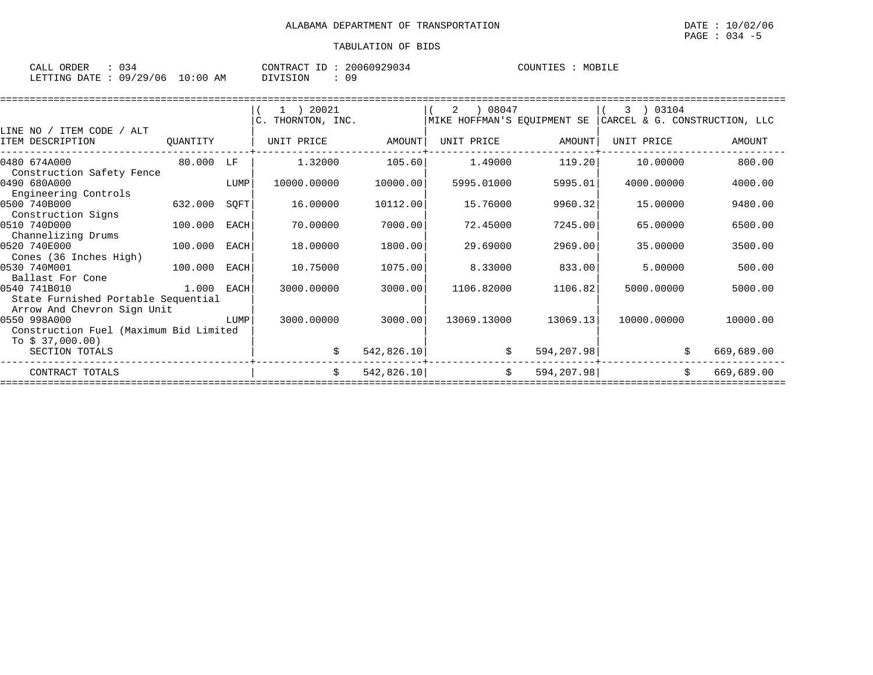| CALL<br>ORDER | . . <i>. .</i>   |                | $\pi \cap m$<br>NTR AC | 10929034<br>2006 | $COTINTTTF^2$ | MO H<br>கப்சி |
|---------------|------------------|----------------|------------------------|------------------|---------------|---------------|
| LETTING DATE  | 09/<br>106<br>29 | ∟0 ∶ 0 (<br>AΜ | DIVISION               | ΩO               |               |               |

|          |                                                                     | 1 ) 20021                                                                                                                                                                                                                                           |                                            |                                                    |                                                                                  | 3 ) 03104                                                                |                                                                                                                                                                                                                                         |
|----------|---------------------------------------------------------------------|-----------------------------------------------------------------------------------------------------------------------------------------------------------------------------------------------------------------------------------------------------|--------------------------------------------|----------------------------------------------------|----------------------------------------------------------------------------------|--------------------------------------------------------------------------|-----------------------------------------------------------------------------------------------------------------------------------------------------------------------------------------------------------------------------------------|
|          |                                                                     |                                                                                                                                                                                                                                                     |                                            |                                                    |                                                                                  |                                                                          |                                                                                                                                                                                                                                         |
|          |                                                                     |                                                                                                                                                                                                                                                     |                                            |                                                    |                                                                                  |                                                                          |                                                                                                                                                                                                                                         |
| QUANTITY |                                                                     | UNIT PRICE                                                                                                                                                                                                                                          | AMOUNT                                     | UNIT PRICE                                         |                                                                                  | UNIT PRICE                                                               | AMOUNT                                                                                                                                                                                                                                  |
|          |                                                                     | 1.32000                                                                                                                                                                                                                                             |                                            |                                                    |                                                                                  | 10.00000                                                                 | 800.00                                                                                                                                                                                                                                  |
|          |                                                                     | 10000.00000                                                                                                                                                                                                                                         |                                            | 5995.01000                                         |                                                                                  | 4000.00000                                                               | 4000.00                                                                                                                                                                                                                                 |
|          |                                                                     |                                                                                                                                                                                                                                                     |                                            |                                                    |                                                                                  |                                                                          |                                                                                                                                                                                                                                         |
| 632.000  | SQFT                                                                | 16.00000                                                                                                                                                                                                                                            |                                            | 15.76000                                           |                                                                                  | 15.00000                                                                 | 9480.00                                                                                                                                                                                                                                 |
|          |                                                                     |                                                                                                                                                                                                                                                     |                                            |                                                    |                                                                                  |                                                                          |                                                                                                                                                                                                                                         |
|          | EACH                                                                | 70.00000                                                                                                                                                                                                                                            |                                            | 72.45000                                           |                                                                                  | 65.00000                                                                 | 6500.00                                                                                                                                                                                                                                 |
|          |                                                                     |                                                                                                                                                                                                                                                     |                                            |                                                    |                                                                                  |                                                                          |                                                                                                                                                                                                                                         |
| 100.000  | EACH                                                                | 18.00000                                                                                                                                                                                                                                            |                                            | 29.69000                                           |                                                                                  | 35.00000                                                                 | 3500.00                                                                                                                                                                                                                                 |
|          |                                                                     |                                                                                                                                                                                                                                                     |                                            |                                                    |                                                                                  |                                                                          |                                                                                                                                                                                                                                         |
|          | EACH                                                                |                                                                                                                                                                                                                                                     |                                            |                                                    |                                                                                  |                                                                          | 500.00                                                                                                                                                                                                                                  |
|          |                                                                     |                                                                                                                                                                                                                                                     |                                            |                                                    |                                                                                  |                                                                          |                                                                                                                                                                                                                                         |
|          |                                                                     |                                                                                                                                                                                                                                                     |                                            |                                                    |                                                                                  |                                                                          | 5000.00                                                                                                                                                                                                                                 |
|          |                                                                     |                                                                                                                                                                                                                                                     |                                            |                                                    |                                                                                  |                                                                          |                                                                                                                                                                                                                                         |
|          |                                                                     |                                                                                                                                                                                                                                                     |                                            |                                                    |                                                                                  |                                                                          |                                                                                                                                                                                                                                         |
|          |                                                                     |                                                                                                                                                                                                                                                     |                                            |                                                    |                                                                                  |                                                                          | 10000.00                                                                                                                                                                                                                                |
|          |                                                                     |                                                                                                                                                                                                                                                     |                                            |                                                    |                                                                                  |                                                                          |                                                                                                                                                                                                                                         |
|          |                                                                     |                                                                                                                                                                                                                                                     |                                            |                                                    |                                                                                  |                                                                          |                                                                                                                                                                                                                                         |
|          |                                                                     |                                                                                                                                                                                                                                                     |                                            |                                                    |                                                                                  |                                                                          | 669,689.00                                                                                                                                                                                                                              |
|          |                                                                     | \$                                                                                                                                                                                                                                                  |                                            |                                                    |                                                                                  | \$                                                                       | 669,689.00                                                                                                                                                                                                                              |
|          | Construction Safety Fence<br>100.000<br>Arrow And Chevron Sign Unit | 80.000 LF<br><b>EXECUTE IN THE EXECUTIVE IN THE EXECUTIVE IN THE EXECUTIVE IN THE EXECUTIVE IN THE EXECUTIVE IN THE EXECUTIVE</b><br>100.000<br>1.000 EACH<br>State Furnished Portable Sequential<br>LUMP<br>Construction Fuel (Maximum Bid Limited | 10.75000<br>3000.00000<br>3000.00000<br>\$ | C. THORNTON, INC.<br>7000.00<br>1800.00<br>1075.00 | 105.60<br>10000.00<br>10112.00<br>3000.00<br>3000.00<br>542,826.10<br>542,826.10 | 2 ) 08047<br>1.49000<br>8.33000<br>1106.82000<br>13069.13000<br>\$<br>\$ | MIKE HOFFMAN'S EQUIPMENT SE   CARCEL & G. CONSTRUCTION, LLC<br>AMOUNT<br>119.20<br>5995.01<br>9960.32<br>7245.00<br>2969.00<br>833.00<br>5.00000<br>1106.82<br>5000.00000<br>13069.13<br>10000.00000<br>594,207.98<br>\$<br>594, 207.98 |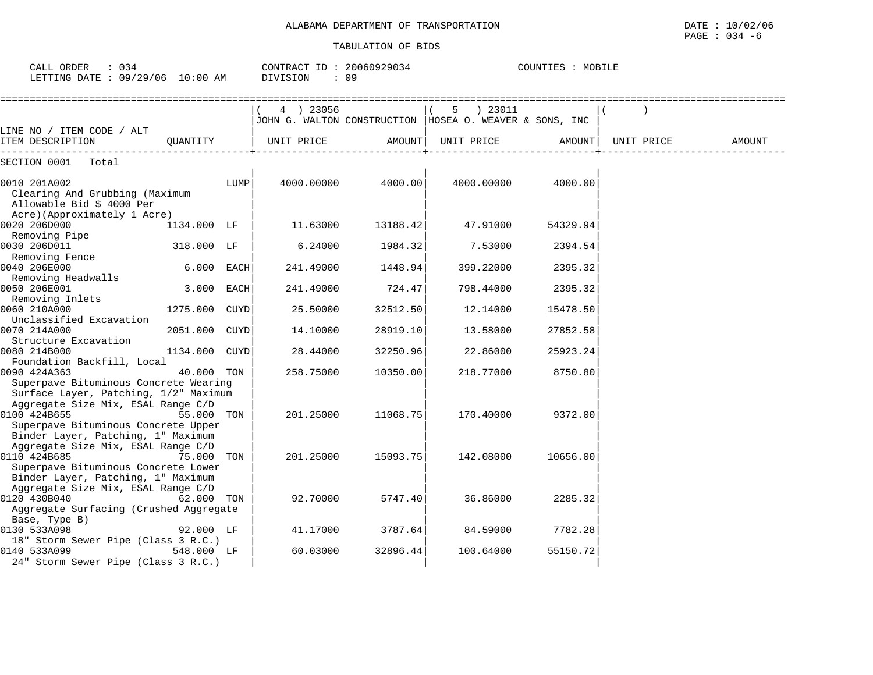| : 0.34<br>CALL ORDER             |          | CONTRACT ID: 20060929034 | : MOBILE<br>COUNTIES |
|----------------------------------|----------|--------------------------|----------------------|
| LETTING DATE : 09/29/06 10:00 AM | DIVISION | 09                       |                      |

|                                               |               |      | 4 ) 23056  |          | 5 ) 23011                                                 |          |            |        |
|-----------------------------------------------|---------------|------|------------|----------|-----------------------------------------------------------|----------|------------|--------|
|                                               |               |      |            |          | JOHN G. WALTON CONSTRUCTION   HOSEA O. WEAVER & SONS, INC |          |            |        |
| LINE NO / ITEM CODE / ALT<br>ITEM DESCRIPTION | OUANTITY      |      | UNIT PRICE | AMOUNT   | UNIT PRICE                                                | AMOUNT   | UNIT PRICE | AMOUNT |
|                                               |               |      |            |          |                                                           |          |            |        |
| SECTION 0001 Total                            |               |      |            |          |                                                           |          |            |        |
| 0010 201A002                                  |               | LUMP | 4000.00000 | 4000.00  | 4000.00000                                                | 4000.00  |            |        |
| Clearing And Grubbing (Maximum                |               |      |            |          |                                                           |          |            |        |
| Allowable Bid \$ 4000 Per                     |               |      |            |          |                                                           |          |            |        |
| Acre)(Approximately 1 Acre)                   |               |      |            |          |                                                           |          |            |        |
| 0020 206D000                                  | 1134.000 LF   |      | 11.63000   | 13188.42 | 47.91000                                                  | 54329.94 |            |        |
| Removing Pipe                                 |               |      |            |          |                                                           |          |            |        |
| 0030 206D011                                  | 318.000 LF    |      | 6.24000    | 1984.32  | 7.53000                                                   | 2394.54  |            |        |
| Removing Fence                                |               |      |            |          |                                                           |          |            |        |
| 0040 206E000                                  | 6.000 EACH    |      | 241.49000  | 1448.94  | 399.22000                                                 | 2395.32  |            |        |
| Removing Headwalls                            |               |      |            |          |                                                           |          |            |        |
| 0050 206E001                                  | 3.000 EACH    |      | 241.49000  | 724.47   | 798.44000                                                 | 2395.32  |            |        |
| Removing Inlets                               |               |      |            |          |                                                           |          |            |        |
| 0060 210A000                                  | 1275.000 CUYD |      | 25.50000   | 32512.50 | 12.14000                                                  | 15478.50 |            |        |
| Unclassified Excavation                       |               |      |            |          |                                                           |          |            |        |
| 0070 214A000                                  | 2051.000 CUYD |      | 14.10000   | 28919.10 | 13.58000                                                  | 27852.58 |            |        |
| Structure Excavation                          |               |      |            |          |                                                           |          |            |        |
| 0080 214B000                                  | 1134.000 CUYD |      | 28.44000   | 32250.96 | 22.86000                                                  | 25923.24 |            |        |
| Foundation Backfill, Local                    |               |      |            |          |                                                           |          |            |        |
| 0090 424A363                                  | 40.000 TON    |      | 258.75000  | 10350.00 | 218.77000                                                 | 8750.80  |            |        |
| Superpave Bituminous Concrete Wearing         |               |      |            |          |                                                           |          |            |        |
| Surface Layer, Patching, 1/2" Maximum         |               |      |            |          |                                                           |          |            |        |
| Aggregate Size Mix, ESAL Range C/D            |               |      |            |          |                                                           |          |            |        |
| 0100 424B655                                  | 55.000 TON    |      | 201.25000  | 11068.75 | 170.40000                                                 | 9372.00  |            |        |
| Superpave Bituminous Concrete Upper           |               |      |            |          |                                                           |          |            |        |
| Binder Layer, Patching, 1" Maximum            |               |      |            |          |                                                           |          |            |        |
| Aggregate Size Mix, ESAL Range C/D            |               |      |            |          |                                                           |          |            |        |
| 0110 424B685                                  | 75,000 TON    |      | 201.25000  | 15093.75 | 142.08000                                                 | 10656.00 |            |        |
| Superpave Bituminous Concrete Lower           |               |      |            |          |                                                           |          |            |        |
| Binder Layer, Patching, 1" Maximum            |               |      |            |          |                                                           |          |            |        |
| Aggregate Size Mix, ESAL Range C/D            |               |      |            |          |                                                           |          |            |        |
| 0120 430B040<br>62.000 TON                    |               |      | 92.70000   | 5747.40  | 36.86000                                                  | 2285.32  |            |        |
| Aggregate Surfacing (Crushed Aggregate        |               |      |            |          |                                                           |          |            |        |
| Base, Type B)<br>0130 533A098                 | 92.000 LF     |      | 41.17000   | 3787.64  | 84.59000                                                  | 7782.28  |            |        |
| 18" Storm Sewer Pipe (Class 3 R.C.)           |               |      |            |          |                                                           |          |            |        |
| 0140 533A099                                  | 548.000 LF    |      | 60.03000   | 32896.44 | 100.64000                                                 | 55150.72 |            |        |
| 24" Storm Sewer Pipe (Class 3 R.C.)           |               |      |            |          |                                                           |          |            |        |
|                                               |               |      |            |          |                                                           |          |            |        |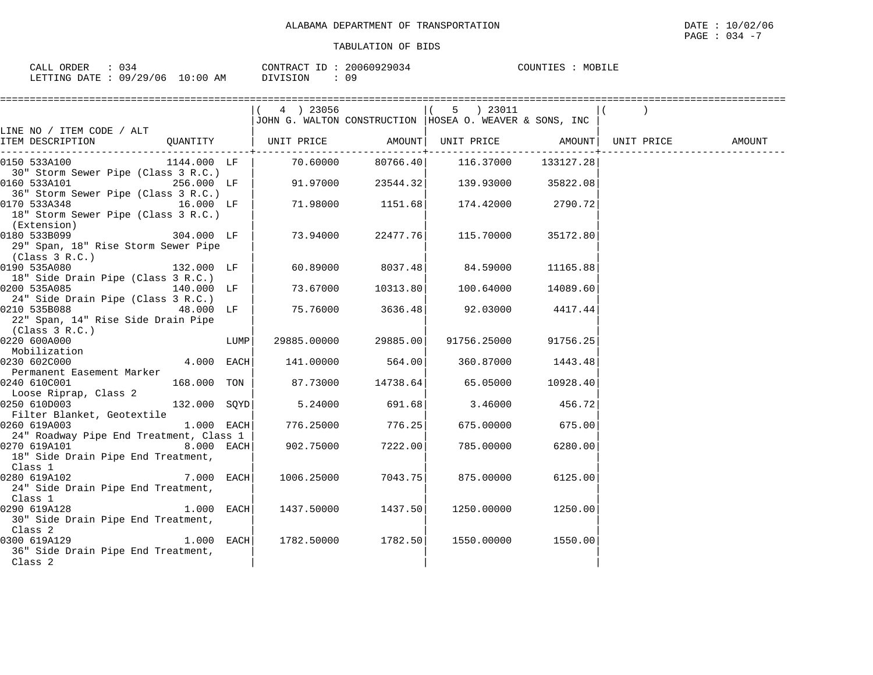| ORDER<br>CALL | $\sim$<br>4 ک ل         | 20060929034<br>TD.<br>CONTRACT | COUNTIES<br>MOBILE |
|---------------|-------------------------|--------------------------------|--------------------|
| LETTING DATE  | 10:00<br>09/29/06<br>AM | DIVISION                       |                    |

|                                                                                                    |                                                           | ========================= |                                             |                    |        |
|----------------------------------------------------------------------------------------------------|-----------------------------------------------------------|---------------------------|---------------------------------------------|--------------------|--------|
|                                                                                                    | $(4)$ 23056                                               |                           | 5 ) 23011                                   |                    |        |
|                                                                                                    | JOHN G. WALTON CONSTRUCTION   HOSEA O. WEAVER & SONS, INC |                           |                                             |                    |        |
| LINE NO / ITEM CODE / ALT                                                                          |                                                           |                           |                                             |                    |        |
| ITEM DESCRIPTION                                                                                   |                                                           |                           |                                             |                    | AMOUNT |
| $1144.000$ LF   $70.60000$ $80766.40$   $116.37000$ $133127.28$  <br>0150 533A100                  |                                                           |                           |                                             |                    |        |
| 30" Storm Sewer Pipe (Class 3 R.C.)                                                                |                                                           |                           |                                             |                    |        |
| 0160 533A101                                                                                       | $256.000$ LF $\vert$ 91.97000 23544.32 139.93000 35822.08 |                           |                                             |                    |        |
| 36" Storm Sewer Pipe (Class 3 R.C.)                                                                |                                                           |                           |                                             |                    |        |
| 0170 533A348<br>$16.000$ LF                                                                        |                                                           |                           | $71.98000$ $1151.68$ $174.42000$ $2790.72$  |                    |        |
| 18" Storm Sewer Pipe (Class 3 R.C.)                                                                |                                                           |                           |                                             |                    |        |
| (Extension)                                                                                        |                                                           |                           |                                             |                    |        |
| 0180 533B099<br>$304.000$ LF                                                                       |                                                           |                           | 73.94000 22477.76 115.70000                 | 35172.80           |        |
| 29" Span, 18" Rise Storm Sewer Pipe                                                                |                                                           |                           |                                             |                    |        |
| (Class 3 R.C.)<br>$132.000$ LF<br>0190 535A080                                                     |                                                           | 60.89000 8037.48          |                                             | 84.59000 11165.88  |        |
| 18" Side Drain Pipe (Class 3 R.C.)                                                                 |                                                           |                           |                                             |                    |        |
| 0200 535A085<br>140.000 LF                                                                         |                                                           |                           | 73.67000 10313.80 100.64000 14089.60        |                    |        |
| 24" Side Drain Pipe (Class 3 R.C.)                                                                 |                                                           |                           |                                             |                    |        |
| $48.000$ LF $\vert$<br>0210 535B088                                                                |                                                           |                           | $75.76000$ $3636.48$ $92.03000$ $4417.44$   |                    |        |
| 22" Span, 14" Rise Side Drain Pipe                                                                 |                                                           |                           |                                             |                    |        |
| (Class $3 R.C.$ )                                                                                  |                                                           |                           |                                             |                    |        |
| LUMP<br>0220 600A000                                                                               |                                                           | 29885.00000 29885.00      | 91756.25000                                 | 91756.25           |        |
| Mobilization                                                                                       |                                                           |                           |                                             |                    |        |
| $4.000$ EACH<br>0230 602C000                                                                       |                                                           |                           | $141.00000$ 564.00 360.87000 1443.48        |                    |        |
| Permanent Easement Marker                                                                          |                                                           |                           |                                             |                    |        |
| 0240 610C001<br>168.000 TON                                                                        |                                                           |                           | $87.73000$ $14738.64$ $65.05000$ $10928.40$ |                    |        |
| Loose Riprap, Class 2<br>$132.000 \quad \text{SQYD}$ 5.24000 691.68 3.46000 456.72<br>0250 610D003 |                                                           |                           |                                             |                    |        |
| Filter Blanket, Geotextile                                                                         |                                                           |                           |                                             |                    |        |
| $ 0260 \hspace{.15cm} 619A003$ $ 1.000 \hspace{.15cm} \text{EACH} $ $ 776.25000$ $ 776.25 $        |                                                           |                           |                                             | 675.00000 675.00   |        |
| 24" Roadway Pipe End Treatment, Class 1                                                            |                                                           |                           |                                             |                    |        |
| 0270 619A101<br>$8.000$ EACH                                                                       |                                                           | $902.75000$ $7222.00$     | 785.00000                                   | 6280.00            |        |
| 18" Side Drain Pipe End Treatment,                                                                 |                                                           |                           |                                             |                    |        |
| Class 1                                                                                            |                                                           |                           |                                             |                    |        |
| 7.000 EACH<br>0280 619A102                                                                         |                                                           | 1006.25000 7043.75        | 875.00000                                   | 6125.00            |        |
| 24" Side Drain Pipe End Treatment,                                                                 |                                                           |                           |                                             |                    |        |
| Class 1                                                                                            |                                                           |                           |                                             |                    |        |
| 0290 619A128<br>$1.000$ EACH                                                                       |                                                           | 1437.50000 1437.50        |                                             | 1250.00000 1250.00 |        |
| 30" Side Drain Pipe End Treatment,                                                                 |                                                           |                           |                                             |                    |        |
| Class 2<br>$1.000$ EACH<br>0300 619A129                                                            |                                                           | 1782.50000 1782.50        |                                             | 1550.00000 1550.00 |        |
| 36" Side Drain Pipe End Treatment,                                                                 |                                                           |                           |                                             |                    |        |
| Class 2                                                                                            |                                                           |                           |                                             |                    |        |
|                                                                                                    |                                                           |                           |                                             |                    |        |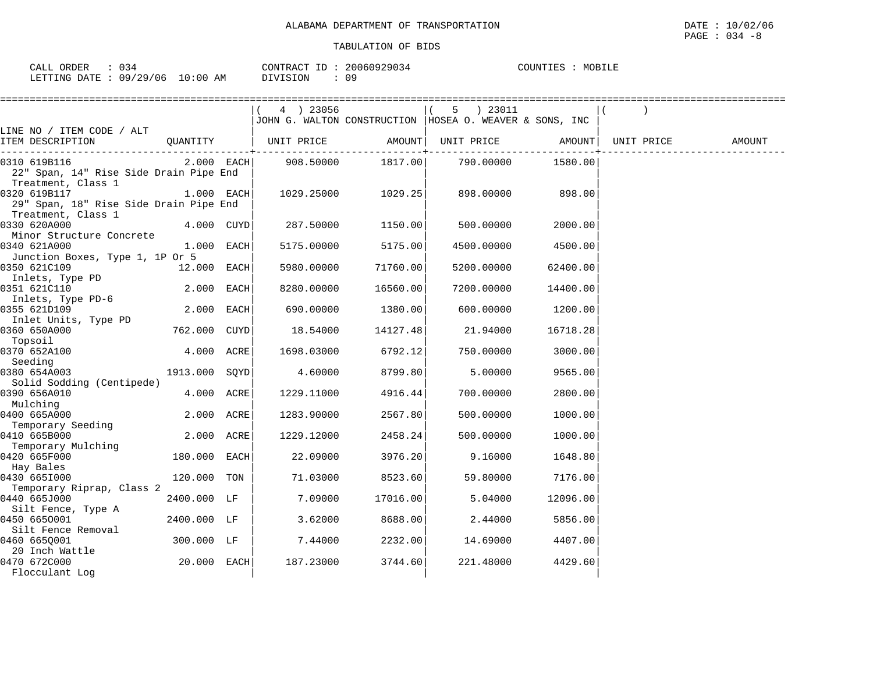| $\therefore$ 034<br>CALL ORDER  | CONTRACT ID: 20060929034 | COUNTIES : MOBILE |
|---------------------------------|--------------------------|-------------------|
| LETTING DATE: 09/29/06 10:00 AM | DIVISION                 |                   |

|                                                                              |               |            | $(4)$ 23056            |          | 5 ) 23011                                                |          |            |        |
|------------------------------------------------------------------------------|---------------|------------|------------------------|----------|----------------------------------------------------------|----------|------------|--------|
|                                                                              |               |            |                        |          | JOHN G. WALTON CONSTRUCTION  HOSEA O. WEAVER & SONS, INC |          |            |        |
| LINE NO / ITEM CODE / ALT<br>ITEM DESCRIPTION                                |               |            |                        |          |                                                          |          | UNIT PRICE | AMOUNT |
| 0310 619B116<br>22" Span, 14" Rise Side Drain Pipe End<br>Treatment, Class 1 |               |            | $2.000$ EACH 908.50000 |          | ------+------------<br>1817.00 790.00000                 | 1580.00  |            |        |
| 0320 619B117<br>29" Span, 18" Rise Side Drain Pipe End<br>Treatment, Class 1 | $1.000$ EACH  |            | 1029.25000             | 1029.25  | 898.00000                                                | 898.00   |            |        |
| 0330 620A000<br>Minor Structure Concrete                                     |               | 4.000 CUYD | 287.50000              | 1150.00  | 500.00000                                                | 2000.00  |            |        |
| 0340 621A000<br>Junction Boxes, Type 1, 1P Or 5                              | 1.000 EACH    |            | 5175.00000             | 5175.00  | 4500.00000                                               | 4500.00  |            |        |
| 0350 621C109<br>Inlets, Type PD                                              | 12.000 EACH   |            | 5980.00000             | 71760.00 | 5200.00000                                               | 62400.00 |            |        |
| 0351 621C110<br>Inlets, Type PD-6                                            | 2.000 EACH    |            | 8280.00000             | 16560.00 | 7200.00000                                               | 14400.00 |            |        |
| 0355 621D109<br>Inlet Units, Type PD                                         |               | 2.000 EACH | 690.00000              | 1380.001 | 600.00000                                                | 1200.00  |            |        |
| 0360 650A000<br>762.000 CUYD<br>Topsoil                                      |               |            | 18.54000               | 14127.48 | 21.94000                                                 | 16718.28 |            |        |
| 0370 652A100<br>Seeding                                                      | 4.000 ACRE    |            | 1698.03000             | 6792.12  | 750.00000                                                | 3000.00  |            |        |
| 0380 654A003<br>Solid Sodding (Centipede)                                    | 1913.000 SOYD |            | 4.60000                | 8799.80  | 5,00000                                                  | 9565.00  |            |        |
| 0390 656A010<br>Mulching                                                     | 4.000 ACRE    |            | 1229.11000             | 4916.44  | 700.00000                                                | 2800.00  |            |        |
| 0400 665A000<br>Temporary Seeding                                            | 2.000 ACRE    |            | 1283.90000             | 2567.80  | 500.00000                                                | 1000.00  |            |        |
| 0410 665B000                                                                 | 2.000 ACRE    |            | 1229.12000             | 2458.24  | 500.00000                                                | 1000.00  |            |        |
| Temporary Mulching<br>0420 665F000<br>Hay Bales                              | 180.000 EACH  |            | 22.09000               | 3976.20  | 9.16000                                                  | 1648.80  |            |        |
| 0430 6651000                                                                 | 120.000 TON   |            | 71.03000               | 8523.60  | 59.80000                                                 | 7176.00  |            |        |
| Temporary Riprap, Class 2<br>0440 665J000                                    | 2400.000 LF   |            | 7.09000                | 17016.00 | 5.04000                                                  | 12096.00 |            |        |
| Silt Fence, Type A<br>0450 6650001                                           | 2400.000 LF   |            | 3.62000                | 8688.00  | 2.44000                                                  | 5856.00  |            |        |
| Silt Fence Removal<br>0460 665Q001                                           | 300.000 LF    |            | 7.44000                | 2232.00  | 14.69000                                                 | 4407.00  |            |        |
| 20 Inch Wattle<br>0470 672C000<br>Flocculant Loq                             | 20.000 EACH   |            | 187.23000              | 3744.60  | 221.48000                                                | 4429.60  |            |        |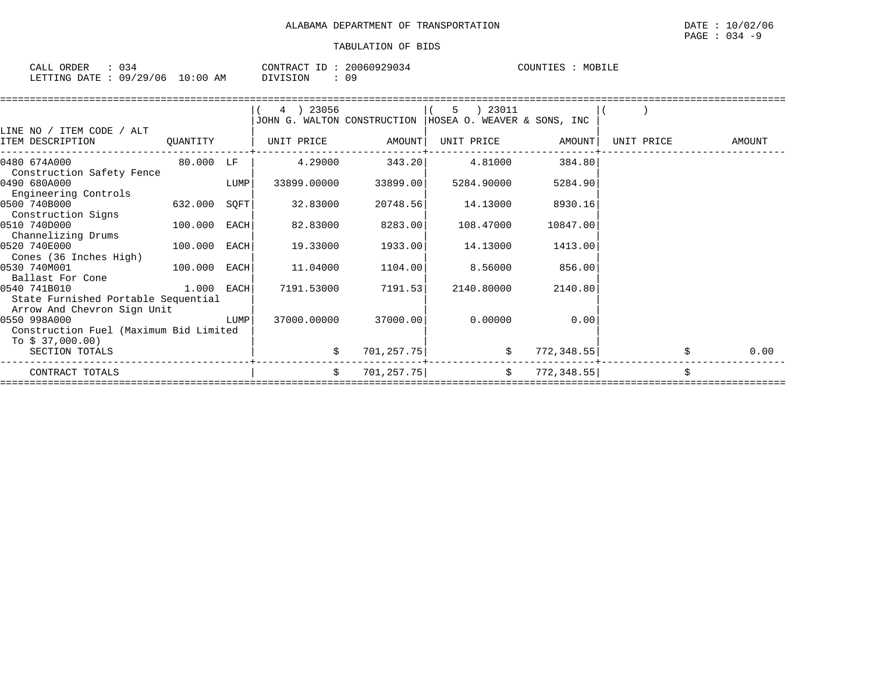| CALL ORDER                       | : 034 |          | CONTRACT ID: 20060929034 |  | COUNTIES : MOBILE |
|----------------------------------|-------|----------|--------------------------|--|-------------------|
| LETTING DATE : 09/29/06 10:00 AM |       | DIVISION | 09                       |  |                   |

|                                                                                                                                                                                                               |                | $(4)$ 23056      |                      | 5 ) 23011<br>JOHN G. WALTON CONSTRUCTION   HOSEA O. WEAVER & SONS, INC                                                                                                                                                                                                                                |          |                     |        |
|---------------------------------------------------------------------------------------------------------------------------------------------------------------------------------------------------------------|----------------|------------------|----------------------|-------------------------------------------------------------------------------------------------------------------------------------------------------------------------------------------------------------------------------------------------------------------------------------------------------|----------|---------------------|--------|
| LINE NO / ITEM CODE / ALT<br>ITEM DESCRIPTION                                                                                                                                                                 | QUANTITY       | UNIT PRICE       | AMOUNT               | UNIT PRICE AMOUNT                                                                                                                                                                                                                                                                                     |          | UNIT PRICE          | AMOUNT |
| 80.000 LF<br>0480 674A000                                                                                                                                                                                     |                |                  |                      | $4.29000$ $343.20$ $4.81000$ $384.80$                                                                                                                                                                                                                                                                 |          |                     |        |
| Construction Safety Fence<br>0490 680A000<br>Engineering Controls                                                                                                                                             | LUMP           |                  | 33899.00000 33899.00 | 5284.90000                                                                                                                                                                                                                                                                                            | 5284.90  |                     |        |
| 0500 740B000<br>Construction Signs                                                                                                                                                                            | 632.000 SQFT   | 32.83000         | 20748.56             | 14.13000                                                                                                                                                                                                                                                                                              | 8930.16  |                     |        |
| 100.000 EACH<br>0510 740D000                                                                                                                                                                                  |                |                  |                      |                                                                                                                                                                                                                                                                                                       | 10847.00 |                     |        |
| Channelizing Drums<br>0520 740E000<br>Cones (36 Inches High)                                                                                                                                                  | $100.000$ EACH | 19.33000         | 1933.00              | 14.13000                                                                                                                                                                                                                                                                                              | 1413.00  |                     |        |
| 100.000 EACH<br>0530 740M001<br>Ballast For Cone                                                                                                                                                              |                | 11.04000 1104.00 |                      | 8.56000 856.00                                                                                                                                                                                                                                                                                        |          |                     |        |
| $1.000$ EACH<br>0540 741B010<br>State Furnished Portable Sequential                                                                                                                                           |                |                  | 7191.53000 7191.53   | 2140.80000                                                                                                                                                                                                                                                                                            | 2140.80  |                     |        |
| Arrow And Chevron Sign Unit<br><b>EXECUTE IN THE EXECUTIVE IN THE EXECUTIVE IN THE EXECUTIVE IN THE EXECUTIVE IN THE EXECUTIVE IN THE EXECUTIVE</b><br>0550 998A000<br>Construction Fuel (Maximum Bid Limited |                |                  | 37000.00000 37000.00 | 0.00000                                                                                                                                                                                                                                                                                               | 0.00     |                     |        |
| To \$ 37,000.00)<br>SECTION TOTALS                                                                                                                                                                            |                |                  |                      | 701, 257.75                                                                                                                                                                                                                                                                                           |          | $\sharp$ 772,348.55 | 0.00   |
| CONTRACT TOTALS                                                                                                                                                                                               |                | \$               |                      | $701, 257.75$ $\frac{1}{201}$ $\frac{1}{201}$ $\frac{1}{201}$ $\frac{1}{201}$ $\frac{1}{201}$ $\frac{1}{201}$ $\frac{1}{201}$ $\frac{1}{201}$ $\frac{1}{201}$ $\frac{1}{201}$ $\frac{1}{201}$ $\frac{1}{201}$ $\frac{1}{201}$ $\frac{1}{201}$ $\frac{1}{201}$ $\frac{1}{201}$ $\frac{1}{201}$ $\frac$ |          |                     |        |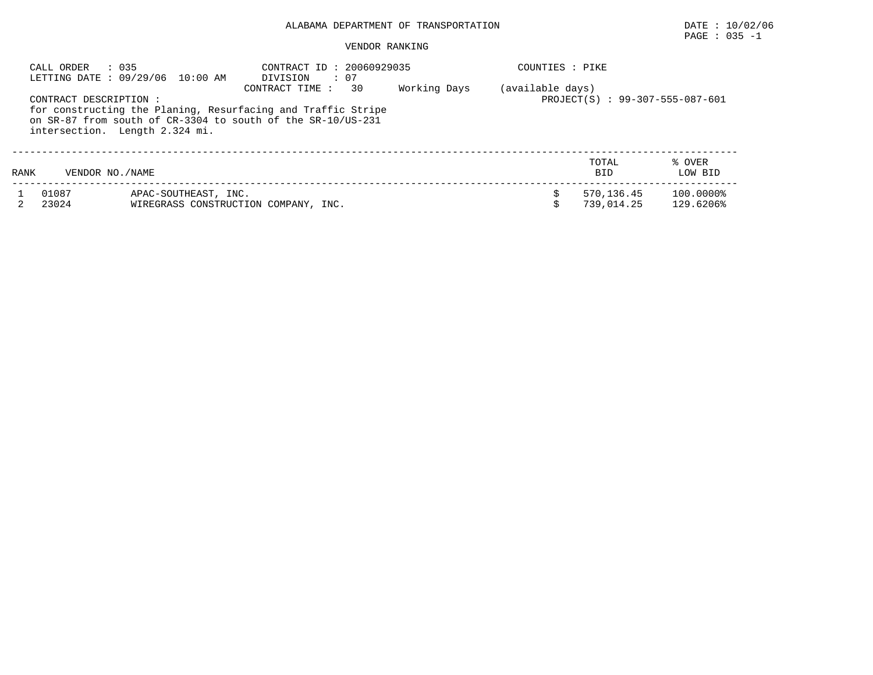# $\texttt{PAGE}$  : 035 -1

| CALL ORDER     | : 035<br>LETTING DATE: 09/29/06 10:00 AM                                                                                                                                               | CONTRACT ID: 20060929035<br>$\cdot$ 07<br>DIVISION  |  | COUNTIES : PIKE |                          |                        |
|----------------|----------------------------------------------------------------------------------------------------------------------------------------------------------------------------------------|-----------------------------------------------------|--|-----------------|--------------------------|------------------------|
|                | CONTRACT DESCRIPTION:<br>for constructing the Planing, Resurfacing and Traffic Stripe<br>on SR-87 from south of CR-3304 to south of the SR-10/US-231<br>intersection. Length 2.324 mi. | (available days)<br>PROJECT(S) : 99-307-555-087-601 |  |                 |                          |                        |
| RANK           | VENDOR NO./NAME                                                                                                                                                                        |                                                     |  |                 | TOTAL<br><b>BID</b>      | % OVER<br>LOW BID      |
| 01087<br>23024 | APAC-SOUTHEAST, INC.                                                                                                                                                                   | WIREGRASS CONSTRUCTION COMPANY, INC.                |  |                 | 570.136.45<br>739.014.25 | 100.0000%<br>129.6206% |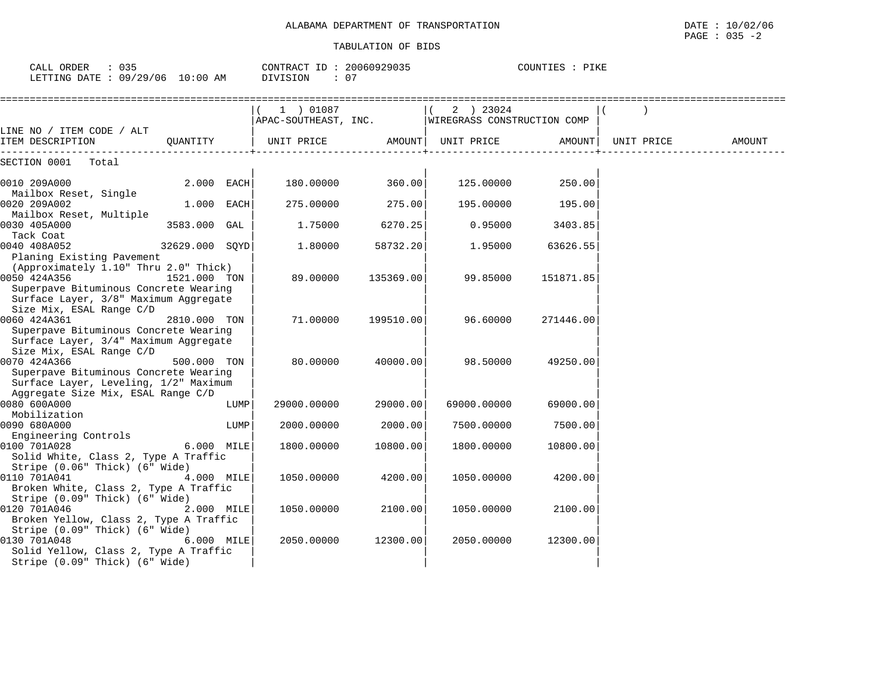| CALL ORDER                      | CONTRACT ID: 20060929035 | COUNTIES : PIKE |
|---------------------------------|--------------------------|-----------------|
| LETTING DATE: 09/29/06 10:00 AM | DIVISION                 |                 |

|                                                                                                                            |                      |      | 1 ) 01087                    |           | 2 ) 23024<br>APAC-SOUTHEAST, INC.   WIREGRASS CONSTRUCTION COMP |               |            |        |
|----------------------------------------------------------------------------------------------------------------------------|----------------------|------|------------------------------|-----------|-----------------------------------------------------------------|---------------|------------|--------|
| LINE NO / ITEM CODE / ALT                                                                                                  |                      |      |                              |           |                                                                 |               |            |        |
| ITEM DESCRIPTION                                                                                                           | -------------------- |      | QUANTITY   UNIT PRICE AMOUNT |           | UNIT PRICE                                                      | <b>AMOUNT</b> | UNIT PRICE | AMOUNT |
| SECTION 0001 Total                                                                                                         |                      |      |                              |           |                                                                 |               |            |        |
| 0010 209A000<br>Mailbox Reset, Single                                                                                      | $2.000$ EACH         |      | 180.00000                    | 360.00    | 125.00000                                                       | 250.00        |            |        |
| 0020 209A002<br>Mailbox Reset, Multiple                                                                                    | $1.000$ EACH         |      | 275.00000                    | 275.00    | 195.00000                                                       | 195.00        |            |        |
| 0030 405A000<br>Tack Coat                                                                                                  | 3583.000 GAL         |      | 1.75000                      | 6270.25   | 0.95000                                                         | 3403.85       |            |        |
| 0040 408A052<br>Planing Existing Pavement                                                                                  | 32629.000 SOYD       |      | 1.80000                      | 58732.20  | 1.95000                                                         | 63626.55      |            |        |
| (Approximately 1.10" Thru 2.0" Thick)<br>0050 424A356                                                                      | 1521.000 TON         |      | 89.00000                     | 135369.00 | 99.85000                                                        | 151871.85     |            |        |
| Superpave Bituminous Concrete Wearing<br>Surface Layer, 3/8" Maximum Aggregate<br>Size Mix, ESAL Range C/D                 |                      |      |                              |           |                                                                 |               |            |        |
| 0060 424A361<br>Superpave Bituminous Concrete Wearing<br>Surface Layer, 3/4" Maximum Aggregate                             | 2810.000 TON         |      | 71.00000                     | 199510.00 | 96.60000                                                        | 271446.00     |            |        |
| Size Mix, ESAL Range C/D<br>0070 424A366<br>Superpave Bituminous Concrete Wearing<br>Surface Layer, Leveling, 1/2" Maximum | 500.000 TON          |      | 80.00000                     | 40000.00  | 98.50000                                                        | 49250.00      |            |        |
| Aggregate Size Mix, ESAL Range C/D<br>0080 600A000                                                                         |                      | LUMP | 29000.00000                  | 29000.00  | 69000.00000                                                     | 69000.00      |            |        |
| Mobilization<br>0090 680A000<br>Engineering Controls                                                                       |                      | LUMP | 2000.00000                   | 2000.00   | 7500.00000                                                      | 7500.00       |            |        |
| 0100 701A028<br>Solid White, Class 2, Type A Traffic<br>Stripe (0.06" Thick) (6" Wide)                                     | 6.000 MILE           |      | 1800.00000                   | 10800.00  | 1800.00000                                                      | 10800.00      |            |        |
| 0110 701A041<br>Broken White, Class 2, Type A Traffic<br>Stripe (0.09" Thick) (6" Wide)                                    | 4.000 MILE           |      | 1050.00000                   | 4200.00   | 1050.00000                                                      | 4200.00       |            |        |
| 0120 701A046<br>Broken Yellow, Class 2, Type A Traffic<br>Stripe (0.09" Thick) (6" Wide)                                   | $2.000$ MILE         |      | 1050.00000                   | 2100.00   | 1050.00000                                                      | 2100.00       |            |        |
| 0130 701A048<br>Solid Yellow, Class 2, Type A Traffic<br>Stripe (0.09" Thick) (6" Wide)                                    | $6.000$ MILE         |      | 2050.00000                   | 12300.00  | 2050.00000                                                      | 12300.00      |            |        |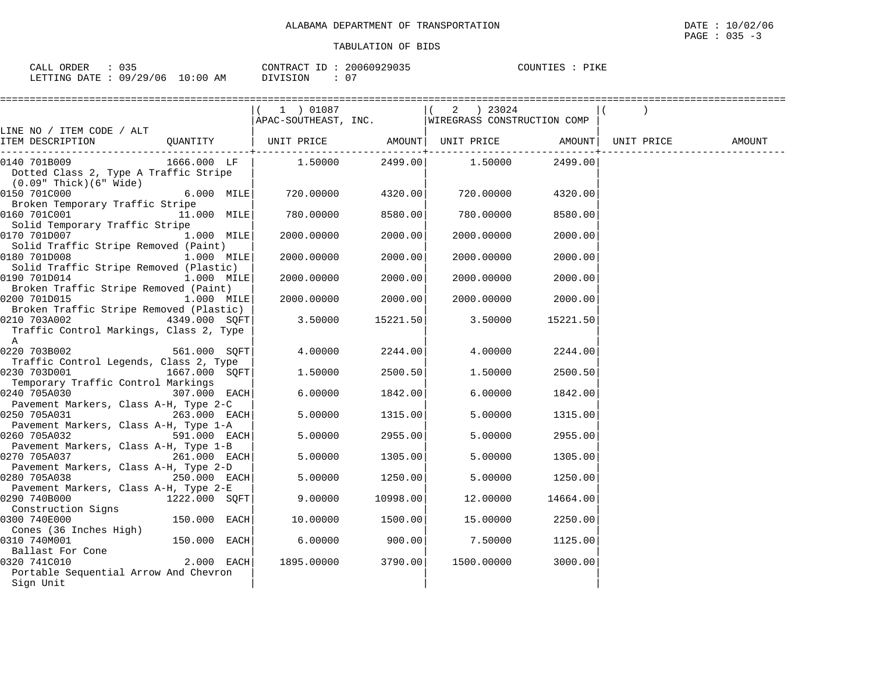| : 035<br>CALL ORDER             | CONTRACT ID: 20060929035 |     | COUNTIES : PIKE |
|---------------------------------|--------------------------|-----|-----------------|
| LETTING DATE: 09/29/06 10:00 AM | DIVISION                 | -07 |                 |

|                                         |               | $(1)$ 01087                                      |          | $(2)$ 23024 |          |        |
|-----------------------------------------|---------------|--------------------------------------------------|----------|-------------|----------|--------|
|                                         |               | APAC-SOUTHEAST, INC. WIREGRASS CONSTRUCTION COMP |          |             |          |        |
| LINE NO / ITEM CODE / ALT               |               |                                                  |          |             |          |        |
| ITEM DESCRIPTION                        | QUANTITY      | UNIT PRICE AMOUNT  UNIT PRICE AMOUNT  UNIT PRICE |          |             |          | AMOUNT |
| 0140 701B009                            | 1666.000 LF   | $1.50000$ 2499.00                                |          | 1.50000     | 2499.00  |        |
|                                         |               |                                                  |          |             |          |        |
| Dotted Class 2, Type A Traffic Stripe   |               |                                                  |          |             |          |        |
| $(0.09"$ Thick $)(6"$ Wide $)$          |               |                                                  |          |             |          |        |
| 0150 701C000                            | 6.000 MILE    | 720.00000                                        | 4320.00  | 720.00000   | 4320.00  |        |
| Broken Temporary Traffic Stripe         |               |                                                  |          |             |          |        |
| 0160 701C001                            | 11.000 MILE   | 780.00000                                        | 8580.00  | 780.00000   | 8580.00  |        |
| Solid Temporary Traffic Stripe          |               |                                                  |          |             |          |        |
| 0170 701D007                            | 1.000 MILE    | 2000.00000                                       | 2000.00  | 2000.00000  | 2000.00  |        |
| Solid Traffic Stripe Removed (Paint)    |               |                                                  |          |             |          |        |
| 0180 701D008                            | 1.000 MILE    | 2000.00000                                       | 2000.00  | 2000.00000  | 2000.00  |        |
| Solid Traffic Stripe Removed (Plastic)  |               |                                                  |          |             |          |        |
| 0190 701D014                            | 1.000 MILE    | 2000.00000                                       | 2000.00  | 2000.00000  | 2000.00  |        |
| Broken Traffic Stripe Removed (Paint)   |               |                                                  |          |             |          |        |
| 0200 701D015                            | $1.000$ MILE  | 2000.00000                                       | 2000.00  | 2000.00000  | 2000.00  |        |
| Broken Traffic Stripe Removed (Plastic) |               |                                                  |          |             |          |        |
| 0210 703A002                            | 4349.000 SQFT | 3.50000                                          | 15221.50 | 3.50000     | 15221.50 |        |
| Traffic Control Markings, Class 2, Type |               |                                                  |          |             |          |        |
| A                                       |               |                                                  |          |             |          |        |
|                                         | 561.000 SOFT  | 4.00000                                          | 2244.00  | 4.00000     | 2244.00  |        |
| Traffic Control Legends, Class 2, Type  |               |                                                  |          |             |          |        |
| 0230 703D001                            | 1667.000 SQFT | 1.50000                                          | 2500.50  | 1.50000     | 2500.50  |        |
| Temporary Traffic Control Markings      |               |                                                  |          |             |          |        |
| 0240 705A030                            | 307.000 EACH  | 6.00000                                          | 1842.00  | 6.00000     | 1842.00  |        |
| Pavement Markers, Class A-H, Type 2-C   |               |                                                  |          |             |          |        |
| 0250 705A031                            | 263.000 EACH  | 5.00000                                          | 1315.00  | 5.00000     | 1315.00  |        |
| Pavement Markers, Class A-H, Type 1-A   |               |                                                  |          |             |          |        |
| 0260 705A032                            | 591.000 EACH  | 5.00000                                          | 2955.00  | 5.00000     | 2955.00  |        |
| Pavement Markers, Class A-H, Type 1-B   |               |                                                  |          |             |          |        |
| 0270 705A037                            | 261.000 EACH  | 5.00000                                          | 1305.00  | 5.00000     | 1305.00  |        |
| Pavement Markers, Class A-H, Type 2-D   |               |                                                  |          |             |          |        |
| 0280 705A038                            | 250.000 EACH  | 5.00000                                          | 1250.00  | 5.00000     | 1250.00  |        |
| Pavement Markers, Class A-H, Type 2-E   |               |                                                  |          |             |          |        |
| 0290 740B000                            | 1222.000 SOFT | 9,00000                                          | 10998.00 | 12.00000    | 14664.00 |        |
| Construction Signs                      |               |                                                  |          |             |          |        |
| 0300 740E000                            | 150.000 EACH  | 10.00000                                         | 1500.00  | 15.00000    | 2250.00  |        |
| Cones (36 Inches High)                  |               |                                                  |          |             |          |        |
| 0310 740M001                            | 150.000 EACH  | 6.00000                                          | 900.00   | 7.50000     | 1125.00  |        |
| Ballast For Cone                        |               |                                                  |          |             |          |        |
| 0320 741C010                            | 2.000 EACH    | 1895.00000                                       | 3790.00  | 1500.00000  | 3000.00  |        |
| Portable Sequential Arrow And Chevron   |               |                                                  |          |             |          |        |
| Sign Unit                               |               |                                                  |          |             |          |        |
|                                         |               |                                                  |          |             |          |        |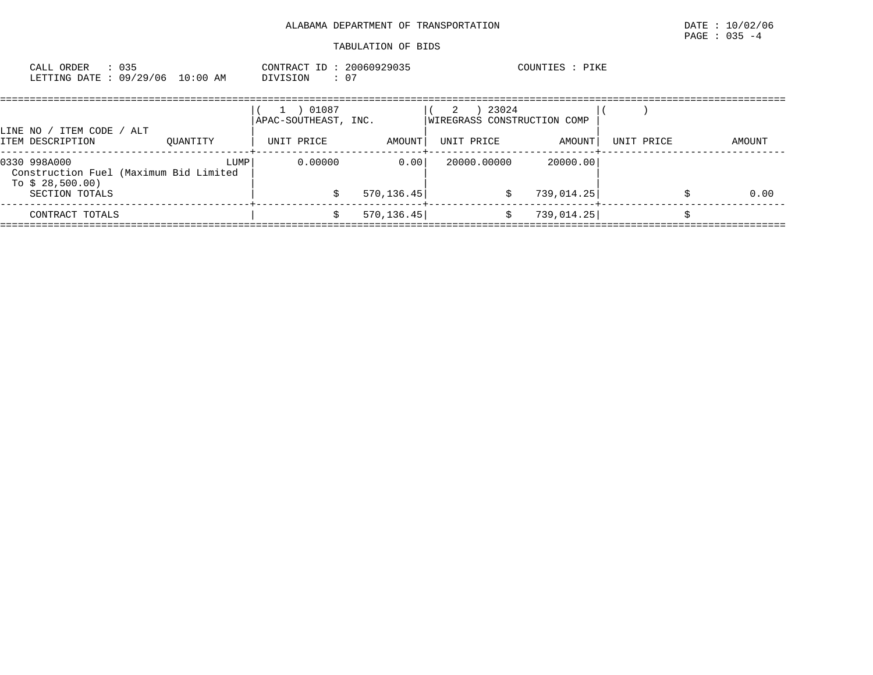| 035<br>CALL ORDER |                                 | CONTRACT ID: 20060929035 |    | COUNTIES : PIKE |
|-------------------|---------------------------------|--------------------------|----|-----------------|
|                   | LETTING DATE: 09/29/06 10:00 AM | DIVISION                 | 07 |                 |

| LINE NO / ITEM CODE / ALT                                                   |          | 01087<br>APAC-SOUTHEAST, INC. |             | 23024<br>2<br>WIREGRASS CONSTRUCTION COMP |            |            |        |
|-----------------------------------------------------------------------------|----------|-------------------------------|-------------|-------------------------------------------|------------|------------|--------|
| ITEM DESCRIPTION                                                            | OUANTITY | UNIT PRICE                    | AMOUNT      | UNIT PRICE                                | AMOUNT     | UNIT PRICE | AMOUNT |
| 0330 998A000<br>Construction Fuel (Maximum Bid Limited<br>To $$28,500.00$ ) | LUMP     | 0.00000                       | 0.001       | 20000.00000                               | 20000.00   |            |        |
| SECTION TOTALS                                                              |          |                               | 570, 136.45 |                                           | 739,014.25 |            | 0.00   |
| CONTRACT TOTALS                                                             |          |                               | 570, 136.45 |                                           | 739,014.25 |            |        |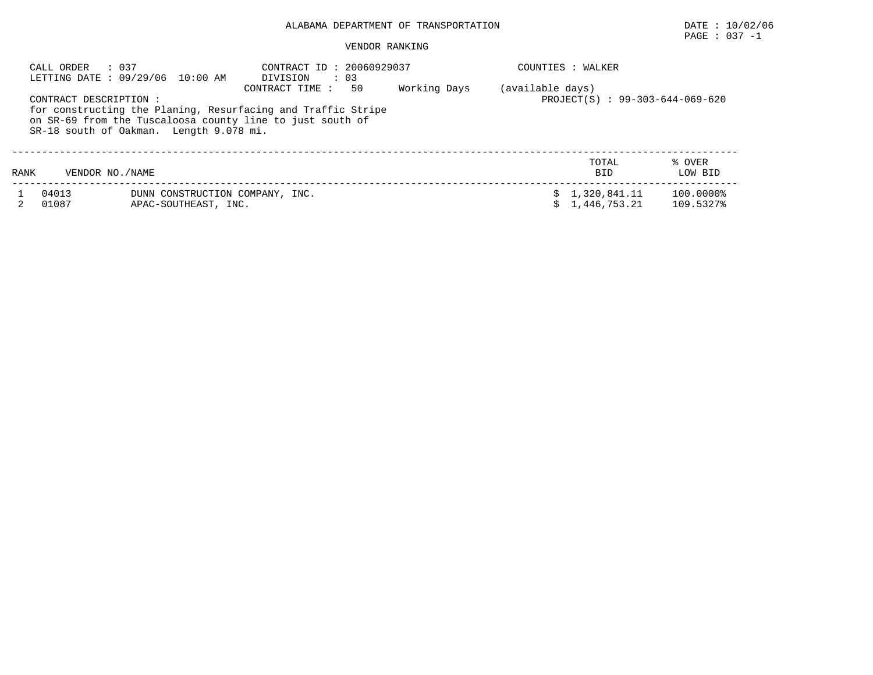# PAGE : 037 -1

|                                                                                                                                                                                                                                        | : 037<br>CALL ORDER | LETTING DATE : 09/29/06 10:00 AM                        | CONTRACT ID: 20060929037<br>$\cdot$ 03<br>DIVISION |  |  | COUNTIES : WALKER                                   |                        |  |  |
|----------------------------------------------------------------------------------------------------------------------------------------------------------------------------------------------------------------------------------------|---------------------|---------------------------------------------------------|----------------------------------------------------|--|--|-----------------------------------------------------|------------------------|--|--|
| Working Days<br>50<br>CONTRACT TIME :<br>CONTRACT DESCRIPTION:<br>for constructing the Planing, Resurfacing and Traffic Stripe<br>on SR-69 from the Tuscaloosa county line to just south of<br>SR-18 south of Oakman. Length 9.078 mi. |                     |                                                         |                                                    |  |  | (available days)<br>PROJECT(S) : 99-303-644-069-620 |                        |  |  |
| RANK                                                                                                                                                                                                                                   | VENDOR NO. / NAME   |                                                         |                                                    |  |  | TOTAL<br><b>BID</b>                                 | % OVER<br>LOW BID      |  |  |
|                                                                                                                                                                                                                                        | 04013<br>01087      | DUNN CONSTRUCTION COMPANY, INC.<br>APAC-SOUTHEAST, INC. |                                                    |  |  | \$1,320,841.11<br>1,446,753.21                      | 100.0000%<br>109.5327% |  |  |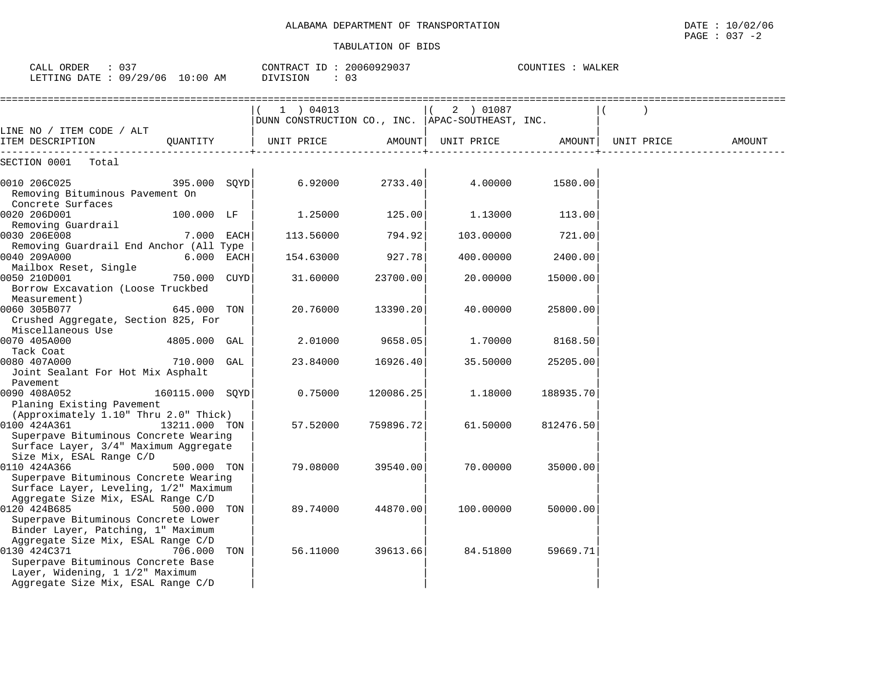| CALL ORDER<br>$\therefore$ 037<br>LETTING DATE : 09/29/06 10:00 AM                                                                                                  |                 | CONTRACT ID: 20060929037<br>DIVISION<br>: 03                  |           |                                                       | COUNTIES : WALKER |        |
|---------------------------------------------------------------------------------------------------------------------------------------------------------------------|-----------------|---------------------------------------------------------------|-----------|-------------------------------------------------------|-------------------|--------|
|                                                                                                                                                                     |                 | 1) 04013<br>DUNN CONSTRUCTION CO., INC.  APAC-SOUTHEAST, INC. |           | $(2)$ 01087                                           |                   |        |
| LINE NO / ITEM CODE / ALT<br>ITEM DESCRIPTION                                                                                                                       | OUANTITY        | UNIT PRICE                                                    |           | AMOUNT   UNIT PRICE               AMOUNT   UNIT PRICE |                   | AMOUNT |
| SECTION 0001 Total                                                                                                                                                  |                 |                                                               |           |                                                       |                   |        |
| 0010 206C025<br>Removing Bituminous Pavement On                                                                                                                     | 395.000 SOYD    | 6.92000                                                       | 2733.40   | 4.00000                                               | 1580.00           |        |
| Concrete Surfaces<br>0020 206D001<br>Removing Guardrail                                                                                                             | 100.000 LF      | 1.25000                                                       | 125.00    | 1.13000                                               | 113.00            |        |
| 0030 206E008<br>Removing Guardrail End Anchor (All Type                                                                                                             | 7.000 EACH      | 113.56000                                                     | 794.92    | 103.00000                                             | 721.00            |        |
| 0040 209A000<br>Mailbox Reset, Single                                                                                                                               | 6.000 EACH      | 154.63000                                                     | 927.78    | 400.00000                                             | 2400.00           |        |
| 0050 210D001<br>Borrow Excavation (Loose Truckbed                                                                                                                   | 750.000 CUYD    | 31.60000                                                      | 23700.00  | 20.00000                                              | 15000.00          |        |
| Measurement)<br>0060 305B077<br>Crushed Aggregate, Section 825, For                                                                                                 | 645.000 TON     | 20.76000                                                      | 13390.20  | 40.00000                                              | 25800.00          |        |
| Miscellaneous Use<br>0070 405A000                                                                                                                                   | 4805.000 GAL    | 2.01000                                                       | 9658.05   | 1.70000                                               | 8168.50           |        |
| Tack Coat<br>0080 407A000<br>Joint Sealant For Hot Mix Asphalt                                                                                                      | 710.000 GAL     | 23.84000                                                      | 16926.40  | 35.50000                                              | 25205.00          |        |
| Pavement<br>0090 408A052<br>Planing Existing Pavement                                                                                                               | 160115.000 SOYD | 0.75000                                                       | 120086.25 | 1.18000                                               | 188935.70         |        |
| (Approximately 1.10" Thru 2.0" Thick)<br>0100 424A361<br>Superpave Bituminous Concrete Wearing                                                                      | 13211.000 TON   | 57.52000                                                      | 759896.72 | 61.50000                                              | 812476.50         |        |
| Surface Layer, 3/4" Maximum Aggregate<br>Size Mix, ESAL Range C/D<br>0110 424A366<br>Superpave Bituminous Concrete Wearing<br>Surface Layer, Leveling, 1/2" Maximum | 500.000 TON     | 79.08000                                                      | 39540.00  | 70.00000                                              | 35000.00          |        |
| Aggregate Size Mix, ESAL Range C/D<br>0120 424B685<br>Superpave Bituminous Concrete Lower<br>Binder Layer, Patching, 1" Maximum                                     | 500.000 TON     | 89.74000                                                      | 44870.00  | 100.00000                                             | 50000.00          |        |
| Aggregate Size Mix, ESAL Range C/D<br>0130 424C371<br>Superpave Bituminous Concrete Base<br>Layer, Widening, 1 1/2" Maximum<br>Aggregate Size Mix, ESAL Range C/D   | 706.000 TON     | 56.11000                                                      | 39613.66  | 84.51800                                              | 59669.71          |        |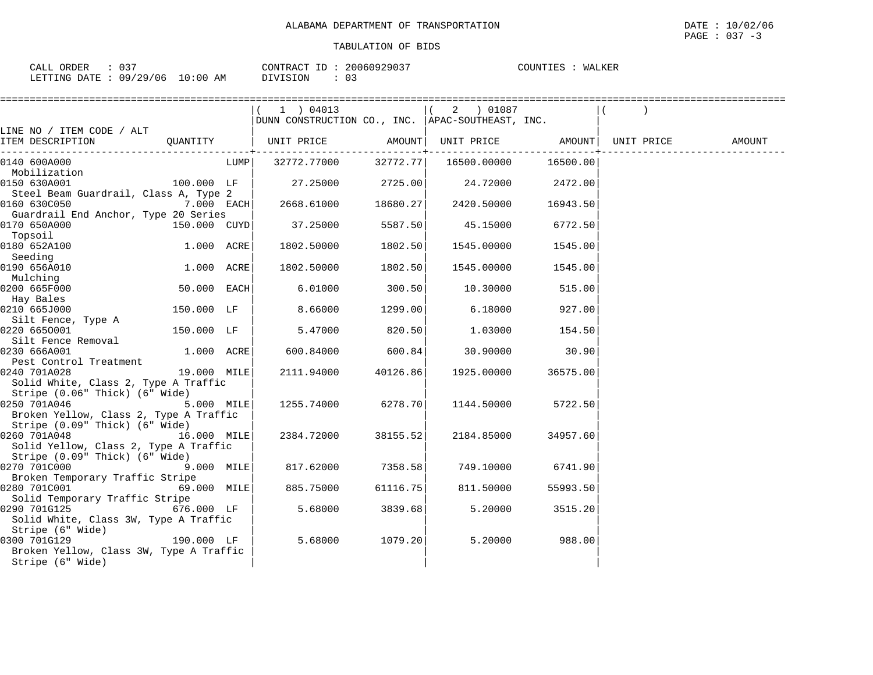| $\sim$ $\sim$ $\sim$<br>ORDER<br>CALL<br>ັບມ |            | CONTRACT ID: | 20060929037 | COUNTIES<br>WALKER |
|----------------------------------------------|------------|--------------|-------------|--------------------|
| : 09/29/06<br>LETTING DATE                   | $10:00$ AM | DIVISION     |             |                    |

|                                                                                                     |                      |      | (1) 04013<br>DUNN CONSTRUCTION CO., INC. APAC-SOUTHEAST, INC. |                       | $(2)$ 01087          |          |                                       |  |
|-----------------------------------------------------------------------------------------------------|----------------------|------|---------------------------------------------------------------|-----------------------|----------------------|----------|---------------------------------------|--|
| LINE NO / ITEM CODE / ALT<br>ITEM DESCRIPTION    QUANTITY      UNIT PRICE    AMOUNT                 |                      |      |                                                               |                       |                      |          | UNIT PRICE AMOUNT   UNIT PRICE AMOUNT |  |
| 0140 600A000<br>Mobilization                                                                        |                      | LUMP | 32772.77000 32772.77                                          | -------------+------- | 16500.00000 16500.00 |          |                                       |  |
| 0150 630A001<br>Steel Beam Guardrail, Class A, Type 2                                               | $100.000$ LF         |      | $27.25000$ 2725.00                                            |                       | 24.72000 2472.00     |          |                                       |  |
| 0160 630C050<br>Guardrail End Anchor, Type 20 Series                                                | 7.000 EACH           |      | 2668.61000                                                    |                       | 18680.27 2420.50000  | 16943.50 |                                       |  |
| 0170 650A000<br>Topsoil                                                                             | 150.000 CUYD         |      | 37.25000                                                      | 5587.50               | 45.15000             | 6772.50  |                                       |  |
| 0180 652A100<br>Seeding                                                                             | 1.000 ACRE           |      | 1802.50000                                                    | 1802.50               | 1545.00000           | 1545.00  |                                       |  |
| 0190 656A010<br>Mulching                                                                            | 1.000 ACRE           |      | 1802.50000                                                    | 1802.50               | 1545.00000           | 1545.00  |                                       |  |
| 0200 665F000<br>Hay Bales                                                                           | $50.000$ EACH        |      | 6.01000                                                       | 300.50                | 10.30000             | 515.00   |                                       |  |
| 0210 665J000<br>Silt Fence, Type A                                                                  | 150.000 LF           |      | 8.66000                                                       | 1299.00               | 6.18000              | 927.00   |                                       |  |
| 0220 6650001<br>Silt Fence Removal                                                                  | 150.000 LF           |      | 5.47000                                                       | 820.50                | 1.03000              | 154.50   |                                       |  |
| 0230 666A001<br>Pest Control Treatment                                                              | $1.000$ ACRE         |      | 600.84000                                                     | 600.84                | 30.90000             | 30.90    |                                       |  |
| 0240 701A028<br>Solid White, Class 2, Type A Traffic<br>Stripe (0.06" Thick) (6" Wide)              | 19.000 MILE          |      | 2111.94000 40126.86                                           |                       | 1925.00000           | 36575.00 |                                       |  |
| 0250 701A046<br>Broken Yellow, Class 2, Type A Traffic<br>Stripe (0.09" Thick) (6" Wide)            | $5.000$ MILE         |      | 1255.74000 6278.70                                            |                       | 1144.50000           | 5722.50  |                                       |  |
| 0260 701A048 16.000 MILE<br>Solid Yellow, Class 2, Type A Traffic<br>Stripe (0.09" Thick) (6" Wide) |                      |      | 2384.72000                                                    | 38155.52              | 2184.85000           | 34957.60 |                                       |  |
| 0270 701C000                                                                                        | $9.000$ MILE         |      | 817.62000 7358.58                                             |                       | 749.10000            | 6741.90  |                                       |  |
| Broken Temporary Traffic Stripe<br>0280 701C001 69.000 MILE                                         |                      |      | 885.75000                                                     | 61116.75              | 811.50000            | 55993.50 |                                       |  |
| Solid Temporary Traffic Stripe<br>0290 701G125<br>Solid White, Class 3W, Type A Traffic             | $676.000$ LF         |      | 5.68000                                                       | 3839.68               | 5.20000              | 3515.20  |                                       |  |
| Stripe (6" Wide)<br>0300 701G129<br>Broken Yellow, Class 3W, Type A Traffic<br>Stripe (6" Wide)     | $190.000$ LF $\vert$ |      | 5.68000                                                       | 1079.20               | 5.20000              | 988.00   |                                       |  |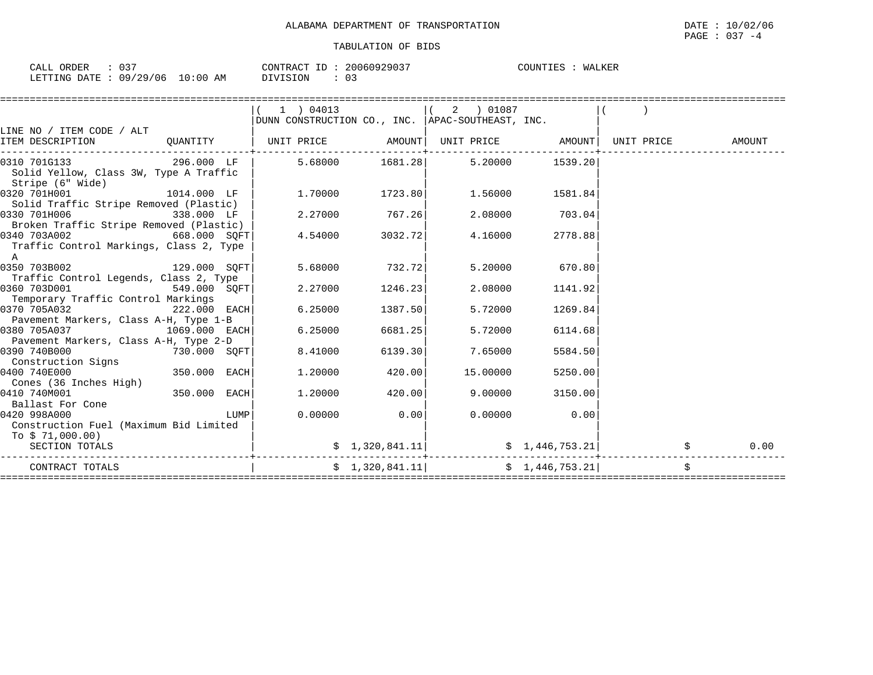| ז ה ה<br>ORDER<br>$   -$<br>$\Delta$ I<br>ັບວ<br>للتحم |                                            | 20060929037<br>CONTRACT<br>$ -$ | <b>MATIZED</b><br>COUNTIES<br>WALKEI |
|--------------------------------------------------------|--------------------------------------------|---------------------------------|--------------------------------------|
| /29/06<br>$\cap$ Q $\prime$<br>DATE<br>LETTING         | $\cdot$ $\cap$ $\cap$<br>AΜ<br>ប្រះបច<br>∸ | $\sim$ $\sim$<br>DIVISION<br>ັບ |                                      |

|                                                                                |               |      | $1$ ) 04013<br>DUNN CONSTRUCTION CO., INC. APAC-SOUTHEAST, INC. |                | 2 ) 01087 |                |            |        |      |
|--------------------------------------------------------------------------------|---------------|------|-----------------------------------------------------------------|----------------|-----------|----------------|------------|--------|------|
| LINE NO / ITEM CODE / ALT<br>ITEM DESCRIPTION                                  | OUANTITY      |      | UNIT PRICE AMOUNT  UNIT PRICE AMOUNT                            |                |           |                | UNIT PRICE | AMOUNT |      |
| 0310 701G133<br>Solid Yellow, Class 3W, Type A Traffic<br>Stripe (6" Wide)     | 296.000 LF    |      | 5.68000                                                         | 1681.28        | 5.20000   | 1539.20        |            |        |      |
| 0320 701H001<br>Solid Traffic Stripe Removed (Plastic)                         | 1014.000 LF   |      | 1,70000                                                         | 1723.80        | 1.56000   | 1581.84        |            |        |      |
| 0330 701H006<br>Broken Traffic Stripe Removed (Plastic)                        | 338.000 LF    |      | 2.27000                                                         | 767.26         | 2.08000   | 703.04         |            |        |      |
| $668.000$ SQFT<br>0340 703A002<br>Traffic Control Markings, Class 2, Type<br>A |               |      | 4.54000                                                         | 3032.72        | 4.16000   | 2778.88        |            |        |      |
| 0350 703B002<br>ا 129.000 SOFT<br>Traffic Control Legends, Class 2, Type       |               |      | 5.68000                                                         | 732.72         | 5.20000   | 670.80         |            |        |      |
| 0360 703D001<br>Temporary Traffic Control Markings                             | 549.000 SOFT  |      | 2.27000                                                         | 1246.23        | 2.08000   | 1141.92        |            |        |      |
| 0370 705A032<br>Pavement Markers, Class A-H, Type 1-B                          | 222.000 EACH  |      | 6.25000                                                         | 1387.50        | 5.72000   | 1269.84        |            |        |      |
| 0380 705A037<br>Pavement Markers, Class A-H, Type 2-D                          | 1069.000 EACH |      | 6.25000                                                         | 6681.25        | 5.72000   | 6114.68        |            |        |      |
| 0390 740B000<br>Construction Signs                                             | 730.000 SQFT  |      | 8.41000                                                         | 6139.30        | 7.65000   | 5584.50        |            |        |      |
| 0400 740E000<br>Cones (36 Inches High)                                         | 350.000 EACH  |      | 1,20000                                                         | 420.00         | 15.00000  | 5250.00        |            |        |      |
| 0410 740M001<br>Ballast For Cone                                               | 350.000 EACH  |      | 1,20000                                                         | 420.00         | 9.00000   | 3150.00        |            |        |      |
| 0420 998A000<br>Construction Fuel (Maximum Bid Limited<br>To \$71,000.00)      |               | LUMP | 0.00000                                                         | 0.00           | 0.00000   | 0.00           |            |        |      |
| SECTION TOTALS                                                                 |               |      |                                                                 | \$1,320,841.11 |           | \$1,446,753.21 |            |        | 0.00 |
| CONTRACT TOTALS                                                                |               |      |                                                                 | \$1,320,841.11 |           | \$1,446,753.21 |            |        |      |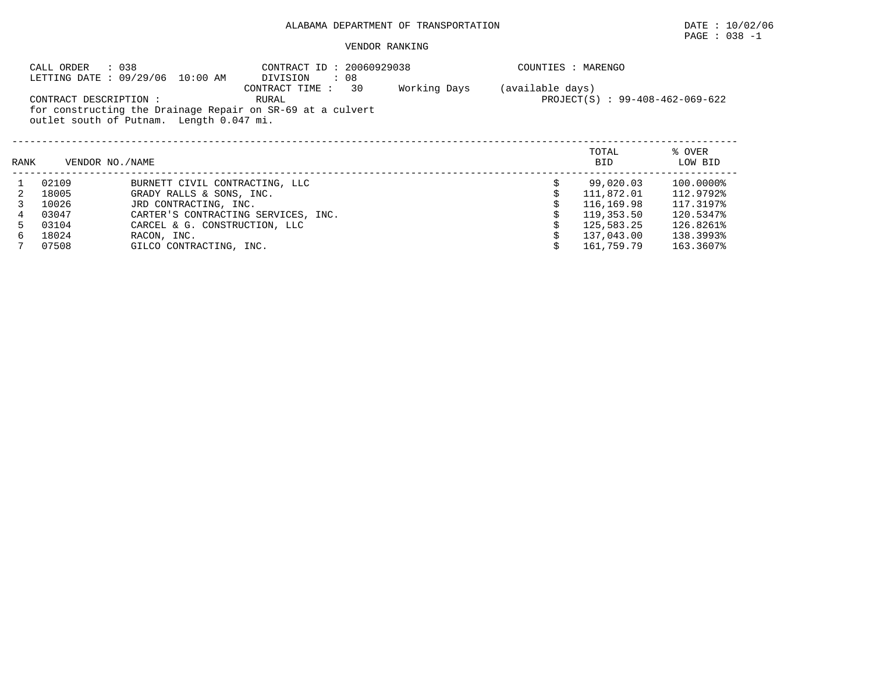# $\texttt{PAGE}$  : 038 -1

|                                                                                                                                  | CALL ORDER                                          | : 038<br>LETTING DATE : 09/29/06 10:00 AM | CONTRACT ID: 20060929038<br>$\therefore$ 08<br>DIVISION |  | COUNTIES : MARENGO |                   |
|----------------------------------------------------------------------------------------------------------------------------------|-----------------------------------------------------|-------------------------------------------|---------------------------------------------------------|--|--------------------|-------------------|
| CONTRACT DESCRIPTION :<br>for constructing the Drainage Repair on SR-69 at a culvert<br>outlet south of Putnam. Length 0.047 mi. | (available days)<br>PROJECT(S) : 99-408-462-069-622 |                                           |                                                         |  |                    |                   |
| RANK                                                                                                                             | VENDOR NO./NAME                                     |                                           |                                                         |  | TOTAL<br>BID       | % OVER<br>LOW BID |
|                                                                                                                                  | 02109                                               | BURNETT CIVIL CONTRACTING, LLC            |                                                         |  | 99,020.03          | 100.0000%         |
| 2                                                                                                                                | 18005                                               | GRADY RALLS & SONS, INC.                  |                                                         |  | 111,872.01         | 112.9792%         |
|                                                                                                                                  | 10026                                               | JRD CONTRACTING, INC.                     |                                                         |  | 116,169.98         | 117.3197%         |
|                                                                                                                                  | 03047                                               | CARTER'S CONTRACTING SERVICES, INC.       |                                                         |  | 119,353.50         | 120.5347%         |
| 5.                                                                                                                               | 03104                                               | CARCEL & G. CONSTRUCTION, LLC             |                                                         |  | 125,583.25         | 126.8261%         |
| 6                                                                                                                                | 18024                                               | RACON, INC.                               |                                                         |  | 137,043.00         | 138.3993%         |
|                                                                                                                                  | 07508                                               | GILCO CONTRACTING, INC.                   |                                                         |  | 161,759.79         | 163.3607%         |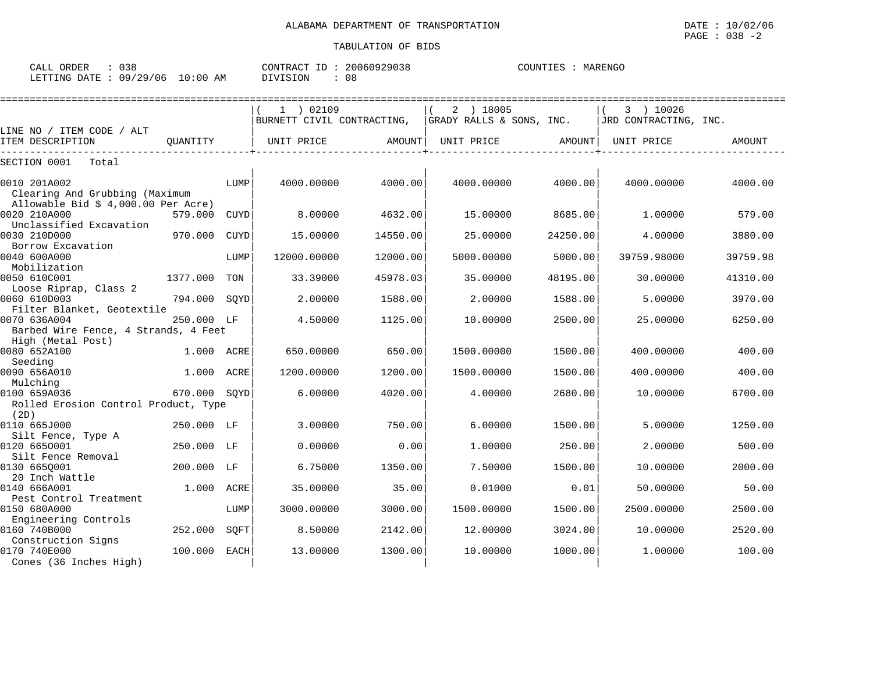#### $\texttt{PAGE}$  : 038 -2 TABULATION OF BIDS

| ORDER<br>CALL | へっく<br>ی د ن |               | T <sub>D</sub><br>CONTRACT<br>⊥ | 20060929038 | COUNTIES | MARENGC<br>$\cdots$ |
|---------------|--------------|---------------|---------------------------------|-------------|----------|---------------------|
| LETTING DATE  | 09/29/06     | LO : 00<br>AM | DIVISION                        | 08          |          |                     |

|                                               |              |      | 1 ) 02109   |          | 2 ) 18005                                               |          | 3 ) 10026             |          |
|-----------------------------------------------|--------------|------|-------------|----------|---------------------------------------------------------|----------|-----------------------|----------|
|                                               |              |      |             |          | BURNETT CIVIL CONTRACTING, $ $ GRADY RALLS & SONS, INC. |          | JRD CONTRACTING, INC. |          |
| LINE NO / ITEM CODE / ALT<br>ITEM DESCRIPTION | OUANTITY     |      | UNIT PRICE  |          | UNIT PRICE                                              | AMOUNT   | UNIT PRICE            |          |
|                                               |              |      |             | AMOUNT   |                                                         |          |                       | AMOUNT   |
| SECTION 0001<br>Total                         |              |      |             |          |                                                         |          |                       |          |
| 0010 201A002                                  |              | LUMP | 4000.00000  | 4000.00  | 4000.00000                                              | 4000.00  | 4000.00000            | 4000.00  |
| Clearing And Grubbing (Maximum                |              |      |             |          |                                                         |          |                       |          |
| Allowable Bid $$4,000.00$ Per Acre)           |              |      |             |          |                                                         |          |                       |          |
| 0020 210A000                                  | 579.000      | CUYD | 8.00000     | 4632.00  | 15,00000                                                | 8685.00  | 1,00000               | 579.00   |
| Unclassified Excavation                       |              |      |             |          |                                                         |          |                       |          |
| 0030 210D000                                  | 970.000      | CUYD | 15.00000    | 14550.00 | 25.00000                                                | 24250.00 | 4.00000               | 3880.00  |
| Borrow Excavation                             |              |      |             |          |                                                         |          |                       |          |
| 0040 600A000                                  |              | LUMP | 12000.00000 | 12000.00 | 5000.00000                                              | 5000.00  | 39759.98000           | 39759.98 |
| Mobilization                                  |              |      |             |          |                                                         |          |                       |          |
| 0050 610C001                                  | 1377.000     | TON  | 33.39000    | 45978.03 | 35.00000                                                | 48195.00 | 30.00000              | 41310.00 |
| Loose Riprap, Class 2                         |              |      |             |          |                                                         |          |                       |          |
| 0060 610D003                                  | 794.000      | SQYD | 2.00000     | 1588.00  | 2.00000                                                 | 1588.00  | 5.00000               | 3970.00  |
| Filter Blanket, Geotextile                    |              |      |             |          |                                                         |          |                       |          |
| 0070 636A004                                  | 250.000 LF   |      | 4.50000     | 1125.00  | 10.00000                                                | 2500.00  | 25.00000              | 6250.00  |
| Barbed Wire Fence, 4 Strands, 4 Feet          |              |      |             |          |                                                         |          |                       |          |
| High (Metal Post)                             |              |      |             |          |                                                         |          |                       |          |
| 0080 652A100                                  | 1.000 ACRE   |      | 650.00000   | 650.00   | 1500.00000                                              | 1500.00  | 400.00000             | 400.00   |
| Seeding                                       |              |      |             |          |                                                         |          |                       |          |
| 0090 656A010                                  | 1.000 ACRE   |      | 1200.00000  | 1200.00  | 1500.00000                                              | 1500.00  | 400.00000             | 400.00   |
| Mulching                                      |              |      |             |          |                                                         |          |                       |          |
| 0100 659A036                                  | 670.000 SOYD |      | 6.00000     | 4020.00  | 4.00000                                                 | 2680.00  | 10,00000              | 6700.00  |
| Rolled Erosion Control Product, Type          |              |      |             |          |                                                         |          |                       |          |
| (2D)<br>0110 665J000                          |              |      |             | 750.00   |                                                         |          |                       |          |
|                                               | 250.000 LF   |      | 3.00000     |          | 6.00000                                                 | 1500.00  | 5.00000               | 1250.00  |
| Silt Fence, Type A<br>0120 6650001            | 250.000 LF   |      | 0.00000     | 0.00     | 1,00000                                                 | 250.00   | 2.00000               | 500.00   |
| Silt Fence Removal                            |              |      |             |          |                                                         |          |                       |          |
| 0130 6650001                                  | 200.000 LF   |      | 6.75000     | 1350.00  | 7.50000                                                 | 1500.00  | 10,00000              | 2000.00  |
| 20 Inch Wattle                                |              |      |             |          |                                                         |          |                       |          |
| 0140 666A001                                  | 1.000        | ACRE | 35.00000    | 35.00    | 0.01000                                                 | 0.01     | 50.00000              | 50.00    |
| Pest Control Treatment                        |              |      |             |          |                                                         |          |                       |          |
| 0150 680A000                                  |              | LUMP | 3000.00000  | 3000.00  | 1500.00000                                              | 1500.00  | 2500.00000            | 2500.00  |
| Engineering Controls                          |              |      |             |          |                                                         |          |                       |          |
| 0160 740B000                                  | 252.000      | SQFT | 8.50000     | 2142.00  | 12.00000                                                | 3024.00  | 10.00000              | 2520.00  |
| Construction Signs                            |              |      |             |          |                                                         |          |                       |          |
| 0170 740E000                                  | 100.000      | EACH | 13,00000    | 1300.00  | 10.00000                                                | 1000.00  | 1,00000               | 100.00   |
| Cones (36 Inches High)                        |              |      |             |          |                                                         |          |                       |          |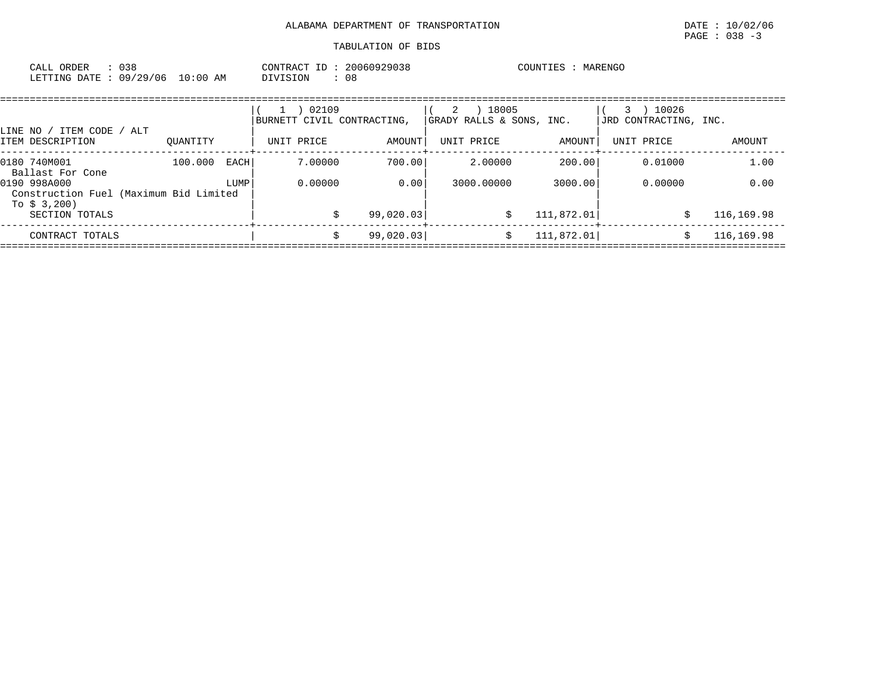| 038<br>CALL ORDER               |          | CONTRACT ID: 20060929038 | COUNTIES : MARENGO |
|---------------------------------|----------|--------------------------|--------------------|
| LETTING DATE: 09/29/06 10:00 AM | DIVISION | 08                       |                    |

| / ITEM CODE / ALT<br>LINE NO /                                          |          |      | 02109<br>BURNETT CIVIL CONTRACTING. |           | 18005<br>2<br>GRADY RALLS & SONS, INC. |             | 10026<br>3<br>JRD CONTRACTING, INC. |            |
|-------------------------------------------------------------------------|----------|------|-------------------------------------|-----------|----------------------------------------|-------------|-------------------------------------|------------|
| ITEM DESCRIPTION                                                        | OUANTITY |      | UNIT PRICE                          | AMOUNT    | UNIT PRICE                             | AMOUNT      | UNIT PRICE                          | AMOUNT     |
| 0180 740M001<br>Ballast For Cone                                        | 100.000  | EACH | 7.00000                             | 700.00    | 2.00000                                | 200.00      | 0.01000                             | 1.00       |
| 0190 998A000<br>Construction Fuel (Maximum Bid Limited<br>To $$3,200$ ) |          | LUMP | 0.00000                             | 0.00      | 3000.00000                             | 3000.00     | 0.00000                             | 0.00       |
| SECTION TOTALS                                                          |          |      |                                     | 99,020.03 |                                        | 111,872.01  |                                     | 116,169.98 |
| CONTRACT TOTALS                                                         |          |      |                                     | 99,020.03 |                                        | 111, 872.01 |                                     | 116,169.98 |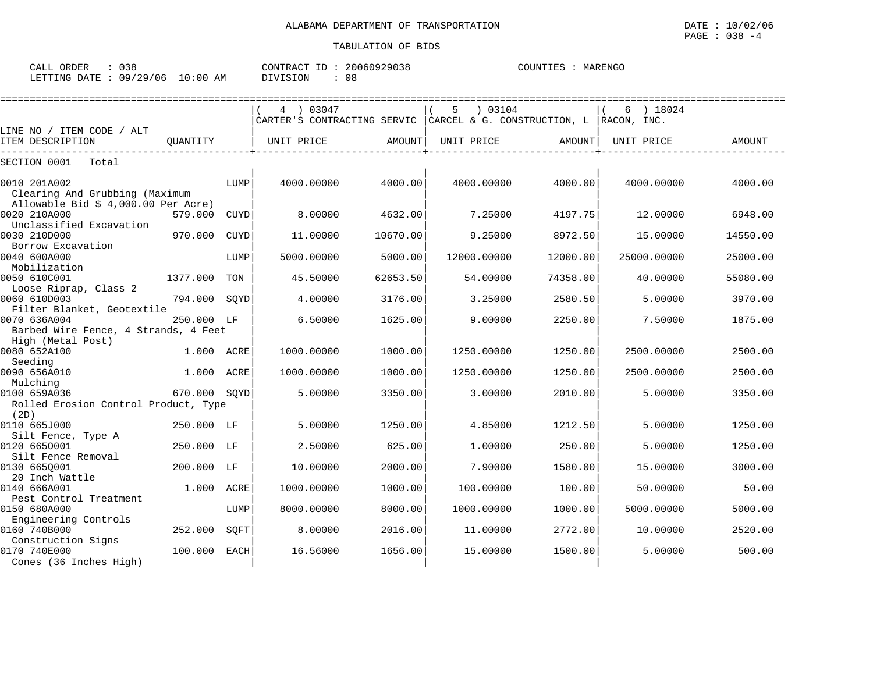| ORDER<br>CALL.   | u s o    |                                     | CONTRA( | 060929038<br>ה ה ר<br>2.11' | MARENGO<br>COUNTIES<br>MAR |
|------------------|----------|-------------------------------------|---------|-----------------------------|----------------------------|
| RTTING DATE<br>ᅭ | 09/29/06 | :00<br>$\sim$<br>ΑM<br>$\mathbf{u}$ | ION     | 08                          |                            |

|                                                |              |             | 4 03047                     |               | 03104<br>5  |                             | ) 18024<br>6 |          |
|------------------------------------------------|--------------|-------------|-----------------------------|---------------|-------------|-----------------------------|--------------|----------|
|                                                |              |             | CARTER'S CONTRACTING SERVIC |               |             | CARCEL & G. CONSTRUCTION, L | RACON, INC.  |          |
| LINE NO / ITEM CODE / ALT                      |              |             |                             |               |             |                             |              |          |
| ITEM DESCRIPTION                               | OUANTITY     |             | UNIT PRICE                  | <b>AMOUNT</b> | UNIT PRICE  | AMOUNT                      | UNIT PRICE   | AMOUNT   |
| SECTION 0001<br>Total                          |              |             |                             |               |             |                             |              |          |
| 0010 201A002<br>Clearing And Grubbing (Maximum |              | LUMP        | 4000.00000                  | 4000.00       | 4000.00000  | 4000.00                     | 4000.00000   | 4000.00  |
| Allowable Bid \$ 4,000.00 Per Acre)            |              |             |                             |               |             |                             |              |          |
| 0020 210A000                                   | 579.000      | CUYD        | 8,00000                     | 4632.00       | 7.25000     | 4197.75                     | 12,00000     | 6948.00  |
| Unclassified Excavation                        |              |             |                             |               |             |                             |              |          |
| 0030 210D000                                   | 970.000      | <b>CUYD</b> | 11.00000                    | 10670.00      | 9.25000     | 8972.50                     | 15.00000     | 14550.00 |
| Borrow Excavation                              |              |             |                             |               |             |                             |              |          |
| 0040 600A000<br>Mobilization                   |              | LUMP        | 5000.00000                  | 5000.00       | 12000.00000 | 12000.00                    | 25000.00000  | 25000.00 |
| 0050 610C001                                   | 1377.000     | TON         | 45.50000                    | 62653.50      | 54.00000    | 74358.00                    | 40.00000     | 55080.00 |
| Loose Riprap, Class 2                          |              |             |                             |               |             |                             |              |          |
| 0060 610D003                                   | 794.000      | SOYD        | 4.00000                     | 3176.00       | 3.25000     | 2580.50                     | 5.00000      | 3970.00  |
| Filter Blanket, Geotextile                     |              |             |                             |               |             |                             |              |          |
| 0070 636A004                                   | 250.000 LF   |             | 6.50000                     | 1625.00       | 9.00000     | 2250.00                     | 7.50000      | 1875.00  |
| Barbed Wire Fence, 4 Strands, 4 Feet           |              |             |                             |               |             |                             |              |          |
| High (Metal Post)                              |              |             |                             |               |             |                             |              |          |
| 0080 652A100                                   | 1.000 ACRE   |             | 1000.00000                  | 1000.00       | 1250.00000  | 1250.00                     | 2500.00000   | 2500.00  |
| Seeding<br>0090 656A010                        | 1.000        | ACRE        | 1000.00000                  | 1000.00       | 1250.00000  | 1250.00                     | 2500.00000   | 2500.00  |
| Mulching                                       |              |             |                             |               |             |                             |              |          |
| 0100 659A036                                   | 670.000 SOYD |             | 5.00000                     | 3350.00       | 3.00000     | 2010.00                     | 5.00000      | 3350.00  |
| Rolled Erosion Control Product, Type<br>(2D)   |              |             |                             |               |             |                             |              |          |
| 0110 665J000                                   | 250.000 LF   |             | 5.00000                     | 1250.00       | 4.85000     | 1212.50                     | 5.00000      | 1250.00  |
| Silt Fence, Type A                             |              |             |                             |               |             |                             |              |          |
| 0120 6650001                                   | 250.000 LF   |             | 2.50000                     | 625.00        | 1,00000     | 250.00                      | 5.00000      | 1250.00  |
| Silt Fence Removal                             |              |             |                             |               |             |                             |              |          |
| 0130 6650001                                   | 200.000 LF   |             | 10.00000                    | 2000.00       | 7.90000     | 1580.00                     | 15.00000     | 3000.00  |
| 20 Inch Wattle                                 |              |             |                             |               |             |                             |              |          |
| 0140 666A001                                   | 1,000        | ACRE        | 1000.00000                  | 1000.00       | 100.00000   | 100.00                      | 50.00000     | 50.00    |
| Pest Control Treatment<br>0150 680A000         |              | LUMP        | 8000.00000                  | 8000.00       | 1000.00000  | 1000.00                     | 5000.00000   | 5000.00  |
| Engineering Controls                           |              |             |                             |               |             |                             |              |          |
| 0160 740B000                                   | 252.000      | SOFT        | 8.00000                     | 2016.00       | 11,00000    | 2772.00                     | 10.00000     | 2520.00  |
| Construction Signs                             |              |             |                             |               |             |                             |              |          |
| 0170 740E000                                   | 100.000      | <b>EACH</b> | 16.56000                    | 1656.00       | 15.00000    | 1500.00                     | 5.00000      | 500.00   |
| Cones (36 Inches High)                         |              |             |                             |               |             |                             |              |          |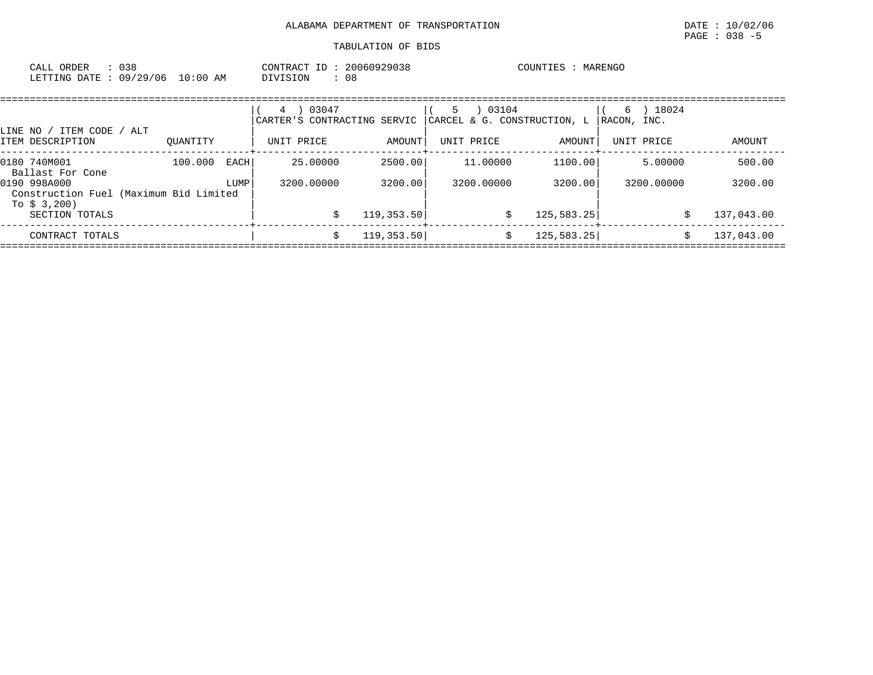| : 038<br>CALL ORDER             | CONTRACT ID: 20060929038 | COUNTIES : MARENGO |
|---------------------------------|--------------------------|--------------------|
| LETTING DATE: 09/29/06 10:00 AM | DIVISION<br>08           |                    |

| ITEM CODE<br>LINE NO /                                                    | / ALT    |      | 03047<br>4<br>CARTER'S CONTRACTING SERVIC |             | 03104<br>5.<br>CARCEL & G. CONSTRUCTION, L |             | 18024<br>6)<br> RACON, INC. |            |
|---------------------------------------------------------------------------|----------|------|-------------------------------------------|-------------|--------------------------------------------|-------------|-----------------------------|------------|
| ITEM DESCRIPTION                                                          | OUANTITY |      | UNIT PRICE                                | AMOUNT      | UNIT PRICE                                 | AMOUNT      | UNIT PRICE                  | AMOUNT     |
| 0180 740M001<br>Ballast For Cone                                          | 100.000  | EACH | 25.00000                                  | 2500.00     | 11,00000                                   | 1100.00     | 5,00000                     | 500.00     |
| 0190 998A000<br>Construction Fuel (Maximum Bid Limited<br>To $\sin 3.200$ |          | LUMP | 3200.00000                                | 3200.00     | 3200.00000                                 | 3200.00     | 3200.00000                  | 3200.00    |
| SECTION TOTALS                                                            |          |      |                                           | 119, 353.50 |                                            | 125, 583.25 |                             | 137,043.00 |
| CONTRACT TOTALS                                                           |          |      | S                                         | 119, 353.50 | S                                          | 125, 583.25 |                             | 137,043.00 |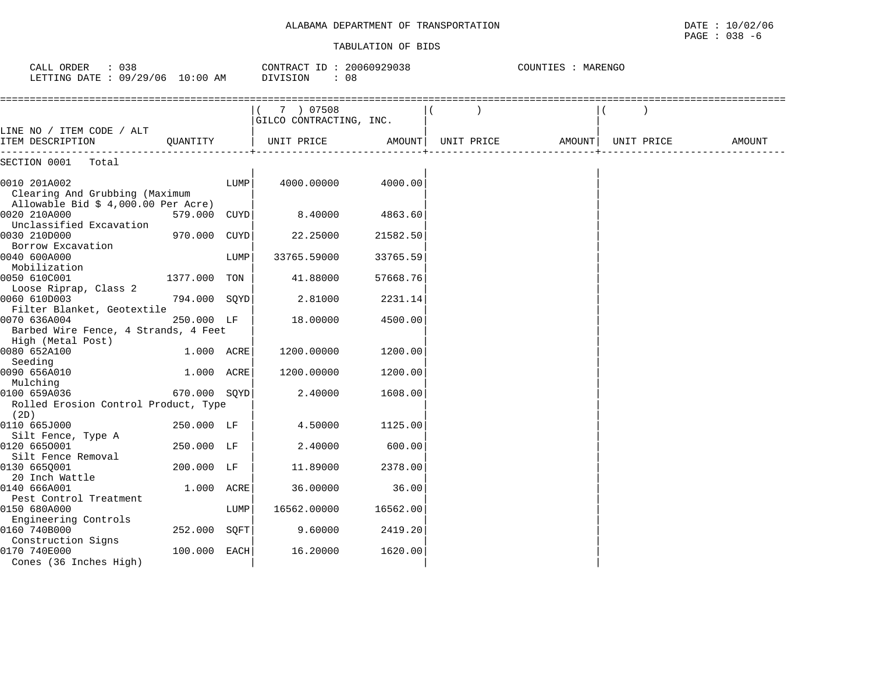#### TABULATION OF BIDS

 $\texttt{PAGE}$  : 038 -6

| CALL ORDER : 038<br>LETTING DATE : 09/29/06 10:00 AM                                  |              |      | CONTRACT ID: 20060929038<br>DIVISION<br>: 08 |          |            | COUNTIES : MARENGO |            |        |
|---------------------------------------------------------------------------------------|--------------|------|----------------------------------------------|----------|------------|--------------------|------------|--------|
|                                                                                       |              |      | $(7)$ 07508<br>GILCO CONTRACTING, INC.       |          |            |                    |            |        |
| LINE NO / ITEM CODE / ALT<br>ITEM DESCRIPTION<br>---------------                      | OUANTITY     |      | UNIT PRICE                                   | AMOUNT   | UNIT PRICE | AMOUNT             | UNIT PRICE | AMOUNT |
| SECTION 0001 Total                                                                    |              |      |                                              |          |            |                    |            |        |
| 0010 201A002<br>Clearing And Grubbing (Maximum<br>Allowable Bid $$4,000.00$ Per Acre) |              | LUMP | 4000.00000                                   | 4000.00  |            |                    |            |        |
| 0020 210A000<br>Unclassified Excavation                                               | 579.000 CUYD |      | 8.40000                                      | 4863.60  |            |                    |            |        |
| 0030 210D000<br>Borrow Excavation                                                     | 970.000 CUYD |      | 22.25000                                     | 21582.50 |            |                    |            |        |
| 0040 600A000<br>Mobilization                                                          |              | LUMP | 33765.59000                                  | 33765.59 |            |                    |            |        |
| 0050 610C001<br>Loose Riprap, Class 2                                                 | 1377.000 TON |      | 41.88000                                     | 57668.76 |            |                    |            |        |
| 0060 610D003<br>Filter Blanket, Geotextile                                            | 794.000 SQYD |      | 2.81000                                      | 2231.14  |            |                    |            |        |
| 0070 636A004<br>Barbed Wire Fence, 4 Strands, 4 Feet                                  | 250.000 LF   |      | 18.00000                                     | 4500.00  |            |                    |            |        |
| High (Metal Post)                                                                     |              |      |                                              |          |            |                    |            |        |
| 0080 652A100<br>Seeding                                                               | 1.000 ACRE   |      | 1200.00000                                   | 1200.00  |            |                    |            |        |
| 0090 656A010                                                                          | 1.000 ACRE   |      | 1200.00000                                   | 1200.00  |            |                    |            |        |
| Mulching<br>0100 659A036                                                              | 670.000 SOYD |      | 2.40000                                      | 1608.00  |            |                    |            |        |
| Rolled Erosion Control Product, Type<br>(2D)                                          |              |      |                                              |          |            |                    |            |        |
| 0110 665J000                                                                          | 250.000 LF   |      | 4.50000                                      | 1125.00  |            |                    |            |        |
| Silt Fence, Type A                                                                    |              |      |                                              |          |            |                    |            |        |
| 0120 6650001                                                                          | 250.000 LF   |      | 2.40000                                      | 600.00   |            |                    |            |        |
| Silt Fence Removal<br>0130 665Q001                                                    | 200.000 LF   |      | 11.89000                                     | 2378.00  |            |                    |            |        |
| 20 Inch Wattle                                                                        |              |      |                                              |          |            |                    |            |        |
| 0140 666A001                                                                          | 1.000 ACRE   |      | 36.00000                                     | 36.00    |            |                    |            |        |
| Pest Control Treatment                                                                |              |      |                                              |          |            |                    |            |        |
| 0150 680A000                                                                          |              | LUMP | 16562.00000                                  | 16562.00 |            |                    |            |        |
| Engineering Controls<br>0160 740B000                                                  | 252.000 SOFT |      | 9.60000                                      | 2419.20  |            |                    |            |        |
| Construction Signs                                                                    |              |      |                                              |          |            |                    |            |        |
| 0170 740E000<br>Cones (36 Inches High)                                                | 100.000 EACH |      | 16.20000                                     | 1620.00  |            |                    |            |        |
|                                                                                       |              |      |                                              |          |            |                    |            |        |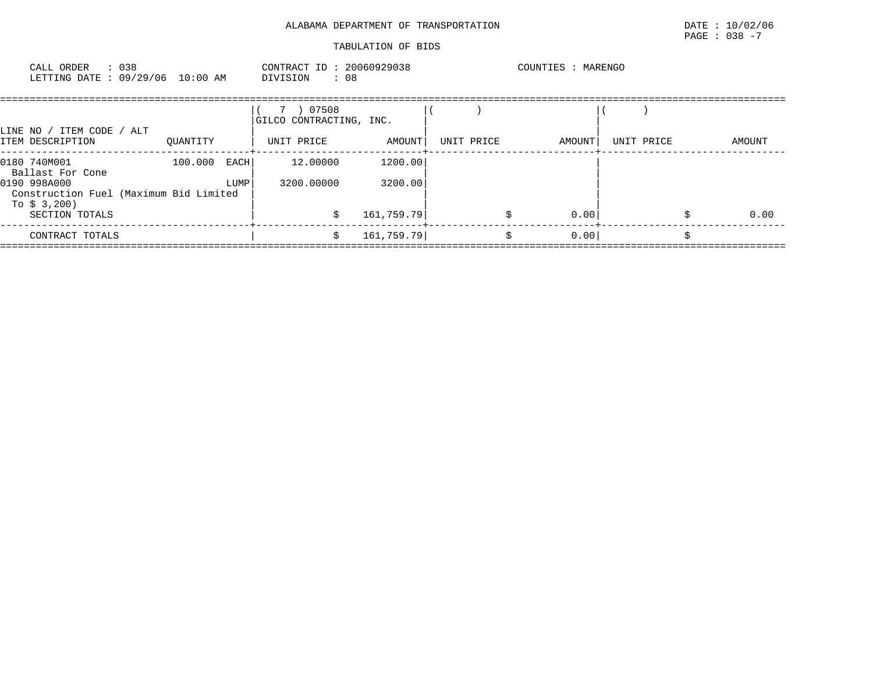| CALL ORDER : 038<br>LETTING DATE : 09/29/06 10:00 AM                                                                         |  |          |                | CONTRACT ID: 20060929038<br>: 08<br>DIVISION       |                                  |  | COUNTIES : MARENGO |            |            |  |        |
|------------------------------------------------------------------------------------------------------------------------------|--|----------|----------------|----------------------------------------------------|----------------------------------|--|--------------------|------------|------------|--|--------|
| LINE NO / ITEM CODE / ALT<br>ITEM DESCRIPTION                                                                                |  | OUANTITY |                | 7 ) 07508<br>GILCO CONTRACTING, INC.<br>UNIT PRICE | AMOUNT                           |  | UNIT PRICE         | AMOUNT     | UNIT PRICE |  | AMOUNT |
| 0180 740M001<br>Ballast For Cone<br>0190 998A000<br>Construction Fuel (Maximum Bid Limited<br>To \$ 3,200)<br>SECTION TOTALS |  | 100.000  | EACH  <br>LUMP | 12.00000<br>3200.00000<br>Ŝ.                       | 1200.00<br>3200.00<br>161,759.79 |  |                    | 0.00<br>\$ |            |  | 0.00   |
| CONTRACT TOTALS                                                                                                              |  |          |                | Ŝ.                                                 | 161,759.79                       |  |                    | 0.00<br>\$ |            |  |        |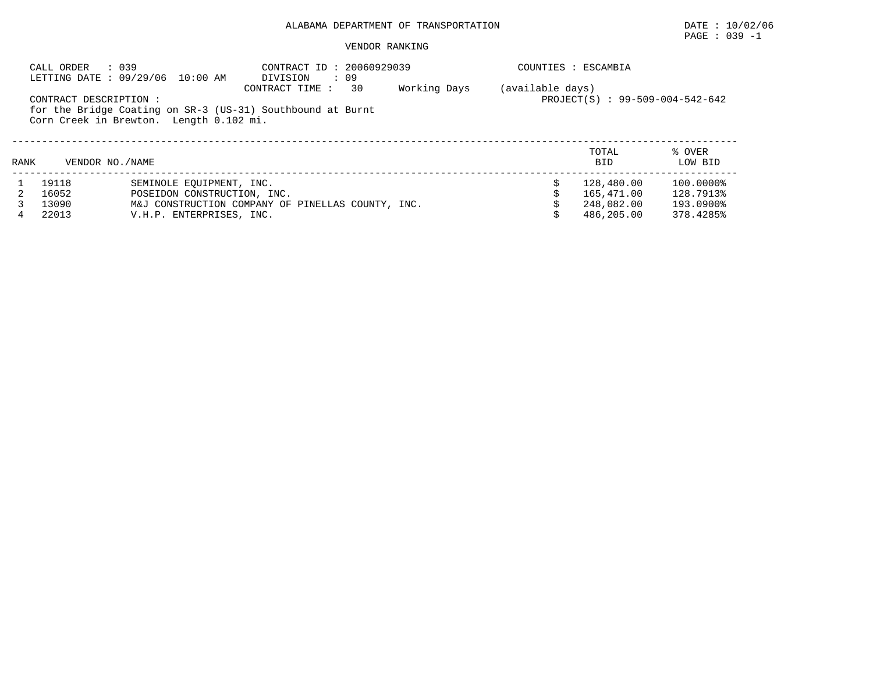# PAGE : 039 -1

|      | : 039<br>CALL ORDER   | CONTRACT ID: 20060929039<br>LETTING DATE : 09/29/06 10:00 AM<br>$\cdot$ 09<br>DIVISION                                         |              | COUNTIES : ESCAMBIA |                                 |                   |
|------|-----------------------|--------------------------------------------------------------------------------------------------------------------------------|--------------|---------------------|---------------------------------|-------------------|
|      | CONTRACT DESCRIPTION: | 30<br>CONTRACT TIME :<br>for the Bridge Coating on SR-3 (US-31) Southbound at Burnt<br>Corn Creek in Brewton. Length 0.102 mi. | Working Days | (available days)    | PROJECT(S) : 99-509-004-542-642 |                   |
| RANK | VENDOR NO. / NAME     |                                                                                                                                |              |                     | TOTAL<br><b>BID</b>             | % OVER<br>LOW BID |
|      | 19118                 | SEMINOLE EOUIPMENT, INC.                                                                                                       |              |                     | 128,480.00                      | 100.0000%         |
|      | 16052                 | POSEIDON CONSTRUCTION, INC.                                                                                                    |              |                     | 165,471.00                      | 128.7913%         |
|      | 13090                 | M&J CONSTRUCTION COMPANY OF PINELLAS COUNTY, INC.                                                                              |              |                     | 248,082.00                      | 193.0900%         |
| 4    | 22013                 | V.H.P. ENTERPRISES, INC.                                                                                                       |              |                     | 486,205,00                      | 378.4285%         |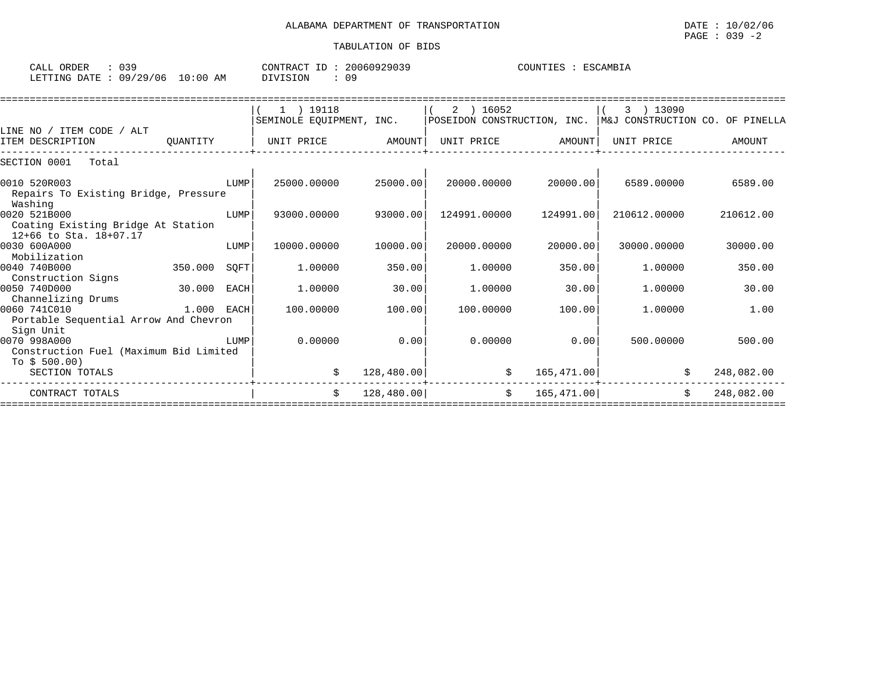| <b>ORDER</b><br>CALL | ົາ ຕ           |            | TD<br><b>PONTRAL</b> | 20060929039 | COUNTIES<br>アマペ<br>∙AMR'<br>工具穴<br>٠. |
|----------------------|----------------|------------|----------------------|-------------|---------------------------------------|
| LETTING DATE         | 106<br>19/29/1 | 0:00<br>AΜ | )   \/               |             |                                       |

|                                                 |              |      | ) 19118                  |            | 2 ) 16052                   |             | 13090                           |            |
|-------------------------------------------------|--------------|------|--------------------------|------------|-----------------------------|-------------|---------------------------------|------------|
|                                                 |              |      | SEMINOLE EQUIPMENT, INC. |            | POSEIDON CONSTRUCTION, INC. |             | M&J CONSTRUCTION CO. OF PINELLA |            |
| LINE NO / ITEM CODE / ALT                       |              |      |                          |            |                             |             |                                 |            |
| ITEM DESCRIPTION                                | OUANTITY     |      | UNIT PRICE               | AMOUNT     | UNIT PRICE                  | AMOUNT      | UNIT PRICE                      | AMOUNT     |
| SECTION 0001<br>Total                           |              |      |                          |            |                             |             |                                 |            |
| 0010 520R003                                    |              | LUMP | 25000.00000              | 25000.00   | 20000.00000                 | 20000.00    | 6589.00000                      | 6589.00    |
| Repairs To Existing Bridge, Pressure<br>Washing |              |      |                          |            |                             |             |                                 |            |
| 0020 521B000                                    |              | LUMP | 93000.00000              | 93000.00   | 124991.00000                | 124991.00   | 210612.00000                    | 210612.00  |
| Coating Existing Bridge At Station              |              |      |                          |            |                             |             |                                 |            |
| 12+66 to Sta. 18+07.17                          |              |      |                          |            |                             |             |                                 |            |
| 0030 600A000                                    |              | LUMP | 10000.00000              | 10000.00   | 20000.00000                 | 20000.00    | 30000.00000                     | 30000.00   |
| Mobilization                                    |              |      |                          |            |                             |             |                                 |            |
| 0040 740B000                                    | 350.000      | SQFT | 1,00000                  | 350.00     | 1,00000                     | 350.00      | 1,00000                         | 350.00     |
| Construction Signs                              |              |      |                          |            |                             |             |                                 |            |
| 0050 740D000                                    | 30.000       | EACH | 1,00000                  | 30.00      | 1,00000                     | 30.00       | 1,00000                         | 30.00      |
| Channelizing Drums                              |              |      |                          |            |                             |             |                                 |            |
| 0060 741C010                                    | $1.000$ EACH |      | 100.00000                | 100.00     | 100.00000                   | 100.00      | 1,00000                         | 1.00       |
| Portable Sequential Arrow And Chevron           |              |      |                          |            |                             |             |                                 |            |
| Sign Unit<br>0070 998A000                       |              | LUMP | 0.00000                  | 0.00       | 0.00000                     | 0.00        | 500.00000                       | 500.00     |
| Construction Fuel (Maximum Bid Limited          |              |      |                          |            |                             |             |                                 |            |
| To $$500.00$                                    |              |      |                          |            |                             |             |                                 |            |
| SECTION TOTALS                                  |              |      | Ŝ.                       | 128,480.00 | \$                          | 165, 471.00 |                                 | 248,082.00 |
|                                                 |              |      |                          |            |                             |             |                                 |            |
| CONTRACT TOTALS                                 |              |      | Ŝ.                       | 128,480.00 | \$                          | 165, 471.00 | \$                              | 248,082.00 |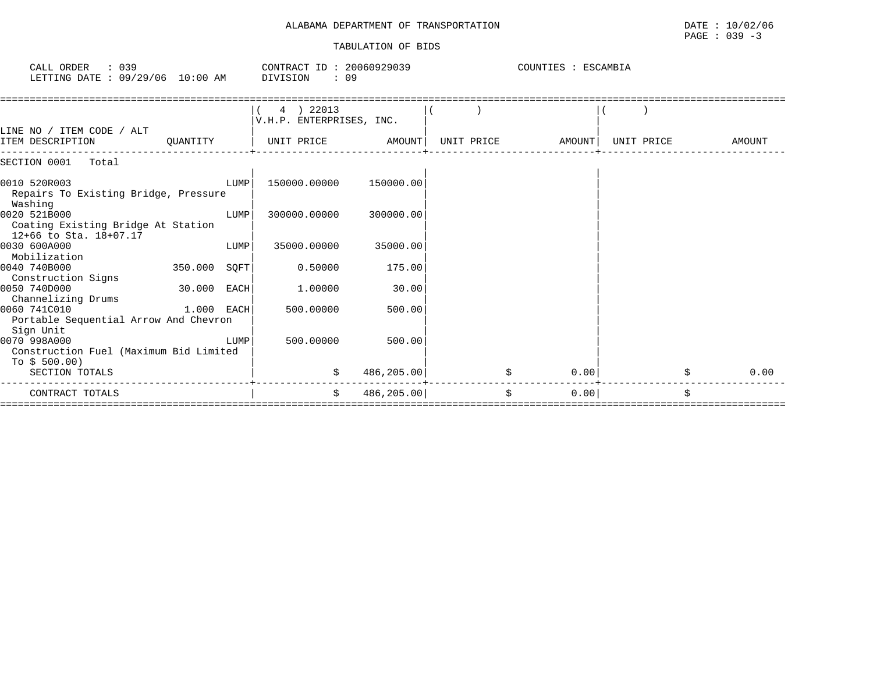### ALABAMA DEPARTMENT OF TRANSPORTATION DATE : 10/02/06 TABULATION OF BIDS

| : 039<br>CALL ORDER<br>LETTING DATE : 09/29/06 10:00 AM                      |              |      | CONTRACT ID: 20060929039<br>DIVISION<br>: 09 |            |            | COUNTIES : ESCAMBIA |            |            |
|------------------------------------------------------------------------------|--------------|------|----------------------------------------------|------------|------------|---------------------|------------|------------|
| LINE NO / ITEM CODE / ALT                                                    |              |      | 4 ) 22013<br>V.H.P. ENTERPRISES, INC.        |            |            |                     |            |            |
| ITEM DESCRIPTION                                                             | OUANTITY     |      | UNIT PRICE                                   | AMOUNT     | UNIT PRICE | AMOUNT              | UNIT PRICE | AMOUNT     |
| SECTION 0001<br>Total                                                        |              |      |                                              |            |            |                     |            |            |
| 0010 520R003<br>Repairs To Existing Bridge, Pressure<br>Washing              |              | LUMP | 150000.00000                                 | 150000.00  |            |                     |            |            |
| 0020 521B000<br>Coating Existing Bridge At Station<br>12+66 to Sta. 18+07.17 |              | LUMP | 300000.00000                                 | 300000.00  |            |                     |            |            |
| 0030 600A000<br>Mobilization                                                 |              | LUMP | 35000.00000                                  | 35000.00   |            |                     |            |            |
| 0040 740B000<br>Construction Signs                                           | 350.000 SOFT |      | 0.50000                                      | 175.00     |            |                     |            |            |
| 0050 740D000<br>Channelizing Drums                                           | 30.000 EACH  |      | 1.00000                                      | 30.00      |            |                     |            |            |
| 0060 741C010<br>Portable Sequential Arrow And Chevron<br>Sign Unit           | $1.000$ EACH |      | 500.00000                                    | 500.00     |            |                     |            |            |
| 0070 998A000<br>Construction Fuel (Maximum Bid Limited<br>To $$500.00$ )     |              | LUMP | 500,00000                                    | 500.00     |            |                     |            |            |
| SECTION TOTALS                                                               |              |      | \$                                           | 486,205.00 |            | 0.00<br>\$.         |            | \$<br>0.00 |
| CONTRACT TOTALS                                                              |              |      | \$                                           | 486,205.00 | \$         | 0.00                |            | \$         |

====================================================================================================================================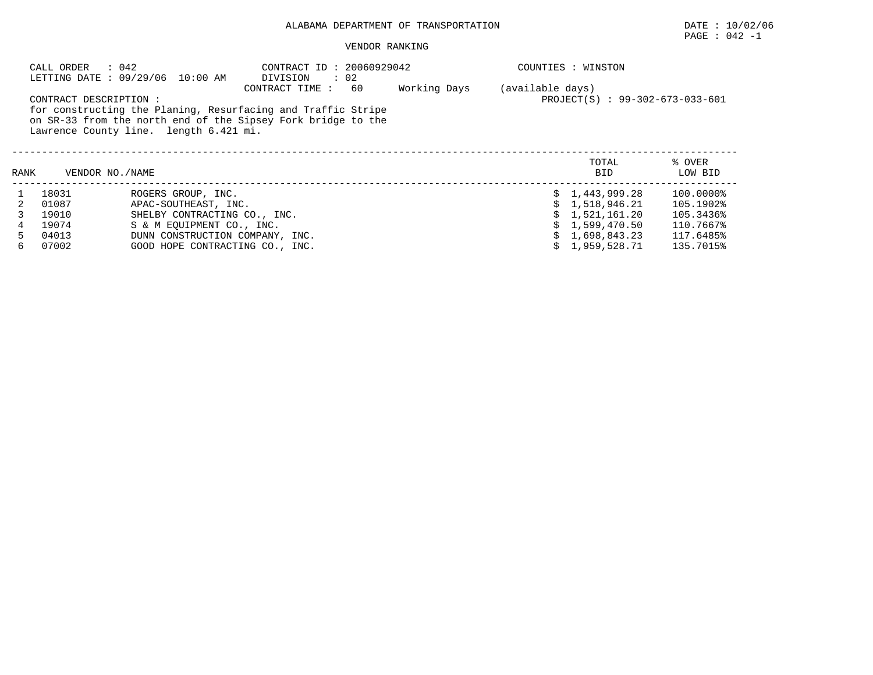# PAGE : 042 -1

|      | CALL ORDER<br>: 042    | LETTING DATE : 09/29/06 10:00 AM       | CONTRACT ID: 20060929042<br>DIVISION<br>$\therefore$ 02                                                                                              |              |                  | COUNTIES : WINSTON              |                   |
|------|------------------------|----------------------------------------|------------------------------------------------------------------------------------------------------------------------------------------------------|--------------|------------------|---------------------------------|-------------------|
|      | CONTRACT DESCRIPTION : | Lawrence County line. length 6.421 mi. | CONTRACT TIME:<br>60<br>for constructing the Planing, Resurfacing and Traffic Stripe<br>on SR-33 from the north end of the Sipsey Fork bridge to the | Working Days | (available days) | PROJECT(S) : 99-302-673-033-601 |                   |
| RANK | VENDOR NO./NAME        |                                        |                                                                                                                                                      |              |                  | TOTAL<br><b>BID</b>             | % OVER<br>LOW BID |
|      | 18031                  | ROGERS GROUP, INC.                     |                                                                                                                                                      |              |                  | 1,443,999.28                    | 100.0000%         |
|      | 01087                  | APAC-SOUTHEAST, INC.                   |                                                                                                                                                      |              |                  | 1,518,946.21                    | 105.1902%         |
|      | 19010                  | SHELBY CONTRACTING CO., INC.           |                                                                                                                                                      |              |                  | 1,521,161.20                    | 105.3436%         |
| 4    | 19074                  | S & M EQUIPMENT CO., INC.              |                                                                                                                                                      |              |                  | 1,599,470.50                    | 110.7667%         |
| 5.   | 04013                  | DUNN CONSTRUCTION COMPANY, INC.        |                                                                                                                                                      |              |                  | 1,698,843.23                    | 117.6485%         |
| 6    | 07002                  | GOOD HOPE CONTRACTING CO., INC.        |                                                                                                                                                      |              |                  | 1,959,528.71                    | 135.7015%         |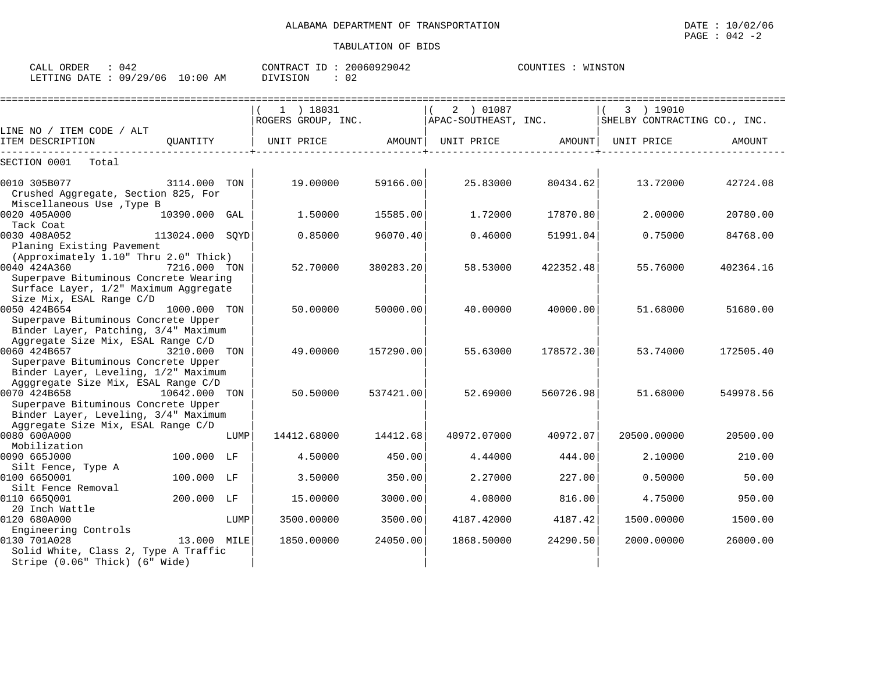| CALL ORDER<br>042               |          | CONTRACT ID: 20060929042 | , : WINSTON<br>COUNTIES |
|---------------------------------|----------|--------------------------|-------------------------|
| LETTING DATE: 09/29/06 10:00 AM | DIVISION | 02                       |                         |

|                                                                                                                                         |                 |      | $1$ ) 18031<br>ROGERS GROUP, INC. |           | 2 ) 01087<br>APAC-SOUTHEAST, INC. |           | 3 ) 19010<br>SHELBY CONTRACTING CO., INC. |               |
|-----------------------------------------------------------------------------------------------------------------------------------------|-----------------|------|-----------------------------------|-----------|-----------------------------------|-----------|-------------------------------------------|---------------|
| LINE NO / ITEM CODE / ALT                                                                                                               |                 |      |                                   |           |                                   |           |                                           |               |
| ITEM DESCRIPTION                                                                                                                        | OUANTITY        |      | UNIT PRICE                        | AMOUNT    | UNIT PRICE                        | AMOUNT    | UNIT PRICE                                | <b>AMOUNT</b> |
| SECTION 0001<br>Total                                                                                                                   |                 |      |                                   |           |                                   |           |                                           |               |
| 0010 305B077<br>Crushed Aggregate, Section 825, For                                                                                     | 3114.000 TON    |      | 19,00000                          | 59166.00  | 25.83000                          | 80434.62  | 13.72000                                  | 42724.08      |
| Miscellaneous Use , Type B<br>0020 405A000<br>Tack Coat                                                                                 | 10390.000 GAL   |      | 1.50000                           | 15585.00  | 1.72000                           | 17870.80  | 2.00000                                   | 20780.00      |
| 0030 408A052<br>Planing Existing Pavement                                                                                               | 113024.000 SOYD |      | 0.85000                           | 96070.40  | 0.46000                           | 51991.04  | 0.75000                                   | 84768.00      |
| (Approximately 1.10" Thru 2.0" Thick)<br>0040 424A360<br>Superpave Bituminous Concrete Wearing<br>Surface Layer, 1/2" Maximum Aggregate | 7216.000 TON    |      | 52.70000                          | 380283.20 | 58.53000                          | 422352.48 | 55.76000                                  | 402364.16     |
| Size Mix, ESAL Range C/D<br>0050 424B654<br>Superpave Bituminous Concrete Upper<br>Binder Layer, Patching, 3/4" Maximum                 | 1000.000 TON    |      | 50.00000                          | 50000.00  | 40.00000                          | 40000.00  | 51.68000                                  | 51680.00      |
| Aggregate Size Mix, ESAL Range C/D<br>0060 424B657<br>Superpave Bituminous Concrete Upper<br>Binder Layer, Leveling, 1/2" Maximum       | 3210.000 TON    |      | 49,00000                          | 157290.00 | 55.63000                          | 178572.30 | 53.74000                                  | 172505.40     |
| Agggregate Size Mix, ESAL Range C/D<br>0070 424B658<br>Superpave Bituminous Concrete Upper<br>Binder Layer, Leveling, 3/4" Maximum      | 10642.000 TON   |      | 50.50000                          | 537421.00 | 52.69000                          | 560726.98 | 51.68000                                  | 549978.56     |
| Aggregate Size Mix, ESAL Range C/D<br>0080 600A000<br>Mobilization                                                                      |                 | LUMP | 14412.68000                       | 14412.68  | 40972.07000                       | 40972.07  | 20500.00000                               | 20500.00      |
| 0090 665J000<br>Silt Fence, Type A                                                                                                      | 100.000 LF      |      | 4.50000                           | 450.00    | 4.44000                           | 444.00    | 2.10000                                   | 210.00        |
| 0100 6650001<br>Silt Fence Removal                                                                                                      | 100.000 LF      |      | 3.50000                           | 350.00    | 2.27000                           | 227.00    | 0.50000                                   | 50.00         |
| 0110 6650001<br>20 Inch Wattle                                                                                                          | 200.000 LF      |      | 15,00000                          | 3000.00   | 4.08000                           | 816.00    | 4.75000                                   | 950.00        |
| 0120 680A000<br>Engineering Controls                                                                                                    |                 | LUMP | 3500.00000                        | 3500.00   | 4187.42000                        | 4187.42   | 1500.00000                                | 1500.00       |
| 0130 701A028<br>Solid White, Class 2, Type A Traffic<br>Stripe (0.06" Thick) (6" Wide)                                                  | 13.000 MILE     |      | 1850.00000                        | 24050.00  | 1868.50000                        | 24290.50  | 2000.00000                                | 26000.00      |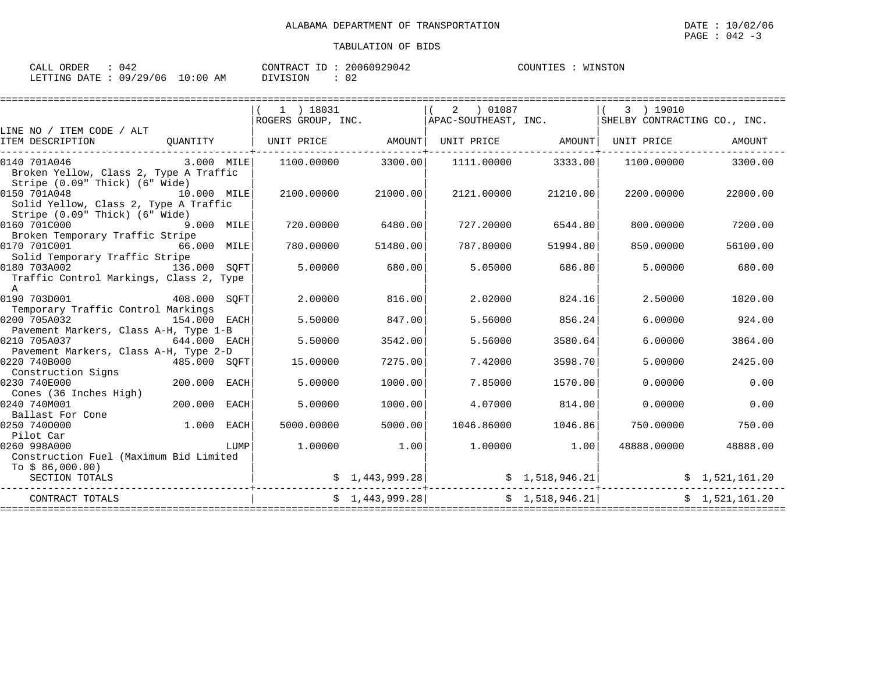| CALL ORDER                      | : 042 |          | CONTRACT ID: 20060929042 |  | COUNTIES : WINSTON |
|---------------------------------|-------|----------|--------------------------|--|--------------------|
| LETTING DATE: 09/29/06 10:00 AM |       | DIVISION | : 02                     |  |                    |

|                                                                                          |              |      | $1$ ) 18031<br>ROGERS GROUP, INC. |                 | 2 01087<br>APAC-SOUTHEAST, INC.                      |                   | 3 ) 19010<br>SHELBY CONTRACTING CO., INC. |                |
|------------------------------------------------------------------------------------------|--------------|------|-----------------------------------|-----------------|------------------------------------------------------|-------------------|-------------------------------------------|----------------|
| LINE NO / ITEM CODE / ALT                                                                |              |      |                                   |                 |                                                      |                   |                                           |                |
| ITEM DESCRIPTION                                                                         | OUANTITY     |      | UNIT PRICE                        | AMOUNT          |                                                      | UNIT PRICE AMOUNT | UNIT PRICE                                | AMOUNT         |
| 0140 701A046<br>Broken Yellow, Class 2, Type A Traffic<br>Stripe (0.09" Thick) (6" Wide) | 3.000 MILE   |      | 1100.00000                        | 3300.00         | 1111.00000                                           | 3333.00           | 1100.00000                                | 3300.00        |
| 0150 701A048<br>Solid Yellow, Class 2, Type A Traffic<br>Stripe (0.09" Thick) (6" Wide)  | 10.000 MILE  |      | 2100.00000                        | 21000.00        | 2121.00000                                           | 21210.00          | 2200.00000                                | 22000.00       |
| 0160 701C000<br>Broken Temporary Traffic Stripe                                          | 9.000 MILE   |      | 720,00000                         | 6480.00         | 727.20000                                            | 6544.80           | 800,00000                                 | 7200.00        |
| 0170 701C001<br>Solid Temporary Traffic Stripe                                           | 66.000 MILE  |      | 780.00000                         | 51480.00        | 787.80000                                            | 51994.80          | 850.00000                                 | 56100.00       |
| 0180 703A002<br>Traffic Control Markings, Class 2, Type<br>$\mathbb{A}$                  | 136.000 SOFT |      | 5,00000                           | 680.00          | 5.05000                                              | 686.80            | 5.00000                                   | 680.00         |
| 0190 703D001<br>Temporary Traffic Control Markings                                       | 408.000 SOFT |      | 2,00000                           | 816.00          | 2.02000                                              | 824.16            | 2.50000                                   | 1020.00        |
| 0200 705A032<br>Pavement Markers, Class A-H, Type 1-B                                    | 154.000 EACH |      | 5.50000                           | 847.00          | 5.56000                                              | 856.24            | 6,00000                                   | 924.00         |
| 0210 705A037<br>$644.000$ EACH<br>Pavement Markers, Class A-H, Type 2-D                  |              |      | 5.50000                           | 3542.00         | 5.56000                                              | 3580.64           | 6.00000                                   | 3864.00        |
| 0220 740B000<br>485.000 SOFT<br>Construction Signs                                       |              |      | 15.00000                          | 7275.00         | 7.42000                                              | 3598.70           | 5,00000                                   | 2425.00        |
| 0230 740E000<br>Cones (36 Inches High)                                                   | 200.000      | EACH | 5.00000                           | 1000.00         | 7.85000                                              | 1570.00           | 0.00000                                   | 0.00           |
| 0240 740M001<br>Ballast For Cone                                                         | 200.000 EACH |      | 5.00000                           | 1000.00         | 4.07000                                              | 814.00            | 0.00000                                   | 0.00           |
| 0250 7400000<br>Pilot Car                                                                | 1.000 EACH   |      | 5000.00000                        | 5000.00         | 1046.86000                                           | 1046.86           | 750.00000                                 | 750.00         |
| 0260 998A000<br>Construction Fuel (Maximum Bid Limited<br>To $$86,000.00)$               |              | LUMP | 1,00000                           | 1.00            | 1,00000                                              | 1.00              | 48888.00000                               | 48888.00       |
| SECTION TOTALS                                                                           |              |      |                                   |                 | $\sharp$ 1,443,999.28 $\sharp$ $\sharp$ 1,518,946.21 |                   |                                           | \$1,521,161.20 |
| CONTRACT TOTALS                                                                          |              |      |                                   | \$1,443,999.28] |                                                      | \$1,518,946.21    |                                           | \$1.521.161.20 |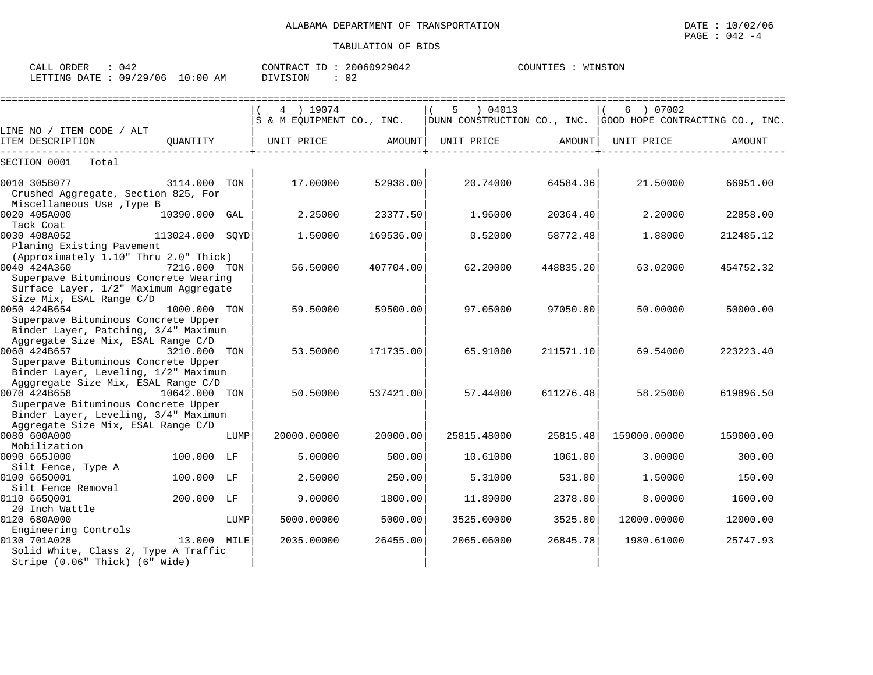| ORDER<br>CALL | 042      |             | TD.<br>CONTRACT | 20060929042 | COUNTIES | WINSTON |
|---------------|----------|-------------|-----------------|-------------|----------|---------|
| LETTING DATE  | 09/29/06 | 10:00<br>AΜ | SION<br>־זדרח   | ◡∠          |          |         |

|                                                                                                                                                                            |                 |      | 4 ) 19074<br>S & M EQUIPMENT CO., INC. |           | 04013<br>5<br>$ $ DUNN CONSTRUCTION CO., INC. $ $ GOOD HOPE CONTRACTING CO., INC. |           | 6 ) 07002    |           |
|----------------------------------------------------------------------------------------------------------------------------------------------------------------------------|-----------------|------|----------------------------------------|-----------|-----------------------------------------------------------------------------------|-----------|--------------|-----------|
| LINE NO / ITEM CODE / ALT<br>ITEM DESCRIPTION                                                                                                                              | OUANTITY        |      | UNIT PRICE                             | AMOUNT    | UNIT PRICE                                                                        | AMOUNT    | UNIT PRICE   | AMOUNT    |
| SECTION 0001<br>Total                                                                                                                                                      |                 |      |                                        |           |                                                                                   |           |              |           |
| 0010 305B077<br>Crushed Aggregate, Section 825, For<br>Miscellaneous Use , Type B                                                                                          | 3114.000 TON    |      | 17.00000                               | 52938.00  | 20.74000                                                                          | 64584.36  | 21.50000     | 66951.00  |
| 0020 405A000<br>Tack Coat                                                                                                                                                  | 10390.000 GAL   |      | 2.25000                                | 23377.50  | 1,96000                                                                           | 20364.40  | 2,20000      | 22858.00  |
| 0030 408A052<br>Planing Existing Pavement                                                                                                                                  | 113024.000 SOYD |      | 1.50000                                | 169536.00 | 0.52000                                                                           | 58772.48  | 1.88000      | 212485.12 |
| (Approximately 1.10" Thru 2.0" Thick)<br>0040 424A360<br>Superpave Bituminous Concrete Wearing<br>Surface Layer, 1/2" Maximum Aggregate                                    | 7216.000 TON    |      | 56.50000                               | 407704.00 | 62.20000                                                                          | 448835.20 | 63.02000     | 454752.32 |
| Size Mix, ESAL Range C/D<br>0050 424B654<br>Superpave Bituminous Concrete Upper<br>Binder Layer, Patching, 3/4" Maximum                                                    | 1000.000 TON    |      | 59.50000                               | 59500.00  | 97.05000                                                                          | 97050.00  | 50.00000     | 50000.00  |
| Aggregate Size Mix, ESAL Range C/D<br>0060 424B657<br>Superpave Bituminous Concrete Upper                                                                                  | 3210.000 TON    |      | 53.50000                               | 171735.00 | 65.91000                                                                          | 211571.10 | 69.54000     | 223223.40 |
| Binder Layer, Leveling, 1/2" Maximum<br>Agggregate Size Mix, ESAL Range C/D<br>0070 424B658<br>Superpave Bituminous Concrete Upper<br>Binder Layer, Leveling, 3/4" Maximum | 10642.000 TON   |      | 50.50000                               | 537421.00 | 57.44000                                                                          | 611276.48 | 58.25000     | 619896.50 |
| Aggregate Size Mix, ESAL Range C/D<br>0080 600A000                                                                                                                         |                 | LUMP | 20000.00000                            | 20000.00  | 25815.48000                                                                       | 25815.48  | 159000.00000 | 159000.00 |
| Mobilization<br>0090 665J000<br>Silt Fence, Type A                                                                                                                         | 100.000 LF      |      | 5.00000                                | 500.00    | 10.61000                                                                          | 1061.00   | 3.00000      | 300.00    |
| 0100 6650001<br>Silt Fence Removal                                                                                                                                         | 100.000 LF      |      | 2.50000                                | 250.00    | 5.31000                                                                           | 531.00    | 1.50000      | 150.00    |
| 0110 6650001<br>20 Inch Wattle                                                                                                                                             | 200.000         | LF   | 9.00000                                | 1800.00   | 11.89000                                                                          | 2378.00   | 8,00000      | 1600.00   |
| 0120 680A000<br>Engineering Controls                                                                                                                                       |                 | LUMP | 5000.00000                             | 5000.00   | 3525.00000                                                                        | 3525.00   | 12000.00000  | 12000.00  |
| 0130 701A028<br>Solid White, Class 2, Type A Traffic<br>Stripe (0.06" Thick) (6" Wide)                                                                                     | 13.000 MILE     |      | 2035.00000                             | 26455.00  | 2065.06000                                                                        | 26845.78  | 1980.61000   | 25747.93  |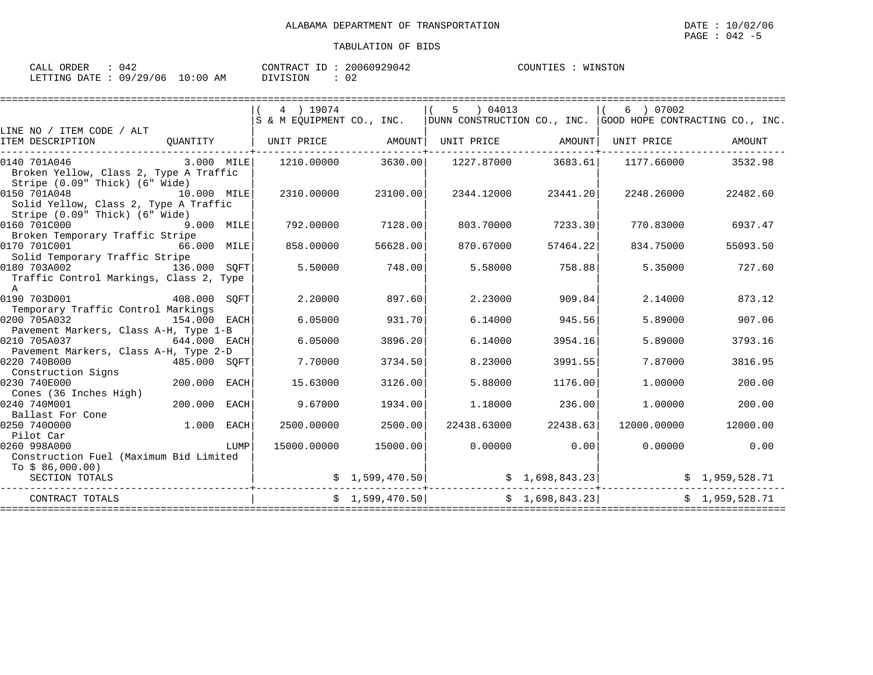| CALL ORDER                      | 042 | CONTRACT ID | 20060929042 | COUNTIES | WINSTON |
|---------------------------------|-----|-------------|-------------|----------|---------|
| LETTING DATE: 09/29/06 10:00 AM |     | DIVISION    |             |          |         |

|                                                                                                                |              |      | 4 ) 19074         |                    | 5 ) 04013                                                                 |                    | 6 ) 07002<br>$ S \; \& \; M$ EOUIPMENT CO., INC. $ $ DUNN CONSTRUCTION CO., INC. $ $ GOOD HOPE CONTRACTING CO., INC.                                                                                                 |                |
|----------------------------------------------------------------------------------------------------------------|--------------|------|-------------------|--------------------|---------------------------------------------------------------------------|--------------------|----------------------------------------------------------------------------------------------------------------------------------------------------------------------------------------------------------------------|----------------|
| LINE NO / ITEM CODE / ALT<br>ITEM DESCRIPTION                                                                  | QUANTITY     |      | UNIT PRICE AMOUNT |                    | UNIT PRICE AMOUNT                                                         |                    | UNIT PRICE                                                                                                                                                                                                           | AMOUNT         |
|                                                                                                                |              |      |                   |                    |                                                                           |                    |                                                                                                                                                                                                                      |                |
| 0140 701A046<br>Broken Yellow, Class 2, Type A Traffic<br>Stripe (0.09" Thick) (6" Wide)                       | 3.000 MILE   |      |                   | 1210.00000 3630.00 |                                                                           | 1227.87000 3683.61 | 1177.66000                                                                                                                                                                                                           | 3532.98        |
| 0150 701A048<br>Solid Yellow, Class 2, Type A Traffic<br>Stripe (0.09" Thick) (6" Wide)                        | 10.000 MILE  |      | 2310.00000        | 23100.00           | 2344.12000                                                                | 23441.20           | 2248.26000                                                                                                                                                                                                           | 22482.60       |
| 0160 701C000                                                                                                   | 9.000 MILE   |      | 792.00000         | 7128.00            | 803.70000                                                                 | 7233.30            | 770.83000                                                                                                                                                                                                            | 6937.47        |
| Broken Temporary Traffic Stripe<br>0170 701C001<br>Solid Temporary Traffic Stripe                              | 66.000 MILE  |      | 858,00000         | 56628.00           | 870.67000                                                                 | 57464.22           | 834.75000                                                                                                                                                                                                            | 55093.50       |
| 0180 703A002<br>Traffic Control Markings, Class 2, Type<br>$\mathbb{A}$                                        | 136.000 SOFT |      | 5.50000           | 748.00             | 5.58000                                                                   | 758.88             | 5.35000                                                                                                                                                                                                              | 727.60         |
| 0190 703D001<br>408.000 SOFT                                                                                   |              |      | 2.20000           | 897.60             | 2.23000                                                                   | 909.84             | 2.14000                                                                                                                                                                                                              | 873.12         |
| Temporary Traffic Control Markings<br>0200 705A032<br>154.000 EACH                                             |              |      | 6.05000           | 931.70             | 6.14000                                                                   | 945.56             | 5.89000                                                                                                                                                                                                              | 907.06         |
| Pavement Markers, Class A-H, Type 1-B<br>0210 705A037<br>644.000 EACH<br>Pavement Markers, Class A-H, Type 2-D |              |      | 6.05000           | 3896.20            | 6.14000                                                                   | 3954.16            | 5.89000                                                                                                                                                                                                              | 3793.16        |
| 0220 740B000<br>485.000 SQFT<br>Construction Signs                                                             |              |      | 7.70000           | 3734.50            | 8.23000                                                                   | 3991.55            | 7.87000                                                                                                                                                                                                              | 3816.95        |
| 0230 740E000<br>Cones (36 Inches High)                                                                         | 200.000      | EACH | 15.63000          | 3126.00            | 5.88000                                                                   | 1176.00            | 1,00000                                                                                                                                                                                                              | 200.00         |
| 0240 740M001<br>Ballast For Cone                                                                               | 200.000      | EACH | 9.67000           | 1934.00            | 1.18000                                                                   | 236.00             | 1,00000                                                                                                                                                                                                              | 200.00         |
| 0250 7400000<br>Pilot Car                                                                                      | $1.000$ EACH |      | 2500.00000        | 2500.00            | 22438.63000                                                               | 22438.63           | 12000.00000                                                                                                                                                                                                          | 12000.00       |
| 0260 998A000<br>Construction Fuel (Maximum Bid Limited                                                         |              | LUMP | 15000.00000       | 15000.00           | 0.00000                                                                   | 0.00               | 0.00000                                                                                                                                                                                                              | 0.00           |
| To $$86,000.00)$<br>SECTION TOTALS                                                                             |              |      |                   |                    |                                                                           |                    | $\begin{array}{cccc} \xi & 1 \, , 599 \, , 470 \, . \, 50 \end{array}$ $\begin{array}{cccc} \xi & 1 \, , 698 \, , 843 \, . \, 23 \end{array}$ $\begin{array}{cccc} \xi & 1 \, , 959 \, , 528 \, . \, 71 \end{array}$ |                |
| CONTRACT TOTALS                                                                                                |              |      |                   |                    | $\frac{1}{2}$ , $\frac{599}{470.50}$ $\frac{1}{2}$ , $\frac{598}{843.23}$ |                    |                                                                                                                                                                                                                      | \$1,959,528.71 |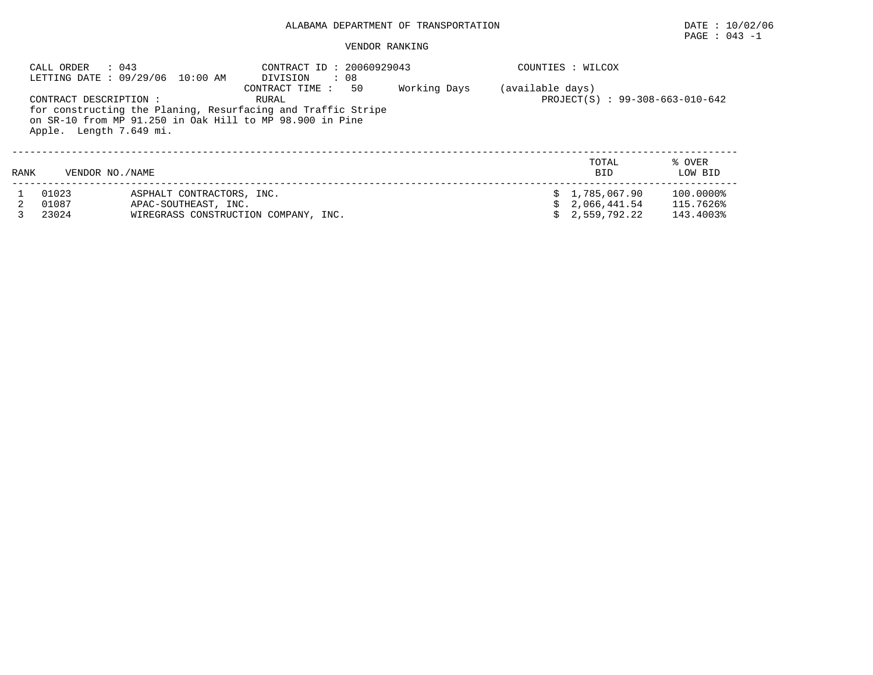### PAGE : 043 -1

|      | CALL ORDER<br>: 043                              | LETTING DATE: 09/29/06 10:00 AM                                                           | CONTRACT ID: 20060929043<br>$\therefore$ 08<br>DIVISION                                                                                              |    |              |                  | COUNTIES : WILCOX                                  |                                     |
|------|--------------------------------------------------|-------------------------------------------------------------------------------------------|------------------------------------------------------------------------------------------------------------------------------------------------------|----|--------------|------------------|----------------------------------------------------|-------------------------------------|
|      | CONTRACT DESCRIPTION:<br>Apple. Length 7.649 mi. |                                                                                           | CONTRACT TIME :<br>RURAL<br>for constructing the Planing, Resurfacing and Traffic Stripe<br>on SR-10 from MP 91.250 in Oak Hill to MP 98.900 in Pine | 50 | Working Days | (available days) | PROJECT(S) : 99-308-663-010-642                    |                                     |
| RANK | VENDOR NO. / NAME                                |                                                                                           |                                                                                                                                                      |    |              |                  | TOTAL<br><b>BID</b>                                | % OVER<br>LOW BID                   |
|      | 01023<br>01087<br>23024                          | ASPHALT CONTRACTORS, INC.<br>APAC-SOUTHEAST, INC.<br>WIREGRASS CONSTRUCTION COMPANY, INC. |                                                                                                                                                      |    |              |                  | \$1.785.067.90<br>\$2.066.441.54<br>\$2,559,792.22 | 100.0000%<br>115.7626%<br>143.4003% |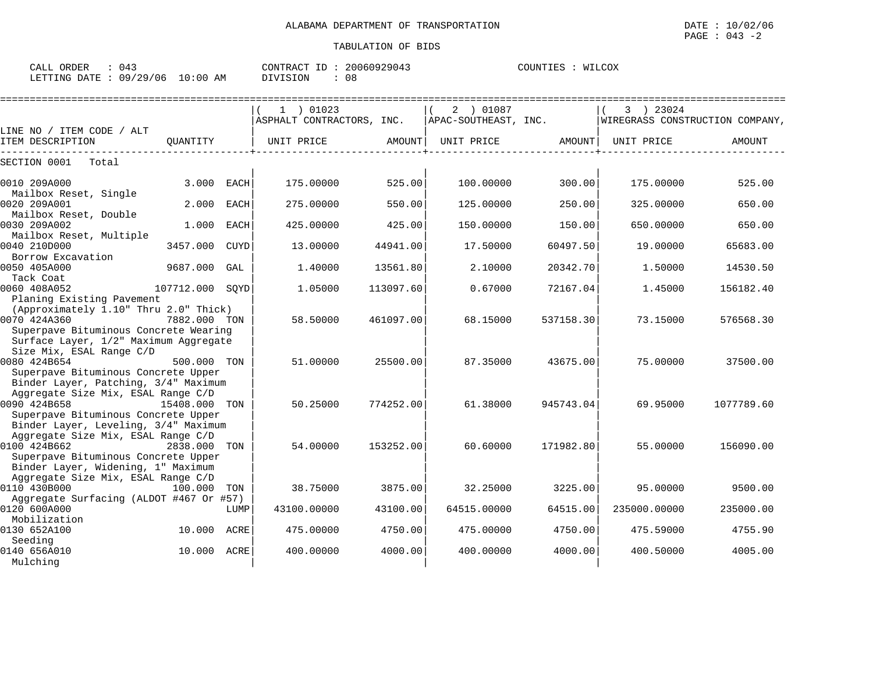| CALL ORDER                      | : 043 | CONTRACT ID: 20060929043 |    | COUNTIES : WILCOX |  |
|---------------------------------|-------|--------------------------|----|-------------------|--|
| LETTING DATE: 09/29/06 10:00 AM |       | DIVISION                 | 08 |                   |  |

|                                                                                                            |              |             | $1$ ) 01023<br>ASPHALT CONTRACTORS, INC. |           | 2 ) 01087<br>APAC-SOUTHEAST, INC. |           | 3 ) 23024<br>WIREGRASS CONSTRUCTION COMPANY, |               |
|------------------------------------------------------------------------------------------------------------|--------------|-------------|------------------------------------------|-----------|-----------------------------------|-----------|----------------------------------------------|---------------|
| LINE NO / ITEM CODE / ALT                                                                                  |              |             |                                          |           |                                   |           |                                              |               |
| ITEM DESCRIPTION                                                                                           | OUANTITY     |             | UNIT PRICE                               | AMOUNT    | UNIT PRICE                        | AMOUNT    | UNIT PRICE                                   | <b>AMOUNT</b> |
| SECTION 0001<br>Total                                                                                      |              |             |                                          |           |                                   |           |                                              |               |
| 0010 209A000                                                                                               | 3.000        | <b>EACH</b> | 175.00000                                | 525.00    | 100.00000                         | 300.00    | 175.00000                                    | 525.00        |
| Mailbox Reset, Single<br>0020 209A001<br>Mailbox Reset, Double                                             | 2.000        | <b>EACH</b> | 275.00000                                | 550.00    | 125.00000                         | 250.00    | 325.00000                                    | 650.00        |
| 0030 209A002<br>Mailbox Reset, Multiple                                                                    | 1.000        | <b>EACH</b> | 425.00000                                | 425.00    | 150.00000                         | 150.00    | 650.00000                                    | 650.00        |
| 0040 210D000<br>Borrow Excavation                                                                          | 3457.000     | <b>CUYD</b> | 13,00000                                 | 44941.00  | 17.50000                          | 60497.50  | 19,00000                                     | 65683.00      |
| 0050 405A000<br>Tack Coat                                                                                  | 9687.000     | GAL         | 1,40000                                  | 13561.80  | 2.10000                           | 20342.70  | 1.50000                                      | 14530.50      |
| 0060 408A052<br>Planing Existing Pavement                                                                  | 107712.000   | SOYD        | 1.05000                                  | 113097.60 | 0.67000                           | 72167.04  | 1.45000                                      | 156182.40     |
| (Approximately 1.10" Thru 2.0" Thick)<br>0070 424A360                                                      | 7882.000 TON |             | 58.50000                                 | 461097.00 | 68.15000                          | 537158.30 | 73.15000                                     | 576568.30     |
| Superpave Bituminous Concrete Wearing<br>Surface Layer, 1/2" Maximum Aggregate<br>Size Mix, ESAL Range C/D |              |             |                                          |           |                                   |           |                                              |               |
| 0080 424B654<br>Superpave Bituminous Concrete Upper<br>Binder Layer, Patching, 3/4" Maximum                | 500.000 TON  |             | 51.00000                                 | 25500.00  | 87.35000                          | 43675.00  | 75,00000                                     | 37500.00      |
| Aggregate Size Mix, ESAL Range C/D<br>0090 424B658<br>Superpave Bituminous Concrete Upper                  | 15408.000    | TON         | 50.25000                                 | 774252.00 | 61.38000                          | 945743.04 | 69.95000                                     | 1077789.60    |
| Binder Layer, Leveling, 3/4" Maximum<br>Aggregate Size Mix, ESAL Range C/D                                 |              |             |                                          |           |                                   |           |                                              |               |
| 0100 424B662<br>Superpave Bituminous Concrete Upper                                                        | 2838.000     | TON         | 54.00000                                 | 153252.00 | 60.60000                          | 171982.80 | 55.00000                                     | 156090.00     |
| Binder Layer, Widening, 1" Maximum<br>Aggregate Size Mix, ESAL Range C/D                                   |              |             |                                          |           |                                   |           |                                              |               |
| 0110 430B000                                                                                               | 100.000      | TON         | 38.75000                                 | 3875.00   | 32.25000                          | 3225.00   | 95.00000                                     | 9500.00       |
| Aggregate Surfacing (ALDOT #467 Or #57)<br>0120 600A000<br>Mobilization                                    |              | LUMP        | 43100.00000                              | 43100.00  | 64515.00000                       | 64515.00  | 235000.00000                                 | 235000.00     |
| 0130 652A100<br>Seeding                                                                                    | 10.000 ACRE  |             | 475.00000                                | 4750.00   | 475.00000                         | 4750.00   | 475.59000                                    | 4755.90       |
| 0140 656A010<br>Mulching                                                                                   | 10.000 ACRE  |             | 400.00000                                | 4000.00   | 400.00000                         | 4000.00   | 400.50000                                    | 4005.00       |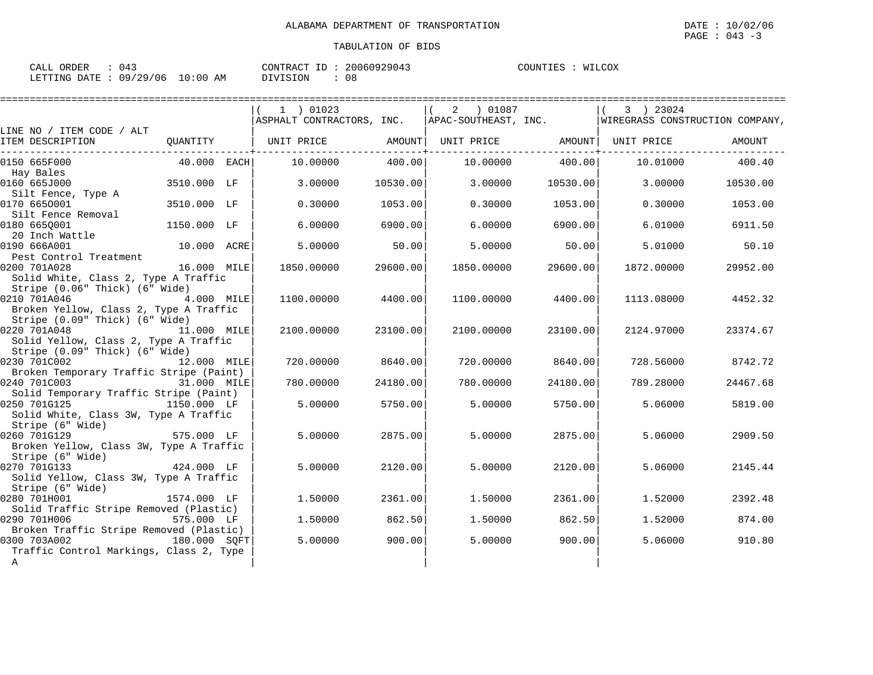| CALL ORDER | : 043                           |          | CONTRACT ID: 20060929043 | COUNTIES : WILCOX |  |
|------------|---------------------------------|----------|--------------------------|-------------------|--|
|            | LETTING DATE: 09/29/06 10:00 AM | DIVISION | 08                       |                   |  |

|                                                                                           |               | 1 ) 01023                                                                      |          | 2 ) 01087  |          | 3 ) 23024           |          |
|-------------------------------------------------------------------------------------------|---------------|--------------------------------------------------------------------------------|----------|------------|----------|---------------------|----------|
| LINE NO / ITEM CODE / ALT                                                                 |               | ASPHALT CONTRACTORS, INC. APAC-SOUTHEAST, INC. WIREGRASS CONSTRUCTION COMPANY, |          |            |          |                     |          |
| ITEM DESCRIPTION                                                                          | OUANTITY      | UNIT PRICE                                                                     | AMOUNT   | UNIT PRICE |          | AMOUNT   UNIT PRICE | AMOUNT   |
| 0150 665F000                                                                              | $40.000$ EACH | 10.00000                                                                       | 400.00   | 10.00000   | 400.00   | 10.01000            | 400.40   |
| Hay Bales<br>0160 665J000                                                                 | 3510.000 LF   | 3,00000                                                                        | 10530.00 | 3.00000    | 10530.00 | 3.00000             | 10530.00 |
| Silt Fence, Type A<br>0170 6650001                                                        | 3510.000 LF   | 0.30000                                                                        | 1053.00  | 0.30000    | 1053.00  | 0.30000             | 1053.00  |
| Silt Fence Removal<br>0180 665Q001                                                        | 1150.000 LF   | 6,00000                                                                        | 6900.00  | 6.00000    | 6900.00  | 6.01000             | 6911.50  |
| 20 Inch Wattle<br>0190 666A001                                                            | 10.000 ACRE   | 5.00000                                                                        | 50.00    | 5,00000    | 50.00    | 5.01000             | 50.10    |
| Pest Control Treatment<br>0200 701A028<br>Solid White, Class 2, Type A Traffic            | 16.000 MILE   | 1850.00000                                                                     | 29600.00 | 1850.00000 | 29600.00 | 1872.00000          | 29952.00 |
| Stripe (0.06" Thick) (6" Wide)<br>0210 701A046<br>4.000 MILE                              |               | 1100.00000                                                                     | 4400.00  | 1100.00000 | 4400.00  | 1113.08000          | 4452.32  |
| Broken Yellow, Class 2, Type A Traffic<br>Stripe (0.09" Thick) (6" Wide)                  |               |                                                                                |          |            |          |                     |          |
| 0220 701A048<br>Solid Yellow, Class 2, Type A Traffic<br>Stripe (0.09" Thick) (6" Wide)   | 11.000 MILE   | 2100.00000                                                                     | 23100.00 | 2100.00000 | 23100.00 | 2124.97000          | 23374.67 |
| 0230 701C002<br>12.000 MILE<br>Broken Temporary Traffic Stripe (Paint)                    |               | 720.00000                                                                      | 8640.00  | 720.00000  | 8640.00  | 728.56000           | 8742.72  |
| 0240 701C003<br>Solid Temporary Traffic Stripe (Paint)                                    | 31.000 MILE   | 780.00000                                                                      | 24180.00 | 780.00000  | 24180.00 | 789.28000           | 24467.68 |
| 0250 701G125<br>Solid White, Class 3W, Type A Traffic<br>Stripe (6" Wide)                 | 1150.000 LF   | 5.00000                                                                        | 5750.00  | 5.00000    | 5750.00  | 5.06000             | 5819.00  |
| 0260 701G129<br>575.000 LF<br>Broken Yellow, Class 3W, Type A Traffic<br>Stripe (6" Wide) |               | 5.00000                                                                        | 2875.00  | 5.00000    | 2875.00  | 5.06000             | 2909.50  |
| 0270 701G133<br>Solid Yellow, Class 3W, Type A Traffic<br>Stripe (6" Wide)                | 424.000 LF    | 5.00000                                                                        | 2120.00  | 5.00000    | 2120.00  | 5.06000             | 2145.44  |
| 0280 701H001<br>Solid Traffic Stripe Removed (Plastic)                                    | 1574.000 LF   | 1.50000                                                                        | 2361.00  | 1.50000    | 2361.00  | 1.52000             | 2392.48  |
| 0290 701H006<br>Broken Traffic Stripe Removed (Plastic)                                   | 575.000 LF    | 1.50000                                                                        | 862.50   | 1.50000    | 862.50   | 1.52000             | 874.00   |
| 0300 703A002<br>Traffic Control Markings, Class 2, Type<br>$\mathbb A$                    | 180.000 SOFT  | 5.00000                                                                        | 900.00   | 5,00000    | 900.00   | 5.06000             | 910.80   |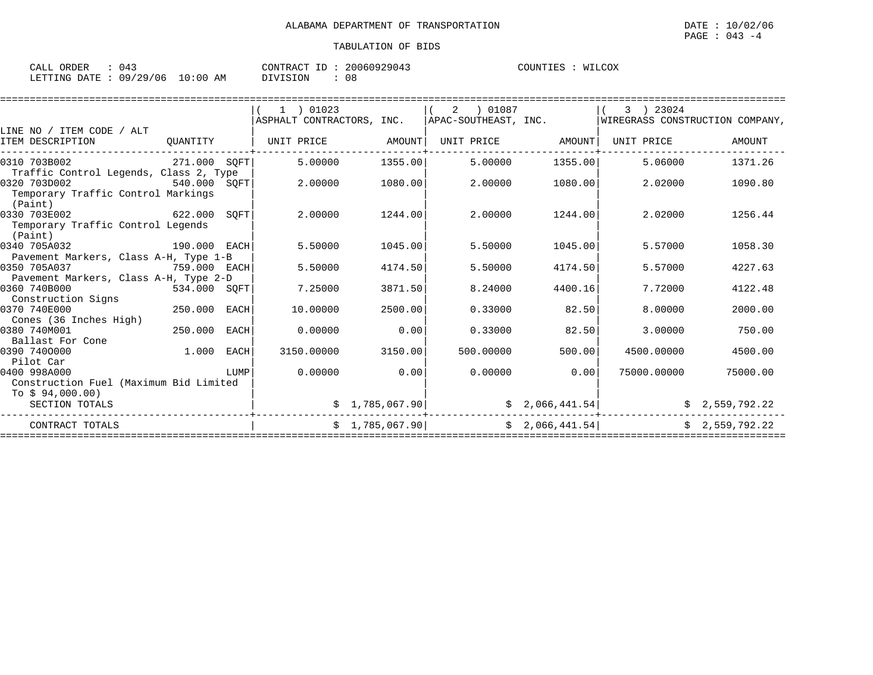| ORDER<br>CALL \                  | 04 <sup>1</sup> | CONTRACT ID | 20060929043 | COUNTIES | WILCOX |
|----------------------------------|-----------------|-------------|-------------|----------|--------|
| LETTING DATE : 09/29/06 10:00 AM |                 | DIVISION    | 08          |          |        |

|                                                        | ) 01023                                                                        |            |           |                                             | 3 ) 23024                                                               |                                                                                                                                                                     |
|--------------------------------------------------------|--------------------------------------------------------------------------------|------------|-----------|---------------------------------------------|-------------------------------------------------------------------------|---------------------------------------------------------------------------------------------------------------------------------------------------------------------|
|                                                        |                                                                                |            |           |                                             |                                                                         |                                                                                                                                                                     |
|                                                        |                                                                                |            |           |                                             | UNIT PRICE                                                              | AMOUNT                                                                                                                                                              |
| 271.000 SOFT                                           | 5,00000                                                                        |            | 5.00000   |                                             | 5.06000                                                                 | 1371.26                                                                                                                                                             |
| Traffic Control Legends, Class 2, Type<br>540.000 SQFT | 2,00000                                                                        | 1080.00    | 2.00000   |                                             | 2.02000                                                                 | 1090.80                                                                                                                                                             |
| SOFT                                                   | 2.00000                                                                        | 1244.00    | 2.00000   |                                             | 2.02000                                                                 | 1256.44                                                                                                                                                             |
| 190.000 EACH                                           | 5.50000                                                                        | 1045.00    | 5.50000   |                                             | 5.57000                                                                 | 1058.30                                                                                                                                                             |
| 759.000 EACH                                           | 5.50000                                                                        | 4174.50    | 5.50000   |                                             | 5.57000                                                                 | 4227.63                                                                                                                                                             |
| 534.000 SQFT                                           | 7.25000                                                                        | 3871.50    | 8.24000   | 4400.16                                     | 7.72000                                                                 | 4122.48                                                                                                                                                             |
| EACH                                                   | 10.00000                                                                       | 2500.00    | 0.33000   | 82.50                                       | 8,00000                                                                 | 2000.00                                                                                                                                                             |
| EACH                                                   | 0.00000                                                                        | 0.00       | 0.33000   | 82.50                                       | 3.00000                                                                 | 750.00                                                                                                                                                              |
| EACH                                                   | 3150.00000                                                                     | 3150.00    | 500,00000 |                                             | 4500.00000                                                              | 4500.00                                                                                                                                                             |
| LUMP<br>Construction Fuel (Maximum Bid Limited         | 0.00000                                                                        | 0.00       | 0.00000   |                                             | 75000.00000                                                             | 75000.00                                                                                                                                                            |
|                                                        |                                                                                |            |           |                                             |                                                                         | \$2,559,792.22                                                                                                                                                      |
|                                                        |                                                                                |            |           |                                             |                                                                         | \$2,559,792.22                                                                                                                                                      |
|                                                        | Pavement Markers, Class A-H, Type 1-B<br>Pavement Markers, Class A-H, Type 2-D | UNIT PRICE | AMOUNT    | 1355.00<br>\$1,785,067.90<br>\$1,785,067.90 | 2 01087<br>$\mid$ ASPHALT CONTRACTORS, INC. $\mid$ APAC-SOUTHEAST, INC. | WIREGRASS CONSTRUCTION COMPANY,<br>UNIT PRICE AMOUNT<br>1355.00<br>1080.00<br>1244.00<br>1045.00<br>4174.50<br>500.00<br>0.00<br>\$2,066,441.54]<br>\$2,066,441.54] |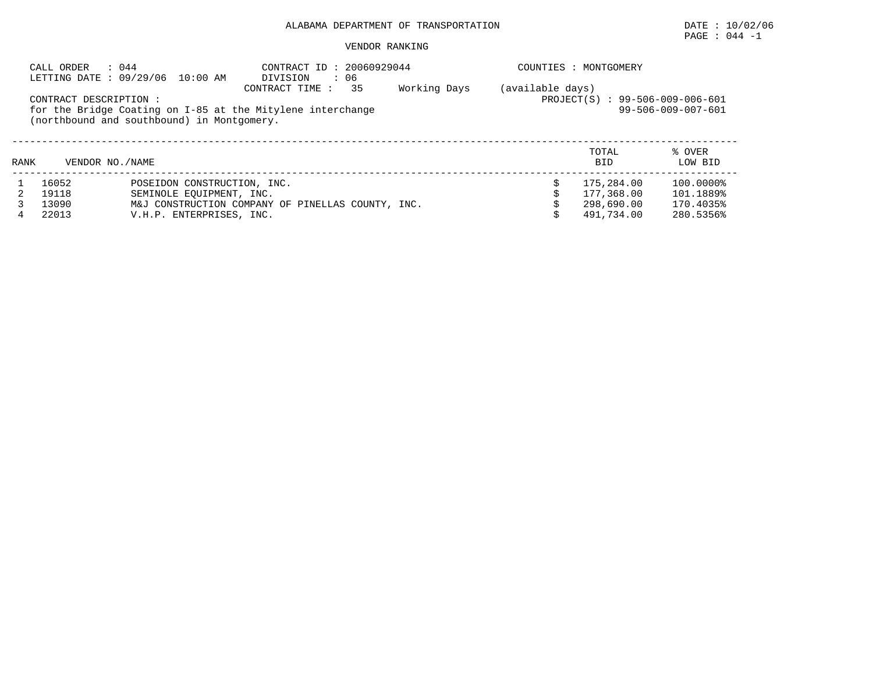## PAGE : 044 -1

|      | CALL ORDER            | : 044<br>LETTING DATE: 09/29/06 10:00 AM   | CONTRACT ID: 20060929044<br>: 06<br>DIVISION                                       |              |                  | COUNTIES : MONTGOMERY           |                    |
|------|-----------------------|--------------------------------------------|------------------------------------------------------------------------------------|--------------|------------------|---------------------------------|--------------------|
|      | CONTRACT DESCRIPTION: | (northbound and southbound) in Montgomery. | 35<br>CONTRACT TIME:<br>for the Bridge Coating on I-85 at the Mitylene interchange | Working Days | (available days) | PROJECT(S) : 99-506-009-006-601 | 99-506-009-007-601 |
| RANK |                       | VENDOR NO. / NAME                          |                                                                                    |              |                  | TOTAL<br><b>BID</b>             | % OVER<br>LOW BID  |
|      | 16052                 | POSEIDON CONSTRUCTION, INC.                |                                                                                    |              |                  | 175,284.00                      | 100.0000%          |
|      | 19118                 | SEMINOLE EOUIPMENT, INC.                   |                                                                                    |              |                  | 177,368.00                      | 101.1889%          |
|      | 13090                 |                                            | M&J CONSTRUCTION COMPANY OF PINELLAS COUNTY, INC.                                  |              |                  | 298,690.00                      | 170.4035%          |
| 4    | 22013                 | V.H.P. ENTERPRISES, INC.                   |                                                                                    |              |                  | 491,734.00                      | 280.5356%          |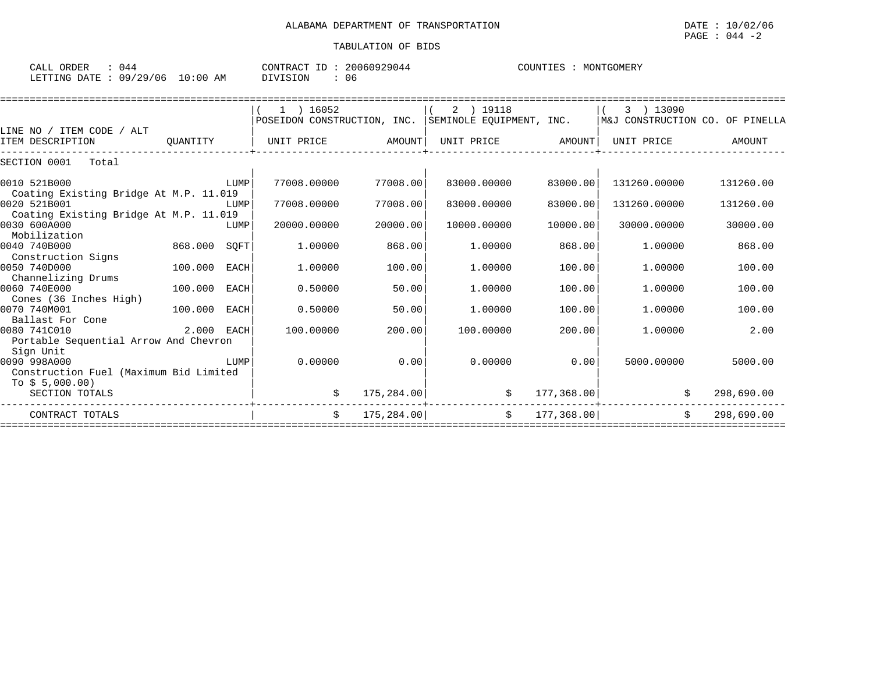#### PAGE : 044 -2

| יבי<br>ORDER<br>ىلىلەر | . .<br>U44                  |                                 | CONT<br>$\cap$ $\cap$ $\cap$ $\sim$<br>Ή A (<br>. 144 | $\cap$ דורוזדר $\cap$<br>JMER .<br>IVI ( |
|------------------------|-----------------------------|---------------------------------|-------------------------------------------------------|------------------------------------------|
| LETTINC<br>חים מו.     | $\cap$ Q.<br>/ つ Q<br>' 0 6 | l:00<br>$\sim$<br>AΜ<br>$\cdot$ | - 06                                                  |                                          |

|                                                        |            |             | $1$ ) 16052                 |             | 2 ) 19118                |             | 3 ) 13090                       |            |
|--------------------------------------------------------|------------|-------------|-----------------------------|-------------|--------------------------|-------------|---------------------------------|------------|
|                                                        |            |             | POSEIDON CONSTRUCTION, INC. |             | SEMINOLE EQUIPMENT, INC. |             | M&J CONSTRUCTION CO. OF PINELLA |            |
| LINE NO / ITEM CODE / ALT                              |            |             |                             |             |                          |             |                                 |            |
| ITEM DESCRIPTION                                       | OUANTITY   |             | UNIT PRICE                  | AMOUNT      | UNIT PRICE               | AMOUNT      | UNIT PRICE                      | AMOUNT     |
| SECTION 0001<br>Total                                  |            |             |                             |             |                          |             |                                 |            |
| 0010 521B000                                           |            | LUMP        | 77008.00000                 | 77008.00    | 83000.00000              | 83000.00    | 131260.00000                    | 131260.00  |
| Coating Existing Bridge At M.P. 11.019                 |            |             |                             |             |                          |             |                                 |            |
| 0020 521B001<br>Coating Existing Bridge At M.P. 11.019 |            | LUMP        | 77008.00000                 | 77008.00    | 83000.00000              | 83000.00    | 131260.00000                    | 131260.00  |
| 0030 600A000<br>Mobilization                           |            | LUMP        | 20000.00000                 | 20000.00    | 10000.00000              | 10000.00    | 30000.00000                     | 30000.00   |
| 0040 740B000                                           | 868.000    | SOFT        | 1,00000                     | 868.00      | 1,00000                  | 868.00      | 1,00000                         | 868.00     |
| Construction Signs                                     |            |             |                             |             |                          |             |                                 |            |
| 0050 740D000                                           | 100.000    | <b>EACH</b> | 1,00000                     | 100.00      | 1,00000                  | 100.00      | 1,00000                         | 100.00     |
| Channelizing Drums                                     |            |             |                             |             |                          |             |                                 |            |
| 0060 740E000                                           | 100.000    | <b>EACH</b> | 0.50000                     | 50.00       | 1,00000                  | 100.00      | 1,00000                         | 100.00     |
| Cones (36 Inches High)                                 |            |             |                             |             |                          |             |                                 |            |
| 0070 740M001<br>Ballast For Cone                       | 100,000    | <b>EACH</b> | 0.50000                     | 50.00       | 1,00000                  | 100.00      | 1,00000                         | 100.00     |
| 0080 741C010                                           | 2.000 EACH |             | 100.00000                   | 200.00      | 100.00000                | 200.00      | 1,00000                         | 2.00       |
| Portable Sequential Arrow And Chevron                  |            |             |                             |             |                          |             |                                 |            |
| Sign Unit                                              |            |             |                             |             |                          |             |                                 |            |
| 0090 998A000                                           |            | LUMP        | 0.00000                     | 0.00        | 0.00000                  | 0.00        | 5000.00000                      | 5000.00    |
| Construction Fuel (Maximum Bid Limited                 |            |             |                             |             |                          |             |                                 |            |
| To $$5,000.00)$                                        |            |             |                             |             |                          |             |                                 |            |
| SECTION TOTALS                                         |            |             | \$                          | 175,284.00  | \$                       | 177, 368.00 | \$                              | 298,690.00 |
| CONTRACT TOTALS                                        |            |             | Ŝ.                          | 175, 284.00 | \$                       | 177, 368.00 | Ŝ.                              | 298,690.00 |
|                                                        |            |             |                             |             |                          |             |                                 |            |